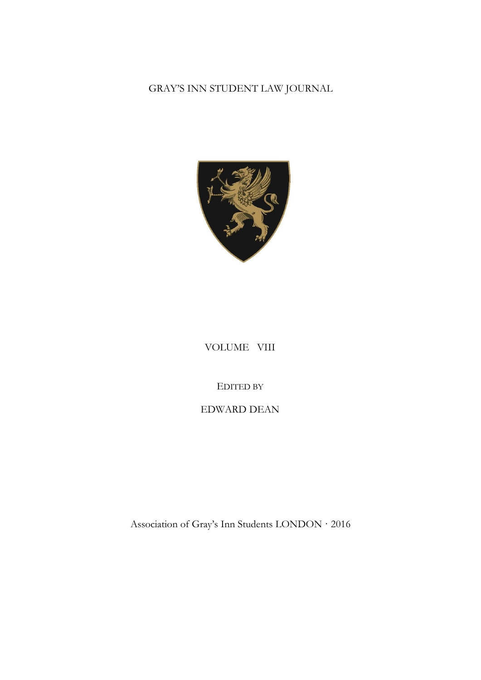# GRAY'S INN STUDENT LAW JOURNAL



## VOLUME VIII

## EDITED BY

## EDWARD DEAN

Association of Gray's Inn Students LONDON · 2016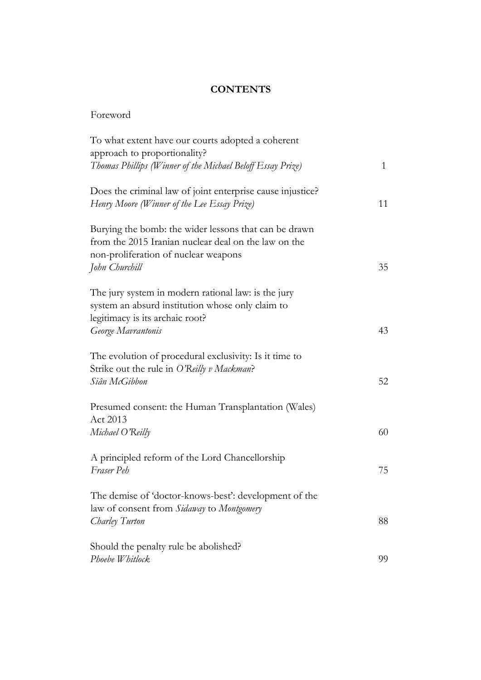## **CONTENTS**

| To what extent have our courts adopted a coherent<br>approach to proportionality?                                                                                       |              |
|-------------------------------------------------------------------------------------------------------------------------------------------------------------------------|--------------|
| Thomas Phillips (Winner of the Michael Beloff Essay Prize)                                                                                                              | $\mathbf{1}$ |
| Does the criminal law of joint enterprise cause injustice?<br>Henry Moore (Winner of the Lee Essay Prize)                                                               | 11           |
| Burying the bomb: the wider lessons that can be drawn<br>from the 2015 Iranian nuclear deal on the law on the<br>non-proliferation of nuclear weapons<br>John Churchill | 35           |
| The jury system in modern rational law: is the jury<br>system an absurd institution whose only claim to<br>legitimacy is its archaic root?<br>George Mavrantonis        | 43           |
| The evolution of procedural exclusivity: Is it time to<br>Strike out the rule in O'Reilly v Mackman?<br>Siân McGibbon                                                   | 52           |
| Presumed consent: the Human Transplantation (Wales)<br>Act 2013                                                                                                         |              |
| Michael O'Reilly                                                                                                                                                        | 60           |
| A principled reform of the Lord Chancellorship<br>Fraser Peh                                                                                                            | 75           |
| The demise of 'doctor-knows-best': development of the<br>law of consent from Sidaway to Montgomery<br>Charley Turton                                                    | 88           |
|                                                                                                                                                                         |              |
| Should the penalty rule be abolished?<br>Phoebe Whitlock                                                                                                                | 99           |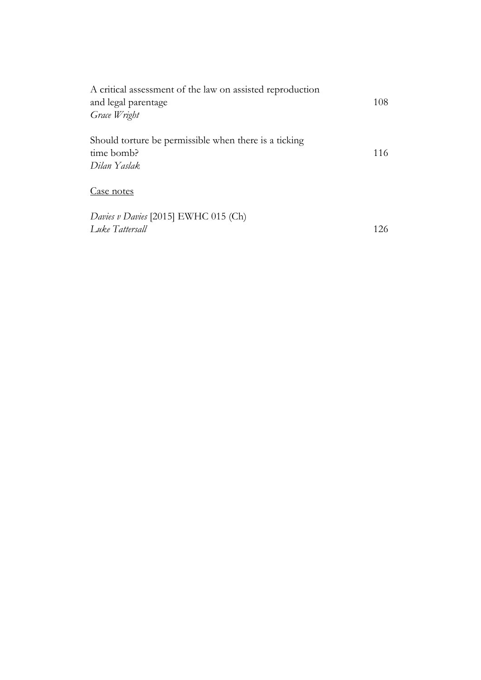| A critical assessment of the law on assisted reproduction<br>and legal parentage<br>Grace Wright | 108 |
|--------------------------------------------------------------------------------------------------|-----|
|                                                                                                  |     |
| Case notes                                                                                       |     |
| Davies v Davies [2015] EWHC 015 (Ch)<br>Luke Tattersall                                          | 126 |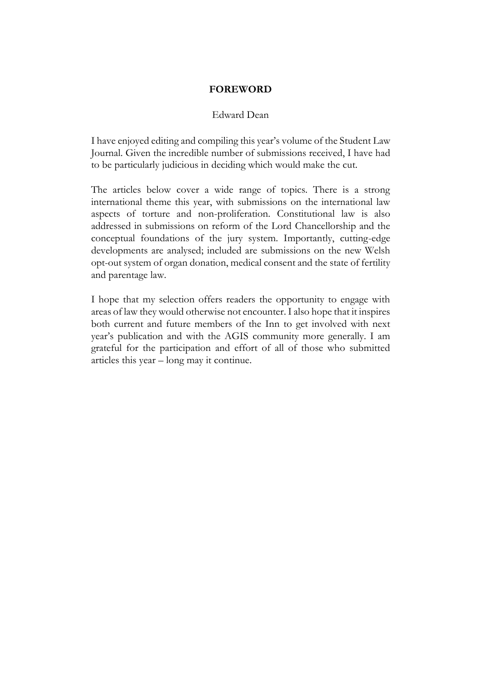#### **FOREWORD**

#### Edward Dean

I have enjoyed editing and compiling this year's volume of the Student Law Journal. Given the incredible number of submissions received, I have had to be particularly judicious in deciding which would make the cut.

The articles below cover a wide range of topics. There is a strong international theme this year, with submissions on the international law aspects of torture and non-proliferation. Constitutional law is also addressed in submissions on reform of the Lord Chancellorship and the conceptual foundations of the jury system. Importantly, cutting-edge developments are analysed; included are submissions on the new Welsh opt-out system of organ donation, medical consent and the state of fertility and parentage law.

I hope that my selection offers readers the opportunity to engage with areas of law they would otherwise not encounter. I also hope that it inspires both current and future members of the Inn to get involved with next year's publication and with the AGIS community more generally. I am grateful for the participation and effort of all of those who submitted articles this year – long may it continue.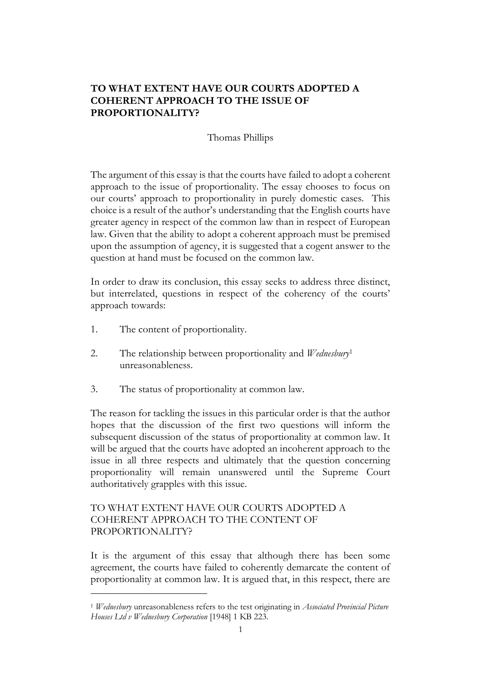## **TO WHAT EXTENT HAVE OUR COURTS ADOPTED A COHERENT APPROACH TO THE ISSUE OF PROPORTIONALITY?**

## Thomas Phillips

The argument of this essay is that the courts have failed to adopt a coherent approach to the issue of proportionality. The essay chooses to focus on our courts' approach to proportionality in purely domestic cases. This choice is a result of the author's understanding that the English courts have greater agency in respect of the common law than in respect of European law. Given that the ability to adopt a coherent approach must be premised upon the assumption of agency, it is suggested that a cogent answer to the question at hand must be focused on the common law.

In order to draw its conclusion, this essay seeks to address three distinct, but interrelated, questions in respect of the coherency of the courts' approach towards:

- 1. The content of proportionality.
- 2. The relationship between proportionality and *Wednesbury*<sup>1</sup> unreasonableness.
- 3. The status of proportionality at common law.

The reason for tackling the issues in this particular order is that the author hopes that the discussion of the first two questions will inform the subsequent discussion of the status of proportionality at common law. It will be argued that the courts have adopted an incoherent approach to the issue in all three respects and ultimately that the question concerning proportionality will remain unanswered until the Supreme Court authoritatively grapples with this issue.

## TO WHAT EXTENT HAVE OUR COURTS ADOPTED A COHERENT APPROACH TO THE CONTENT OF PROPORTIONALITY?

It is the argument of this essay that although there has been some agreement, the courts have failed to coherently demarcate the content of proportionality at common law. It is argued that, in this respect, there are

<sup>1</sup> *Wednesbury* unreasonableness refers to the test originating in *Associated Provincial Picture Houses Ltd v Wednesbury Corporation* [1948] 1 KB 223.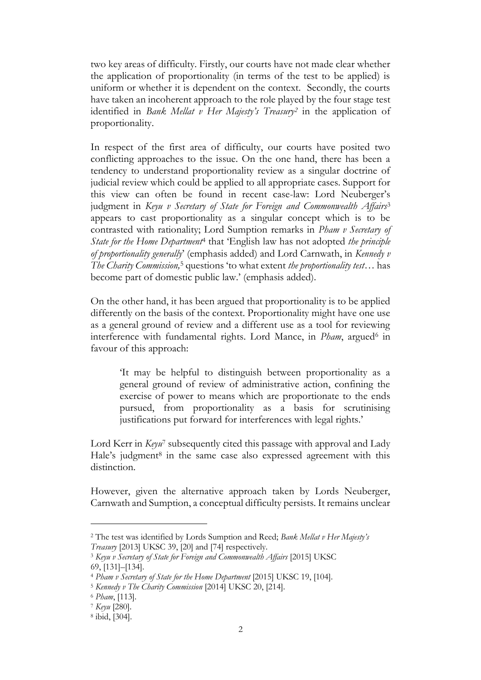two key areas of difficulty. Firstly, our courts have not made clear whether the application of proportionality (in terms of the test to be applied) is uniform or whether it is dependent on the context. Secondly, the courts have taken an incoherent approach to the role played by the four stage test identified in *Bank Mellat v Her Majesty's Treasury<sup>2</sup>* in the application of proportionality.

In respect of the first area of difficulty, our courts have posited two conflicting approaches to the issue. On the one hand, there has been a tendency to understand proportionality review as a singular doctrine of judicial review which could be applied to all appropriate cases. Support for this view can often be found in recent case-law: Lord Neuberger's judgment in *Keyu v Secretary of State for Foreign and Commonwealth Affairs*<sup>3</sup> appears to cast proportionality as a singular concept which is to be contrasted with rationality; Lord Sumption remarks in *Pham v Secretary of State for the Home Department*<sup>4</sup> that 'English law has not adopted *the principle of proportionality generally*' (emphasis added) and Lord Carnwath, in *Kennedy v The Charity Commission,*<sup>5</sup> questions 'to what extent *the proportionality test*… has become part of domestic public law.' (emphasis added).

On the other hand, it has been argued that proportionality is to be applied differently on the basis of the context. Proportionality might have one use as a general ground of review and a different use as a tool for reviewing interference with fundamental rights. Lord Mance, in *Pham*, argued<sup>6</sup> in favour of this approach:

'It may be helpful to distinguish between proportionality as a general ground of review of administrative action, confining the exercise of power to means which are proportionate to the ends pursued, from proportionality as a basis for scrutinising justifications put forward for interferences with legal rights.'

Lord Kerr in *Keyu*<sup>7</sup> subsequently cited this passage with approval and Lady Hale's judgment<sup>8</sup> in the same case also expressed agreement with this distinction.

However, given the alternative approach taken by Lords Neuberger, Carnwath and Sumption, a conceptual difficulty persists. It remains unclear

<sup>2</sup> The test was identified by Lords Sumption and Reed; *Bank Mellat v Her Majesty's Treasury* [2013] UKSC 39, [20] and [74] respectively.

<sup>3</sup> *Keyu v Secretary of State for Foreign and Commonwealth Affairs* [2015] UKSC 69, [131]–[134].

<sup>4</sup> *Pham v Secretary of State for the Home Department* [2015] UKSC 19, [104].

<sup>5</sup> *Kennedy v The Charity Commission* [2014] UKSC 20, [214].

<sup>6</sup> *Pham*, [113].

<sup>7</sup> *Keyu* [280].

<sup>8</sup> ibid, [304].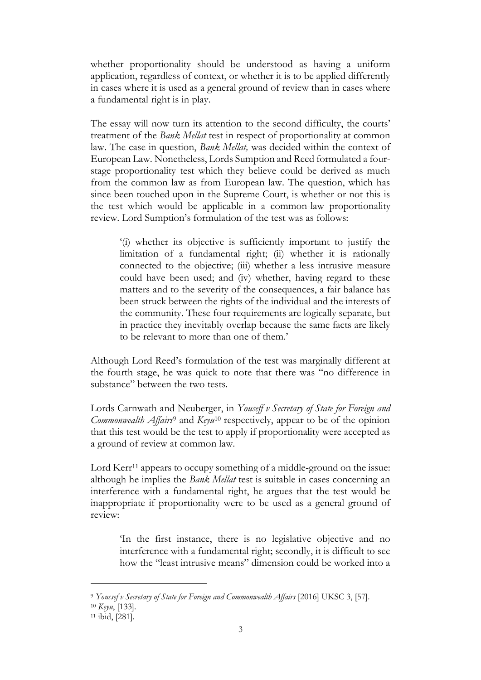whether proportionality should be understood as having a uniform application, regardless of context, or whether it is to be applied differently in cases where it is used as a general ground of review than in cases where a fundamental right is in play.

The essay will now turn its attention to the second difficulty, the courts' treatment of the *Bank Mellat* test in respect of proportionality at common law. The case in question, *Bank Mellat,* was decided within the context of European Law. Nonetheless, Lords Sumption and Reed formulated a fourstage proportionality test which they believe could be derived as much from the common law as from European law. The question, which has since been touched upon in the Supreme Court, is whether or not this is the test which would be applicable in a common-law proportionality review. Lord Sumption's formulation of the test was as follows:

'(i) whether its objective is sufficiently important to justify the limitation of a fundamental right; (ii) whether it is rationally connected to the objective; (iii) whether a less intrusive measure could have been used; and (iv) whether, having regard to these matters and to the severity of the consequences, a fair balance has been struck between the rights of the individual and the interests of the community. These four requirements are logically separate, but in practice they inevitably overlap because the same facts are likely to be relevant to more than one of them.'

Although Lord Reed's formulation of the test was marginally different at the fourth stage, he was quick to note that there was "no difference in substance" between the two tests.

Lords Carnwath and Neuberger, in *Youseff v Secretary of State for Foreign and Commonwealth Affairs*<sup>9</sup> and *Keyu*<sup>10</sup> respectively, appear to be of the opinion that this test would be the test to apply if proportionality were accepted as a ground of review at common law.

Lord Kerr<sup>11</sup> appears to occupy something of a middle-ground on the issue: although he implies the *Bank Mellat* test is suitable in cases concerning an interference with a fundamental right, he argues that the test would be inappropriate if proportionality were to be used as a general ground of review:

'In the first instance, there is no legislative objective and no interference with a fundamental right; secondly, it is difficult to see how the "least intrusive means" dimension could be worked into a

<sup>9</sup> *Youssef v Secretary of State for Foreign and Commonwealth Affairs* [2016] UKSC 3, [57].

<sup>10</sup> *Keyu*, [133].

<sup>11</sup> ibid, [281].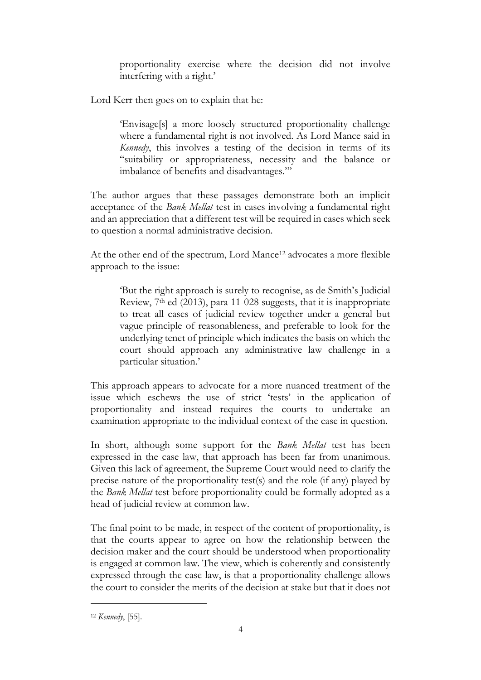proportionality exercise where the decision did not involve interfering with a right.'

Lord Kerr then goes on to explain that he:

'Envisage[s] a more loosely structured proportionality challenge where a fundamental right is not involved. As Lord Mance said in *Kennedy*, this involves a testing of the decision in terms of its "suitability or appropriateness, necessity and the balance or imbalance of benefits and disadvantages."'

The author argues that these passages demonstrate both an implicit acceptance of the *Bank Mellat* test in cases involving a fundamental right and an appreciation that a different test will be required in cases which seek to question a normal administrative decision.

At the other end of the spectrum, Lord Mance<sup>12</sup> advocates a more flexible approach to the issue:

'But the right approach is surely to recognise, as de Smith's Judicial Review, 7<sup>th</sup> ed (2013), para 11-028 suggests, that it is inappropriate to treat all cases of judicial review together under a general but vague principle of reasonableness, and preferable to look for the underlying tenet of principle which indicates the basis on which the court should approach any administrative law challenge in a particular situation.'

This approach appears to advocate for a more nuanced treatment of the issue which eschews the use of strict 'tests' in the application of proportionality and instead requires the courts to undertake an examination appropriate to the individual context of the case in question.

In short, although some support for the *Bank Mellat* test has been expressed in the case law, that approach has been far from unanimous. Given this lack of agreement, the Supreme Court would need to clarify the precise nature of the proportionality test(s) and the role (if any) played by the *Bank Mellat* test before proportionality could be formally adopted as a head of judicial review at common law.

The final point to be made, in respect of the content of proportionality, is that the courts appear to agree on how the relationship between the decision maker and the court should be understood when proportionality is engaged at common law. The view, which is coherently and consistently expressed through the case-law, is that a proportionality challenge allows the court to consider the merits of the decision at stake but that it does not

<sup>12</sup> *Kennedy*, [55].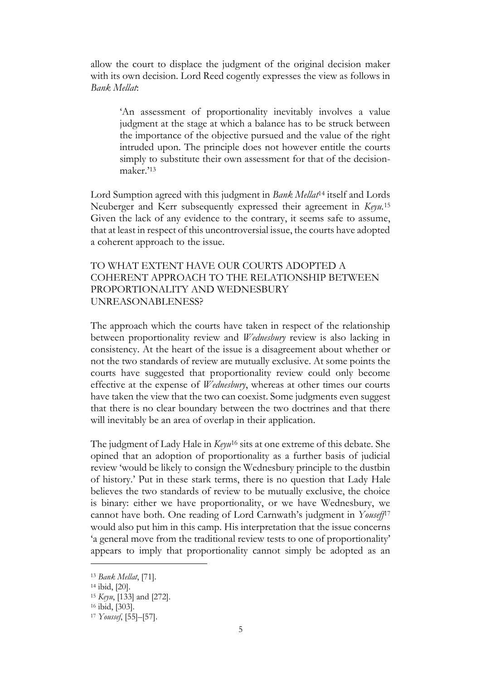allow the court to displace the judgment of the original decision maker with its own decision. Lord Reed cogently expresses the view as follows in *Bank Mellat*:

'An assessment of proportionality inevitably involves a value judgment at the stage at which a balance has to be struck between the importance of the objective pursued and the value of the right intruded upon. The principle does not however entitle the courts simply to substitute their own assessment for that of the decisionmaker.'<sup>13</sup>

Lord Sumption agreed with this judgment in *Bank Mellat*<sup>14</sup> itself and Lords Neuberger and Kerr subsequently expressed their agreement in *Keyu.*<sup>15</sup> Given the lack of any evidence to the contrary, it seems safe to assume, that at least in respect of this uncontroversial issue, the courts have adopted a coherent approach to the issue.

### TO WHAT EXTENT HAVE OUR COURTS ADOPTED A COHERENT APPROACH TO THE RELATIONSHIP BETWEEN PROPORTIONALITY AND WEDNESBURY UNREASONABLENESS?

The approach which the courts have taken in respect of the relationship between proportionality review and *Wednesbury* review is also lacking in consistency. At the heart of the issue is a disagreement about whether or not the two standards of review are mutually exclusive. At some points the courts have suggested that proportionality review could only become effective at the expense of *Wednesbury*, whereas at other times our courts have taken the view that the two can coexist. Some judgments even suggest that there is no clear boundary between the two doctrines and that there will inevitably be an area of overlap in their application.

The judgment of Lady Hale in *Keyu*<sup>16</sup> sits at one extreme of this debate. She opined that an adoption of proportionality as a further basis of judicial review 'would be likely to consign the Wednesbury principle to the dustbin of history.' Put in these stark terms, there is no question that Lady Hale believes the two standards of review to be mutually exclusive, the choice is binary: either we have proportionality, or we have Wednesbury, we cannot have both. One reading of Lord Carnwath's judgment in *Youseff*<sup>17</sup> would also put him in this camp. His interpretation that the issue concerns 'a general move from the traditional review tests to one of proportionality' appears to imply that proportionality cannot simply be adopted as an

<sup>13</sup> *Bank Mellat*, [71].

<sup>14</sup> ibid, [20].

<sup>15</sup> *Keyu*, [133] and [272].

<sup>16</sup> ibid, [303].

<sup>17</sup> *Youssef*, [55]–[57].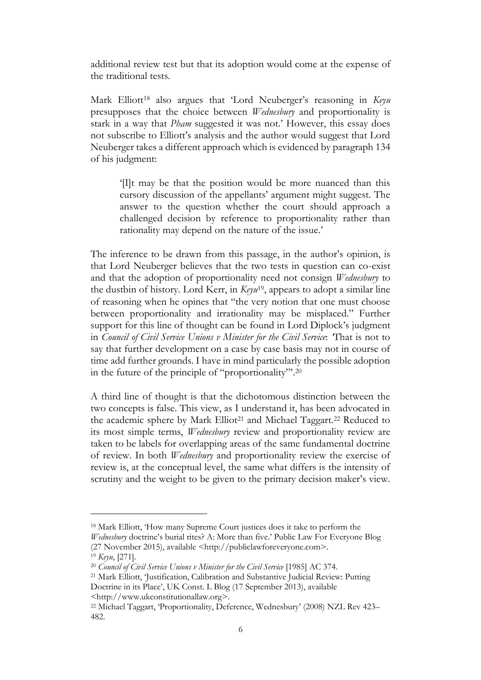additional review test but that its adoption would come at the expense of the traditional tests.

Mark Elliott<sup>18</sup> also argues that 'Lord Neuberger's reasoning in *Keyu*  presupposes that the choice between *Wednesbury* and proportionality is stark in a way that *Pham* suggested it was not.' However, this essay does not subscribe to Elliott's analysis and the author would suggest that Lord Neuberger takes a different approach which is evidenced by paragraph 134 of his judgment:

'[I]t may be that the position would be more nuanced than this cursory discussion of the appellants' argument might suggest. The answer to the question whether the court should approach a challenged decision by reference to proportionality rather than rationality may depend on the nature of the issue.'

The inference to be drawn from this passage, in the author's opinion, is that Lord Neuberger believes that the two tests in question can co-exist and that the adoption of proportionality need not consign *Wednesbury* to the dustbin of history. Lord Kerr, in *Keyu*19, appears to adopt a similar line of reasoning when he opines that "the very notion that one must choose between proportionality and irrationality may be misplaced." Further support for this line of thought can be found in Lord Diplock's judgment in *Council of Civil Service Unions v Minister for the Civil Service*: *'*That is not to say that further development on a case by case basis may not in course of time add further grounds. I have in mind particularly the possible adoption in the future of the principle of "proportionality"'. 20

A third line of thought is that the dichotomous distinction between the two concepts is false. This view, as I understand it, has been advocated in the academic sphere by Mark Elliot<sup>21</sup> and Michael Taggart.<sup>22</sup> Reduced to its most simple terms, *Wednesbury* review and proportionality review are taken to be labels for overlapping areas of the same fundamental doctrine of review. In both *Wednesbury* and proportionality review the exercise of review is, at the conceptual level, the same what differs is the intensity of scrutiny and the weight to be given to the primary decision maker's view.

<sup>18</sup> Mark Elliott, 'How many Supreme Court justices does it take to perform the *Wednesbury* doctrine's burial rites? A: More than five.' Public Law For Everyone Blog

<sup>(27</sup> November 2015), available <http://publiclawforeveryone.co[m>.](http://publiclawforeveryone.com/)

<sup>19</sup> *Keyu*, [271].

<sup>20</sup> *Council of Civil Service Unions v Minister for the Civil Service* [1985] AC 374.

<sup>21</sup> Mark Elliott, 'Justification, Calibration and Substantive Judicial Review: Putting Doctrine in its Place', UK Const. L Blog (17 September 2013), available

<sup>&</sup>lt;http://www.ukconstitutionallaw.org>.

<sup>22</sup> Michael Taggart, 'Proportionality, Deference, Wednesbury' (2008) NZL Rev 423– 482.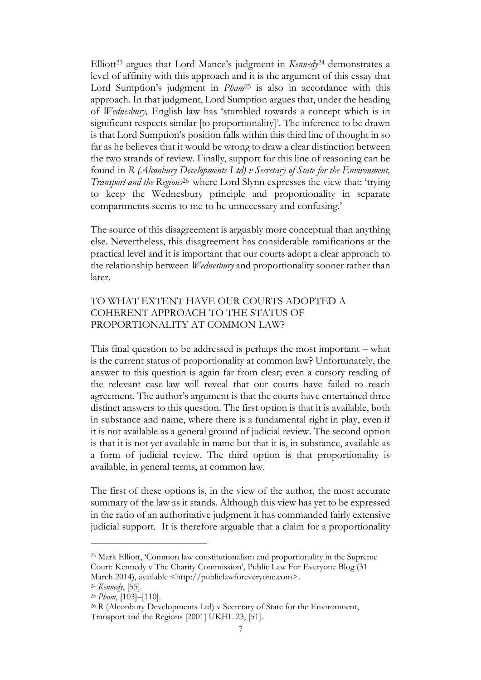Elliott<sup>23</sup> argues that Lord Mance's judgment in *Kennedy*<sup>24</sup> demonstrates a level of affinity with this approach and it is the argument of this essay that Lord Sumption's judgment in *Pham*<sup>25</sup> is also in accordance with this approach. In that judgment, Lord Sumption argues that, under the heading of *Wednesbury,* English law has 'stumbled towards a concept which is in significant respects similar [to proportionality]'. The inference to be drawn is that Lord Sumption's position falls within this third line of thought in so far as he believes that it would be wrong to draw a clear distinction between the two strands of review. Finally, support for this line of reasoning can be found in *R (Alconbury Developments Ltd) v Secretary of State for the Environment, Transport and the Regions*<sup>26</sup> where Lord Slynn expresses the view that: 'trying to keep the Wednesbury principle and proportionality in separate compartments seems to me to be unnecessary and confusing.'

The source of this disagreement is arguably more conceptual than anything else. Nevertheless, this disagreement has considerable ramifications at the practical level and it is important that our courts adopt a clear approach to the relationship between *Wednesbury* and proportionality sooner rather than later.

## TO WHAT EXTENT HAVE OUR COURTS ADOPTED A COHERENT APPROACH TO THE STATUS OF PROPORTIONALITY AT COMMON LAW?

This final question to be addressed is perhaps the most important – what is the current status of proportionality at common law? Unfortunately, the answer to this question is again far from clear; even a cursory reading of the relevant case-law will reveal that our courts have failed to reach agreement. The author's argument is that the courts have entertained three distinct answers to this question. The first option is that it is available, both in substance and name, where there is a fundamental right in play, even if it is not available as a general ground of judicial review. The second option is that it is not yet available in name but that it is, in substance, available as a form of judicial review. The third option is that proportionality is available, in general terms, at common law.

The first of these options is, in the view of the author, the most accurate summary of the law as it stands. Although this view has yet to be expressed in the ratio of an authoritative judgment it has commanded fairly extensive judicial support. It is therefore arguable that a claim for a proportionality

<sup>23</sup> Mark Elliott, 'Common law constitutionalism and proportionality in the Supreme Court: Kennedy v The Charity Commission', Public Law For Everyone Blog (31 March 2014), available <http://publiclawforeveryone.co[m>.](http://publiclawforeveryone.com/)

<sup>24</sup> *Kennedy*, [55].

<sup>25</sup> *Pham*, [103]–[110].

<sup>&</sup>lt;sup>26</sup> R (Alconbury Developments Ltd) v Secretary of State for the Environment, Transport and the Regions [2001] UKHL 23, [51].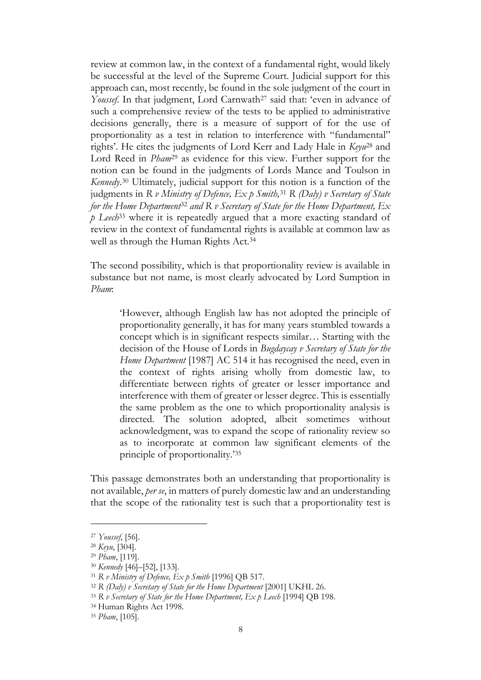review at common law, in the context of a fundamental right, would likely be successful at the level of the Supreme Court. Judicial support for this approach can, most recently, be found in the sole judgment of the court in *Youssef*. In that judgment, Lord Carnwath<sup>27</sup> said that: 'even in advance of such a comprehensive review of the tests to be applied to administrative decisions generally, there is a measure of support of for the use of proportionality as a test in relation to interference with "fundamental" rights'. He cites the judgments of Lord Kerr and Lady Hale in *Keyu*<sup>28</sup> and Lord Reed in *Pham*<sup>29</sup> as evidence for this view*.* Further support for the notion can be found in the judgments of Lords Mance and Toulson in *Kennedy*. <sup>30</sup> Ultimately, judicial support for this notion is a function of the judgments in *R v Ministry of Defence, Ex p Smith,*<sup>31</sup> *R (Daly) v Secretary of State for the Home Department*<sup>32</sup> *and R v Secretary of State for the Home Department, Ex p Leech*<sup>33</sup> where it is repeatedly argued that a more exacting standard of review in the context of fundamental rights is available at common law as well as through the Human Rights Act.<sup>34</sup>

The second possibility, which is that proportionality review is available in substance but not name, is most clearly advocated by Lord Sumption in *Pham*:

'However, although English law has not adopted the principle of proportionality generally, it has for many years stumbled towards a concept which is in significant respects similar… Starting with the decision of the House of Lords in *Bugdaycay v Secretary of State for the Home Department* [1987] AC 514 it has recognised the need, even in the context of rights arising wholly from domestic law, to differentiate between rights of greater or lesser importance and interference with them of greater or lesser degree. This is essentially the same problem as the one to which proportionality analysis is directed. The solution adopted, albeit sometimes without acknowledgment, was to expand the scope of rationality review so as to incorporate at common law significant elements of the principle of proportionality.'<sup>35</sup>

This passage demonstrates both an understanding that proportionality is not available, *per se*, in matters of purely domestic law and an understanding that the scope of the rationality test is such that a proportionality test is

<sup>27</sup> *Youssef*, [56].

<sup>28</sup> *Keyu*, [304].

<sup>29</sup> *Pham*, [119].

<sup>30</sup> *Kennedy* [46]–[52], [133].

<sup>31</sup> *R v Ministry of Defence, Ex p Smith* [1996] QB 517.

<sup>32</sup> *R (Daly) v Secretary of State for the Home Department* [2001] UKHL 26.

<sup>33</sup> *R v Secretary of State for the Home Department, Ex p Leech* [1994] QB 198.

<sup>34</sup> Human Rights Act 1998.

<sup>35</sup> *Pham*, [105].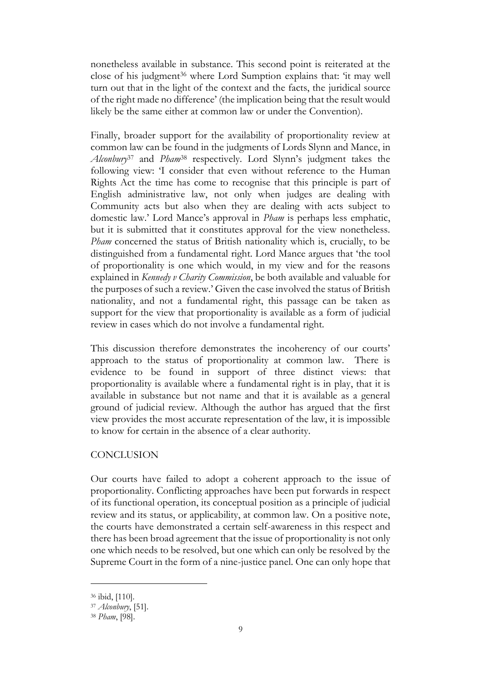nonetheless available in substance. This second point is reiterated at the close of his judgment<sup>36</sup> where Lord Sumption explains that: 'it may well turn out that in the light of the context and the facts, the juridical source of the right made no difference' (the implication being that the result would likely be the same either at common law or under the Convention).

Finally, broader support for the availability of proportionality review at common law can be found in the judgments of Lords Slynn and Mance, in *Alconbury*<sup>37</sup> and *Pham*<sup>38</sup> respectively. Lord Slynn's judgment takes the following view: 'I consider that even without reference to the Human Rights Act the time has come to recognise that this principle is part of English administrative law, not only when judges are dealing with Community acts but also when they are dealing with acts subject to domestic law.' Lord Mance's approval in *Pham* is perhaps less emphatic, but it is submitted that it constitutes approval for the view nonetheless. *Pham* concerned the status of British nationality which is, crucially, to be distinguished from a fundamental right. Lord Mance argues that 'the tool of proportionality is one which would, in my view and for the reasons explained in *Kennedy v Charity Commission*, be both available and valuable for the purposes of such a review*.*' Given the case involved the status of British nationality, and not a fundamental right, this passage can be taken as support for the view that proportionality is available as a form of judicial review in cases which do not involve a fundamental right.

This discussion therefore demonstrates the incoherency of our courts' approach to the status of proportionality at common law. There is evidence to be found in support of three distinct views: that proportionality is available where a fundamental right is in play, that it is available in substance but not name and that it is available as a general ground of judicial review. Although the author has argued that the first view provides the most accurate representation of the law, it is impossible to know for certain in the absence of a clear authority.

#### **CONCLUSION**

Our courts have failed to adopt a coherent approach to the issue of proportionality. Conflicting approaches have been put forwards in respect of its functional operation, its conceptual position as a principle of judicial review and its status, or applicability, at common law. On a positive note, the courts have demonstrated a certain self-awareness in this respect and there has been broad agreement that the issue of proportionality is not only one which needs to be resolved, but one which can only be resolved by the Supreme Court in the form of a nine-justice panel. One can only hope that

<sup>36</sup> ibid, [110].

<sup>37</sup> *Alconbury*, [51].

<sup>38</sup> *Pham*, [98].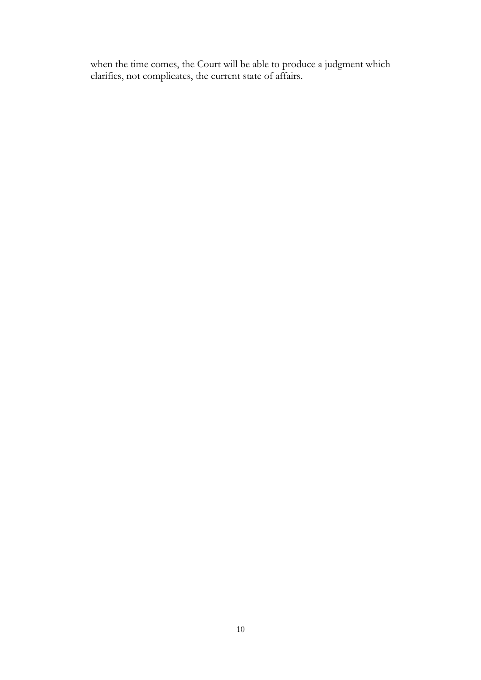when the time comes, the Court will be able to produce a judgment which clarifies, not complicates, the current state of affairs.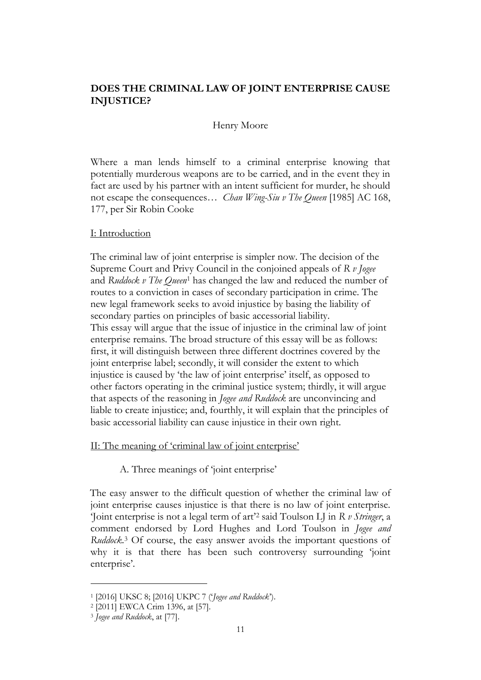## **DOES THE CRIMINAL LAW OF JOINT ENTERPRISE CAUSE INJUSTICE?**

#### Henry Moore

Where a man lends himself to a criminal enterprise knowing that potentially murderous weapons are to be carried, and in the event they in fact are used by his partner with an intent sufficient for murder, he should not escape the consequences… *Chan Wing-Siu v The Queen* [1985] AC 168, 177, per Sir Robin Cooke

#### I: Introduction

The criminal law of joint enterprise is simpler now. The decision of the Supreme Court and Privy Council in the conjoined appeals of *R v Jogee*  and *Ruddock v The Queen*<sup>1</sup> has changed the law and reduced the number of routes to a conviction in cases of secondary participation in crime. The new legal framework seeks to avoid injustice by basing the liability of secondary parties on principles of basic accessorial liability. This essay will argue that the issue of injustice in the criminal law of joint enterprise remains. The broad structure of this essay will be as follows: first, it will distinguish between three different doctrines covered by the joint enterprise label; secondly, it will consider the extent to which injustice is caused by 'the law of joint enterprise' itself, as opposed to other factors operating in the criminal justice system; thirdly, it will argue that aspects of the reasoning in *Jogee and Ruddock* are unconvincing and liable to create injustice; and, fourthly, it will explain that the principles of basic accessorial liability can cause injustice in their own right.

#### II: The meaning of 'criminal law of joint enterprise'

A. Three meanings of 'joint enterprise'

The easy answer to the difficult question of whether the criminal law of joint enterprise causes injustice is that there is no law of joint enterprise. 'Joint enterprise is not a legal term of art'<sup>2</sup> said Toulson LJ in *R v Stringer*, a comment endorsed by Lord Hughes and Lord Toulson in *Jogee and Ruddock*. <sup>3</sup> Of course, the easy answer avoids the important questions of why it is that there has been such controversy surrounding 'joint enterprise'.

<sup>1</sup> [2016] UKSC 8; [2016] UKPC 7 ('*Jogee and Ruddock*').

<sup>2</sup> [2011] EWCA Crim 1396, at [57].

<sup>3</sup> *Jogee and Ruddock*, at [77].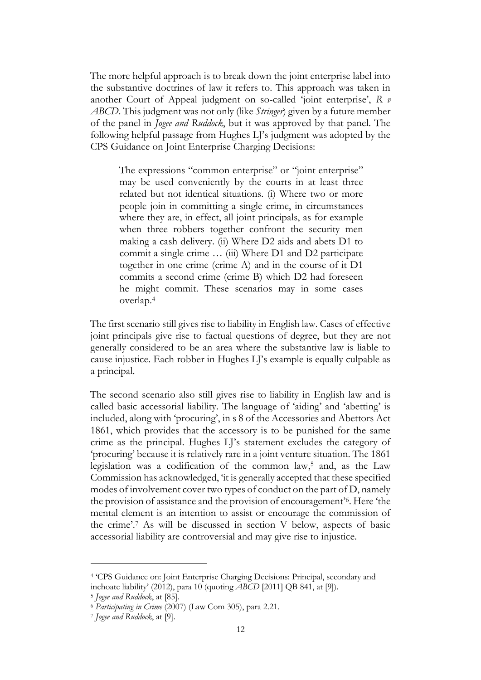The more helpful approach is to break down the joint enterprise label into the substantive doctrines of law it refers to. This approach was taken in another Court of Appeal judgment on so-called 'joint enterprise', *R v ABCD*. This judgment was not only (like *Stringer*) given by a future member of the panel in *Jogee and Ruddock*, but it was approved by that panel. The following helpful passage from Hughes LJ's judgment was adopted by the CPS Guidance on Joint Enterprise Charging Decisions:

The expressions "common enterprise" or "joint enterprise" may be used conveniently by the courts in at least three related but not identical situations. (i) Where two or more people join in committing a single crime, in circumstances where they are, in effect, all joint principals, as for example when three robbers together confront the security men making a cash delivery. (ii) Where D2 aids and abets D1 to commit a single crime … (iii) Where D1 and D2 participate together in one crime (crime A) and in the course of it D1 commits a second crime (crime B) which D2 had foreseen he might commit. These scenarios may in some cases overlap.<sup>4</sup>

The first scenario still gives rise to liability in English law. Cases of effective joint principals give rise to factual questions of degree, but they are not generally considered to be an area where the substantive law is liable to cause injustice. Each robber in Hughes LJ's example is equally culpable as a principal.

The second scenario also still gives rise to liability in English law and is called basic accessorial liability. The language of 'aiding' and 'abetting' is included, along with 'procuring', in s 8 of the Accessories and Abettors Act 1861, which provides that the accessory is to be punished for the same crime as the principal. Hughes LJ's statement excludes the category of 'procuring' because it is relatively rare in a joint venture situation. The 1861 legislation was a codification of the common law, <sup>5</sup> and, as the Law Commission has acknowledged, 'it is generally accepted that these specified modes of involvement cover two types of conduct on the part of D, namely the provision of assistance and the provision of encouragement'<sup>6</sup> . Here 'the mental element is an intention to assist or encourage the commission of the crime'.<sup>7</sup> As will be discussed in section V below, aspects of basic accessorial liability are controversial and may give rise to injustice.

<sup>4</sup> 'CPS Guidance on: Joint Enterprise Charging Decisions: Principal, secondary and inchoate liability' (2012), para 10 (quoting *ABCD* [2011] QB 841, at [9]).

<sup>5</sup> *Jogee and Ruddock*, at [85].

<sup>6</sup> *Participating in Crime* (2007) (Law Com 305), para 2.21.

<sup>7</sup> *Jogee and Ruddock*, at [9].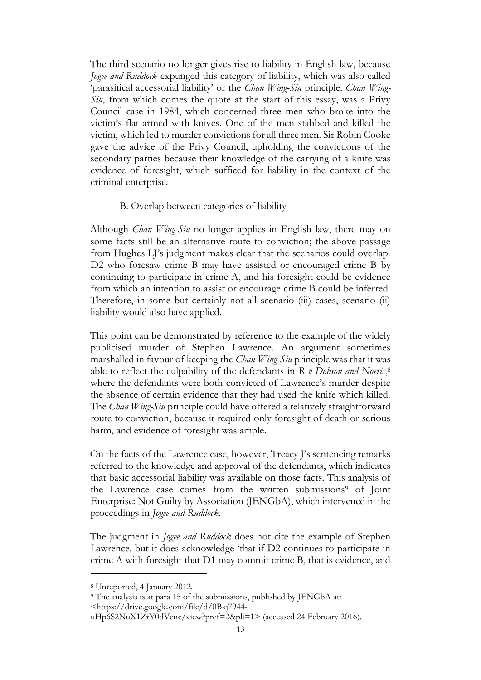The third scenario no longer gives rise to liability in English law, because *Jogee and Ruddock* expunged this category of liability, which was also called 'parasitical accessorial liability' or the *Chan Wing-Siu* principle. *Chan Wing-Siu*, from which comes the quote at the start of this essay, was a Privy Council case in 1984, which concerned three men who broke into the victim's flat armed with knives. One of the men stabbed and killed the victim, which led to murder convictions for all three men. Sir Robin Cooke gave the advice of the Privy Council, upholding the convictions of the secondary parties because their knowledge of the carrying of a knife was evidence of foresight, which sufficed for liability in the context of the criminal enterprise.

#### B. Overlap between categories of liability

Although *Chan Wing-Siu* no longer applies in English law, there may on some facts still be an alternative route to conviction; the above passage from Hughes LJ's judgment makes clear that the scenarios could overlap. D2 who foresaw crime B may have assisted or encouraged crime B by continuing to participate in crime A, and his foresight could be evidence from which an intention to assist or encourage crime B could be inferred. Therefore, in some but certainly not all scenario (iii) cases, scenario (ii) liability would also have applied.

This point can be demonstrated by reference to the example of the widely publicised murder of Stephen Lawrence. An argument sometimes marshalled in favour of keeping the *Chan Wing-Siu* principle was that it was able to reflect the culpability of the defendants in *R v Dobson and Norris*, 8 where the defendants were both convicted of Lawrence's murder despite the absence of certain evidence that they had used the knife which killed. The *Chan Wing-Siu* principle could have offered a relatively straightforward route to conviction, because it required only foresight of death or serious harm, and evidence of foresight was ample.

On the facts of the Lawrence case, however, Treacy J's sentencing remarks referred to the knowledge and approval of the defendants, which indicates that basic accessorial liability was available on those facts. This analysis of the Lawrence case comes from the written submissions<sup>9</sup> of Joint Enterprise: Not Guilty by Association (JENGbA), which intervened in the proceedings in *Jogee and Ruddock*.

The judgment in *Jogee and Ruddock* does not cite the example of Stephen Lawrence, but it does acknowledge 'that if D2 continues to participate in crime A with foresight that D1 may commit crime B, that is evidence, and

<https://drive.google.com/file/d/0Bxj7944-

<sup>8</sup> Unreported, 4 January 2012.

<sup>9</sup> The analysis is at para 15 of the submissions, published by JENGbA at:

uHp6S2NuX1ZrY0dVenc/view?pref=2&pli=1[>](https://drive.google.com/file/d/0Bxj7944-uHp6S2NuX1ZrY0dVenc/view?pref=2&pli=1) (accessed 24 February 2016).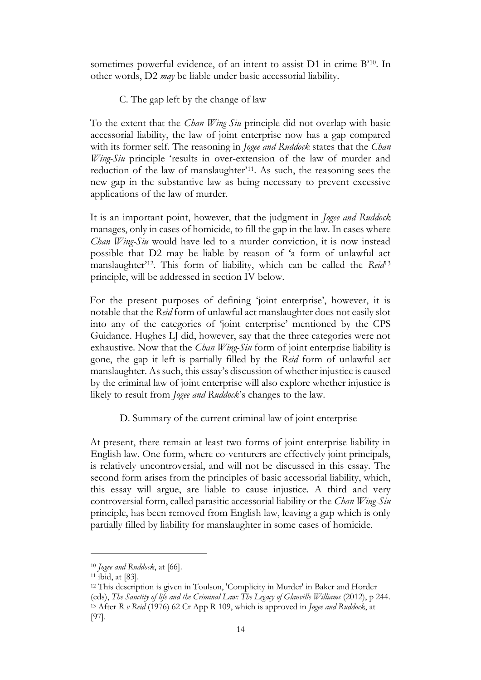sometimes powerful evidence, of an intent to assist D1 in crime B'10. In other words, D2 *may* be liable under basic accessorial liability.

#### C. The gap left by the change of law

To the extent that the *Chan Wing-Siu* principle did not overlap with basic accessorial liability, the law of joint enterprise now has a gap compared with its former self. The reasoning in *Jogee and Ruddock* states that the *Chan Wing-Siu* principle 'results in over-extension of the law of murder and reduction of the law of manslaughter'11. As such, the reasoning sees the new gap in the substantive law as being necessary to prevent excessive applications of the law of murder.

It is an important point, however, that the judgment in *Jogee and Ruddock* manages, only in cases of homicide, to fill the gap in the law. In cases where *Chan Wing-Siu* would have led to a murder conviction, it is now instead possible that D2 may be liable by reason of 'a form of unlawful act manslaughter'12. This form of liability, which can be called the *Reid*<sup>13</sup> principle, will be addressed in section IV below.

For the present purposes of defining 'joint enterprise', however, it is notable that the *Reid* form of unlawful act manslaughter does not easily slot into any of the categories of 'joint enterprise' mentioned by the CPS Guidance. Hughes LJ did, however, say that the three categories were not exhaustive. Now that the *Chan Wing-Siu* form of joint enterprise liability is gone, the gap it left is partially filled by the *Reid* form of unlawful act manslaughter. As such, this essay's discussion of whether injustice is caused by the criminal law of joint enterprise will also explore whether injustice is likely to result from *Jogee and Ruddock*'s changes to the law.

D. Summary of the current criminal law of joint enterprise

At present, there remain at least two forms of joint enterprise liability in English law. One form, where co-venturers are effectively joint principals, is relatively uncontroversial, and will not be discussed in this essay. The second form arises from the principles of basic accessorial liability, which, this essay will argue, are liable to cause injustice. A third and very controversial form, called parasitic accessorial liability or the *Chan Wing-Siu*  principle, has been removed from English law, leaving a gap which is only partially filled by liability for manslaughter in some cases of homicide.

<sup>10</sup> *Jogee and Ruddock*, at [66].

<sup>11</sup> ibid, at [83].

<sup>12</sup> This description is given in Toulson, 'Complicity in Murder' in Baker and Horder (eds), *The Sanctity of life and the Criminal Law: The Legacy of Glanville Williams* (2012), p 244. <sup>13</sup> After *R v Reid* (1976) 62 Cr App R 109, which is approved in *Jogee and Ruddock*, at [97].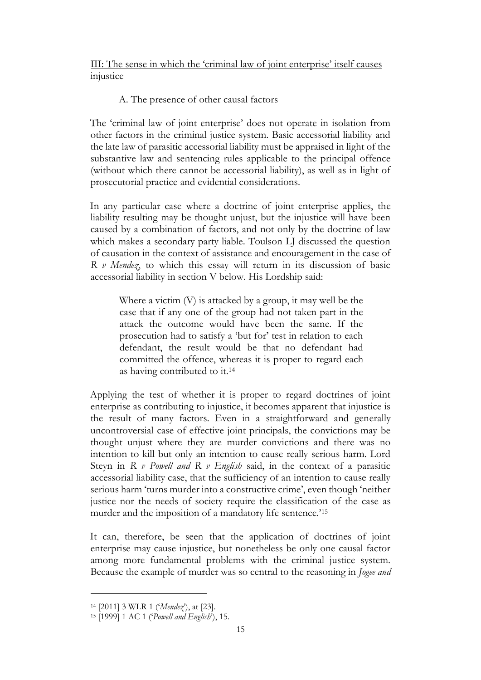III: The sense in which the 'criminal law of joint enterprise' itself causes injustice

## A. The presence of other causal factors

The 'criminal law of joint enterprise' does not operate in isolation from other factors in the criminal justice system. Basic accessorial liability and the late law of parasitic accessorial liability must be appraised in light of the substantive law and sentencing rules applicable to the principal offence (without which there cannot be accessorial liability), as well as in light of prosecutorial practice and evidential considerations.

In any particular case where a doctrine of joint enterprise applies, the liability resulting may be thought unjust, but the injustice will have been caused by a combination of factors, and not only by the doctrine of law which makes a secondary party liable. Toulson LJ discussed the question of causation in the context of assistance and encouragement in the case of *R v Mendez*, to which this essay will return in its discussion of basic accessorial liability in section V below. His Lordship said:

Where a victim (V) is attacked by a group, it may well be the case that if any one of the group had not taken part in the attack the outcome would have been the same. If the prosecution had to satisfy a 'but for' test in relation to each defendant, the result would be that no defendant had committed the offence, whereas it is proper to regard each as having contributed to it.<sup>14</sup>

Applying the test of whether it is proper to regard doctrines of joint enterprise as contributing to injustice, it becomes apparent that injustice is the result of many factors. Even in a straightforward and generally uncontroversial case of effective joint principals, the convictions may be thought unjust where they are murder convictions and there was no intention to kill but only an intention to cause really serious harm. Lord Steyn in *R v Powell and R v English* said, in the context of a parasitic accessorial liability case, that the sufficiency of an intention to cause really serious harm 'turns murder into a constructive crime', even though 'neither justice nor the needs of society require the classification of the case as murder and the imposition of a mandatory life sentence.'<sup>15</sup>

It can, therefore, be seen that the application of doctrines of joint enterprise may cause injustice, but nonetheless be only one causal factor among more fundamental problems with the criminal justice system. Because the example of murder was so central to the reasoning in *Jogee and*

<sup>14</sup> [2011] 3 WLR 1 ('*Mendez*'), at [23].

<sup>15</sup> [1999] 1 AC 1 ('*Powell and English*'), 15.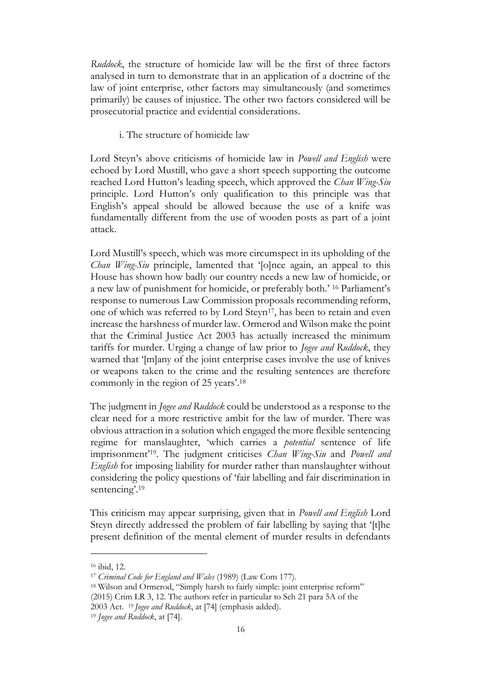*Ruddock*, the structure of homicide law will be the first of three factors analysed in turn to demonstrate that in an application of a doctrine of the law of joint enterprise, other factors may simultaneously (and sometimes primarily) be causes of injustice. The other two factors considered will be prosecutorial practice and evidential considerations.

i. The structure of homicide law

Lord Steyn's above criticisms of homicide law in *Powell and English* were echoed by Lord Mustill, who gave a short speech supporting the outcome reached Lord Hutton's leading speech, which approved the *Chan Wing-Siu*  principle. Lord Hutton's only qualification to this principle was that English's appeal should be allowed because the use of a knife was fundamentally different from the use of wooden posts as part of a joint attack.

Lord Mustill's speech, which was more circumspect in its upholding of the *Chan Wing-Siu* principle, lamented that '[o]nce again, an appeal to this House has shown how badly our country needs a new law of homicide, or a new law of punishment for homicide, or preferably both.' <sup>16</sup> Parliament's response to numerous Law Commission proposals recommending reform, one of which was referred to by Lord Steyn<sup>17</sup>, has been to retain and even increase the harshness of murder law. Ormerod and Wilson make the point that the Criminal Justice Act 2003 has actually increased the minimum tariffs for murder. Urging a change of law prior to *Jogee and Ruddock*, they warned that '[m]any of the joint enterprise cases involve the use of knives or weapons taken to the crime and the resulting sentences are therefore commonly in the region of 25 years'. 18

The judgment in *Jogee and Ruddock* could be understood as a response to the clear need for a more restrictive ambit for the law of murder. There was obvious attraction in a solution which engaged the more flexible sentencing regime for manslaughter, 'which carries a *potential* sentence of life imprisonment'19. The judgment criticises *Chan Wing-Siu* and *Powell and English* for imposing liability for murder rather than manslaughter without considering the policy questions of 'fair labelling and fair discrimination in sentencing'. 19

This criticism may appear surprising, given that in *Powell and English* Lord Steyn directly addressed the problem of fair labelling by saying that '[t]he present definition of the mental element of murder results in defendants

<sup>16</sup> ibid, 12.

<sup>17</sup> *Criminal Code for England and Wales* (1989) (Law Com 177).

<sup>18</sup> Wilson and Ormerod, "Simply harsh to fairly simple: joint enterprise reform" (2015) Crim LR 3, 12. The authors refer in particular to Sch 21 para 5A of the 2003 Act. 19 *Jogee and Ruddock*, at [74] (emphasis added).

<sup>19</sup> *Jogee and Ruddock*, at [74].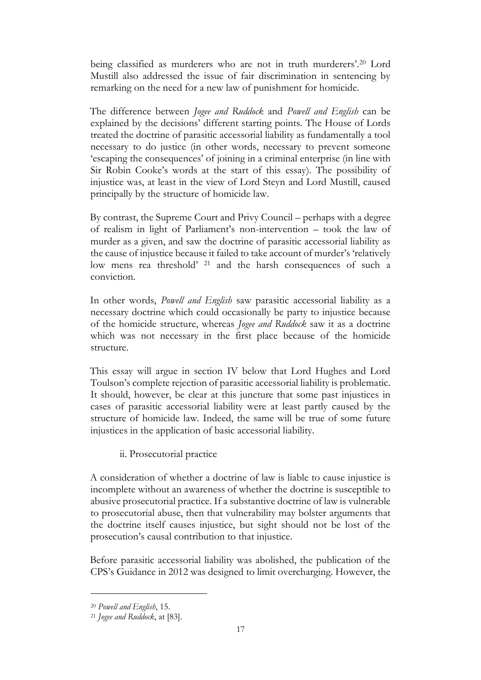being classified as murderers who are not in truth murderers'.<sup>20</sup> Lord Mustill also addressed the issue of fair discrimination in sentencing by remarking on the need for a new law of punishment for homicide.

The difference between *Jogee and Ruddock* and *Powell and English* can be explained by the decisions' different starting points. The House of Lords treated the doctrine of parasitic accessorial liability as fundamentally a tool necessary to do justice (in other words, necessary to prevent someone 'escaping the consequences' of joining in a criminal enterprise (in line with Sir Robin Cooke's words at the start of this essay). The possibility of injustice was, at least in the view of Lord Steyn and Lord Mustill, caused principally by the structure of homicide law.

By contrast, the Supreme Court and Privy Council – perhaps with a degree of realism in light of Parliament's non-intervention – took the law of murder as a given, and saw the doctrine of parasitic accessorial liability as the cause of injustice because it failed to take account of murder's 'relatively low mens rea threshold' <sup>21</sup> and the harsh consequences of such a conviction.

In other words, *Powell and English* saw parasitic accessorial liability as a necessary doctrine which could occasionally be party to injustice because of the homicide structure, whereas *Jogee and Ruddock* saw it as a doctrine which was not necessary in the first place because of the homicide structure.

This essay will argue in section IV below that Lord Hughes and Lord Toulson's complete rejection of parasitic accessorial liability is problematic. It should, however, be clear at this juncture that some past injustices in cases of parasitic accessorial liability were at least partly caused by the structure of homicide law. Indeed, the same will be true of some future injustices in the application of basic accessorial liability.

ii. Prosecutorial practice

A consideration of whether a doctrine of law is liable to cause injustice is incomplete without an awareness of whether the doctrine is susceptible to abusive prosecutorial practice. If a substantive doctrine of law is vulnerable to prosecutorial abuse, then that vulnerability may bolster arguments that the doctrine itself causes injustice, but sight should not be lost of the prosecution's causal contribution to that injustice.

Before parasitic accessorial liability was abolished, the publication of the CPS's Guidance in 2012 was designed to limit overcharging. However, the

<sup>20</sup> *Powell and English*, 15.

<sup>21</sup> *Jogee and Ruddock*, at [83].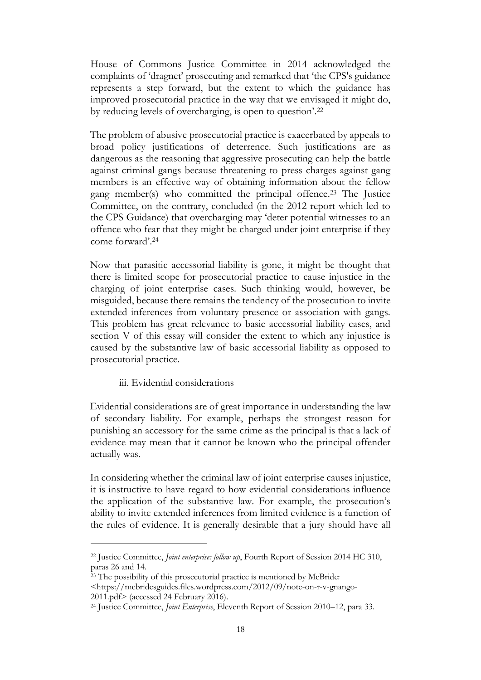House of Commons Justice Committee in 2014 acknowledged the complaints of 'dragnet' prosecuting and remarked that 'the CPS's guidance represents a step forward, but the extent to which the guidance has improved prosecutorial practice in the way that we envisaged it might do, by reducing levels of overcharging, is open to question'. 22

The problem of abusive prosecutorial practice is exacerbated by appeals to broad policy justifications of deterrence. Such justifications are as dangerous as the reasoning that aggressive prosecuting can help the battle against criminal gangs because threatening to press charges against gang members is an effective way of obtaining information about the fellow gang member(s) who committed the principal offence. <sup>23</sup> The Justice Committee, on the contrary, concluded (in the 2012 report which led to the CPS Guidance) that overcharging may 'deter potential witnesses to an offence who fear that they might be charged under joint enterprise if they come forward'.<sup>24</sup>

Now that parasitic accessorial liability is gone, it might be thought that there is limited scope for prosecutorial practice to cause injustice in the charging of joint enterprise cases. Such thinking would, however, be misguided, because there remains the tendency of the prosecution to invite extended inferences from voluntary presence or association with gangs. This problem has great relevance to basic accessorial liability cases, and section V of this essay will consider the extent to which any injustice is caused by the substantive law of basic accessorial liability as opposed to prosecutorial practice.

iii. Evidential considerations

Evidential considerations are of great importance in understanding the law of secondary liability. For example, perhaps the strongest reason for punishing an accessory for the same crime as the principal is that a lack of evidence may mean that it cannot be known who the principal offender actually was.

In considering whether the criminal law of joint enterprise causes injustice, it is instructive to have regard to how evidential considerations influence the application of the substantive law. For example, the prosecution's ability to invite extended inferences from limited evidence is a function of the rules of evidence. It is generally desirable that a jury should have all

<sup>22</sup> Justice Committee, *Joint enterprise: follow up*, Fourth Report of Session 2014 HC 310, paras 26 and 14.

<sup>&</sup>lt;sup>23</sup> The possibility of this prosecutorial practice is mentioned by McBride:

<sup>&</sup>lt;https://mcbridesguides.files.wordpress.com/2012/09/note-on-r-v-gnango-2011.pdf[>](https://mcbridesguides.files.wordpress.com/2012/09/note-on-r-v-gnango-2011.pdf) (accessed 24 February 2016).

<sup>24</sup> Justice Committee, *Joint Enterprise*, Eleventh Report of Session 2010–12, para 33.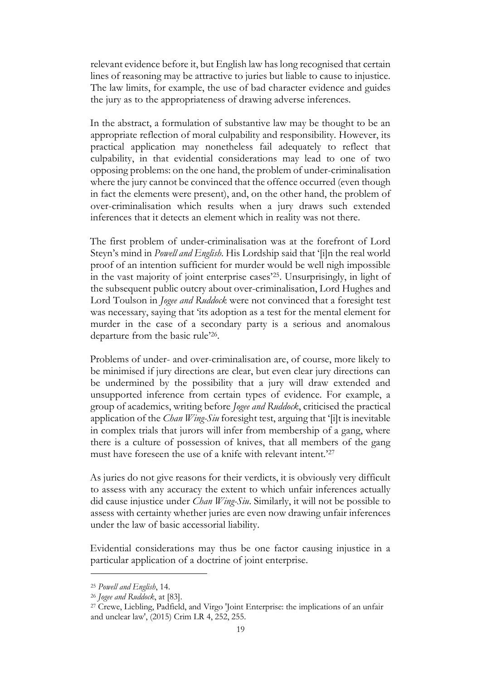relevant evidence before it, but English law has long recognised that certain lines of reasoning may be attractive to juries but liable to cause to injustice. The law limits, for example, the use of bad character evidence and guides the jury as to the appropriateness of drawing adverse inferences.

In the abstract, a formulation of substantive law may be thought to be an appropriate reflection of moral culpability and responsibility. However, its practical application may nonetheless fail adequately to reflect that culpability, in that evidential considerations may lead to one of two opposing problems: on the one hand, the problem of under-criminalisation where the jury cannot be convinced that the offence occurred (even though in fact the elements were present), and, on the other hand, the problem of over-criminalisation which results when a jury draws such extended inferences that it detects an element which in reality was not there.

The first problem of under-criminalisation was at the forefront of Lord Steyn's mind in *Powell and English*. His Lordship said that '[i]n the real world proof of an intention sufficient for murder would be well nigh impossible in the vast majority of joint enterprise cases'25. Unsurprisingly, in light of the subsequent public outcry about over-criminalisation, Lord Hughes and Lord Toulson in *Jogee and Ruddock* were not convinced that a foresight test was necessary, saying that 'its adoption as a test for the mental element for murder in the case of a secondary party is a serious and anomalous departure from the basic rule'<sup>26</sup> .

Problems of under- and over-criminalisation are, of course, more likely to be minimised if jury directions are clear, but even clear jury directions can be undermined by the possibility that a jury will draw extended and unsupported inference from certain types of evidence. For example, a group of academics, writing before *Jogee and Ruddock*, criticised the practical application of the *Chan Wing-Siu* foresight test, arguing that '[i]t is inevitable in complex trials that jurors will infer from membership of a gang, where there is a culture of possession of knives, that all members of the gang must have foreseen the use of a knife with relevant intent.'<sup>27</sup>

As juries do not give reasons for their verdicts, it is obviously very difficult to assess with any accuracy the extent to which unfair inferences actually did cause injustice under *Chan Wing-Siu*. Similarly, it will not be possible to assess with certainty whether juries are even now drawing unfair inferences under the law of basic accessorial liability.

Evidential considerations may thus be one factor causing injustice in a particular application of a doctrine of joint enterprise.

<sup>25</sup> *Powell and English*, 14.

<sup>26</sup> *Jogee and Ruddock*, at [83].

<sup>&</sup>lt;sup>27</sup> Crewe, Liebling, Padfield, and Virgo 'Joint Enterprise: the implications of an unfair and unclear law', (2015) Crim LR 4, 252, 255.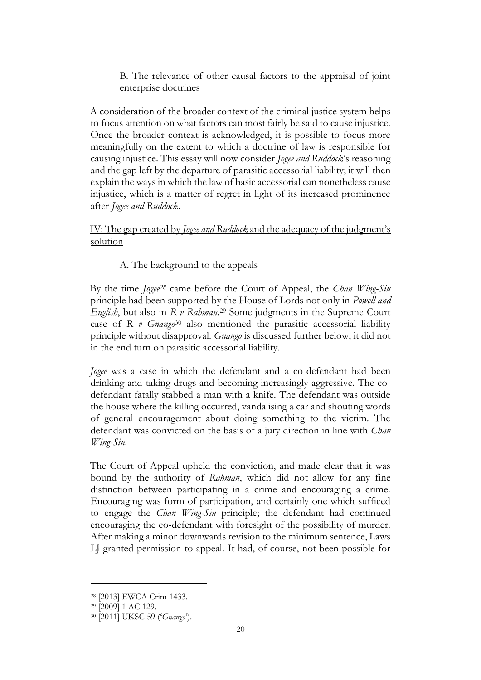B. The relevance of other causal factors to the appraisal of joint enterprise doctrines

A consideration of the broader context of the criminal justice system helps to focus attention on what factors can most fairly be said to cause injustice. Once the broader context is acknowledged, it is possible to focus more meaningfully on the extent to which a doctrine of law is responsible for causing injustice. This essay will now consider *Jogee and Ruddock*'s reasoning and the gap left by the departure of parasitic accessorial liability; it will then explain the ways in which the law of basic accessorial can nonetheless cause injustice, which is a matter of regret in light of its increased prominence after *Jogee and Ruddock*.

IV: The gap created by *Jogee and Ruddock* and the adequacy of the judgment's solution

A. The background to the appeals

By the time *Jogee<sup>28</sup>* came before the Court of Appeal, the *Chan Wing-Siu*  principle had been supported by the House of Lords not only in *Powell and English*, but also in *R v Rahman*. <sup>29</sup> Some judgments in the Supreme Court case of *R v Gnango*<sup>30</sup> also mentioned the parasitic accessorial liability principle without disapproval. *Gnango* is discussed further below; it did not in the end turn on parasitic accessorial liability.

*Jogee* was a case in which the defendant and a co-defendant had been drinking and taking drugs and becoming increasingly aggressive. The codefendant fatally stabbed a man with a knife. The defendant was outside the house where the killing occurred, vandalising a car and shouting words of general encouragement about doing something to the victim. The defendant was convicted on the basis of a jury direction in line with *Chan Wing-Siu*.

The Court of Appeal upheld the conviction, and made clear that it was bound by the authority of *Rahman*, which did not allow for any fine distinction between participating in a crime and encouraging a crime. Encouraging was form of participation, and certainly one which sufficed to engage the *Chan Wing-Siu* principle; the defendant had continued encouraging the co-defendant with foresight of the possibility of murder. After making a minor downwards revision to the minimum sentence, Laws LJ granted permission to appeal. It had, of course, not been possible for

<sup>28</sup> [2013] EWCA Crim 1433.

<sup>29</sup> [2009] 1 AC 129.

<sup>30</sup> [2011] UKSC 59 ('*Gnango*').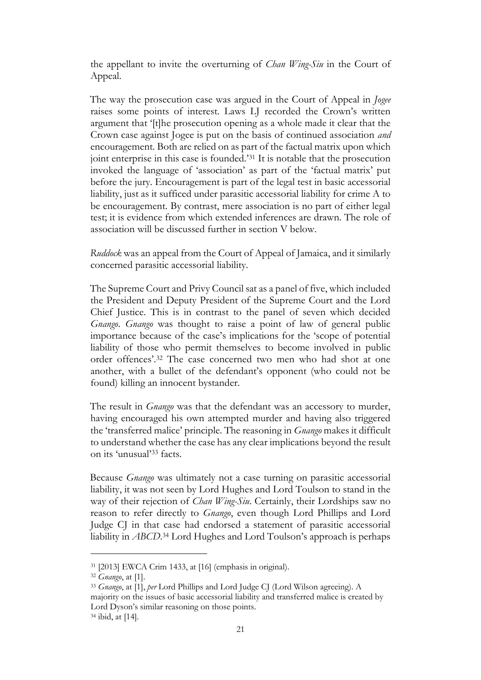the appellant to invite the overturning of *Chan Wing-Siu* in the Court of Appeal.

The way the prosecution case was argued in the Court of Appeal in *Jogee* raises some points of interest. Laws LJ recorded the Crown's written argument that '[t]he prosecution opening as a whole made it clear that the Crown case against Jogee is put on the basis of continued association *and* encouragement. Both are relied on as part of the factual matrix upon which joint enterprise in this case is founded.'<sup>31</sup> It is notable that the prosecution invoked the language of 'association' as part of the 'factual matrix' put before the jury. Encouragement is part of the legal test in basic accessorial liability, just as it sufficed under parasitic accessorial liability for crime A to be encouragement. By contrast, mere association is no part of either legal test; it is evidence from which extended inferences are drawn. The role of association will be discussed further in section V below.

*Ruddock* was an appeal from the Court of Appeal of Jamaica, and it similarly concerned parasitic accessorial liability.

The Supreme Court and Privy Council sat as a panel of five, which included the President and Deputy President of the Supreme Court and the Lord Chief Justice. This is in contrast to the panel of seven which decided *Gnango*. *Gnango* was thought to raise a point of law of general public importance because of the case's implications for the 'scope of potential liability of those who permit themselves to become involved in public order offences'.<sup>32</sup> The case concerned two men who had shot at one another, with a bullet of the defendant's opponent (who could not be found) killing an innocent bystander.

The result in *Gnango* was that the defendant was an accessory to murder, having encouraged his own attempted murder and having also triggered the 'transferred malice' principle. The reasoning in *Gnango* makes it difficult to understand whether the case has any clear implications beyond the result on its 'unusual'<sup>33</sup> facts.

Because *Gnango* was ultimately not a case turning on parasitic accessorial liability, it was not seen by Lord Hughes and Lord Toulson to stand in the way of their rejection of *Chan Wing-Siu*. Certainly, their Lordships saw no reason to refer directly to *Gnango*, even though Lord Phillips and Lord Judge CJ in that case had endorsed a statement of parasitic accessorial liability in *ABCD*. <sup>34</sup> Lord Hughes and Lord Toulson's approach is perhaps

<sup>31</sup> [2013] EWCA Crim 1433, at [16] (emphasis in original).

<sup>32</sup> *Gnango*, at [1].

<sup>33</sup> *Gnango*, at [1], *per* Lord Phillips and Lord Judge CJ (Lord Wilson agreeing). A

majority on the issues of basic accessorial liability and transferred malice is created by Lord Dyson's similar reasoning on those points.

<sup>34</sup> ibid, at [14].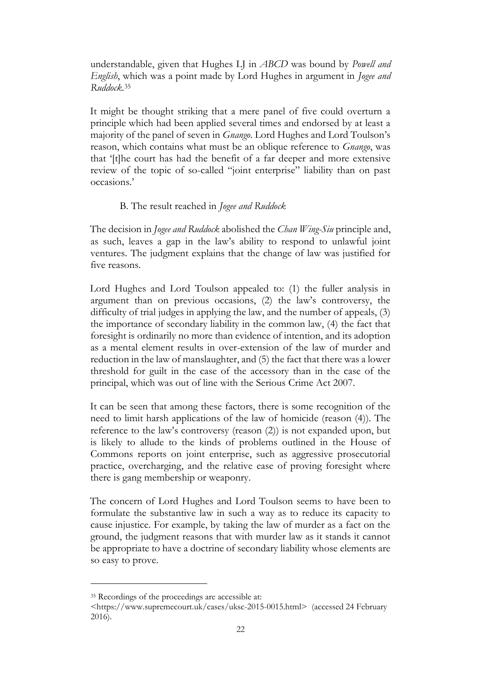understandable, given that Hughes LJ in *ABCD* was bound by *Powell and English*, which was a point made by Lord Hughes in argument in *Jogee and Ruddock*. 35

It might be thought striking that a mere panel of five could overturn a principle which had been applied several times and endorsed by at least a majority of the panel of seven in *Gnango*. Lord Hughes and Lord Toulson's reason, which contains what must be an oblique reference to *Gnango*, was that '[t]he court has had the benefit of a far deeper and more extensive review of the topic of so-called "joint enterprise" liability than on past occasions.'

#### B. The result reached in *Jogee and Ruddock*

The decision in *Jogee and Ruddock* abolished the *Chan Wing-Siu* principle and, as such, leaves a gap in the law's ability to respond to unlawful joint ventures. The judgment explains that the change of law was justified for five reasons.

Lord Hughes and Lord Toulson appealed to: (1) the fuller analysis in argument than on previous occasions, (2) the law's controversy, the difficulty of trial judges in applying the law, and the number of appeals, (3) the importance of secondary liability in the common law, (4) the fact that foresight is ordinarily no more than evidence of intention, and its adoption as a mental element results in over-extension of the law of murder and reduction in the law of manslaughter, and (5) the fact that there was a lower threshold for guilt in the case of the accessory than in the case of the principal, which was out of line with the Serious Crime Act 2007.

It can be seen that among these factors, there is some recognition of the need to limit harsh applications of the law of homicide (reason (4)). The reference to the law's controversy (reason (2)) is not expanded upon, but is likely to allude to the kinds of problems outlined in the House of Commons reports on joint enterprise, such as aggressive prosecutorial practice, overcharging, and the relative ease of proving foresight where there is gang membership or weaponry.

The concern of Lord Hughes and Lord Toulson seems to have been to formulate the substantive law in such a way as to reduce its capacity to cause injustice. For example, by taking the law of murder as a fact on the ground, the judgment reasons that with murder law as it stands it cannot be appropriate to have a doctrine of secondary liability whose elements are so easy to prove.

<sup>35</sup> Recordings of the proceedings are accessible at:

<sup>&</sup>lt;https://www.supremecourt.uk/cases/uksc-2015-0015.html[>](https://www.supremecourt.uk/cases/uksc-2015-0015.html) (accessed 24 February 2016).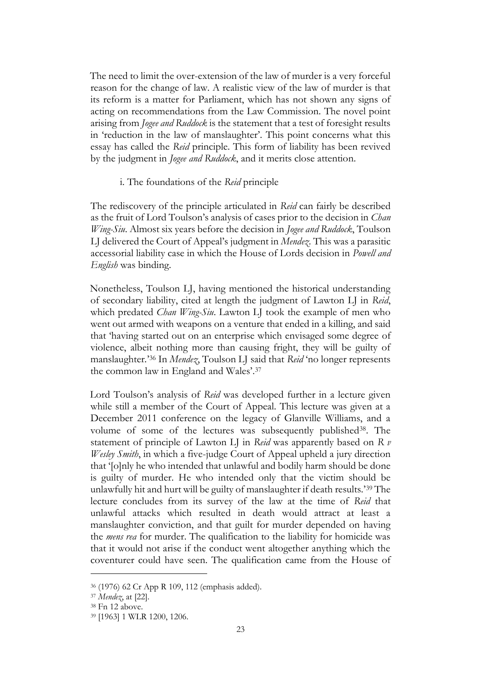The need to limit the over-extension of the law of murder is a very forceful reason for the change of law. A realistic view of the law of murder is that its reform is a matter for Parliament, which has not shown any signs of acting on recommendations from the Law Commission. The novel point arising from *Jogee and Ruddock* is the statement that a test of foresight results in 'reduction in the law of manslaughter'. This point concerns what this essay has called the *Reid* principle. This form of liability has been revived by the judgment in *Jogee and Ruddock*, and it merits close attention.

#### i. The foundations of the *Reid* principle

The rediscovery of the principle articulated in *Reid* can fairly be described as the fruit of Lord Toulson's analysis of cases prior to the decision in *Chan Wing-Siu*. Almost six years before the decision in *Jogee and Ruddock*, Toulson LJ delivered the Court of Appeal's judgment in *Mendez*. This was a parasitic accessorial liability case in which the House of Lords decision in *Powell and English* was binding.

Nonetheless, Toulson LJ, having mentioned the historical understanding of secondary liability, cited at length the judgment of Lawton LJ in *Reid*, which predated *Chan Wing-Siu*. Lawton LJ took the example of men who went out armed with weapons on a venture that ended in a killing, and said that 'having started out on an enterprise which envisaged some degree of violence, albeit nothing more than causing fright, they will be guilty of manslaughter*.*' <sup>36</sup> In *Mendez*, Toulson LJ said that *Reid* 'no longer represents the common law in England and Wales'. 37

Lord Toulson's analysis of *Reid* was developed further in a lecture given while still a member of the Court of Appeal. This lecture was given at a December 2011 conference on the legacy of Glanville Williams, and a volume of some of the lectures was subsequently published<sup>38</sup>. The statement of principle of Lawton LJ in *Reid* was apparently based on *R v Wesley Smith*, in which a five-judge Court of Appeal upheld a jury direction that '[o]nly he who intended that unlawful and bodily harm should be done is guilty of murder. He who intended only that the victim should be unlawfully hit and hurt will be guilty of manslaughter if death results.'<sup>39</sup> The lecture concludes from its survey of the law at the time of *Reid* that unlawful attacks which resulted in death would attract at least a manslaughter conviction, and that guilt for murder depended on having the *mens rea* for murder. The qualification to the liability for homicide was that it would not arise if the conduct went altogether anything which the coventurer could have seen. The qualification came from the House of

<sup>36</sup> (1976) 62 Cr App R 109, 112 (emphasis added).

<sup>37</sup> *Mendez*, at [22].

<sup>38</sup> Fn 12 above.

<sup>39</sup> [1963] 1 WLR 1200, 1206.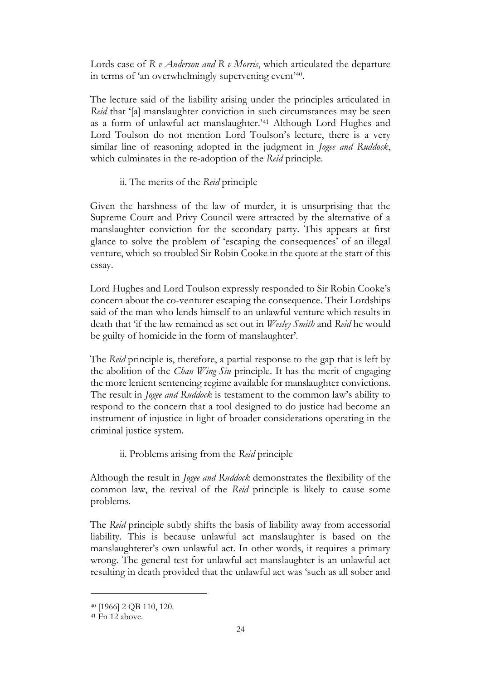Lords case of *R v Anderson and R v Morris*, which articulated the departure in terms of 'an overwhelmingly supervening event'<sup>40</sup> .

The lecture said of the liability arising under the principles articulated in *Reid* that '[a] manslaughter conviction in such circumstances may be seen as a form of unlawful act manslaughter.'<sup>41</sup> Although Lord Hughes and Lord Toulson do not mention Lord Toulson's lecture, there is a very similar line of reasoning adopted in the judgment in *Jogee and Ruddock*, which culminates in the re-adoption of the *Reid* principle.

## ii. The merits of the *Reid* principle

Given the harshness of the law of murder, it is unsurprising that the Supreme Court and Privy Council were attracted by the alternative of a manslaughter conviction for the secondary party. This appears at first glance to solve the problem of 'escaping the consequences' of an illegal venture, which so troubled Sir Robin Cooke in the quote at the start of this essay.

Lord Hughes and Lord Toulson expressly responded to Sir Robin Cooke's concern about the co-venturer escaping the consequence. Their Lordships said of the man who lends himself to an unlawful venture which results in death that 'if the law remained as set out in *Wesley Smith* and *Reid* he would be guilty of homicide in the form of manslaughter'.

The *Reid* principle is, therefore, a partial response to the gap that is left by the abolition of the *Chan Wing-Siu* principle. It has the merit of engaging the more lenient sentencing regime available for manslaughter convictions. The result in *Jogee and Ruddock* is testament to the common law's ability to respond to the concern that a tool designed to do justice had become an instrument of injustice in light of broader considerations operating in the criminal justice system.

ii. Problems arising from the *Reid* principle

Although the result in *Jogee and Ruddock* demonstrates the flexibility of the common law, the revival of the *Reid* principle is likely to cause some problems.

The *Reid* principle subtly shifts the basis of liability away from accessorial liability. This is because unlawful act manslaughter is based on the manslaughterer's own unlawful act. In other words, it requires a primary wrong. The general test for unlawful act manslaughter is an unlawful act resulting in death provided that the unlawful act was 'such as all sober and

<sup>40</sup> [1966] 2 QB 110, 120.

 $41$  Fn  $12$  above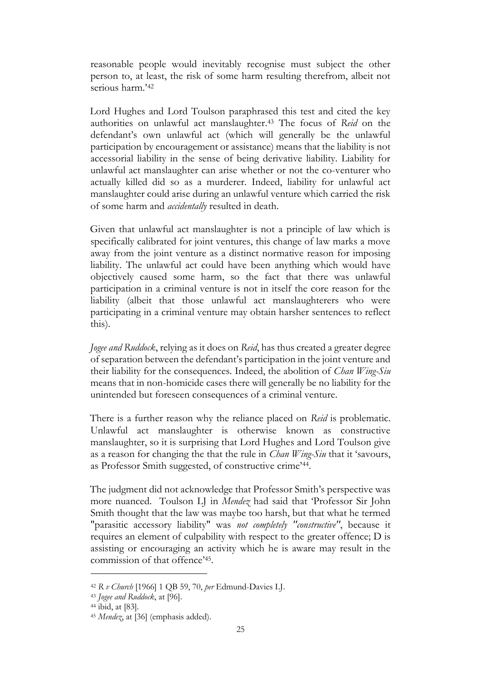reasonable people would inevitably recognise must subject the other person to, at least, the risk of some harm resulting therefrom, albeit not serious harm.'<sup>42</sup>

Lord Hughes and Lord Toulson paraphrased this test and cited the key authorities on unlawful act manslaughter. <sup>43</sup> The focus of *Reid* on the defendant's own unlawful act (which will generally be the unlawful participation by encouragement or assistance) means that the liability is not accessorial liability in the sense of being derivative liability. Liability for unlawful act manslaughter can arise whether or not the co-venturer who actually killed did so as a murderer. Indeed, liability for unlawful act manslaughter could arise during an unlawful venture which carried the risk of some harm and *accidentally* resulted in death.

Given that unlawful act manslaughter is not a principle of law which is specifically calibrated for joint ventures, this change of law marks a move away from the joint venture as a distinct normative reason for imposing liability. The unlawful act could have been anything which would have objectively caused some harm, so the fact that there was unlawful participation in a criminal venture is not in itself the core reason for the liability (albeit that those unlawful act manslaughterers who were participating in a criminal venture may obtain harsher sentences to reflect this).

*Jogee and Ruddock*, relying as it does on *Reid*, has thus created a greater degree of separation between the defendant's participation in the joint venture and their liability for the consequences. Indeed, the abolition of *Chan Wing-Siu* means that in non-homicide cases there will generally be no liability for the unintended but foreseen consequences of a criminal venture.

There is a further reason why the reliance placed on *Reid* is problematic. Unlawful act manslaughter is otherwise known as constructive manslaughter, so it is surprising that Lord Hughes and Lord Toulson give as a reason for changing the that the rule in *Chan Wing-Siu* that it 'savours, as Professor Smith suggested, of constructive crime'<sup>44</sup> .

The judgment did not acknowledge that Professor Smith's perspective was more nuanced. Toulson LJ in *Mendez* had said that 'Professor Sir John Smith thought that the law was maybe too harsh, but that what he termed "parasitic accessory liability" was *not completely "constructive"*, because it requires an element of culpability with respect to the greater offence; D is assisting or encouraging an activity which he is aware may result in the commission of that offence'<sup>45</sup> .

<sup>42</sup> *R v Church* [1966] 1 QB 59, 70, *per* Edmund-Davies LJ.

<sup>43</sup> *Jogee and Ruddock*, at [96].

<sup>44</sup> ibid, at [83].

<sup>45</sup> *Mendez*, at [36] (emphasis added).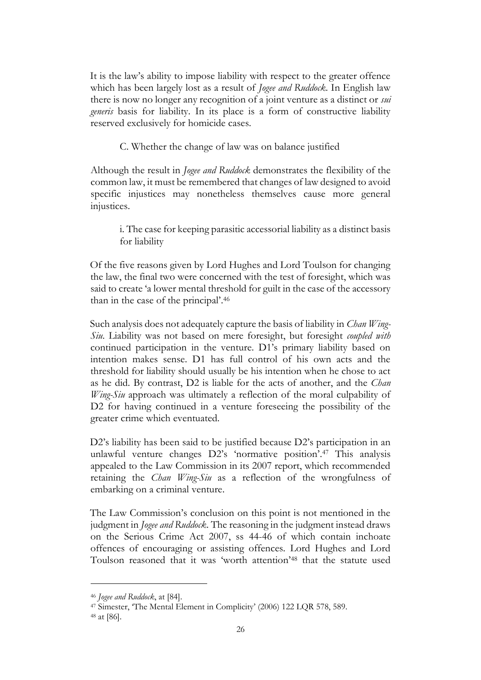It is the law's ability to impose liability with respect to the greater offence which has been largely lost as a result of *Jogee and Ruddock*. In English law there is now no longer any recognition of a joint venture as a distinct or *sui generis* basis for liability. In its place is a form of constructive liability reserved exclusively for homicide cases.

C. Whether the change of law was on balance justified

Although the result in *Jogee and Ruddock* demonstrates the flexibility of the common law, it must be remembered that changes of law designed to avoid specific injustices may nonetheless themselves cause more general injustices.

i. The case for keeping parasitic accessorial liability as a distinct basis for liability

Of the five reasons given by Lord Hughes and Lord Toulson for changing the law, the final two were concerned with the test of foresight, which was said to create 'a lower mental threshold for guilt in the case of the accessory than in the case of the principal'. 46

Such analysis does not adequately capture the basis of liability in *Chan Wing-Siu*. Liability was not based on mere foresight, but foresight *coupled with* continued participation in the venture. D1's primary liability based on intention makes sense. D1 has full control of his own acts and the threshold for liability should usually be his intention when he chose to act as he did. By contrast, D2 is liable for the acts of another, and the *Chan Wing-Siu* approach was ultimately a reflection of the moral culpability of D2 for having continued in a venture foreseeing the possibility of the greater crime which eventuated.

D2's liability has been said to be justified because D2's participation in an unlawful venture changes D2's 'normative position'. <sup>47</sup> This analysis appealed to the Law Commission in its 2007 report, which recommended retaining the *Chan Wing-Siu* as a reflection of the wrongfulness of embarking on a criminal venture.

The Law Commission's conclusion on this point is not mentioned in the judgment in *Jogee and Ruddock*. The reasoning in the judgment instead draws on the Serious Crime Act 2007, ss 44-46 of which contain inchoate offences of encouraging or assisting offences. Lord Hughes and Lord Toulson reasoned that it was 'worth attention'<sup>48</sup> that the statute used

<sup>46</sup> *Jogee and Ruddock*, at [84].

<sup>47</sup> Simester, 'The Mental Element in Complicity' (2006) 122 LQR 578, 589. <sup>48</sup> at [86].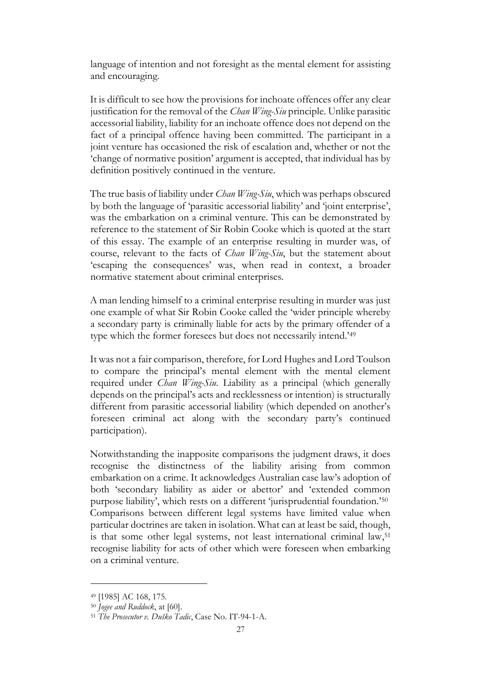language of intention and not foresight as the mental element for assisting and encouraging.

It is difficult to see how the provisions for inchoate offences offer any clear justification for the removal of the *Chan Wing-Siu* principle. Unlike parasitic accessorial liability, liability for an inchoate offence does not depend on the fact of a principal offence having been committed. The participant in a joint venture has occasioned the risk of escalation and, whether or not the 'change of normative position' argument is accepted, that individual has by definition positively continued in the venture.

The true basis of liability under *Chan Wing-Siu*, which was perhaps obscured by both the language of 'parasitic accessorial liability' and 'joint enterprise', was the embarkation on a criminal venture. This can be demonstrated by reference to the statement of Sir Robin Cooke which is quoted at the start of this essay. The example of an enterprise resulting in murder was, of course, relevant to the facts of *Chan Wing-Siu*, but the statement about 'escaping the consequences' was, when read in context, a broader normative statement about criminal enterprises.

A man lending himself to a criminal enterprise resulting in murder was just one example of what Sir Robin Cooke called the 'wider principle whereby a secondary party is criminally liable for acts by the primary offender of a type which the former foresees but does not necessarily intend.'<sup>49</sup>

It was not a fair comparison, therefore, for Lord Hughes and Lord Toulson to compare the principal's mental element with the mental element required under *Chan Wing-Siu*. Liability as a principal (which generally depends on the principal's acts and recklessness or intention) is structurally different from parasitic accessorial liability (which depended on another's foreseen criminal act along with the secondary party's continued participation).

Notwithstanding the inapposite comparisons the judgment draws, it does recognise the distinctness of the liability arising from common embarkation on a crime. It acknowledges Australian case law's adoption of both 'secondary liability as aider or abettor' and 'extended common purpose liability', which rests on a different 'jurisprudential foundation.'<sup>50</sup> Comparisons between different legal systems have limited value when particular doctrines are taken in isolation. What can at least be said, though, is that some other legal systems, not least international criminal law,<sup>51</sup> recognise liability for acts of other which were foreseen when embarking on a criminal venture.

<sup>49</sup> [1985] AC 168, 175.

<sup>50</sup> *Jogee and Ruddock*, at [60].

<sup>51</sup> *The Prosecutor v. Duško Tadic*, Case No. IT-94-1-A.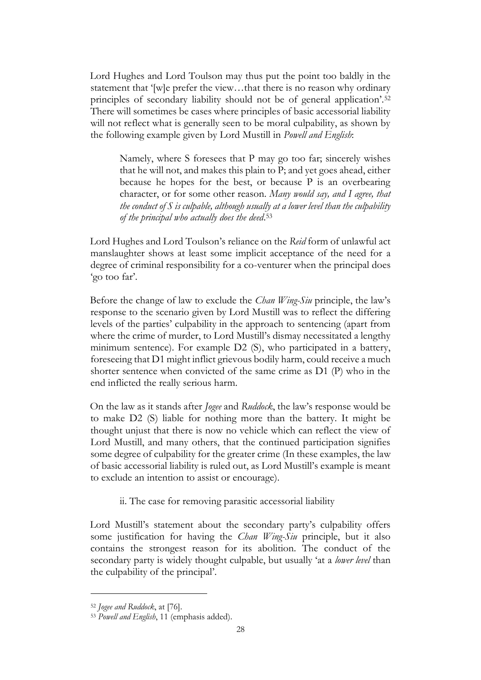Lord Hughes and Lord Toulson may thus put the point too baldly in the statement that '[w]e prefer the view…that there is no reason why ordinary principles of secondary liability should not be of general application'.<sup>52</sup> There will sometimes be cases where principles of basic accessorial liability will not reflect what is generally seen to be moral culpability, as shown by the following example given by Lord Mustill in *Powell and English*:

Namely, where S foresees that P may go too far; sincerely wishes that he will not, and makes this plain to P; and yet goes ahead, either because he hopes for the best, or because P is an overbearing character, or for some other reason. *Many would say, and I agree, that the conduct of S is culpable, although usually at a lower level than the culpability of the principal who actually does the deed*. 53

Lord Hughes and Lord Toulson's reliance on the *Reid* form of unlawful act manslaughter shows at least some implicit acceptance of the need for a degree of criminal responsibility for a co-venturer when the principal does 'go too far'.

Before the change of law to exclude the *Chan Wing-Siu* principle, the law's response to the scenario given by Lord Mustill was to reflect the differing levels of the parties' culpability in the approach to sentencing (apart from where the crime of murder, to Lord Mustill's dismay necessitated a lengthy minimum sentence). For example D2 (S), who participated in a battery, foreseeing that D1 might inflict grievous bodily harm, could receive a much shorter sentence when convicted of the same crime as D1 (P) who in the end inflicted the really serious harm.

On the law as it stands after *Jogee* and *Ruddock*, the law's response would be to make D2 (S) liable for nothing more than the battery. It might be thought unjust that there is now no vehicle which can reflect the view of Lord Mustill, and many others, that the continued participation signifies some degree of culpability for the greater crime (In these examples, the law of basic accessorial liability is ruled out, as Lord Mustill's example is meant to exclude an intention to assist or encourage).

ii. The case for removing parasitic accessorial liability

Lord Mustill's statement about the secondary party's culpability offers some justification for having the *Chan Wing-Siu* principle, but it also contains the strongest reason for its abolition. The conduct of the secondary party is widely thought culpable, but usually 'at a *lower level* than the culpability of the principal'.

<sup>52</sup> *Jogee and Ruddock*, at [76].

<sup>53</sup> *Powell and English*, 11 (emphasis added).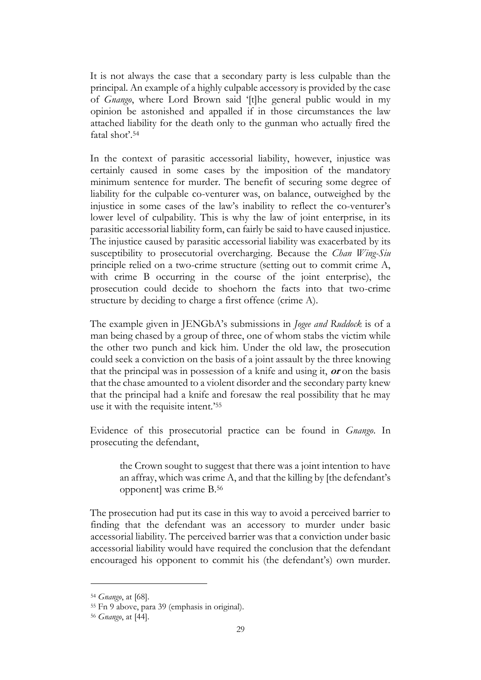It is not always the case that a secondary party is less culpable than the principal. An example of a highly culpable accessory is provided by the case of *Gnango*, where Lord Brown said '[t]he general public would in my opinion be astonished and appalled if in those circumstances the law attached liability for the death only to the gunman who actually fired the fatal shot'.<sup>54</sup>

In the context of parasitic accessorial liability, however, injustice was certainly caused in some cases by the imposition of the mandatory minimum sentence for murder. The benefit of securing some degree of liability for the culpable co-venturer was, on balance, outweighed by the injustice in some cases of the law's inability to reflect the co-venturer's lower level of culpability. This is why the law of joint enterprise, in its parasitic accessorial liability form, can fairly be said to have caused injustice. The injustice caused by parasitic accessorial liability was exacerbated by its susceptibility to prosecutorial overcharging. Because the *Chan Wing-Siu*  principle relied on a two-crime structure (setting out to commit crime A, with crime B occurring in the course of the joint enterprise), the prosecution could decide to shoehorn the facts into that two-crime structure by deciding to charge a first offence (crime A).

The example given in JENGbA's submissions in *Jogee and Ruddock* is of a man being chased by a group of three, one of whom stabs the victim while the other two punch and kick him. Under the old law, the prosecution could seek a conviction on the basis of a joint assault by the three knowing that the principal was in possession of a knife and using it, **or** on the basis that the chase amounted to a violent disorder and the secondary party knew that the principal had a knife and foresaw the real possibility that he may use it with the requisite intent.'<sup>55</sup>

Evidence of this prosecutorial practice can be found in *Gnango*. In prosecuting the defendant,

the Crown sought to suggest that there was a joint intention to have an affray, which was crime A, and that the killing by [the defendant's opponent] was crime B. 56

The prosecution had put its case in this way to avoid a perceived barrier to finding that the defendant was an accessory to murder under basic accessorial liability. The perceived barrier was that a conviction under basic accessorial liability would have required the conclusion that the defendant encouraged his opponent to commit his (the defendant's) own murder.

<sup>54</sup> *Gnango*, at [68].

<sup>55</sup> Fn 9 above, para 39 (emphasis in original).

<sup>56</sup> *Gnango*, at [44].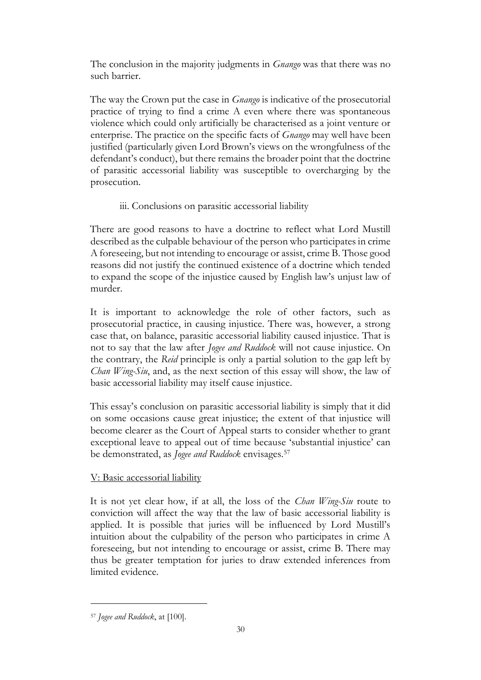The conclusion in the majority judgments in *Gnango* was that there was no such barrier.

The way the Crown put the case in *Gnango* is indicative of the prosecutorial practice of trying to find a crime A even where there was spontaneous violence which could only artificially be characterised as a joint venture or enterprise. The practice on the specific facts of *Gnango* may well have been justified (particularly given Lord Brown's views on the wrongfulness of the defendant's conduct), but there remains the broader point that the doctrine of parasitic accessorial liability was susceptible to overcharging by the prosecution.

## iii. Conclusions on parasitic accessorial liability

There are good reasons to have a doctrine to reflect what Lord Mustill described as the culpable behaviour of the person who participates in crime A foreseeing, but not intending to encourage or assist, crime B. Those good reasons did not justify the continued existence of a doctrine which tended to expand the scope of the injustice caused by English law's unjust law of murder.

It is important to acknowledge the role of other factors, such as prosecutorial practice, in causing injustice. There was, however, a strong case that, on balance, parasitic accessorial liability caused injustice. That is not to say that the law after *Jogee and Ruddock* will not cause injustice. On the contrary, the *Reid* principle is only a partial solution to the gap left by *Chan Wing-Siu*, and, as the next section of this essay will show, the law of basic accessorial liability may itself cause injustice.

This essay's conclusion on parasitic accessorial liability is simply that it did on some occasions cause great injustice; the extent of that injustice will become clearer as the Court of Appeal starts to consider whether to grant exceptional leave to appeal out of time because 'substantial injustice' can be demonstrated, as *Jogee and Ruddock* envisages.<sup>57</sup>

## V: Basic accessorial liability

It is not yet clear how, if at all, the loss of the *Chan Wing-Siu* route to conviction will affect the way that the law of basic accessorial liability is applied. It is possible that juries will be influenced by Lord Mustill's intuition about the culpability of the person who participates in crime A foreseeing, but not intending to encourage or assist, crime B. There may thus be greater temptation for juries to draw extended inferences from limited evidence.

<sup>57</sup> *Jogee and Ruddock*, at [100].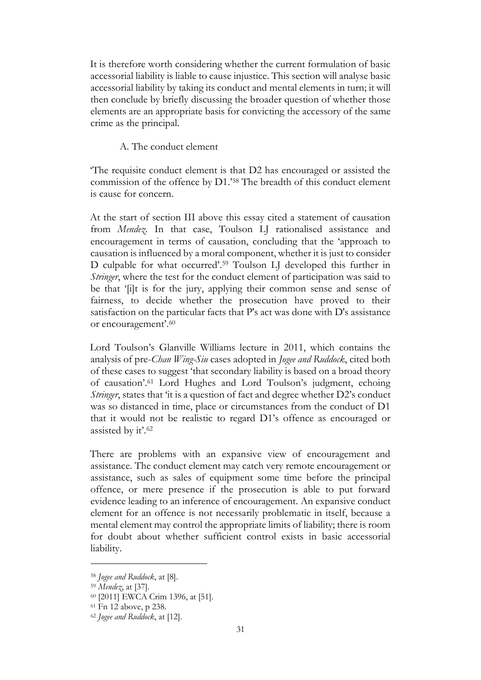It is therefore worth considering whether the current formulation of basic accessorial liability is liable to cause injustice. This section will analyse basic accessorial liability by taking its conduct and mental elements in turn; it will then conclude by briefly discussing the broader question of whether those elements are an appropriate basis for convicting the accessory of the same crime as the principal.

A. The conduct element

'The requisite conduct element is that D2 has encouraged or assisted the commission of the offence by D1.'<sup>58</sup> The breadth of this conduct element is cause for concern.

At the start of section III above this essay cited a statement of causation from *Mendez*. In that case, Toulson LJ rationalised assistance and encouragement in terms of causation, concluding that the 'approach to causation is influenced by a moral component, whether it is just to consider D culpable for what occurred'. <sup>59</sup> Toulson LJ developed this further in *Stringer*, where the test for the conduct element of participation was said to be that '[i]t is for the jury, applying their common sense and sense of fairness, to decide whether the prosecution have proved to their satisfaction on the particular facts that P's act was done with D's assistance or encouragement'. 60

Lord Toulson's Glanville Williams lecture in 2011, which contains the analysis of pre-*Chan Wing-Siu* cases adopted in *Jogee and Ruddock*, cited both of these cases to suggest 'that secondary liability is based on a broad theory of causation'.<sup>61</sup> Lord Hughes and Lord Toulson's judgment, echoing *Stringer*, states that 'it is a question of fact and degree whether D2's conduct was so distanced in time, place or circumstances from the conduct of D1 that it would not be realistic to regard D1's offence as encouraged or assisted by it'.<sup>62</sup>

There are problems with an expansive view of encouragement and assistance. The conduct element may catch very remote encouragement or assistance, such as sales of equipment some time before the principal offence, or mere presence if the prosecution is able to put forward evidence leading to an inference of encouragement. An expansive conduct element for an offence is not necessarily problematic in itself, because a mental element may control the appropriate limits of liability; there is room for doubt about whether sufficient control exists in basic accessorial liability.

<sup>58</sup> *Jogee and Ruddock*, at [8].

<sup>59</sup> *Mendez*, at [37].

<sup>60</sup> [2011] EWCA Crim 1396, at [51].

<sup>61</sup> Fn 12 above, p 238.

<sup>62</sup> *Jogee and Ruddock*, at [12].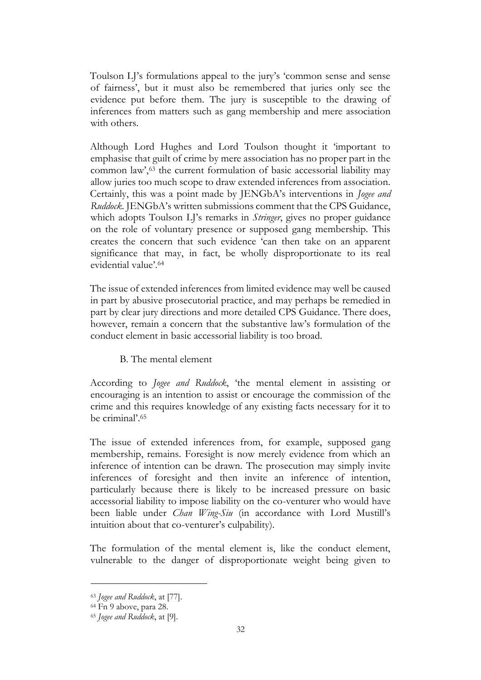Toulson LJ's formulations appeal to the jury's 'common sense and sense of fairness', but it must also be remembered that juries only see the evidence put before them. The jury is susceptible to the drawing of inferences from matters such as gang membership and mere association with others.

Although Lord Hughes and Lord Toulson thought it 'important to emphasise that guilt of crime by mere association has no proper part in the common law', <sup>63</sup> the current formulation of basic accessorial liability may allow juries too much scope to draw extended inferences from association. Certainly, this was a point made by JENGbA's interventions in *Jogee and Ruddock*. JENGbA's written submissions comment that the CPS Guidance, which adopts Toulson LJ's remarks in *Stringer*, gives no proper guidance on the role of voluntary presence or supposed gang membership. This creates the concern that such evidence 'can then take on an apparent significance that may, in fact, be wholly disproportionate to its real evidential value'.<sup>64</sup>

The issue of extended inferences from limited evidence may well be caused in part by abusive prosecutorial practice, and may perhaps be remedied in part by clear jury directions and more detailed CPS Guidance. There does, however, remain a concern that the substantive law's formulation of the conduct element in basic accessorial liability is too broad.

## B. The mental element

According to *Jogee and Ruddock*, 'the mental element in assisting or encouraging is an intention to assist or encourage the commission of the crime and this requires knowledge of any existing facts necessary for it to be criminal'.<sup>65</sup>

The issue of extended inferences from, for example, supposed gang membership, remains. Foresight is now merely evidence from which an inference of intention can be drawn. The prosecution may simply invite inferences of foresight and then invite an inference of intention, particularly because there is likely to be increased pressure on basic accessorial liability to impose liability on the co-venturer who would have been liable under *Chan Wing-Siu* (in accordance with Lord Mustill's intuition about that co-venturer's culpability).

The formulation of the mental element is, like the conduct element, vulnerable to the danger of disproportionate weight being given to

<sup>63</sup> *Jogee and Ruddock*, at [77].

<sup>64</sup> Fn 9 above, para 28.

<sup>65</sup> *Jogee and Ruddock*, at [9].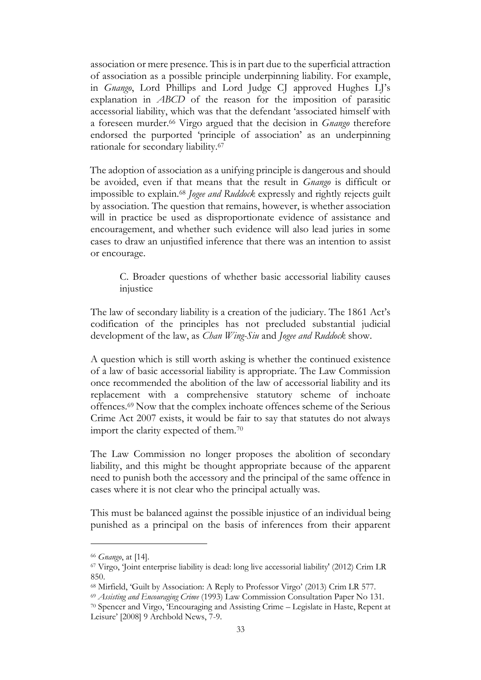association or mere presence. This is in part due to the superficial attraction of association as a possible principle underpinning liability. For example, in *Gnango*, Lord Phillips and Lord Judge CJ approved Hughes LJ's explanation in *ABCD* of the reason for the imposition of parasitic accessorial liability, which was that the defendant 'associated himself with a foreseen murder.<sup>66</sup> Virgo argued that the decision in *Gnango* therefore endorsed the purported 'principle of association' as an underpinning rationale for secondary liability.<sup>67</sup>

The adoption of association as a unifying principle is dangerous and should be avoided, even if that means that the result in *Gnango* is difficult or impossible to explain.<sup>68</sup> *Jogee and Ruddock* expressly and rightly rejects guilt by association. The question that remains, however, is whether association will in practice be used as disproportionate evidence of assistance and encouragement, and whether such evidence will also lead juries in some cases to draw an unjustified inference that there was an intention to assist or encourage.

C. Broader questions of whether basic accessorial liability causes injustice

The law of secondary liability is a creation of the judiciary. The 1861 Act's codification of the principles has not precluded substantial judicial development of the law, as *Chan Wing-Siu* and *Jogee and Ruddock* show.

A question which is still worth asking is whether the continued existence of a law of basic accessorial liability is appropriate. The Law Commission once recommended the abolition of the law of accessorial liability and its replacement with a comprehensive statutory scheme of inchoate offences.<sup>69</sup> Now that the complex inchoate offences scheme of the Serious Crime Act 2007 exists, it would be fair to say that statutes do not always import the clarity expected of them.<sup>70</sup>

The Law Commission no longer proposes the abolition of secondary liability, and this might be thought appropriate because of the apparent need to punish both the accessory and the principal of the same offence in cases where it is not clear who the principal actually was.

This must be balanced against the possible injustice of an individual being punished as a principal on the basis of inferences from their apparent

<sup>66</sup> *Gnango*, at [14].

<sup>67</sup> Virgo, 'Joint enterprise liability is dead: long live accessorial liability' (2012) Crim LR 850.

<sup>68</sup> Mirfield, 'Guilt by Association: A Reply to Professor Virgo' (2013) Crim LR 577.

<sup>69</sup> *Assisting and Encouraging Crime* (1993) Law Commission Consultation Paper No 131.

<sup>70</sup> Spencer and Virgo, 'Encouraging and Assisting Crime – Legislate in Haste, Repent at Leisure' [2008] 9 Archbold News, 7-9.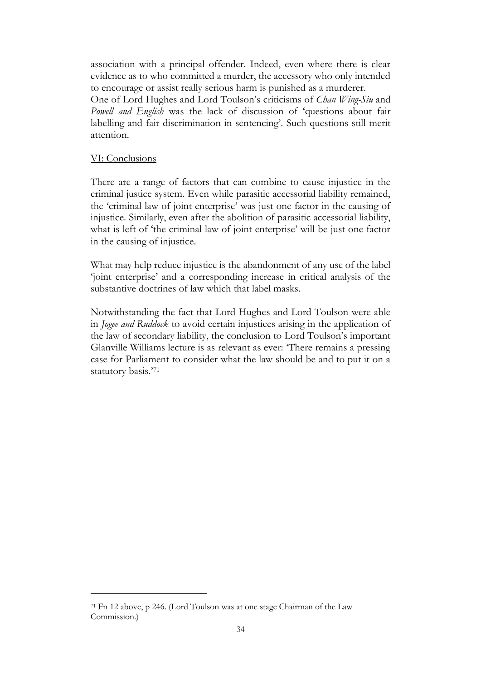association with a principal offender. Indeed, even where there is clear evidence as to who committed a murder, the accessory who only intended to encourage or assist really serious harm is punished as a murderer.

One of Lord Hughes and Lord Toulson's criticisms of *Chan Wing-Siu* and *Powell and English* was the lack of discussion of 'questions about fair labelling and fair discrimination in sentencing'. Such questions still merit attention.

# VI: Conclusions

There are a range of factors that can combine to cause injustice in the criminal justice system. Even while parasitic accessorial liability remained, the 'criminal law of joint enterprise' was just one factor in the causing of injustice. Similarly, even after the abolition of parasitic accessorial liability, what is left of 'the criminal law of joint enterprise' will be just one factor in the causing of injustice.

What may help reduce injustice is the abandonment of any use of the label 'joint enterprise' and a corresponding increase in critical analysis of the substantive doctrines of law which that label masks.

Notwithstanding the fact that Lord Hughes and Lord Toulson were able in *Jogee and Ruddock* to avoid certain injustices arising in the application of the law of secondary liability, the conclusion to Lord Toulson's important Glanville Williams lecture is as relevant as ever: 'There remains a pressing case for Parliament to consider what the law should be and to put it on a statutory basis.'<sup>71</sup>

<sup>71</sup> Fn 12 above, p 246. (Lord Toulson was at one stage Chairman of the Law Commission.)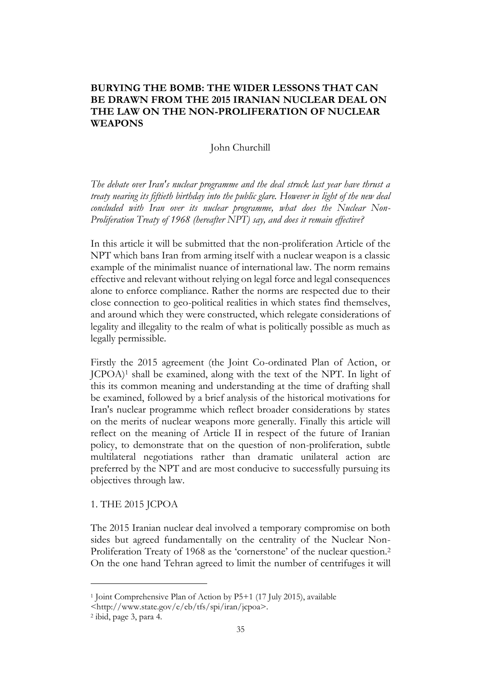# **BURYING THE BOMB: THE WIDER LESSONS THAT CAN BE DRAWN FROM THE 2015 IRANIAN NUCLEAR DEAL ON THE LAW ON THE NON-PROLIFERATION OF NUCLEAR WEAPONS**

### John Churchill

*The debate over Iran's nuclear programme and the deal struck last year have thrust a treaty nearing its fiftieth birthday into the public glare. However in light of the new deal concluded with Iran over its nuclear programme, what does the Nuclear Non-Proliferation Treaty of 1968 (hereafter NPT) say, and does it remain effective?* 

In this article it will be submitted that the non-proliferation Article of the NPT which bans Iran from arming itself with a nuclear weapon is a classic example of the minimalist nuance of international law. The norm remains effective and relevant without relying on legal force and legal consequences alone to enforce compliance. Rather the norms are respected due to their close connection to geo-political realities in which states find themselves, and around which they were constructed, which relegate considerations of legality and illegality to the realm of what is politically possible as much as legally permissible.

Firstly the 2015 agreement (the Joint Co-ordinated Plan of Action, or JCPOA)<sup>1</sup> shall be examined, along with the text of the NPT. In light of this its common meaning and understanding at the time of drafting shall be examined, followed by a brief analysis of the historical motivations for Iran's nuclear programme which reflect broader considerations by states on the merits of nuclear weapons more generally. Finally this article will reflect on the meaning of Article II in respect of the future of Iranian policy, to demonstrate that on the question of non-proliferation, subtle multilateral negotiations rather than dramatic unilateral action are preferred by the NPT and are most conducive to successfully pursuing its objectives through law.

### 1. THE 2015 JCPOA

The 2015 Iranian nuclear deal involved a temporary compromise on both sides but agreed fundamentally on the centrality of the Nuclear Non-Proliferation Treaty of 1968 as the 'cornerstone' of the nuclear question.<sup>2</sup> On the one hand Tehran agreed to limit the number of centrifuges it will

<sup>1</sup> Joint Comprehensive Plan of Action by P5+1 (17 July 2015), available

<sup>&</sup>lt;http://www.state.gov/e/eb/tfs/spi/iran/jcpoa>.

<sup>2</sup> ibid, page 3, para 4.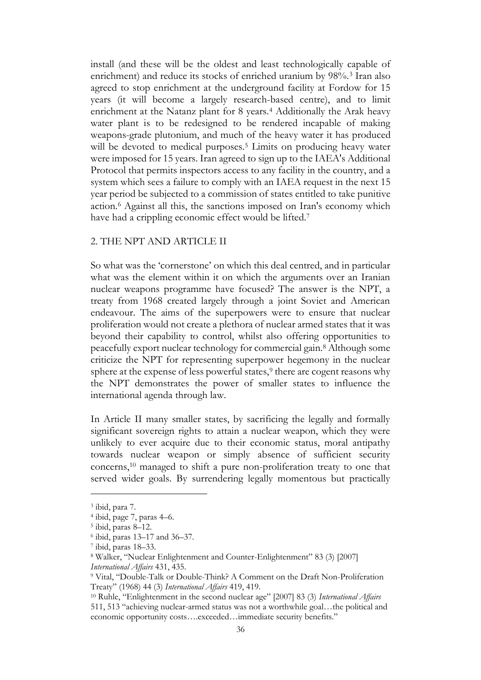install (and these will be the oldest and least technologically capable of enrichment) and reduce its stocks of enriched uranium by 98%.<sup>3</sup> Iran also agreed to stop enrichment at the underground facility at Fordow for 15 years (it will become a largely research-based centre), and to limit enrichment at the Natanz plant for 8 years.<sup>4</sup> Additionally the Arak heavy water plant is to be redesigned to be rendered incapable of making weapons-grade plutonium, and much of the heavy water it has produced will be devoted to medical purposes.<sup>5</sup> Limits on producing heavy water were imposed for 15 years. Iran agreed to sign up to the IAEA's Additional Protocol that permits inspectors access to any facility in the country, and a system which sees a failure to comply with an IAEA request in the next 15 year period be subjected to a commission of states entitled to take punitive action.<sup>6</sup> Against all this, the sanctions imposed on Iran's economy which have had a crippling economic effect would be lifted.<sup>7</sup>

### 2. THE NPT AND ARTICLE II

So what was the 'cornerstone' on which this deal centred, and in particular what was the element within it on which the arguments over an Iranian nuclear weapons programme have focused? The answer is the NPT, a treaty from 1968 created largely through a joint Soviet and American endeavour. The aims of the superpowers were to ensure that nuclear proliferation would not create a plethora of nuclear armed states that it was beyond their capability to control, whilst also offering opportunities to peacefully export nuclear technology for commercial gain.<sup>8</sup> Although some criticize the NPT for representing superpower hegemony in the nuclear sphere at the expense of less powerful states,<sup>9</sup> there are cogent reasons why the NPT demonstrates the power of smaller states to influence the international agenda through law.

In Article II many smaller states, by sacrificing the legally and formally significant sovereign rights to attain a nuclear weapon, which they were unlikely to ever acquire due to their economic status, moral antipathy towards nuclear weapon or simply absence of sufficient security concerns,<sup>10</sup> managed to shift a pure non-proliferation treaty to one that served wider goals. By surrendering legally momentous but practically

<sup>3</sup> ibid, para 7.

<sup>4</sup> ibid, page 7, paras 4–6.

<sup>5</sup> ibid, paras 8–12.

<sup>6</sup> ibid, paras 13–17 and 36–37.

<sup>7</sup> ibid, paras 18–33.

<sup>8</sup> Walker, "Nuclear Enlightenment and Counter-Enlightenment" 83 (3) [2007]

*International Affairs* 431, 435.

<sup>9</sup> Vital, "Double-Talk or Double-Think? A Comment on the Draft Non-Proliferation Treaty" (1968) 44 (3) *International Affairs* 419, 419.

<sup>10</sup> Ruhle, "Enlightenment in the second nuclear age" [2007] 83 (3) *International Affairs* 511, 513 "achieving nuclear-armed status was not a worthwhile goal…the political and economic opportunity costs….exceeded…immediate security benefits."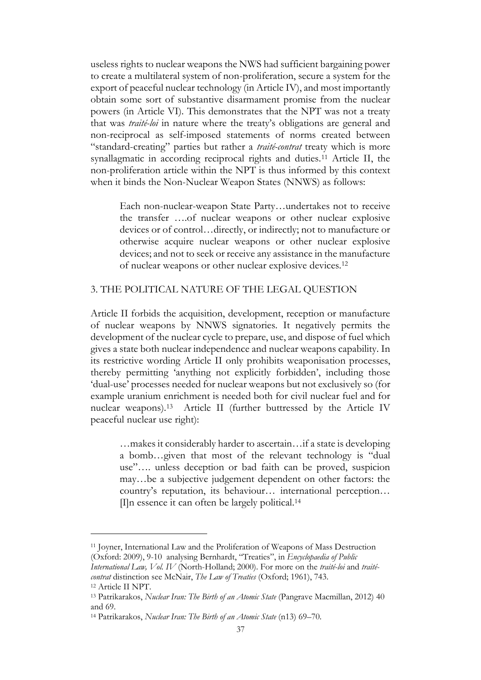useless rights to nuclear weapons the NWS had sufficient bargaining power to create a multilateral system of non-proliferation, secure a system for the export of peaceful nuclear technology (in Article IV), and most importantly obtain some sort of substantive disarmament promise from the nuclear powers (in Article VI). This demonstrates that the NPT was not a treaty that was *traité-loi* in nature where the treaty's obligations are general and non-reciprocal as self-imposed statements of norms created between "standard-creating" parties but rather a *traité-contrat* treaty which is more synallagmatic in according reciprocal rights and duties.<sup>11</sup> Article II, the non-proliferation article within the NPT is thus informed by this context when it binds the Non-Nuclear Weapon States (NNWS) as follows:

Each non-nuclear-weapon State Party…undertakes not to receive the transfer ….of nuclear weapons or other nuclear explosive devices or of control…directly, or indirectly; not to manufacture or otherwise acquire nuclear weapons or other nuclear explosive devices; and not to seek or receive any assistance in the manufacture of nuclear weapons or other nuclear explosive devices.<sup>12</sup>

### 3. THE POLITICAL NATURE OF THE LEGAL QUESTION

Article II forbids the acquisition, development, reception or manufacture of nuclear weapons by NNWS signatories. It negatively permits the development of the nuclear cycle to prepare, use, and dispose of fuel which gives a state both nuclear independence and nuclear weapons capability. In its restrictive wording Article II only prohibits weaponisation processes, thereby permitting 'anything not explicitly forbidden', including those 'dual-use' processes needed for nuclear weapons but not exclusively so (for example uranium enrichment is needed both for civil nuclear fuel and for nuclear weapons).<sup>13</sup> Article II (further buttressed by the Article IV peaceful nuclear use right):

…makes it considerably harder to ascertain…if a state is developing a bomb…given that most of the relevant technology is "dual use"…. unless deception or bad faith can be proved, suspicion may…be a subjective judgement dependent on other factors: the country's reputation, its behaviour… international perception… [I]n essence it can often be largely political.<sup>14</sup>

<sup>11</sup> Joyner, International Law and the Proliferation of Weapons of Mass Destruction (Oxford: 2009), 9-10 analysing Bernhardt, "Treaties", in *Encyclopaedia of Public* 

*International Law, Vol. IV* (North-Holland; 2000). For more on the *traité-loi* and *traitécontrat* distinction see McNair, *The Law of Treaties* (Oxford; 1961), 743. <sup>12</sup> Article II NPT.

<sup>13</sup> Patrikarakos, *Nuclear Iran: The Birth of an Atomic State* (Pangrave Macmillan, 2012) 40 and 69.

<sup>14</sup> Patrikarakos, *Nuclear Iran: The Birth of an Atomic State* (n13) 69–70.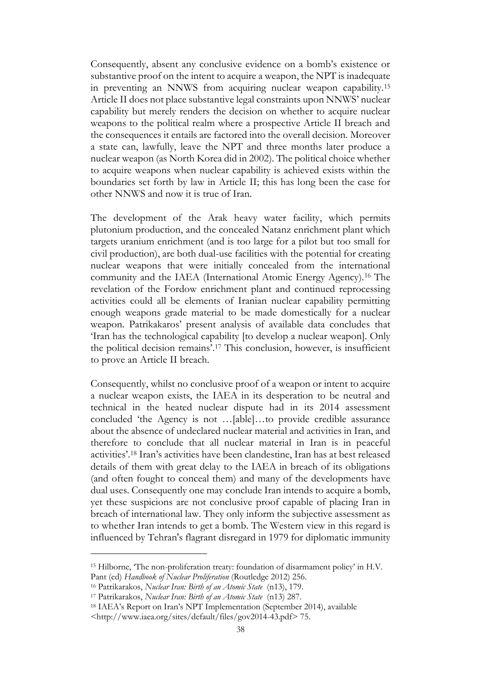Consequently, absent any conclusive evidence on a bomb's existence or substantive proof on the intent to acquire a weapon, the NPT is inadequate in preventing an NNWS from acquiring nuclear weapon capability.<sup>15</sup> Article II does not place substantive legal constraints upon NNWS' nuclear capability but merely renders the decision on whether to acquire nuclear weapons to the political realm where a prospective Article II breach and the consequences it entails are factored into the overall decision. Moreover a state can, lawfully, leave the NPT and three months later produce a nuclear weapon (as North Korea did in 2002). The political choice whether to acquire weapons when nuclear capability is achieved exists within the boundaries set forth by law in Article II; this has long been the case for other NNWS and now it is true of Iran.

The development of the Arak heavy water facility, which permits plutonium production, and the concealed Natanz enrichment plant which targets uranium enrichment (and is too large for a pilot but too small for civil production), are both dual-use facilities with the potential for creating nuclear weapons that were initially concealed from the international community and the IAEA (International Atomic Energy Agency).<sup>16</sup> The revelation of the Fordow enrichment plant and continued reprocessing activities could all be elements of Iranian nuclear capability permitting enough weapons grade material to be made domestically for a nuclear weapon. Patrikakaros' present analysis of available data concludes that 'Iran has the technological capability [to develop a nuclear weapon]. Only the political decision remains'. <sup>17</sup> This conclusion, however, is insufficient to prove an Article II breach.

Consequently, whilst no conclusive proof of a weapon or intent to acquire a nuclear weapon exists, the IAEA in its desperation to be neutral and technical in the heated nuclear dispute had in its 2014 assessment concluded 'the Agency is not …[able]…to provide credible assurance about the absence of undeclared nuclear material and activities in Iran, and therefore to conclude that all nuclear material in Iran is in peaceful activities'. <sup>18</sup> Iran's activities have been clandestine, Iran has at best released details of them with great delay to the IAEA in breach of its obligations (and often fought to conceal them) and many of the developments have dual uses. Consequently one may conclude Iran intends to acquire a bomb, yet these suspicions are not conclusive proof capable of placing Iran in breach of international law. They only inform the subjective assessment as to whether Iran intends to get a bomb. The Western view in this regard is influenced by Tehran's flagrant disregard in 1979 for diplomatic immunity

<sup>15</sup> Hilborne, 'The non-proliferation treaty: foundation of disarmament policy' in H.V. Pant (ed) *Handbook of Nuclear Proliferation* (Routledge 2012) 256.

<sup>16</sup> Patrikarakos, *Nuclear Iran: Birth of an Atomic State* (n13), 179.

<sup>17</sup> Patrikarakos, *Nuclear Iran: Birth of an Atomic State* (n13) 287.

<sup>18</sup> IAEA's Report on Iran's NPT Implementation (September 2014), available

<sup>&</sup>lt;http://www.iaea.org/sites/default/files/gov2014-43.pdf> 75.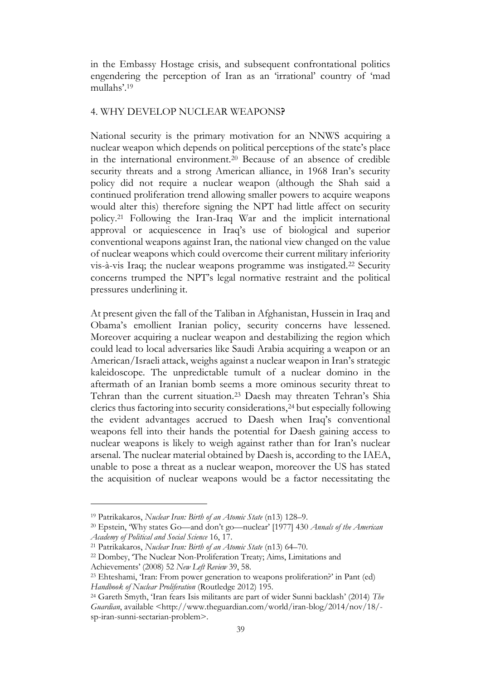in the Embassy Hostage crisis, and subsequent confrontational politics engendering the perception of Iran as an 'irrational' country of 'mad mullahs'. 19

## 4. WHY DEVELOP NUCLEAR WEAPONS**?**

National security is the primary motivation for an NNWS acquiring a nuclear weapon which depends on political perceptions of the state's place in the international environment.<sup>20</sup> Because of an absence of credible security threats and a strong American alliance, in 1968 Iran's security policy did not require a nuclear weapon (although the Shah said a continued proliferation trend allowing smaller powers to acquire weapons would alter this) therefore signing the NPT had little affect on security policy.<sup>21</sup> Following the Iran-Iraq War and the implicit international approval or acquiescence in Iraq's use of biological and superior conventional weapons against Iran, the national view changed on the value of nuclear weapons which could overcome their current military inferiority vis-à-vis Iraq; the nuclear weapons programme was instigated.<sup>22</sup> Security concerns trumped the NPT's legal normative restraint and the political pressures underlining it.

At present given the fall of the Taliban in Afghanistan, Hussein in Iraq and Obama's emollient Iranian policy, security concerns have lessened. Moreover acquiring a nuclear weapon and destabilizing the region which could lead to local adversaries like Saudi Arabia acquiring a weapon or an American/Israeli attack, weighs against a nuclear weapon in Iran's strategic kaleidoscope. The unpredictable tumult of a nuclear domino in the aftermath of an Iranian bomb seems a more ominous security threat to Tehran than the current situation.<sup>23</sup> Daesh may threaten Tehran's Shia clerics thus factoring into security considerations,<sup>24</sup> but especially following the evident advantages accrued to Daesh when Iraq's conventional weapons fell into their hands the potential for Daesh gaining access to nuclear weapons is likely to weigh against rather than for Iran's nuclear arsenal. The nuclear material obtained by Daesh is, according to the IAEA, unable to pose a threat as a nuclear weapon, moreover the US has stated the acquisition of nuclear weapons would be a factor necessitating the

<sup>19</sup> Patrikakaros, *Nuclear Iran: Birth of an Atomic State* (n13) 128–9.

<sup>20</sup> Epstein, 'Why states Go—and don't go—nuclear' [1977] 430 *Annals of the American Academy of Political and Social Science* 16, 17.

<sup>21</sup> Patrikakaros, *Nuclear Iran: Birth of an Atomic State* (n13) 64–70.

<sup>22</sup> Dombey, 'The Nuclear Non-Proliferation Treaty; Aims, Limitations and

Achievements' (2008) 52 *New Left Review* 39, 58.

<sup>23</sup> Ehteshami, 'Iran: From power generation to weapons proliferation?' in Pant (ed) *Handbook of Nuclear Proliferation* (Routledge 2012) 195.

<sup>24</sup> Gareth Smyth, 'Iran fears Isis militants are part of wider Sunni backlash' (2014) *The Guardian*, available <http://www.theguardian.com/world/iran-blog/2014/nov/18/ sp-iran-sunni-sectarian-problem>.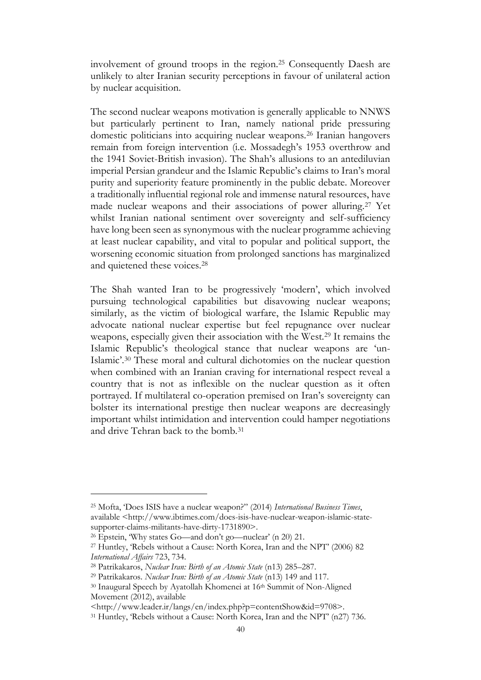involvement of ground troops in the region.<sup>25</sup> Consequently Daesh are unlikely to alter Iranian security perceptions in favour of unilateral action by nuclear acquisition.

The second nuclear weapons motivation is generally applicable to NNWS but particularly pertinent to Iran, namely national pride pressuring domestic politicians into acquiring nuclear weapons.<sup>26</sup> Iranian hangovers remain from foreign intervention (i.e. Mossadegh's 1953 overthrow and the 1941 Soviet-British invasion). The Shah's allusions to an antediluvian imperial Persian grandeur and the Islamic Republic's claims to Iran's moral purity and superiority feature prominently in the public debate. Moreover a traditionally influential regional role and immense natural resources, have made nuclear weapons and their associations of power alluring.<sup>27</sup> Yet whilst Iranian national sentiment over sovereignty and self-sufficiency have long been seen as synonymous with the nuclear programme achieving at least nuclear capability, and vital to popular and political support, the worsening economic situation from prolonged sanctions has marginalized and quietened these voices.<sup>28</sup>

The Shah wanted Iran to be progressively 'modern', which involved pursuing technological capabilities but disavowing nuclear weapons; similarly, as the victim of biological warfare, the Islamic Republic may advocate national nuclear expertise but feel repugnance over nuclear weapons, especially given their association with the West.<sup>29</sup> It remains the Islamic Republic's theological stance that nuclear weapons are 'un-Islamic'. <sup>30</sup> These moral and cultural dichotomies on the nuclear question when combined with an Iranian craving for international respect reveal a country that is not as inflexible on the nuclear question as it often portrayed. If multilateral co-operation premised on Iran's sovereignty can bolster its international prestige then nuclear weapons are decreasingly important whilst intimidation and intervention could hamper negotiations and drive Tehran back to the bomb.<sup>31</sup>

<sup>25</sup> Mofta, 'Does ISIS have a nuclear weapon?" (2014) *International Business Times*, available <http://www.ibtimes.com/does-isis-have-nuclear-weapon-islamic-statesupporter-claims-militants-have-dirty-1731890>.

<sup>26</sup> Epstein, 'Why states Go—and don't go—nuclear' (n 20) 21.

<sup>27</sup> Huntley, 'Rebels without a Cause: North Korea, Iran and the NPT' (2006) 82 *International Affairs* 723, 734.

<sup>28</sup> Patrikakaros, *Nuclear Iran: Birth of an Atomic State* (n13) 285–287.

<sup>29</sup> Patrikakaros. *Nuclear Iran: Birth of an Atomic State* (n13) 149 and 117.

<sup>&</sup>lt;sup>30</sup> Inaugural Speech by Ayatollah Khomenei at 16<sup>th</sup> Summit of Non-Aligned Movement (2012), available

<sup>&</sup>lt;http://www.leader.ir/langs/en/index.php?p=contentShow&id=9708>.

<sup>31</sup> Huntley, 'Rebels without a Cause: North Korea, Iran and the NPT' (n27) 736.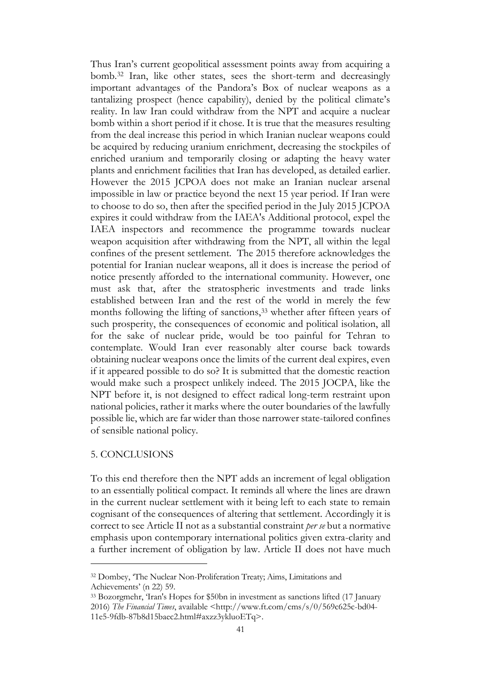Thus Iran's current geopolitical assessment points away from acquiring a bomb.<sup>32</sup> Iran, like other states, sees the short-term and decreasingly important advantages of the Pandora's Box of nuclear weapons as a tantalizing prospect (hence capability), denied by the political climate's reality. In law Iran could withdraw from the NPT and acquire a nuclear bomb within a short period if it chose. It is true that the measures resulting from the deal increase this period in which Iranian nuclear weapons could be acquired by reducing uranium enrichment, decreasing the stockpiles of enriched uranium and temporarily closing or adapting the heavy water plants and enrichment facilities that Iran has developed, as detailed earlier. However the 2015 JCPOA does not make an Iranian nuclear arsenal impossible in law or practice beyond the next 15 year period. If Iran were to choose to do so, then after the specified period in the July 2015 JCPOA expires it could withdraw from the IAEA's Additional protocol, expel the IAEA inspectors and recommence the programme towards nuclear weapon acquisition after withdrawing from the NPT, all within the legal confines of the present settlement. The 2015 therefore acknowledges the potential for Iranian nuclear weapons, all it does is increase the period of notice presently afforded to the international community. However, one must ask that, after the stratospheric investments and trade links established between Iran and the rest of the world in merely the few months following the lifting of sanctions,<sup>33</sup> whether after fifteen years of such prosperity, the consequences of economic and political isolation, all for the sake of nuclear pride, would be too painful for Tehran to contemplate. Would Iran ever reasonably alter course back towards obtaining nuclear weapons once the limits of the current deal expires, even if it appeared possible to do so? It is submitted that the domestic reaction would make such a prospect unlikely indeed. The 2015 JOCPA, like the NPT before it, is not designed to effect radical long-term restraint upon national policies, rather it marks where the outer boundaries of the lawfully possible lie, which are far wider than those narrower state-tailored confines of sensible national policy.

## 5. CONCLUSIONS

To this end therefore then the NPT adds an increment of legal obligation to an essentially political compact. It reminds all where the lines are drawn in the current nuclear settlement with it being left to each state to remain cognisant of the consequences of altering that settlement. Accordingly it is correct to see Article II not as a substantial constraint *per se* but a normative emphasis upon contemporary international politics given extra-clarity and a further increment of obligation by law. Article II does not have much

<sup>32</sup> Dombey, 'The Nuclear Non-Proliferation Treaty; Aims, Limitations and Achievements' (n 22) 59.

<sup>33</sup> Bozorgmehr, 'Iran's Hopes for \$50bn in investment as sanctions lifted (17 January 2016) *The Financial Times*, available <http://www.ft.com/cms/s/0/569c625c-bd04- 11e5-9fdb-87b8d15baec2.html#axzz3ykluoETq>.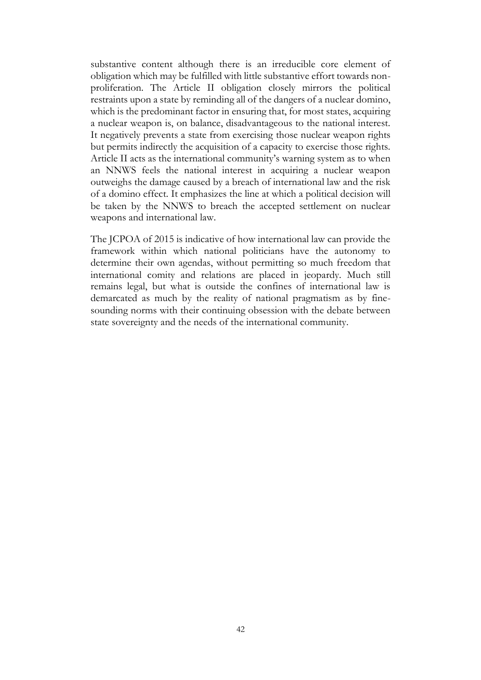substantive content although there is an irreducible core element of obligation which may be fulfilled with little substantive effort towards nonproliferation. The Article II obligation closely mirrors the political restraints upon a state by reminding all of the dangers of a nuclear domino, which is the predominant factor in ensuring that, for most states, acquiring a nuclear weapon is, on balance, disadvantageous to the national interest. It negatively prevents a state from exercising those nuclear weapon rights but permits indirectly the acquisition of a capacity to exercise those rights. Article II acts as the international community's warning system as to when an NNWS feels the national interest in acquiring a nuclear weapon outweighs the damage caused by a breach of international law and the risk of a domino effect. It emphasizes the line at which a political decision will be taken by the NNWS to breach the accepted settlement on nuclear weapons and international law.

The JCPOA of 2015 is indicative of how international law can provide the framework within which national politicians have the autonomy to determine their own agendas, without permitting so much freedom that international comity and relations are placed in jeopardy. Much still remains legal, but what is outside the confines of international law is demarcated as much by the reality of national pragmatism as by finesounding norms with their continuing obsession with the debate between state sovereignty and the needs of the international community.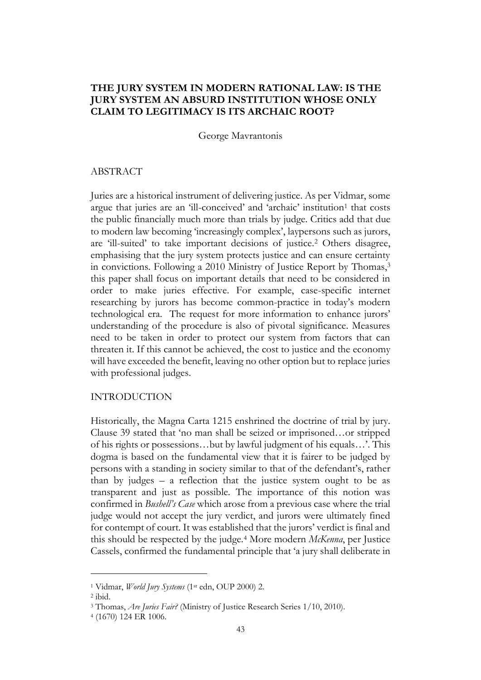# **THE JURY SYSTEM IN MODERN RATIONAL LAW: IS THE JURY SYSTEM AN ABSURD INSTITUTION WHOSE ONLY CLAIM TO LEGITIMACY IS ITS ARCHAIC ROOT?**

George Mavrantonis

### ABSTRACT

Juries are a historical instrument of delivering justice. As per Vidmar, some argue that juries are an 'ill-conceived' and 'archaic' institution<sup>1</sup> that costs the public financially much more than trials by judge. Critics add that due to modern law becoming 'increasingly complex', laypersons such as jurors, are 'ill-suited' to take important decisions of justice.<sup>2</sup> Others disagree, emphasising that the jury system protects justice and can ensure certainty in convictions. Following a 2010 Ministry of Justice Report by Thomas,<sup>3</sup> this paper shall focus on important details that need to be considered in order to make juries effective. For example, case-specific internet researching by jurors has become common-practice in today's modern technological era. The request for more information to enhance jurors' understanding of the procedure is also of pivotal significance. Measures need to be taken in order to protect our system from factors that can threaten it. If this cannot be achieved, the cost to justice and the economy will have exceeded the benefit, leaving no other option but to replace juries with professional judges.

### INTRODUCTION

Historically, the Magna Carta 1215 enshrined the doctrine of trial by jury. Clause 39 stated that 'no man shall be seized or imprisoned…or stripped of his rights or possessions…but by lawful judgment of his equals…'. This dogma is based on the fundamental view that it is fairer to be judged by persons with a standing in society similar to that of the defendant's, rather than by judges – a reflection that the justice system ought to be as transparent and just as possible. The importance of this notion was confirmed in *Bushell's Case* which arose from a previous case where the trial judge would not accept the jury verdict, and jurors were ultimately fined for contempt of court. It was established that the jurors' verdict is final and this should be respected by the judge.<sup>4</sup> More modern *McKenna*, per Justice Cassels, confirmed the fundamental principle that 'a jury shall deliberate in

<sup>1</sup> Vidmar, *World Jury Systems* (1st edn, OUP 2000) 2.

<sup>2</sup> ibid.

<sup>3</sup> Thomas, *Are Juries Fair?* (Ministry of Justice Research Series 1/10, 2010).

<sup>4</sup> (1670) 124 ER 1006.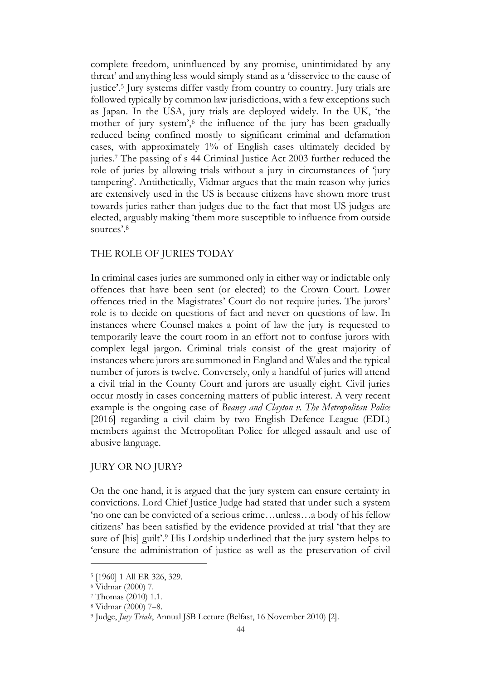complete freedom, uninfluenced by any promise, unintimidated by any threat' and anything less would simply stand as a 'disservice to the cause of justice'. <sup>5</sup> Jury systems differ vastly from country to country. Jury trials are followed typically by common law jurisdictions, with a few exceptions such as Japan. In the USA, jury trials are deployed widely. In the UK, 'the mother of jury system', 6 the influence of the jury has been gradually reduced being confined mostly to significant criminal and defamation cases, with approximately 1% of English cases ultimately decided by juries.<sup>7</sup> The passing of s 44 Criminal Justice Act 2003 further reduced the role of juries by allowing trials without a jury in circumstances of 'jury tampering'. Antithetically, Vidmar argues that the main reason why juries are extensively used in the US is because citizens have shown more trust towards juries rather than judges due to the fact that most US judges are elected, arguably making 'them more susceptible to influence from outside sources'. 8

## THE ROLE OF JURIES TODAY

In criminal cases juries are summoned only in either way or indictable only offences that have been sent (or elected) to the Crown Court. Lower offences tried in the Magistrates' Court do not require juries. The jurors' role is to decide on questions of fact and never on questions of law. In instances where Counsel makes a point of law the jury is requested to temporarily leave the court room in an effort not to confuse jurors with complex legal jargon. Criminal trials consist of the great majority of instances where jurors are summoned in England and Wales and the typical number of jurors is twelve. Conversely, only a handful of juries will attend a civil trial in the County Court and jurors are usually eight. Civil juries occur mostly in cases concerning matters of public interest. A very recent example is the ongoing case of *Beaney and Clayton v. The Metropolitan Police* [2016] regarding a civil claim by two English Defence League (EDL) members against the Metropolitan Police for alleged assault and use of abusive language.

# JURY OR NO JURY?

On the one hand, it is argued that the jury system can ensure certainty in convictions. Lord Chief Justice Judge had stated that under such a system 'no one can be convicted of a serious crime…unless…a body of his fellow citizens' has been satisfied by the evidence provided at trial 'that they are sure of [his] guilt'.<sup>9</sup> His Lordship underlined that the jury system helps to 'ensure the administration of justice as well as the preservation of civil

<sup>5</sup> [1960] 1 All ER 326, 329.

<sup>6</sup> Vidmar (2000) 7.

<sup>7</sup> Thomas (2010) 1.1.

<sup>8</sup> Vidmar (2000) 7–8.

<sup>9</sup> Judge, *Jury Trials*, Annual JSB Lecture (Belfast, 16 November 2010) [2].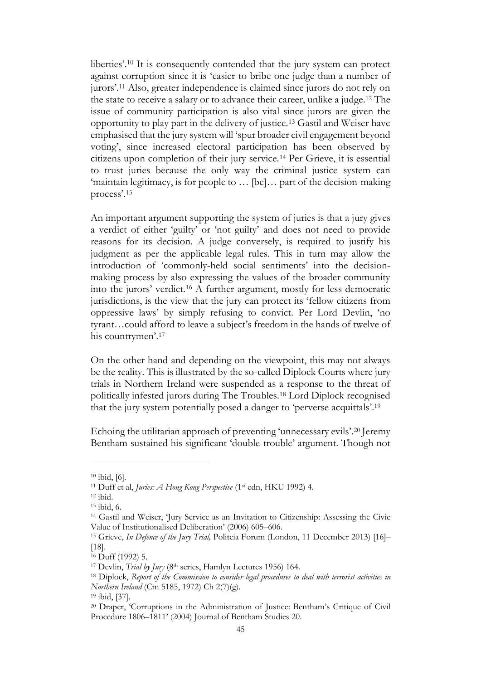liberties'. <sup>10</sup> It is consequently contended that the jury system can protect against corruption since it is 'easier to bribe one judge than a number of jurors'. <sup>11</sup> Also, greater independence is claimed since jurors do not rely on the state to receive a salary or to advance their career, unlike a judge.<sup>12</sup> The issue of community participation is also vital since jurors are given the opportunity to play part in the delivery of justice.<sup>13</sup> Gastil and Weiser have emphasised that the jury system will 'spur broader civil engagement beyond voting', since increased electoral participation has been observed by citizens upon completion of their jury service.<sup>14</sup> Per Grieve, it is essential to trust juries because the only way the criminal justice system can 'maintain legitimacy, is for people to … [be]… part of the decision-making process'. 15

An important argument supporting the system of juries is that a jury gives a verdict of either 'guilty' or 'not guilty' and does not need to provide reasons for its decision. A judge conversely, is required to justify his judgment as per the applicable legal rules. This in turn may allow the introduction of 'commonly-held social sentiments' into the decisionmaking process by also expressing the values of the broader community into the jurors' verdict.<sup>16</sup> A further argument, mostly for less democratic jurisdictions, is the view that the jury can protect its 'fellow citizens from oppressive laws' by simply refusing to convict. Per Lord Devlin, 'no tyrant…could afford to leave a subject's freedom in the hands of twelve of his countrymen'. 17

On the other hand and depending on the viewpoint, this may not always be the reality. This is illustrated by the so-called Diplock Courts where jury trials in Northern Ireland were suspended as a response to the threat of politically infested jurors during The Troubles.<sup>18</sup> Lord Diplock recognised that the jury system potentially posed a danger to 'perverse acquittals'.<sup>19</sup>

Echoing the utilitarian approach of preventing 'unnecessary evils'.<sup>20</sup> Jeremy Bentham sustained his significant 'double-trouble' argument. Though not

<sup>10</sup> ibid, [6].

<sup>11</sup> Duff et al, *Juries: A Hong Kong Perspective* (1st edn, HKU 1992) 4.

<sup>12</sup> ibid.

<sup>13</sup> ibid, 6.

<sup>14</sup> Gastil and Weiser, 'Jury Service as an Invitation to Citizenship: Assessing the Civic Value of Institutionalised Deliberation' (2006) 605–606.

<sup>15</sup> Grieve, *In Defence of the Jury Trial,* Politeia Forum (London, 11 December 2013) [16]– [18].

<sup>16</sup> Duff (1992) 5.

<sup>&</sup>lt;sup>17</sup> Devlin, *Trial by Jury* (8<sup>th</sup> series, Hamlyn Lectures 1956) 164.

<sup>18</sup> Diplock, *Report of the Commission to consider legal procedures to deal with terrorist activities in Northern Ireland* (Cm 5185, 1972) Ch 2(7)(g).

<sup>19</sup> ibid, [37].

<sup>20</sup> Draper, 'Corruptions in the Administration of Justice: Bentham's Critique of Civil Procedure 1806–1811' (2004) Journal of Bentham Studies 20.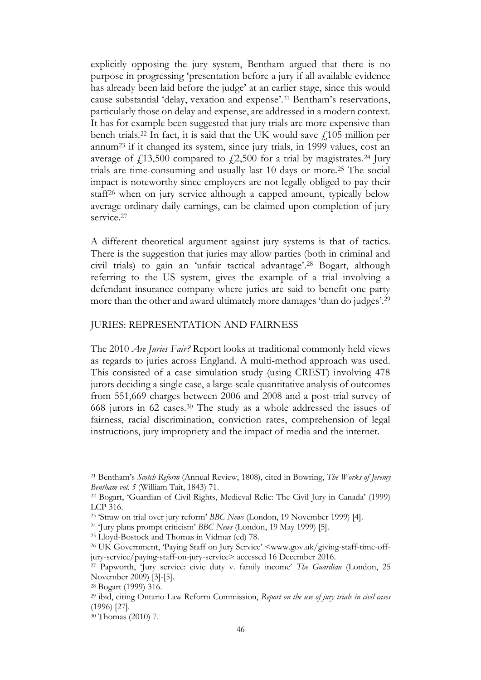explicitly opposing the jury system, Bentham argued that there is no purpose in progressing 'presentation before a jury if all available evidence has already been laid before the judge' at an earlier stage, since this would cause substantial 'delay, vexation and expense'.<sup>21</sup> Bentham's reservations, particularly those on delay and expense, are addressed in a modern context. It has for example been suggested that jury trials are more expensive than bench trials.<sup>22</sup> In fact, it is said that the UK would save  $\ell$ 105 million per annum<sup>23</sup> if it changed its system, since jury trials, in 1999 values, cost an average of  $f(13,500)$  compared to  $f(2,500)$  for a trial by magistrates.<sup>24</sup> Jury trials are time-consuming and usually last 10 days or more.<sup>25</sup> The social impact is noteworthy since employers are not legally obliged to pay their staff<sup>26</sup> when on jury service although a capped amount, typically below average ordinary daily earnings, can be claimed upon completion of jury service.<sup>27</sup>

A different theoretical argument against jury systems is that of tactics. There is the suggestion that juries may allow parties (both in criminal and civil trials) to gain an 'unfair tactical advantage'. <sup>28</sup> Bogart, although referring to the US system, gives the example of a trial involving a defendant insurance company where juries are said to benefit one party more than the other and award ultimately more damages 'than do judges'.<sup>29</sup>

## JURIES: REPRESENTATION AND FAIRNESS

The 2010 *Are Juries Fair?* Report looks at traditional commonly held views as regards to juries across England. A multi-method approach was used. This consisted of a case simulation study (using CREST) involving 478 jurors deciding a single case, a large-scale quantitative analysis of outcomes from 551,669 charges between 2006 and 2008 and a post-trial survey of 668 jurors in 62 cases.<sup>30</sup> The study as a whole addressed the issues of fairness, racial discrimination, conviction rates, comprehension of legal instructions, jury impropriety and the impact of media and the internet.

<sup>21</sup> Bentham's *Scotch Reform* (Annual Review, 1808), cited in Bowring, *The Works of Jeremy Bentham vol. 5* (William Tait, 1843) 71.

<sup>22</sup> Bogart, 'Guardian of Civil Rights, Medieval Relic: The Civil Jury in Canada' (1999) LCP 316.

<sup>23</sup> 'Straw on trial over jury reform' *BBC News* (London, 19 November 1999) [4].

<sup>24</sup> 'Jury plans prompt criticism' *BBC News* (London, 19 May 1999) [5].

<sup>25</sup> Lloyd-Bostock and Thomas in Vidmar (ed) 78.

<sup>26</sup> UK Government, 'Paying Staff on Jury Service' <www.gov.uk/giving-staff-time-offjury-service/paying-staff-on-jury-service> accessed 16 December 2016.

<sup>27</sup> Papworth, 'Jury service: civic duty v. family income' *The Guardian* (London, 25 November 2009) [3]-[5].

<sup>28</sup> Bogart (1999) 316.

<sup>29</sup> ibid, citing Ontario Law Reform Commission, *Report on the use of jury trials in civil cases* (1996) [27].

<sup>30</sup> Thomas (2010) 7.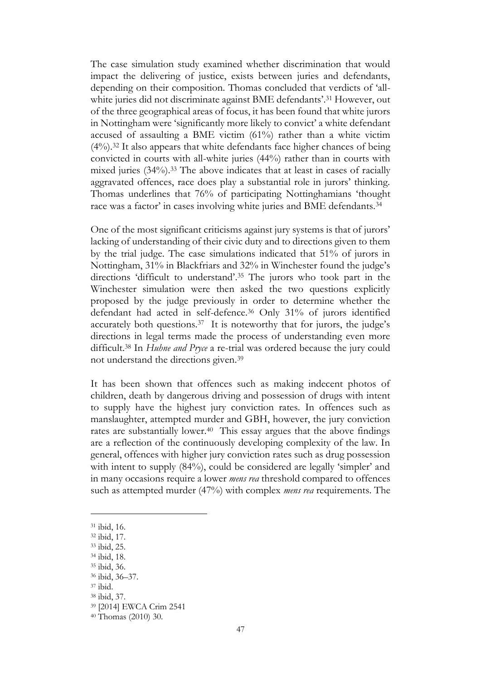The case simulation study examined whether discrimination that would impact the delivering of justice, exists between juries and defendants, depending on their composition. Thomas concluded that verdicts of 'allwhite juries did not discriminate against BME defendants'.<sup>31</sup> However, out of the three geographical areas of focus, it has been found that white jurors in Nottingham were 'significantly more likely to convict' a white defendant accused of assaulting a BME victim (61%) rather than a white victim (4%).<sup>32</sup> It also appears that white defendants face higher chances of being convicted in courts with all-white juries (44%) rather than in courts with mixed juries (34%).<sup>33</sup> The above indicates that at least in cases of racially aggravated offences, race does play a substantial role in jurors' thinking. Thomas underlines that 76% of participating Nottinghamians 'thought race was a factor' in cases involving white juries and BME defendants.<sup>34</sup>

One of the most significant criticisms against jury systems is that of jurors' lacking of understanding of their civic duty and to directions given to them by the trial judge. The case simulations indicated that 51% of jurors in Nottingham, 31% in Blackfriars and 32% in Winchester found the judge's directions 'difficult to understand'. <sup>35</sup> The jurors who took part in the Winchester simulation were then asked the two questions explicitly proposed by the judge previously in order to determine whether the defendant had acted in self-defence.<sup>36</sup> Only 31% of jurors identified accurately both questions.<sup>37</sup> It is noteworthy that for jurors, the judge's directions in legal terms made the process of understanding even more difficult.<sup>38</sup> In *Huhne and Pryce* a re-trial was ordered because the jury could not understand the directions given.<sup>39</sup>

It has been shown that offences such as making indecent photos of children, death by dangerous driving and possession of drugs with intent to supply have the highest jury conviction rates. In offences such as manslaughter, attempted murder and GBH, however, the jury conviction rates are substantially lower.<sup>40</sup> This essay argues that the above findings are a reflection of the continuously developing complexity of the law. In general, offences with higher jury conviction rates such as drug possession with intent to supply (84%), could be considered are legally 'simpler' and in many occasions require a lower *mens rea* threshold compared to offences such as attempted murder (47%) with complex *mens rea* requirements. The

- <sup>34</sup> ibid, 18.
- <sup>35</sup> ibid, 36.

<sup>37</sup> ibid.

<sup>31</sup> ibid, 16.

<sup>32</sup> ibid, 17.

<sup>33</sup> ibid, 25.

<sup>36</sup> ibid, 36–37.

<sup>38</sup> ibid, 37.

<sup>39</sup> [2014] EWCA Crim 2541

<sup>40</sup> Thomas (2010) 30.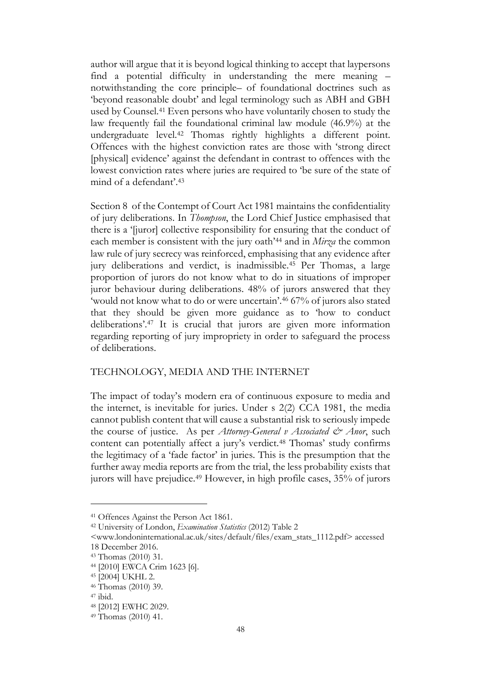author will argue that it is beyond logical thinking to accept that laypersons find a potential difficulty in understanding the mere meaning – notwithstanding the core principle– of foundational doctrines such as 'beyond reasonable doubt' and legal terminology such as ABH and GBH used by Counsel.<sup>41</sup> Even persons who have voluntarily chosen to study the law frequently fail the foundational criminal law module (46.9%) at the undergraduate level.<sup>42</sup> Thomas rightly highlights a different point. Offences with the highest conviction rates are those with 'strong direct [physical] evidence' against the defendant in contrast to offences with the lowest conviction rates where juries are required to 'be sure of the state of mind of a defendant'. 43

Section 8 of the Contempt of Court Act 1981 maintains the confidentiality of jury deliberations. In *Thompson*, the Lord Chief Justice emphasised that there is a '[juror] collective responsibility for ensuring that the conduct of each member is consistent with the jury oath'<sup>44</sup> and in *Mirza* the common law rule of jury secrecy was reinforced, emphasising that any evidence after jury deliberations and verdict, is inadmissible.<sup>45</sup> Per Thomas, a large proportion of jurors do not know what to do in situations of improper juror behaviour during deliberations. 48% of jurors answered that they 'would not know what to do or were uncertain'. <sup>46</sup> 67% of jurors also stated that they should be given more guidance as to 'how to conduct deliberations'.<sup>47</sup> It is crucial that jurors are given more information regarding reporting of jury impropriety in order to safeguard the process of deliberations.

## TECHNOLOGY, MEDIA AND THE INTERNET

The impact of today's modern era of continuous exposure to media and the internet, is inevitable for juries. Under s 2(2) CCA 1981, the media cannot publish content that will cause a substantial risk to seriously impede the course of justice. As per *Attorney-General v Associated & Anor*, such content can potentially affect a jury's verdict.<sup>48</sup> Thomas' study confirms the legitimacy of a 'fade factor' in juries. This is the presumption that the further away media reports are from the trial, the less probability exists that jurors will have prejudice.<sup>49</sup> However, in high profile cases, 35% of jurors

<sup>41</sup> Offences Against the Person Act 1861.

<sup>42</sup> University of London, *Examination Statistics* (2012) Table 2

<sup>&</sup>lt;www.londoninternational.ac.uk/sites/default/files/exam\_stats\_1112.pdf> accessed 18 December 2016.

<sup>43</sup> Thomas (2010) 31.

<sup>44</sup> [2010] EWCA Crim 1623 [6].

<sup>45</sup> [2004] UKHL 2.

<sup>46</sup> Thomas (2010) 39.

<sup>47</sup> ibid.

<sup>48</sup> [2012] EWHC 2029.

<sup>49</sup> Thomas (2010) 41.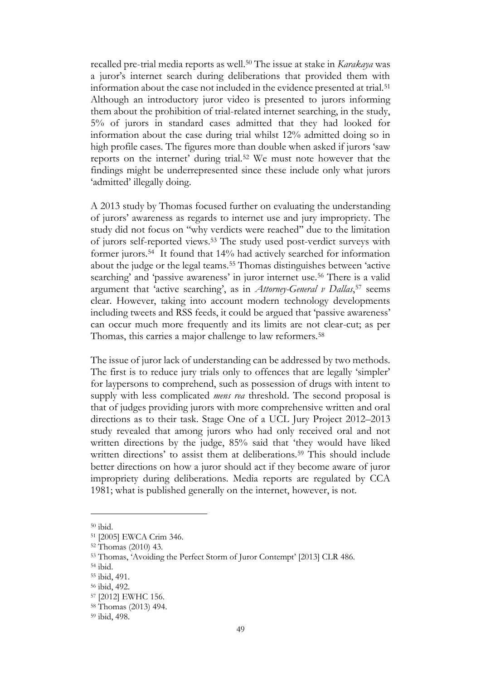recalled pre-trial media reports as well.<sup>50</sup> The issue at stake in *Karakaya* was a juror's internet search during deliberations that provided them with information about the case not included in the evidence presented at trial.<sup>51</sup> Although an introductory juror video is presented to jurors informing them about the prohibition of trial-related internet searching, in the study, 5% of jurors in standard cases admitted that they had looked for information about the case during trial whilst 12% admitted doing so in high profile cases. The figures more than double when asked if jurors 'saw reports on the internet' during trial.<sup>52</sup> We must note however that the findings might be underrepresented since these include only what jurors 'admitted' illegally doing.

A 2013 study by Thomas focused further on evaluating the understanding of jurors' awareness as regards to internet use and jury impropriety. The study did not focus on ''why verdicts were reached'' due to the limitation of jurors self-reported views.<sup>53</sup> The study used post-verdict surveys with former jurors.<sup>54</sup> It found that 14% had actively searched for information about the judge or the legal teams.<sup>55</sup> Thomas distinguishes between 'active searching' and 'passive awareness' in juror internet use.<sup>56</sup> There is a valid argument that 'active searching', as in *Attorney-General v Dallas*, <sup>57</sup> seems clear. However, taking into account modern technology developments including tweets and RSS feeds, it could be argued that 'passive awareness' can occur much more frequently and its limits are not clear-cut; as per Thomas, this carries a major challenge to law reformers.<sup>58</sup>

The issue of juror lack of understanding can be addressed by two methods. The first is to reduce jury trials only to offences that are legally 'simpler' for laypersons to comprehend, such as possession of drugs with intent to supply with less complicated *mens rea* threshold. The second proposal is that of judges providing jurors with more comprehensive written and oral directions as to their task. Stage One of a UCL Jury Project 2012–2013 study revealed that among jurors who had only received oral and not written directions by the judge, 85% said that 'they would have liked written directions' to assist them at deliberations.<sup>59</sup> This should include better directions on how a juror should act if they become aware of juror impropriety during deliberations. Media reports are regulated by CCA 1981; what is published generally on the internet, however, is not.

 $^{50}$ ibid.

<sup>51</sup> [2005] EWCA Crim 346.

<sup>52</sup> Thomas (2010) 43.

<sup>53</sup> Thomas, 'Avoiding the Perfect Storm of Juror Contempt' [2013] CLR 486.

<sup>54</sup> ibid.

<sup>55</sup> ibid, 491.

<sup>56</sup> ibid, 492.

<sup>57</sup> [2012] EWHC 156.

<sup>58</sup> Thomas (2013) 494.

<sup>59</sup> ibid, 498.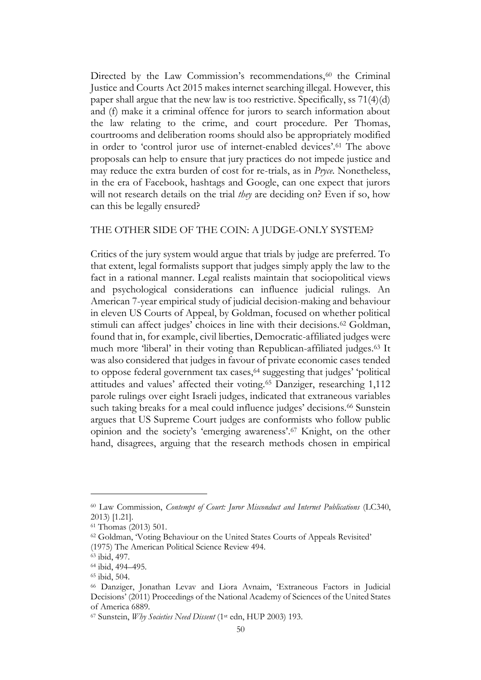Directed by the Law Commission's recommendations, $60$  the Criminal Justice and Courts Act 2015 makes internet searching illegal. However, this paper shall argue that the new law is too restrictive. Specifically, ss 71(4)(d) and (f) make it a criminal offence for jurors to search information about the law relating to the crime, and court procedure. Per Thomas, courtrooms and deliberation rooms should also be appropriately modified in order to 'control juror use of internet-enabled devices'.<sup>61</sup> The above proposals can help to ensure that jury practices do not impede justice and may reduce the extra burden of cost for re-trials, as in *Pryce*. Nonetheless, in the era of Facebook, hashtags and Google, can one expect that jurors will not research details on the trial *they* are deciding on? Even if so, how can this be legally ensured?

#### THE OTHER SIDE OF THE COIN: A JUDGE-ONLY SYSTEM?

Critics of the jury system would argue that trials by judge are preferred. To that extent, legal formalists support that judges simply apply the law to the fact in a rational manner. Legal realists maintain that sociopolitical views and psychological considerations can influence judicial rulings. An American 7-year empirical study of judicial decision-making and behaviour in eleven US Courts of Appeal, by Goldman, focused on whether political stimuli can affect judges' choices in line with their decisions.<sup>62</sup> Goldman, found that in, for example, civil liberties, Democratic-affiliated judges were much more 'liberal' in their voting than Republican-affiliated judges.<sup>63</sup> It was also considered that judges in favour of private economic cases tended to oppose federal government tax cases,<sup>64</sup> suggesting that judges' 'political attitudes and values' affected their voting.<sup>65</sup> Danziger, researching 1,112 parole rulings over eight Israeli judges, indicated that extraneous variables such taking breaks for a meal could influence judges' decisions.<sup>66</sup> Sunstein argues that US Supreme Court judges are conformists who follow public opinion and the society's 'emerging awareness'. <sup>67</sup> Knight, on the other hand, disagrees, arguing that the research methods chosen in empirical

<sup>60</sup> Law Commission, *Contempt of Court: Juror Misconduct and Internet Publications* (LC340, 2013) [1.21].

<sup>61</sup> Thomas (2013) 501.

<sup>62</sup> Goldman, 'Voting Behaviour on the United States Courts of Appeals Revisited' (1975) The American Political Science Review 494.

<sup>63</sup> ibid, 497.

<sup>64</sup> ibid, 494–495.

<sup>65</sup> ibid, 504.

<sup>66</sup> Danziger, Jonathan Levav and Liora Avnaim, 'Extraneous Factors in Judicial Decisions' (2011) Proceedings of the National Academy of Sciences of the United States of America 6889.

<sup>67</sup> Sunstein, *Why Societies Need Dissent* (1st edn, HUP 2003) 193.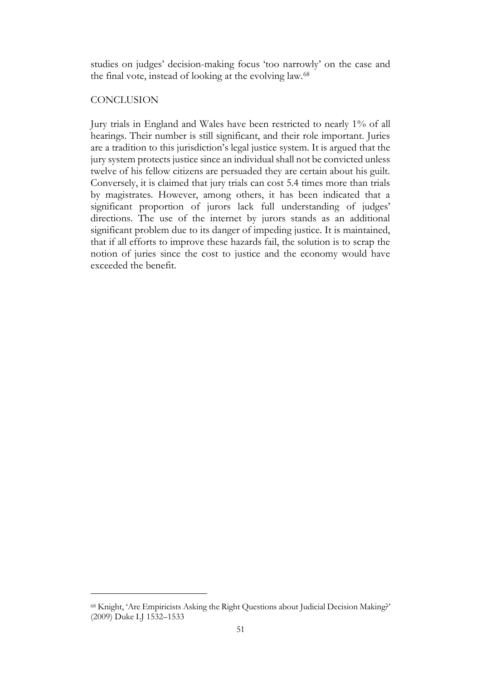studies on judges' decision-making focus 'too narrowly' on the case and the final vote, instead of looking at the evolving law.<sup>68</sup>

## **CONCLUSION**

Jury trials in England and Wales have been restricted to nearly 1% of all hearings. Their number is still significant, and their role important. Juries are a tradition to this jurisdiction's legal justice system. It is argued that the jury system protects justice since an individual shall not be convicted unless twelve of his fellow citizens are persuaded they are certain about his guilt. Conversely, it is claimed that jury trials can cost 5.4 times more than trials by magistrates. However, among others, it has been indicated that a significant proportion of jurors lack full understanding of judges' directions. The use of the internet by jurors stands as an additional significant problem due to its danger of impeding justice. It is maintained, that if all efforts to improve these hazards fail, the solution is to scrap the notion of juries since the cost to justice and the economy would have exceeded the benefit.

<sup>68</sup> Knight, 'Are Empiricists Asking the Right Questions about Judicial Decision Making?' (2009) Duke LJ 1532–1533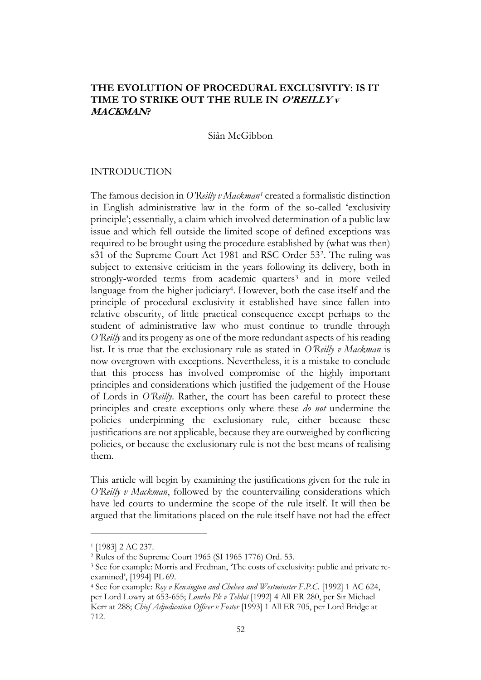# **THE EVOLUTION OF PROCEDURAL EXCLUSIVITY: IS IT TIME TO STRIKE OUT THE RULE IN O'REILLY v MACKMAN?**

#### Siân McGibbon

### INTRODUCTION

The famous decision in *O'Reilly v Mackman<sup>1</sup>* created a formalistic distinction in English administrative law in the form of the so-called 'exclusivity principle'; essentially, a claim which involved determination of a public law issue and which fell outside the limited scope of defined exceptions was required to be brought using the procedure established by (what was then) s31 of the Supreme Court Act 1981 and RSC Order 53<sup>2</sup> . The ruling was subject to extensive criticism in the years following its delivery, both in strongly-worded terms from academic quarters<sup>3</sup> and in more veiled language from the higher judiciary<sup>4</sup>. However, both the case itself and the principle of procedural exclusivity it established have since fallen into relative obscurity, of little practical consequence except perhaps to the student of administrative law who must continue to trundle through *O'Reilly* and its progeny as one of the more redundant aspects of his reading list. It is true that the exclusionary rule as stated in *O'Reilly v Mackman* is now overgrown with exceptions. Nevertheless, it is a mistake to conclude that this process has involved compromise of the highly important principles and considerations which justified the judgement of the House of Lords in *O'Reilly*. Rather, the court has been careful to protect these principles and create exceptions only where these *do not* undermine the policies underpinning the exclusionary rule, either because these justifications are not applicable, because they are outweighed by conflicting policies, or because the exclusionary rule is not the best means of realising them.

This article will begin by examining the justifications given for the rule in *O'Reilly v Mackman*, followed by the countervailing considerations which have led courts to undermine the scope of the rule itself. It will then be argued that the limitations placed on the rule itself have not had the effect

<sup>1</sup> [1983] 2 AC 237.

<sup>2</sup> Rules of the Supreme Court 1965 (SI 1965 1776) Ord. 53.

<sup>&</sup>lt;sup>3</sup> See for example: Morris and Fredman, 'The costs of exclusivity: public and private reexamined', [1994] PL 69.

<sup>4</sup> See for example: *Roy v Kensington and Chelsea and Westminster F.P.C.* [1992] 1 AC 624, per Lord Lowry at 653-655; *Lonrho Plc v Tebbit* [1992] 4 All ER 280, per Sir Michael Kerr at 288; *Chief Adjudication Officer v Foster* [1993] 1 All ER 705, per Lord Bridge at 712.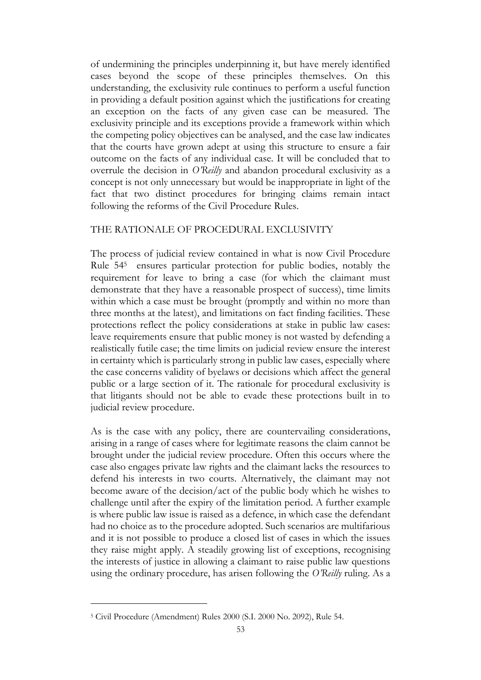of undermining the principles underpinning it, but have merely identified cases beyond the scope of these principles themselves. On this understanding, the exclusivity rule continues to perform a useful function in providing a default position against which the justifications for creating an exception on the facts of any given case can be measured. The exclusivity principle and its exceptions provide a framework within which the competing policy objectives can be analysed, and the case law indicates that the courts have grown adept at using this structure to ensure a fair outcome on the facts of any individual case. It will be concluded that to overrule the decision in *O'Reilly* and abandon procedural exclusivity as a concept is not only unnecessary but would be inappropriate in light of the fact that two distinct procedures for bringing claims remain intact following the reforms of the Civil Procedure Rules.

## THE RATIONALE OF PROCEDURAL EXCLUSIVITY

The process of judicial review contained in what is now Civil Procedure Rule 54<sup>5</sup> ensures particular protection for public bodies, notably the requirement for leave to bring a case (for which the claimant must demonstrate that they have a reasonable prospect of success), time limits within which a case must be brought (promptly and within no more than three months at the latest), and limitations on fact finding facilities. These protections reflect the policy considerations at stake in public law cases: leave requirements ensure that public money is not wasted by defending a realistically futile case; the time limits on judicial review ensure the interest in certainty which is particularly strong in public law cases, especially where the case concerns validity of byelaws or decisions which affect the general public or a large section of it. The rationale for procedural exclusivity is that litigants should not be able to evade these protections built in to judicial review procedure.

As is the case with any policy, there are countervailing considerations, arising in a range of cases where for legitimate reasons the claim cannot be brought under the judicial review procedure. Often this occurs where the case also engages private law rights and the claimant lacks the resources to defend his interests in two courts. Alternatively, the claimant may not become aware of the decision/act of the public body which he wishes to challenge until after the expiry of the limitation period. A further example is where public law issue is raised as a defence, in which case the defendant had no choice as to the procedure adopted. Such scenarios are multifarious and it is not possible to produce a closed list of cases in which the issues they raise might apply. A steadily growing list of exceptions, recognising the interests of justice in allowing a claimant to raise public law questions using the ordinary procedure, has arisen following the *O'Reilly* ruling. As a

<sup>5</sup> Civil Procedure (Amendment) Rules 2000 (S.I. 2000 No. 2092), Rule 54.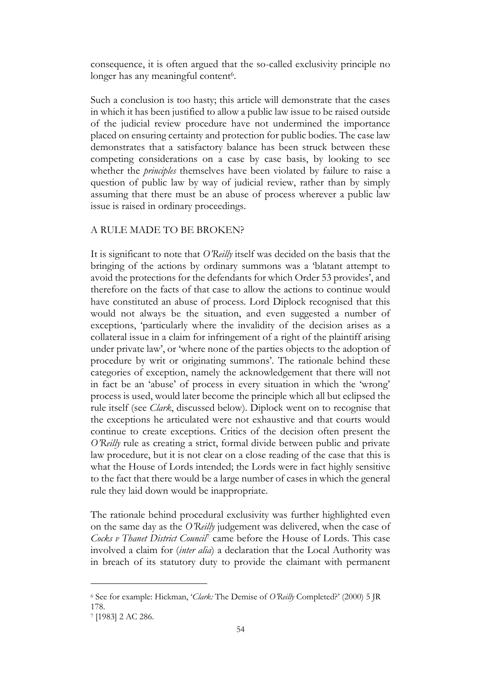consequence, it is often argued that the so-called exclusivity principle no longer has any meaningful content<sup>6</sup>.

Such a conclusion is too hasty; this article will demonstrate that the cases in which it has been justified to allow a public law issue to be raised outside of the judicial review procedure have not undermined the importance placed on ensuring certainty and protection for public bodies. The case law demonstrates that a satisfactory balance has been struck between these competing considerations on a case by case basis, by looking to see whether the *principles* themselves have been violated by failure to raise a question of public law by way of judicial review, rather than by simply assuming that there must be an abuse of process wherever a public law issue is raised in ordinary proceedings.

## A RULE MADE TO BE BROKEN?

It is significant to note that *O'Reilly* itself was decided on the basis that the bringing of the actions by ordinary summons was a 'blatant attempt to avoid the protections for the defendants for which Order 53 provides', and therefore on the facts of that case to allow the actions to continue would have constituted an abuse of process. Lord Diplock recognised that this would not always be the situation, and even suggested a number of exceptions, 'particularly where the invalidity of the decision arises as a collateral issue in a claim for infringement of a right of the plaintiff arising under private law', or 'where none of the parties objects to the adoption of procedure by writ or originating summons'. The rationale behind these categories of exception, namely the acknowledgement that there will not in fact be an 'abuse' of process in every situation in which the 'wrong' process is used, would later become the principle which all but eclipsed the rule itself (see *Clark*, discussed below). Diplock went on to recognise that the exceptions he articulated were not exhaustive and that courts would continue to create exceptions. Critics of the decision often present the *O'Reilly* rule as creating a strict, formal divide between public and private law procedure, but it is not clear on a close reading of the case that this is what the House of Lords intended; the Lords were in fact highly sensitive to the fact that there would be a large number of cases in which the general rule they laid down would be inappropriate.

The rationale behind procedural exclusivity was further highlighted even on the same day as the *O'Reilly* judgement was delivered, when the case of *Cocks v Thanet District Council*<sup>7</sup> came before the House of Lords. This case involved a claim for (*inter alia*) a declaration that the Local Authority was in breach of its statutory duty to provide the claimant with permanent

<sup>6</sup> See for example: Hickman, '*Clark:* The Demise of *O'Reilly* Completed?' (2000) 5 JR 178.

<sup>7</sup> [1983] 2 AC 286.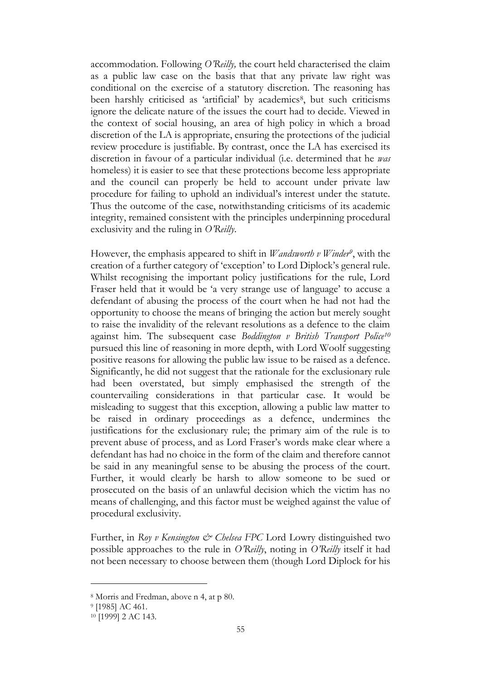accommodation. Following *O'Reilly,* the court held characterised the claim as a public law case on the basis that that any private law right was conditional on the exercise of a statutory discretion. The reasoning has been harshly criticised as 'artificial' by academics<sup>8</sup>, but such criticisms ignore the delicate nature of the issues the court had to decide. Viewed in the context of social housing, an area of high policy in which a broad discretion of the LA is appropriate, ensuring the protections of the judicial review procedure is justifiable. By contrast, once the LA has exercised its discretion in favour of a particular individual (i.e. determined that he *was* homeless) it is easier to see that these protections become less appropriate and the council can properly be held to account under private law procedure for failing to uphold an individual's interest under the statute. Thus the outcome of the case, notwithstanding criticisms of its academic integrity, remained consistent with the principles underpinning procedural exclusivity and the ruling in *O'Reilly*.

However, the emphasis appeared to shift in *Wandsworth v Winder<sup>9</sup>* , with the creation of a further category of 'exception' to Lord Diplock's general rule. Whilst recognising the important policy justifications for the rule, Lord Fraser held that it would be 'a very strange use of language' to accuse a defendant of abusing the process of the court when he had not had the opportunity to choose the means of bringing the action but merely sought to raise the invalidity of the relevant resolutions as a defence to the claim against him. The subsequent case *Boddington v British Transport Police<sup>10</sup>* pursued this line of reasoning in more depth, with Lord Woolf suggesting positive reasons for allowing the public law issue to be raised as a defence. Significantly, he did not suggest that the rationale for the exclusionary rule had been overstated, but simply emphasised the strength of the countervailing considerations in that particular case. It would be misleading to suggest that this exception, allowing a public law matter to be raised in ordinary proceedings as a defence, undermines the justifications for the exclusionary rule; the primary aim of the rule is to prevent abuse of process, and as Lord Fraser's words make clear where a defendant has had no choice in the form of the claim and therefore cannot be said in any meaningful sense to be abusing the process of the court. Further, it would clearly be harsh to allow someone to be sued or prosecuted on the basis of an unlawful decision which the victim has no means of challenging, and this factor must be weighed against the value of procedural exclusivity.

Further, in *Roy v Kensington & Chelsea FPC* Lord Lowry distinguished two possible approaches to the rule in *O'Reilly*, noting in *O'Reilly* itself it had not been necessary to choose between them (though Lord Diplock for his

<sup>8</sup> Morris and Fredman, above n 4, at p 80.

<sup>9</sup> [1985] AC 461.

<sup>10</sup> [1999] 2 AC 143.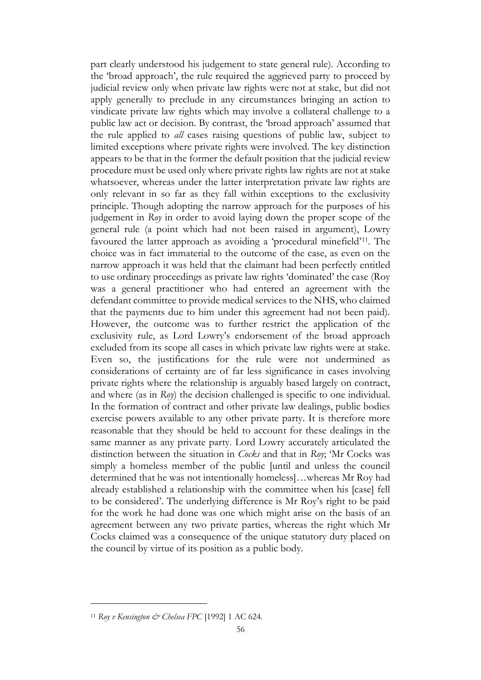part clearly understood his judgement to state general rule). According to the 'broad approach', the rule required the aggrieved party to proceed by judicial review only when private law rights were not at stake, but did not apply generally to preclude in any circumstances bringing an action to vindicate private law rights which may involve a collateral challenge to a public law act or decision. By contrast, the 'broad approach' assumed that the rule applied to *all* cases raising questions of public law, subject to limited exceptions where private rights were involved. The key distinction appears to be that in the former the default position that the judicial review procedure must be used only where private rights law rights are not at stake whatsoever, whereas under the latter interpretation private law rights are only relevant in so far as they fall within exceptions to the exclusivity principle. Though adopting the narrow approach for the purposes of his judgement in *Roy* in order to avoid laying down the proper scope of the general rule (a point which had not been raised in argument), Lowry favoured the latter approach as avoiding a 'procedural minefield'11. The choice was in fact immaterial to the outcome of the case, as even on the narrow approach it was held that the claimant had been perfectly entitled to use ordinary proceedings as private law rights 'dominated' the case (Roy was a general practitioner who had entered an agreement with the defendant committee to provide medical services to the NHS, who claimed that the payments due to him under this agreement had not been paid). However, the outcome was to further restrict the application of the exclusivity rule, as Lord Lowry's endorsement of the broad approach excluded from its scope all cases in which private law rights were at stake. Even so, the justifications for the rule were not undermined as considerations of certainty are of far less significance in cases involving private rights where the relationship is arguably based largely on contract, and where (as in *Roy*) the decision challenged is specific to one individual. In the formation of contract and other private law dealings, public bodies exercise powers available to any other private party. It is therefore more reasonable that they should be held to account for these dealings in the same manner as any private party. Lord Lowry accurately articulated the distinction between the situation in *Cocks* and that in *Roy*; 'Mr Cocks was simply a homeless member of the public [until and unless the council determined that he was not intentionally homeless]…whereas Mr Roy had already established a relationship with the committee when his [case] fell to be considered'. The underlying difference is Mr Roy's right to be paid for the work he had done was one which might arise on the basis of an agreement between any two private parties, whereas the right which Mr Cocks claimed was a consequence of the unique statutory duty placed on the council by virtue of its position as a public body.

<sup>&</sup>lt;sup>11</sup> Roy v Kensington & Chelsea FPC [1992] 1 AC 624.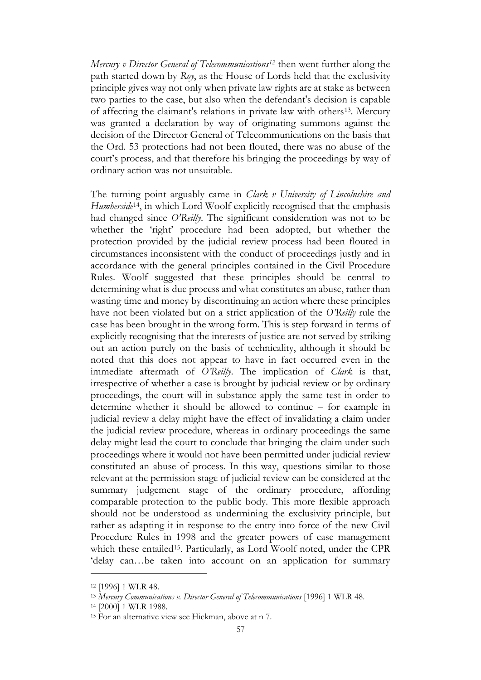*Mercury v Director General of Telecommunications<sup>12</sup>* then went further along the path started down by *Roy*, as the House of Lords held that the exclusivity principle gives way not only when private law rights are at stake as between two parties to the case, but also when the defendant's decision is capable of affecting the claimant's relations in private law with others13. Mercury was granted a declaration by way of originating summons against the decision of the Director General of Telecommunications on the basis that the Ord. 53 protections had not been flouted, there was no abuse of the court's process, and that therefore his bringing the proceedings by way of ordinary action was not unsuitable.

The turning point arguably came in *Clark v University of Lincolnshire and Humberside*14, in which Lord Woolf explicitly recognised that the emphasis had changed since *O'Reilly*. The significant consideration was not to be whether the 'right' procedure had been adopted, but whether the protection provided by the judicial review process had been flouted in circumstances inconsistent with the conduct of proceedings justly and in accordance with the general principles contained in the Civil Procedure Rules. Woolf suggested that these principles should be central to determining what is due process and what constitutes an abuse, rather than wasting time and money by discontinuing an action where these principles have not been violated but on a strict application of the *O'Reilly* rule the case has been brought in the wrong form. This is step forward in terms of explicitly recognising that the interests of justice are not served by striking out an action purely on the basis of technicality, although it should be noted that this does not appear to have in fact occurred even in the immediate aftermath of *O'Reilly*. The implication of *Clark* is that, irrespective of whether a case is brought by judicial review or by ordinary proceedings, the court will in substance apply the same test in order to determine whether it should be allowed to continue – for example in judicial review a delay might have the effect of invalidating a claim under the judicial review procedure, whereas in ordinary proceedings the same delay might lead the court to conclude that bringing the claim under such proceedings where it would not have been permitted under judicial review constituted an abuse of process. In this way, questions similar to those relevant at the permission stage of judicial review can be considered at the summary judgement stage of the ordinary procedure, affording comparable protection to the public body. This more flexible approach should not be understood as undermining the exclusivity principle, but rather as adapting it in response to the entry into force of the new Civil Procedure Rules in 1998 and the greater powers of case management which these entailed<sup>15</sup>. Particularly, as Lord Woolf noted, under the CPR 'delay can…be taken into account on an application for summary

<sup>12</sup> [1996] 1 WLR 48.

<sup>13</sup> *Mercury Communications v. Director General of Telecommunications* [1996] 1 WLR 48.

<sup>14</sup> [2000] 1 WLR 1988.

<sup>15</sup> For an alternative view see Hickman, above at n 7.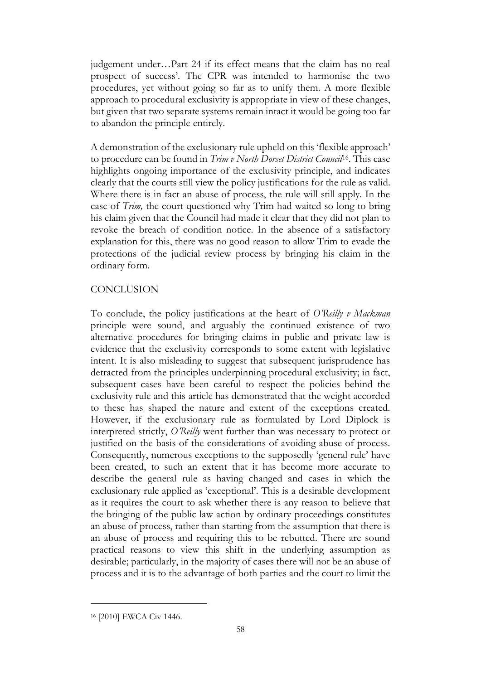judgement under…Part 24 if its effect means that the claim has no real prospect of success'. The CPR was intended to harmonise the two procedures, yet without going so far as to unify them. A more flexible approach to procedural exclusivity is appropriate in view of these changes, but given that two separate systems remain intact it would be going too far to abandon the principle entirely.

A demonstration of the exclusionary rule upheld on this 'flexible approach' to procedure can be found in *Trim v North Dorset District Council*16. This case highlights ongoing importance of the exclusivity principle, and indicates clearly that the courts still view the policy justifications for the rule as valid. Where there is in fact an abuse of process, the rule will still apply. In the case of *Trim,* the court questioned why Trim had waited so long to bring his claim given that the Council had made it clear that they did not plan to revoke the breach of condition notice. In the absence of a satisfactory explanation for this, there was no good reason to allow Trim to evade the protections of the judicial review process by bringing his claim in the ordinary form.

## **CONCLUSION**

To conclude, the policy justifications at the heart of *O'Reilly v Mackman*  principle were sound, and arguably the continued existence of two alternative procedures for bringing claims in public and private law is evidence that the exclusivity corresponds to some extent with legislative intent. It is also misleading to suggest that subsequent jurisprudence has detracted from the principles underpinning procedural exclusivity; in fact, subsequent cases have been careful to respect the policies behind the exclusivity rule and this article has demonstrated that the weight accorded to these has shaped the nature and extent of the exceptions created. However, if the exclusionary rule as formulated by Lord Diplock is interpreted strictly, *O'Reilly* went further than was necessary to protect or justified on the basis of the considerations of avoiding abuse of process. Consequently, numerous exceptions to the supposedly 'general rule' have been created, to such an extent that it has become more accurate to describe the general rule as having changed and cases in which the exclusionary rule applied as 'exceptional'. This is a desirable development as it requires the court to ask whether there is any reason to believe that the bringing of the public law action by ordinary proceedings constitutes an abuse of process, rather than starting from the assumption that there is an abuse of process and requiring this to be rebutted. There are sound practical reasons to view this shift in the underlying assumption as desirable; particularly, in the majority of cases there will not be an abuse of process and it is to the advantage of both parties and the court to limit the

<sup>16</sup> [2010] EWCA Civ 1446.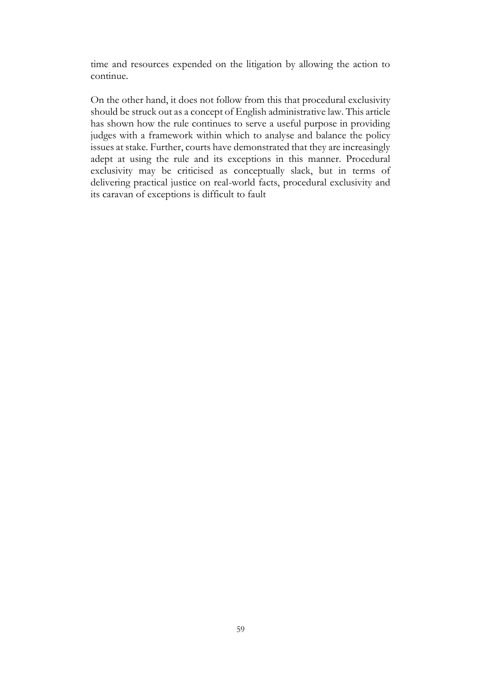time and resources expended on the litigation by allowing the action to continue.

On the other hand, it does not follow from this that procedural exclusivity should be struck out as a concept of English administrative law. This article has shown how the rule continues to serve a useful purpose in providing judges with a framework within which to analyse and balance the policy issues at stake. Further, courts have demonstrated that they are increasingly adept at using the rule and its exceptions in this manner. Procedural exclusivity may be criticised as conceptually slack, but in terms of delivering practical justice on real-world facts, procedural exclusivity and its caravan of exceptions is difficult to fault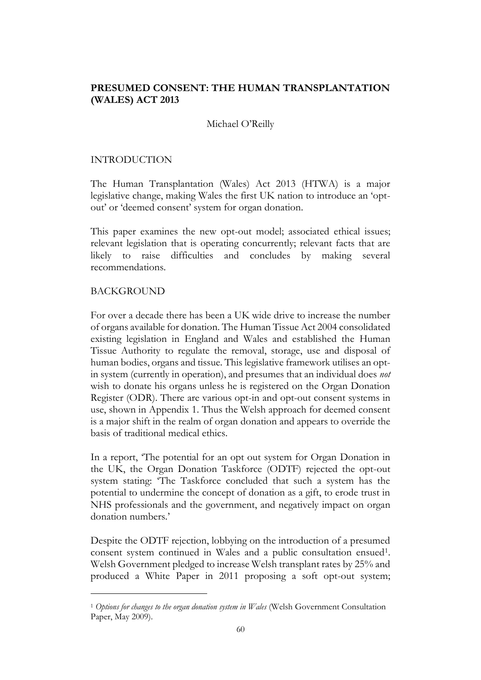# **PRESUMED CONSENT: THE HUMAN TRANSPLANTATION (WALES) ACT 2013**

## Michael O'Reilly

## INTRODUCTION

The Human Transplantation (Wales) Act 2013 (HTWA) is a major legislative change, making Wales the first UK nation to introduce an 'optout' or 'deemed consent' system for organ donation.

This paper examines the new opt-out model; associated ethical issues; relevant legislation that is operating concurrently; relevant facts that are likely to raise difficulties and concludes by making several recommendations.

## BACKGROUND

For over a decade there has been a UK wide drive to increase the number of organs available for donation. The Human Tissue Act 2004 consolidated existing legislation in England and Wales and established the Human Tissue Authority to regulate the removal, storage, use and disposal of human bodies, organs and tissue. This legislative framework utilises an optin system (currently in operation), and presumes that an individual does *not* wish to donate his organs unless he is registered on the Organ Donation Register (ODR). There are various opt-in and opt-out consent systems in use, shown in Appendix 1. Thus the Welsh approach for deemed consent is a major shift in the realm of organ donation and appears to override the basis of traditional medical ethics.

In a report, 'The potential for an opt out system for Organ Donation in the UK, the Organ Donation Taskforce (ODTF) rejected the opt-out system stating: 'The Taskforce concluded that such a system has the potential to undermine the concept of donation as a gift, to erode trust in NHS professionals and the government, and negatively impact on organ donation numbers.'

Despite the ODTF rejection, lobbying on the introduction of a presumed consent system continued in Wales and a public consultation ensued<sup>1</sup>. Welsh Government pledged to increase Welsh transplant rates by 25% and produced a White Paper in 2011 proposing a soft opt-out system;

<sup>1</sup> *Options for changes to the organ donation system in Wales* (Welsh Government Consultation Paper, May 2009).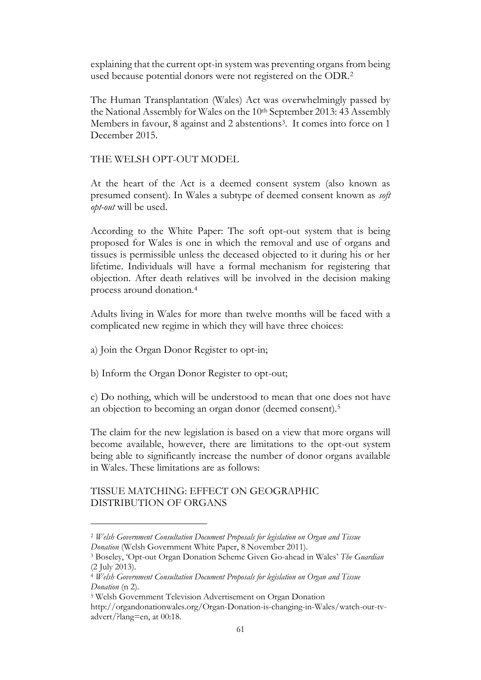explaining that the current opt-in system was preventing organs from being used because potential donors were not registered on the ODR.<sup>2</sup>

The Human Transplantation (Wales) Act was overwhelmingly passed by the National Assembly for Wales on the 10th September 2013: 43 Assembly Members in favour, 8 against and 2 abstentions<sup>3</sup>. It comes into force on 1 December 2015.

THE WELSH OPT-OUT MODEL

At the heart of the Act is a deemed consent system (also known as presumed consent). In Wales a subtype of deemed consent known as *soft opt-out* will be used.

According to the White Paper: The soft opt-out system that is being proposed for Wales is one in which the removal and use of organs and tissues is permissible unless the deceased objected to it during his or her lifetime. Individuals will have a formal mechanism for registering that objection. After death relatives will be involved in the decision making process around donation.<sup>4</sup>

Adults living in Wales for more than twelve months will be faced with a complicated new regime in which they will have three choices:

a) Join the Organ Donor Register to opt-in;

b) Inform the Organ Donor Register to opt-out;

c) Do nothing, which will be understood to mean that one does not have an objection to becoming an organ donor (deemed consent).<sup>5</sup>

The claim for the new legislation is based on a view that more organs will become available, however, there are limitations to the opt-out system being able to significantly increase the number of donor organs available in Wales. These limitations are as follows:

# TISSUE MATCHING: EFFECT ON GEOGRAPHIC DISTRIBUTION OF ORGANS

<sup>2</sup> *Welsh Government Consultation Document Proposals for legislation on Organ and Tissue Donation* (Welsh Government White Paper, 8 November 2011).

<sup>3</sup> Boseley, 'Opt-out Organ Donation Scheme Given Go-ahead in Wales' *The Guardian* (2 July 2013).

<sup>4</sup> *Welsh Government Consultation Document Proposals for legislation on Organ and Tissue Donation* (n 2).

<sup>5</sup> Welsh Government Television Advertisement on Organ Donation

http://organdonationwales.org/Organ-Donation-is-changing-in-Wales/watch-our-tvadvert/?lang=en, at 00:18.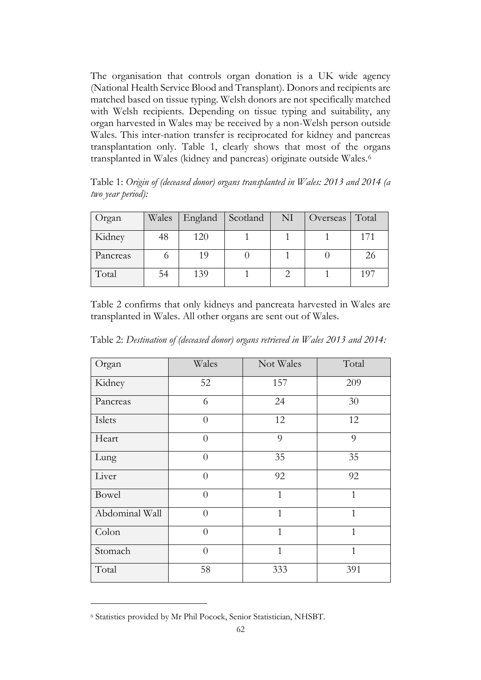The organisation that controls organ donation is a UK wide agency (National Health Service Blood and Transplant). Donors and recipients are matched based on tissue typing. Welsh donors are not specifically matched with Welsh recipients. Depending on tissue typing and suitability, any organ harvested in Wales may be received by a non-Welsh person outside Wales. This inter-nation transfer is reciprocated for kidney and pancreas transplantation only. Table 1, clearly shows that most of the organs transplanted in Wales (kidney and pancreas) originate outside Wales.<sup>6</sup>

Table 1: *Origin of (deceased donor) organs transplanted in Wales: 2013 and 2014 (a two year period):*

| Organ    | Wales | England Scotland | NI | Overseas | Total |
|----------|-------|------------------|----|----------|-------|
| Kidney   | 48    | 120              |    |          | 171   |
| Pancreas |       | 19               |    |          | 26    |
| Total    | 54    | 139              |    |          | 197   |

Table 2 confirms that only kidneys and pancreata harvested in Wales are transplanted in Wales. All other organs are sent out of Wales.

| Organ          | Wales          | Not Wales    | Total          |
|----------------|----------------|--------------|----------------|
| Kidney         | 52             | 157          | 209            |
| Pancreas       | 6              | 24           | 30             |
| Islets         | $\overline{0}$ | 12           | 12             |
| Heart          | $\overline{0}$ | 9            | 9              |
| Lung           | $\overline{0}$ | 35           | 35             |
| Liver          | $\overline{0}$ | 92           | 92             |
| Bowel          | $\overline{0}$ | $\mathbf{1}$ | $\overline{1}$ |
| Abdominal Wall | $\theta$       | $\mathbf{1}$ | $\mathbf{1}$   |
| Colon          | $\overline{0}$ | $\mathbf{1}$ | $\mathbf{1}$   |
| Stomach        | $\overline{0}$ | $\mathbf{1}$ | $\mathbf{1}$   |
| Total          | 58             | 333          | 391            |

Table 2: *Destination of (deceased donor) organs retrieved in Wales 2013 and 2014:*

<sup>6</sup> Statistics provided by Mr Phil Pocock, Senior Statistician, NHSBT.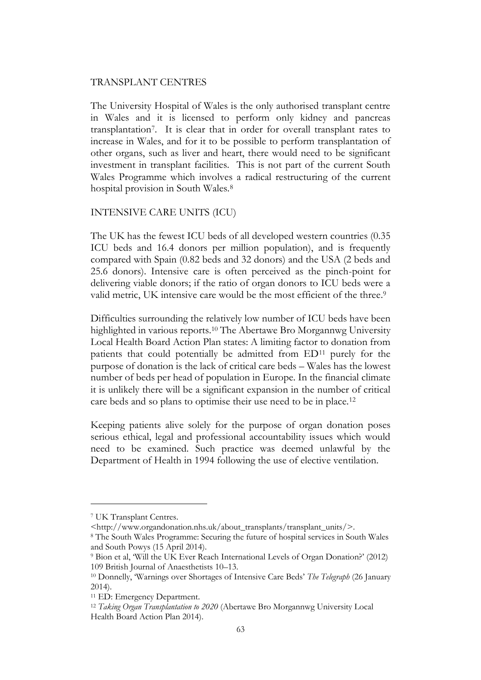#### TRANSPLANT CENTRES

The University Hospital of Wales is the only authorised transplant centre in Wales and it is licensed to perform only kidney and pancreas transplantation<sup>7</sup> . It is clear that in order for overall transplant rates to increase in Wales, and for it to be possible to perform transplantation of other organs, such as liver and heart, there would need to be significant investment in transplant facilities. This is not part of the current South Wales Programme which involves a radical restructuring of the current hospital provision in South Wales.<sup>8</sup>

### INTENSIVE CARE UNITS (ICU)

The UK has the fewest ICU beds of all developed western countries (0.35 ICU beds and 16.4 donors per million population), and is frequently compared with Spain (0.82 beds and 32 donors) and the USA (2 beds and 25.6 donors). Intensive care is often perceived as the pinch-point for delivering viable donors; if the ratio of organ donors to ICU beds were a valid metric, UK intensive care would be the most efficient of the three.<sup>9</sup>

Difficulties surrounding the relatively low number of ICU beds have been highlighted in various reports.<sup>10</sup> The Abertawe Bro Morgannwg University Local Health Board Action Plan states: A limiting factor to donation from patients that could potentially be admitted from ED<sup>11</sup> purely for the purpose of donation is the lack of critical care beds – Wales has the lowest number of beds per head of population in Europe. In the financial climate it is unlikely there will be a significant expansion in the number of critical care beds and so plans to optimise their use need to be in place.<sup>12</sup>

Keeping patients alive solely for the purpose of organ donation poses serious ethical, legal and professional accountability issues which would need to be examined. Such practice was deemed unlawful by the Department of Health in 1994 following the use of elective ventilation.

<sup>7</sup> UK Transplant Centres.

<sup>&</sup>lt;http://www.organdonation.nhs.uk/about\_transplants/transplant\_units/>.

<sup>8</sup> The South Wales Programme: Securing the future of hospital services in South Wales and South Powys (15 April 2014).

<sup>9</sup> Bion et al, 'Will the UK Ever Reach International Levels of Organ Donation?' (2012) 109 British Journal of Anaesthetists 10–13.

<sup>10</sup> Donnelly, 'Warnings over Shortages of Intensive Care Beds' *The Telegraph* (26 January 2014).

<sup>11</sup> ED: Emergency Department.

<sup>12</sup> *Taking Organ Transplantation to 2020* (Abertawe Bro Morgannwg University Local Health Board Action Plan 2014).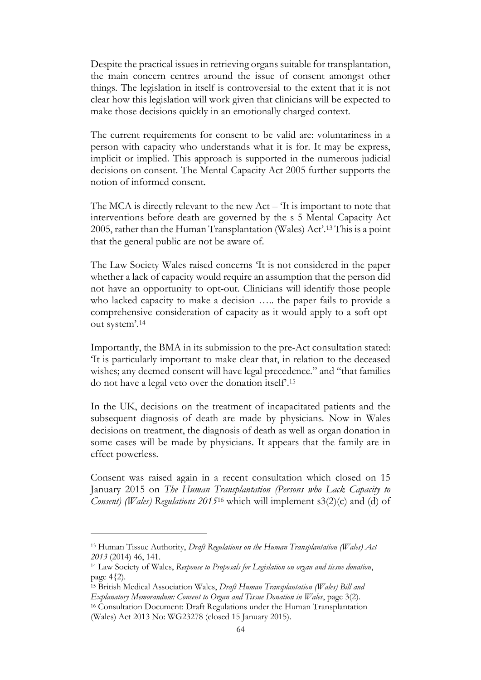Despite the practical issues in retrieving organs suitable for transplantation, the main concern centres around the issue of consent amongst other things. The legislation in itself is controversial to the extent that it is not clear how this legislation will work given that clinicians will be expected to make those decisions quickly in an emotionally charged context.

The current requirements for consent to be valid are: voluntariness in a person with capacity who understands what it is for. It may be express, implicit or implied. This approach is supported in the numerous judicial decisions on consent. The Mental Capacity Act 2005 further supports the notion of informed consent.

The MCA is directly relevant to the new Act – 'It is important to note that interventions before death are governed by the s 5 Mental Capacity Act 2005, rather than the Human Transplantation (Wales) Act'.<sup>13</sup> This is a point that the general public are not be aware of.

The Law Society Wales raised concerns 'It is not considered in the paper whether a lack of capacity would require an assumption that the person did not have an opportunity to opt-out. Clinicians will identify those people who lacked capacity to make a decision ….. the paper fails to provide a comprehensive consideration of capacity as it would apply to a soft optout system'. 14

Importantly, the BMA in its submission to the pre-Act consultation stated: 'It is particularly important to make clear that, in relation to the deceased wishes; any deemed consent will have legal precedence." and "that families do not have a legal veto over the donation itself'. 15

In the UK, decisions on the treatment of incapacitated patients and the subsequent diagnosis of death are made by physicians. Now in Wales decisions on treatment, the diagnosis of death as well as organ donation in some cases will be made by physicians. It appears that the family are in effect powerless.

Consent was raised again in a recent consultation which closed on 15 January 2015 on *The Human Transplantation (Persons who Lack Capacity to Consent) (Wales) Regulations 2015*<sup>16</sup> which will implement s3(2)(c) and (d) of

<sup>13</sup> Human Tissue Authority, *Draft Regulations on the Human Transplantation (Wales) Act 2013* (2014) 46, 141.

<sup>14</sup> Law Society of Wales, *Response to Proposals for Legislation on organ and tissue donation*, page  $4\{2$ ).

<sup>15</sup> British Medical Association Wales, *Draft Human Transplantation (Wales) Bill and Explanatory Memorandum: Consent to Organ and Tissue Donation in Wales*, page 3(2).

<sup>16</sup> Consultation Document: Draft Regulations under the Human Transplantation (Wales) Act 2013 No: WG23278 (closed 15 January 2015).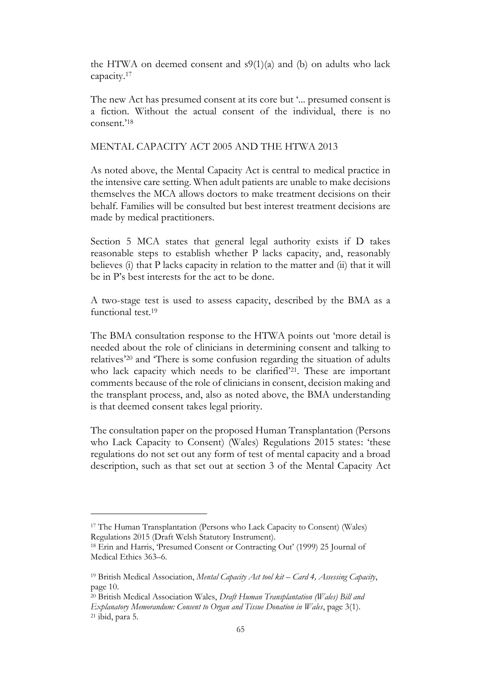the HTWA on deemed consent and  $s9(1)(a)$  and (b) on adults who lack capacity.<sup>17</sup>

The new Act has presumed consent at its core but '... presumed consent is a fiction. Without the actual consent of the individual, there is no consent.'<sup>18</sup>

## MENTAL CAPACITY ACT 2005 AND THE HTWA 2013

As noted above, the Mental Capacity Act is central to medical practice in the intensive care setting. When adult patients are unable to make decisions themselves the MCA allows doctors to make treatment decisions on their behalf. Families will be consulted but best interest treatment decisions are made by medical practitioners.

Section 5 MCA states that general legal authority exists if D takes reasonable steps to establish whether P lacks capacity, and, reasonably believes (i) that P lacks capacity in relation to the matter and (ii) that it will be in P's best interests for the act to be done.

A two-stage test is used to assess capacity, described by the BMA as a functional test. 19

The BMA consultation response to the HTWA points out 'more detail is needed about the role of clinicians in determining consent and talking to relatives'<sup>20</sup> and 'There is some confusion regarding the situation of adults who lack capacity which needs to be clarified'<sup>21</sup>. These are important comments because of the role of clinicians in consent, decision making and the transplant process, and, also as noted above, the BMA understanding is that deemed consent takes legal priority.

The consultation paper on the proposed Human Transplantation (Persons who Lack Capacity to Consent) (Wales) Regulations 2015 states: 'these regulations do not set out any form of test of mental capacity and a broad description, such as that set out at section 3 of the Mental Capacity Act

<sup>17</sup> The Human Transplantation (Persons who Lack Capacity to Consent) (Wales) Regulations 2015 (Draft Welsh Statutory Instrument).

<sup>18</sup> Erin and Harris, 'Presumed Consent or Contracting Out' (1999) 25 Journal of Medical Ethics 363–6.

<sup>19</sup> British Medical Association, *Mental Capacity Act tool kit – Card 4, Assessing Capacity*, page 10.

<sup>20</sup> British Medical Association Wales, *Draft Human Transplantation (Wales) Bill and Explanatory Memorandum: Consent to Organ and Tissue Donation in Wales*, page 3(1). <sup>21</sup> ibid, para 5.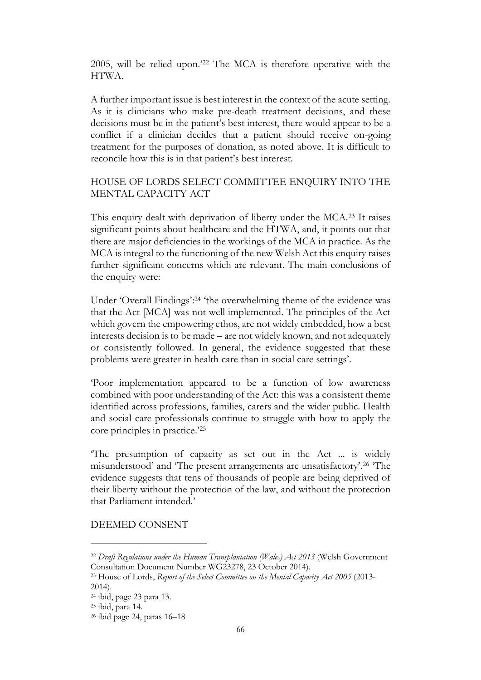2005, will be relied upon.'<sup>22</sup> The MCA is therefore operative with the HTWA.

A further important issue is best interest in the context of the acute setting. As it is clinicians who make pre-death treatment decisions, and these decisions must be in the patient's best interest, there would appear to be a conflict if a clinician decides that a patient should receive on-going treatment for the purposes of donation, as noted above. It is difficult to reconcile how this is in that patient's best interest.

# HOUSE OF LORDS SELECT COMMITTEE ENQUIRY INTO THE MENTAL CAPACITY ACT

This enquiry dealt with deprivation of liberty under the MCA.<sup>23</sup> It raises significant points about healthcare and the HTWA, and, it points out that there are major deficiencies in the workings of the MCA in practice. As the MCA is integral to the functioning of the new Welsh Act this enquiry raises further significant concerns which are relevant. The main conclusions of the enquiry were:

Under 'Overall Findings':<sup>24</sup> 'the overwhelming theme of the evidence was that the Act [MCA] was not well implemented. The principles of the Act which govern the empowering ethos, are not widely embedded, how a best interests decision is to be made – are not widely known, and not adequately or consistently followed. In general, the evidence suggested that these problems were greater in health care than in social care settings'.

'Poor implementation appeared to be a function of low awareness combined with poor understanding of the Act: this was a consistent theme identified across professions, families, carers and the wider public. Health and social care professionals continue to struggle with how to apply the core principles in practice.' 25

'The presumption of capacity as set out in the Act ... is widely misunderstood' and 'The present arrangements are unsatisfactory'.<sup>26</sup> 'The evidence suggests that tens of thousands of people are being deprived of their liberty without the protection of the law, and without the protection that Parliament intended.'

### DEEMED CONSENT

- <sup>22</sup> *Draft Regulations under the Human Transplantation (Wales) Act 2013* (Welsh Government Consultation Document Number WG23278, 23 October 2014).
- <sup>23</sup> House of Lords, *Report of the Select Committee on the Mental Capacity Act 2005* (2013- 2014).

<sup>24</sup> ibid, page 23 para 13.

<sup>25</sup> ibid, para 14.

<sup>26</sup> ibid page 24, paras 16–18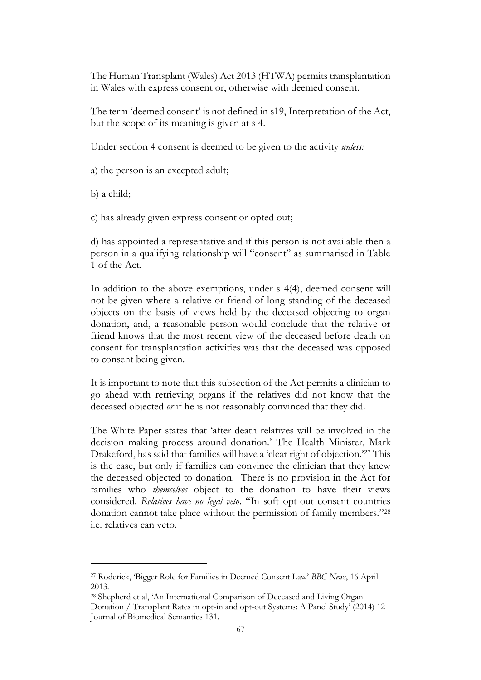The Human Transplant (Wales) Act 2013 (HTWA) permits transplantation in Wales with express consent or, otherwise with deemed consent.

The term 'deemed consent' is not defined in s19, Interpretation of the Act, but the scope of its meaning is given at s 4.

Under section 4 consent is deemed to be given to the activity *unless:*

a) the person is an excepted adult;

b) a child;

c) has already given express consent or opted out;

d) has appointed a representative and if this person is not available then a person in a qualifying relationship will "consent" as summarised in Table 1 of the Act.

In addition to the above exemptions, under s 4(4), deemed consent will not be given where a relative or friend of long standing of the deceased objects on the basis of views held by the deceased objecting to organ donation, and, a reasonable person would conclude that the relative or friend knows that the most recent view of the deceased before death on consent for transplantation activities was that the deceased was opposed to consent being given.

It is important to note that this subsection of the Act permits a clinician to go ahead with retrieving organs if the relatives did not know that the deceased objected *or* if he is not reasonably convinced that they did.

The White Paper states that 'after death relatives will be involved in the decision making process around donation.' The Health Minister, Mark Drakeford, has said that families will have a 'clear right of objection.'<sup>27</sup> This is the case, but only if families can convince the clinician that they knew the deceased objected to donation. There is no provision in the Act for families who *themselves* object to the donation to have their views considered. *Relatives have no legal veto*. "In soft opt-out consent countries donation cannot take place without the permission of family members."<sup>28</sup> i.e. relatives can veto.

<sup>27</sup> Roderick, 'Bigger Role for Families in Deemed Consent Law' *BBC News*, 16 April 2013.

<sup>28</sup> Shepherd et al, 'An International Comparison of Deceased and Living Organ

Donation / Transplant Rates in opt-in and opt-out Systems: A Panel Study' (2014) 12 Journal of Biomedical Semantics 131.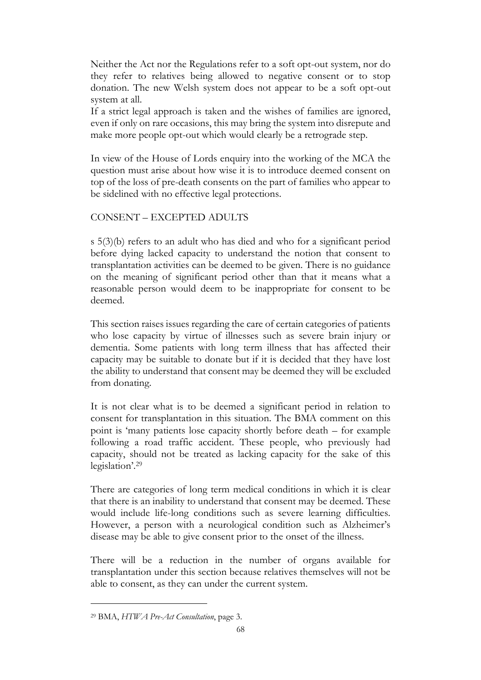Neither the Act nor the Regulations refer to a soft opt-out system, nor do they refer to relatives being allowed to negative consent or to stop donation. The new Welsh system does not appear to be a soft opt-out system at all.

If a strict legal approach is taken and the wishes of families are ignored, even if only on rare occasions, this may bring the system into disrepute and make more people opt-out which would clearly be a retrograde step.

In view of the House of Lords enquiry into the working of the MCA the question must arise about how wise it is to introduce deemed consent on top of the loss of pre-death consents on the part of families who appear to be sidelined with no effective legal protections.

# CONSENT – EXCEPTED ADULTS

s 5(3)(b) refers to an adult who has died and who for a significant period before dying lacked capacity to understand the notion that consent to transplantation activities can be deemed to be given. There is no guidance on the meaning of significant period other than that it means what a reasonable person would deem to be inappropriate for consent to be deemed.

This section raises issues regarding the care of certain categories of patients who lose capacity by virtue of illnesses such as severe brain injury or dementia. Some patients with long term illness that has affected their capacity may be suitable to donate but if it is decided that they have lost the ability to understand that consent may be deemed they will be excluded from donating.

It is not clear what is to be deemed a significant period in relation to consent for transplantation in this situation. The BMA comment on this point is 'many patients lose capacity shortly before death – for example following a road traffic accident. These people, who previously had capacity, should not be treated as lacking capacity for the sake of this legislation'. 29

There are categories of long term medical conditions in which it is clear that there is an inability to understand that consent may be deemed. These would include life-long conditions such as severe learning difficulties. However, a person with a neurological condition such as Alzheimer's disease may be able to give consent prior to the onset of the illness.

There will be a reduction in the number of organs available for transplantation under this section because relatives themselves will not be able to consent, as they can under the current system.

<sup>29</sup> BMA, *HTWA Pre-Act Consultation*, page 3.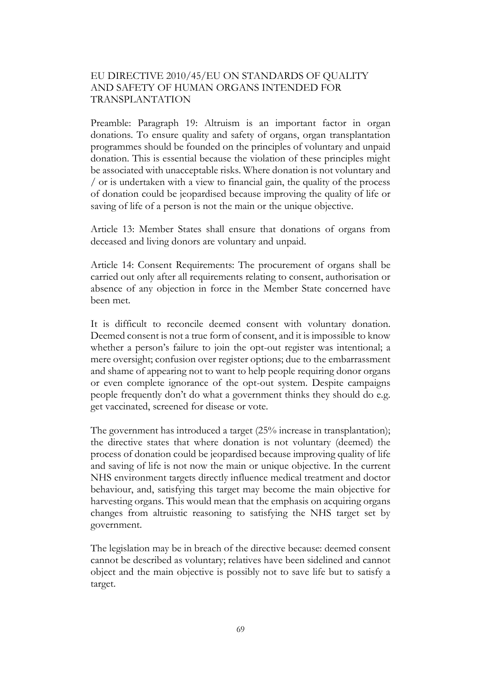# EU DIRECTIVE 2010/45/EU ON STANDARDS OF QUALITY AND SAFETY OF HUMAN ORGANS INTENDED FOR TRANSPLANTATION

Preamble: Paragraph 19: Altruism is an important factor in organ donations. To ensure quality and safety of organs, organ transplantation programmes should be founded on the principles of voluntary and unpaid donation. This is essential because the violation of these principles might be associated with unacceptable risks. Where donation is not voluntary and / or is undertaken with a view to financial gain, the quality of the process of donation could be jeopardised because improving the quality of life or saving of life of a person is not the main or the unique objective.

Article 13: Member States shall ensure that donations of organs from deceased and living donors are voluntary and unpaid.

Article 14: Consent Requirements: The procurement of organs shall be carried out only after all requirements relating to consent, authorisation or absence of any objection in force in the Member State concerned have been met.

It is difficult to reconcile deemed consent with voluntary donation. Deemed consent is not a true form of consent, and it is impossible to know whether a person's failure to join the opt-out register was intentional; a mere oversight; confusion over register options; due to the embarrassment and shame of appearing not to want to help people requiring donor organs or even complete ignorance of the opt-out system. Despite campaigns people frequently don't do what a government thinks they should do e.g. get vaccinated, screened for disease or vote.

The government has introduced a target (25% increase in transplantation); the directive states that where donation is not voluntary (deemed) the process of donation could be jeopardised because improving quality of life and saving of life is not now the main or unique objective. In the current NHS environment targets directly influence medical treatment and doctor behaviour, and, satisfying this target may become the main objective for harvesting organs. This would mean that the emphasis on acquiring organs changes from altruistic reasoning to satisfying the NHS target set by government.

The legislation may be in breach of the directive because: deemed consent cannot be described as voluntary; relatives have been sidelined and cannot object and the main objective is possibly not to save life but to satisfy a target.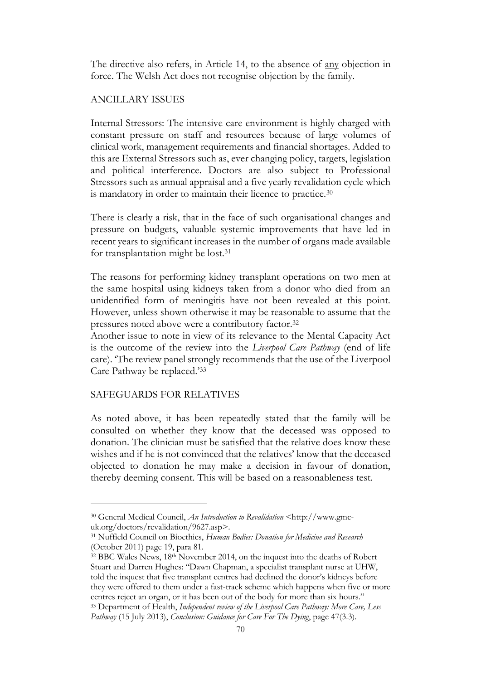The directive also refers, in Article 14, to the absence of any objection in force. The Welsh Act does not recognise objection by the family.

#### ANCILLARY ISSUES

Internal Stressors: The intensive care environment is highly charged with constant pressure on staff and resources because of large volumes of clinical work, management requirements and financial shortages. Added to this are External Stressors such as, ever changing policy, targets, legislation and political interference. Doctors are also subject to Professional Stressors such as annual appraisal and a five yearly revalidation cycle which is mandatory in order to maintain their licence to practice.<sup>30</sup>

There is clearly a risk, that in the face of such organisational changes and pressure on budgets, valuable systemic improvements that have led in recent years to significant increases in the number of organs made available for transplantation might be lost.<sup>31</sup>

The reasons for performing kidney transplant operations on two men at the same hospital using kidneys taken from a donor who died from an unidentified form of meningitis have not been revealed at this point. However, unless shown otherwise it may be reasonable to assume that the pressures noted above were a contributory factor.<sup>32</sup>

Another issue to note in view of its relevance to the Mental Capacity Act is the outcome of the review into the *Liverpool Care Pathway* (end of life care). 'The review panel strongly recommends that the use of the Liverpool Care Pathway be replaced.'<sup>33</sup>

#### SAFEGUARDS FOR RELATIVES

As noted above, it has been repeatedly stated that the family will be consulted on whether they know that the deceased was opposed to donation. The clinician must be satisfied that the relative does know these wishes and if he is not convinced that the relatives' know that the deceased objected to donation he may make a decision in favour of donation, thereby deeming consent. This will be based on a reasonableness test.

<sup>30</sup> General Medical Council, *An Introduction to Revalidation* <http://www.gmcuk.org/doctors/revalidation/9627.asp>.

<sup>31</sup> Nuffield Council on Bioethics, *Human Bodies: Donation for Medicine and Research* (October 2011) page 19, para 81.

<sup>32</sup> BBC Wales News, 18th November 2014, on the inquest into the deaths of Robert Stuart and Darren Hughes: "Dawn Chapman, a specialist transplant nurse at UHW, told the inquest that five transplant centres had declined the donor's kidneys before they were offered to them under a fast-track scheme which happens when five or more centres reject an organ, or it has been out of the body for more than six hours." <sup>33</sup> Department of Health, *Independent review of the Liverpool Care Pathway: More Care, Less Pathway* (15 July 2013), *Conclusion: Guidance for Care For The Dying*, page 47(3.3).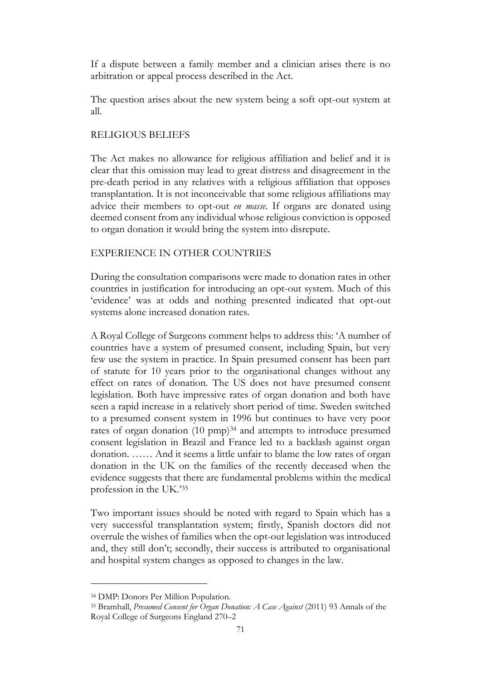If a dispute between a family member and a clinician arises there is no arbitration or appeal process described in the Act.

The question arises about the new system being a soft opt-out system at all.

### RELIGIOUS BELIEFS

The Act makes no allowance for religious affiliation and belief and it is clear that this omission may lead to great distress and disagreement in the pre-death period in any relatives with a religious affiliation that opposes transplantation. It is not inconceivable that some religious affiliations may advice their members to opt-out *en masse*. If organs are donated using deemed consent from any individual whose religious conviction is opposed to organ donation it would bring the system into disrepute.

### EXPERIENCE IN OTHER COUNTRIES

During the consultation comparisons were made to donation rates in other countries in justification for introducing an opt-out system. Much of this 'evidence' was at odds and nothing presented indicated that opt-out systems alone increased donation rates.

A Royal College of Surgeons comment helps to address this: 'A number of countries have a system of presumed consent, including Spain, but very few use the system in practice. In Spain presumed consent has been part of statute for 10 years prior to the organisational changes without any effect on rates of donation. The US does not have presumed consent legislation. Both have impressive rates of organ donation and both have seen a rapid increase in a relatively short period of time. Sweden switched to a presumed consent system in 1996 but continues to have very poor rates of organ donation (10 pmp)<sup>34</sup> and attempts to introduce presumed consent legislation in Brazil and France led to a backlash against organ donation. …… And it seems a little unfair to blame the low rates of organ donation in the UK on the families of the recently deceased when the evidence suggests that there are fundamental problems within the medical profession in the UK.'<sup>35</sup>

Two important issues should be noted with regard to Spain which has a very successful transplantation system; firstly, Spanish doctors did not overrule the wishes of families when the opt-out legislation was introduced and, they still don't; secondly, their success is attributed to organisational and hospital system changes as opposed to changes in the law.

<sup>34</sup> DMP: Donors Per Million Population.

<sup>35</sup> Bramhall, *Presumed Consent for Organ Donation: A Case Against* (2011) 93 Annals of the Royal College of Surgeons England 270–2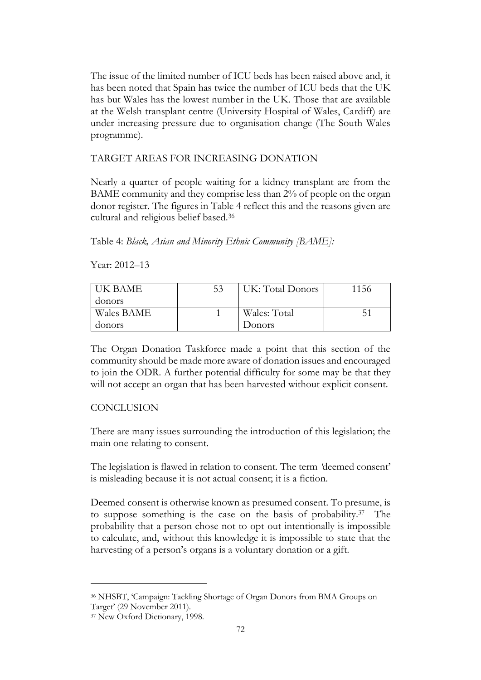The issue of the limited number of ICU beds has been raised above and, it has been noted that Spain has twice the number of ICU beds that the UK has but Wales has the lowest number in the UK. Those that are available at the Welsh transplant centre (University Hospital of Wales, Cardiff) are under increasing pressure due to organisation change (The South Wales programme).

# TARGET AREAS FOR INCREASING DONATION

Nearly a quarter of people waiting for a kidney transplant are from the BAME community and they comprise less than 2% of people on the organ donor register. The figures in Table 4 reflect this and the reasons given are cultural and religious belief based.<sup>36</sup>

Table 4: *Black, Asian and Minority Ethnic Community [BAME]:*

Year: 2012–13

| I HK BAME.        | 53 | UK: Total Donors | 1156 |
|-------------------|----|------------------|------|
| donors            |    |                  |      |
| <b>Wales BAME</b> |    | Wales: Total     |      |
| donors            |    | Donors           |      |

The Organ Donation Taskforce made a point that this section of the community should be made more aware of donation issues and encouraged to join the ODR. A further potential difficulty for some may be that they will not accept an organ that has been harvested without explicit consent.

# CONCLUSION

There are many issues surrounding the introduction of this legislation; the main one relating to consent.

The legislation is flawed in relation to consent. The term *'*deemed consent' is misleading because it is not actual consent; it is a fiction.

Deemed consent is otherwise known as presumed consent. To presume, is to suppose something is the case on the basis of probability.<sup>37</sup> The probability that a person chose not to opt-out intentionally is impossible to calculate, and, without this knowledge it is impossible to state that the harvesting of a person's organs is a voluntary donation or a gift.

<sup>36</sup> NHSBT, 'Campaign: Tackling Shortage of Organ Donors from BMA Groups on Target' (29 November 2011).

<sup>37</sup> New Oxford Dictionary, 1998.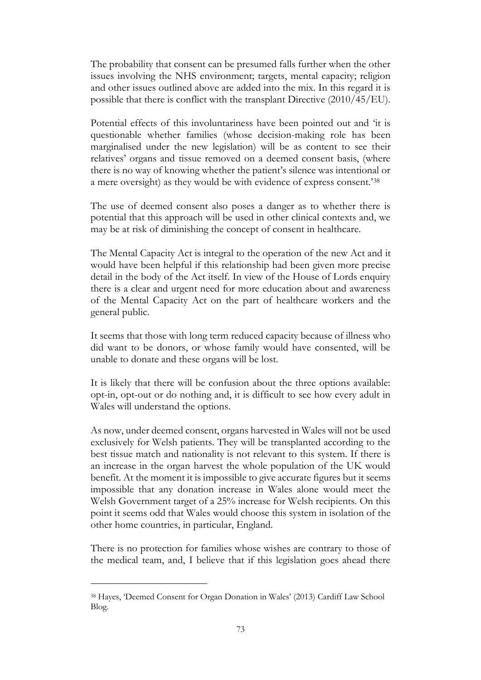The probability that consent can be presumed falls further when the other issues involving the NHS environment; targets, mental capacity; religion and other issues outlined above are added into the mix. In this regard it is possible that there is conflict with the transplant Directive (2010/45/EU).

Potential effects of this involuntariness have been pointed out and 'it is questionable whether families (whose decision-making role has been marginalised under the new legislation) will be as content to see their relatives' organs and tissue removed on a deemed consent basis, (where there is no way of knowing whether the patient's silence was intentional or a mere oversight) as they would be with evidence of express consent.'<sup>38</sup>

The use of deemed consent also poses a danger as to whether there is potential that this approach will be used in other clinical contexts and, we may be at risk of diminishing the concept of consent in healthcare.

The Mental Capacity Act is integral to the operation of the new Act and it would have been helpful if this relationship had been given more precise detail in the body of the Act itself. In view of the House of Lords enquiry there is a clear and urgent need for more education about and awareness of the Mental Capacity Act on the part of healthcare workers and the general public.

It seems that those with long term reduced capacity because of illness who did want to be donors, or whose family would have consented, will be unable to donate and these organs will be lost.

It is likely that there will be confusion about the three options available: opt-in, opt-out or do nothing and, it is difficult to see how every adult in Wales will understand the options.

As now, under deemed consent, organs harvested in Wales will not be used exclusively for Welsh patients. They will be transplanted according to the best tissue match and nationality is not relevant to this system. If there is an increase in the organ harvest the whole population of the UK would benefit. At the moment it is impossible to give accurate figures but it seems impossible that any donation increase in Wales alone would meet the Welsh Government target of a 25% increase for Welsh recipients. On this point it seems odd that Wales would choose this system in isolation of the other home countries, in particular, England.

There is no protection for families whose wishes are contrary to those of the medical team, and, I believe that if this legislation goes ahead there

<sup>38</sup> Hayes, 'Deemed Consent for Organ Donation in Wales' (2013) Cardiff Law School Blog.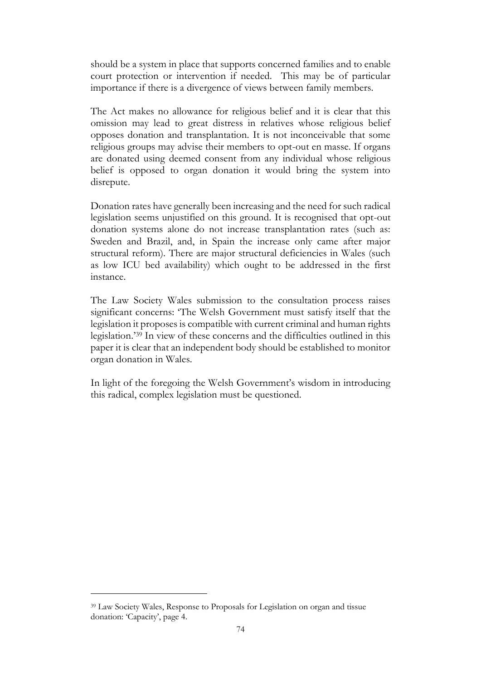should be a system in place that supports concerned families and to enable court protection or intervention if needed. This may be of particular importance if there is a divergence of views between family members.

The Act makes no allowance for religious belief and it is clear that this omission may lead to great distress in relatives whose religious belief opposes donation and transplantation. It is not inconceivable that some religious groups may advise their members to opt-out en masse. If organs are donated using deemed consent from any individual whose religious belief is opposed to organ donation it would bring the system into disrepute.

Donation rates have generally been increasing and the need for such radical legislation seems unjustified on this ground. It is recognised that opt-out donation systems alone do not increase transplantation rates (such as: Sweden and Brazil, and, in Spain the increase only came after major structural reform). There are major structural deficiencies in Wales (such as low ICU bed availability) which ought to be addressed in the first instance.

The Law Society Wales submission to the consultation process raises significant concerns: 'The Welsh Government must satisfy itself that the legislation it proposes is compatible with current criminal and human rights legislation.'<sup>39</sup> In view of these concerns and the difficulties outlined in this paper it is clear that an independent body should be established to monitor organ donation in Wales.

In light of the foregoing the Welsh Government's wisdom in introducing this radical, complex legislation must be questioned.

<sup>39</sup> Law Society Wales, Response to Proposals for Legislation on organ and tissue donation: 'Capacity', page 4.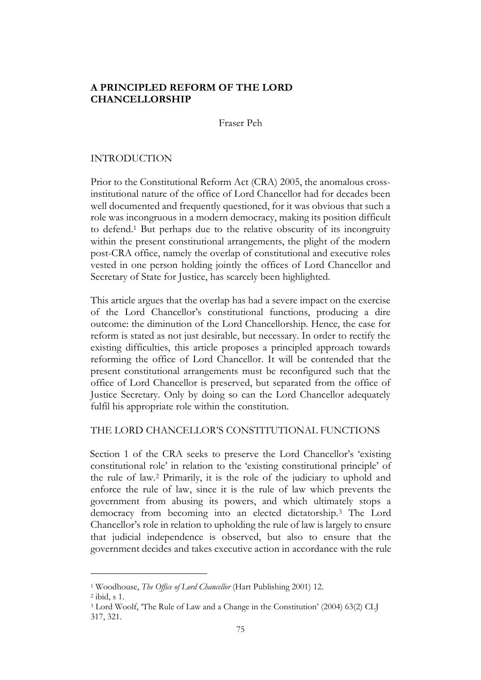## **A PRINCIPLED REFORM OF THE LORD CHANCELLORSHIP**

Fraser Peh

### INTRODUCTION

Prior to the Constitutional Reform Act (CRA) 2005, the anomalous crossinstitutional nature of the office of Lord Chancellor had for decades been well documented and frequently questioned, for it was obvious that such a role was incongruous in a modern democracy, making its position difficult to defend.<sup>1</sup> But perhaps due to the relative obscurity of its incongruity within the present constitutional arrangements, the plight of the modern post-CRA office, namely the overlap of constitutional and executive roles vested in one person holding jointly the offices of Lord Chancellor and Secretary of State for Justice, has scarcely been highlighted.

This article argues that the overlap has had a severe impact on the exercise of the Lord Chancellor's constitutional functions, producing a dire outcome: the diminution of the Lord Chancellorship. Hence, the case for reform is stated as not just desirable, but necessary. In order to rectify the existing difficulties, this article proposes a principled approach towards reforming the office of Lord Chancellor. It will be contended that the present constitutional arrangements must be reconfigured such that the office of Lord Chancellor is preserved, but separated from the office of Justice Secretary. Only by doing so can the Lord Chancellor adequately fulfil his appropriate role within the constitution.

#### THE LORD CHANCELLOR'S CONSTITUTIONAL FUNCTIONS

Section 1 of the CRA seeks to preserve the Lord Chancellor's 'existing constitutional role' in relation to the 'existing constitutional principle' of the rule of law.<sup>2</sup> Primarily, it is the role of the judiciary to uphold and enforce the rule of law, since it is the rule of law which prevents the government from abusing its powers, and which ultimately stops a democracy from becoming into an elected dictatorship.<sup>3</sup> The Lord Chancellor's role in relation to upholding the rule of law is largely to ensure that judicial independence is observed, but also to ensure that the government decides and takes executive action in accordance with the rule

<sup>1</sup> Woodhouse, *The Office of Lord Chancellor* (Hart Publishing 2001) 12.

<sup>2</sup> ibid, s 1.

<sup>3</sup> Lord Woolf, 'The Rule of Law and a Change in the Constitution' (2004) 63(2) CLJ 317, 321.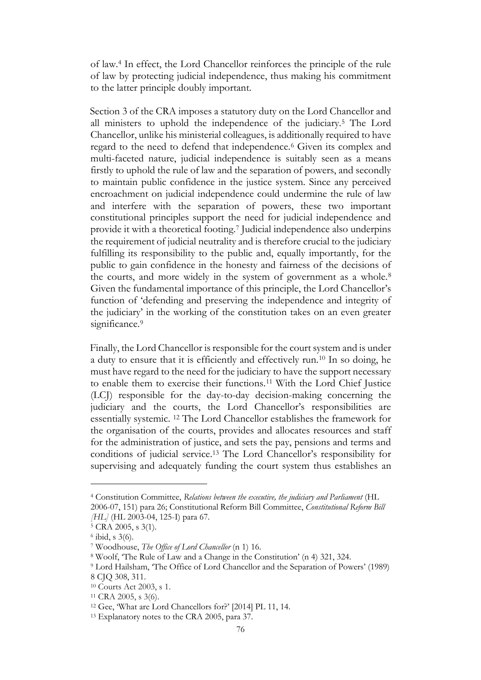of law.<sup>4</sup> In effect, the Lord Chancellor reinforces the principle of the rule of law by protecting judicial independence, thus making his commitment to the latter principle doubly important.

Section 3 of the CRA imposes a statutory duty on the Lord Chancellor and all ministers to uphold the independence of the judiciary.<sup>5</sup> The Lord Chancellor, unlike his ministerial colleagues, is additionally required to have regard to the need to defend that independence.<sup>6</sup> Given its complex and multi-faceted nature, judicial independence is suitably seen as a means firstly to uphold the rule of law and the separation of powers, and secondly to maintain public confidence in the justice system. Since any perceived encroachment on judicial independence could undermine the rule of law and interfere with the separation of powers, these two important constitutional principles support the need for judicial independence and provide it with a theoretical footing.<sup>7</sup> Judicial independence also underpins the requirement of judicial neutrality and is therefore crucial to the judiciary fulfilling its responsibility to the public and, equally importantly, for the public to gain confidence in the honesty and fairness of the decisions of the courts, and more widely in the system of government as a whole.<sup>8</sup> Given the fundamental importance of this principle, the Lord Chancellor's function of 'defending and preserving the independence and integrity of the judiciary' in the working of the constitution takes on an even greater significance.<sup>9</sup>

Finally, the Lord Chancellor is responsible for the court system and is under a duty to ensure that it is efficiently and effectively run.<sup>10</sup> In so doing, he must have regard to the need for the judiciary to have the support necessary to enable them to exercise their functions.<sup>11</sup> With the Lord Chief Justice (LCJ) responsible for the day-to-day decision-making concerning the judiciary and the courts, the Lord Chancellor's responsibilities are essentially systemic. <sup>12</sup> The Lord Chancellor establishes the framework for the organisation of the courts, provides and allocates resources and staff for the administration of justice, and sets the pay, pensions and terms and conditions of judicial service.<sup>13</sup> The Lord Chancellor's responsibility for supervising and adequately funding the court system thus establishes an

<sup>4</sup> Constitution Committee, *Relations between the executive, the judiciary and Parliament* (HL 2006-07, 151) para 26; Constitutional Reform Bill Committee, *Constitutional Reform Bill [HL]* (HL 2003-04, 125-I) para 67.

<sup>5</sup> CRA 2005, s 3(1).

<sup>6</sup> ibid, s 3(6).

<sup>7</sup> Woodhouse, *The Office of Lord Chancellor* (n 1) 16.

<sup>8</sup> Woolf, 'The Rule of Law and a Change in the Constitution' (n 4) 321, 324.

<sup>9</sup> Lord Hailsham, 'The Office of Lord Chancellor and the Separation of Powers' (1989)

<sup>8</sup> CJQ 308, 311.

<sup>10</sup> Courts Act 2003, s 1.

<sup>11</sup> CRA 2005, s 3(6).

<sup>12</sup> Gee, 'What are Lord Chancellors for?' [2014] PL 11, 14.

<sup>13</sup> Explanatory notes to the CRA 2005, para 37.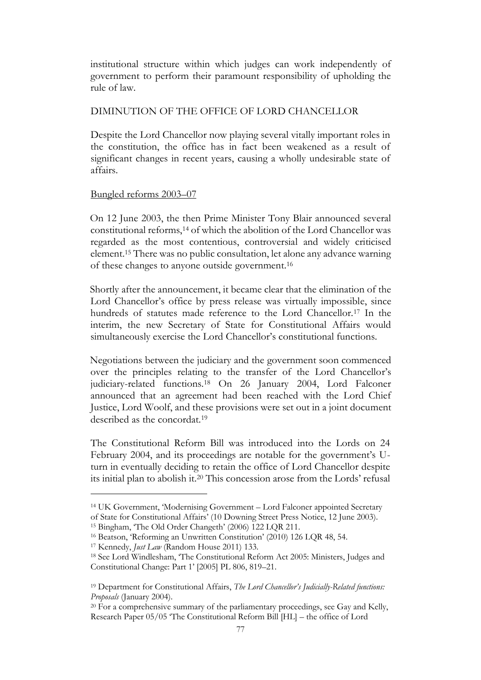institutional structure within which judges can work independently of government to perform their paramount responsibility of upholding the rule of law.

### DIMINUTION OF THE OFFICE OF LORD CHANCELLOR

Despite the Lord Chancellor now playing several vitally important roles in the constitution, the office has in fact been weakened as a result of significant changes in recent years, causing a wholly undesirable state of affairs.

### Bungled reforms 2003–07

On 12 June 2003, the then Prime Minister Tony Blair announced several constitutional reforms,<sup>14</sup> of which the abolition of the Lord Chancellor was regarded as the most contentious, controversial and widely criticised element.<sup>15</sup> There was no public consultation, let alone any advance warning of these changes to anyone outside government.<sup>16</sup>

Shortly after the announcement, it became clear that the elimination of the Lord Chancellor's office by press release was virtually impossible, since hundreds of statutes made reference to the Lord Chancellor.<sup>17</sup> In the interim, the new Secretary of State for Constitutional Affairs would simultaneously exercise the Lord Chancellor's constitutional functions.

Negotiations between the judiciary and the government soon commenced over the principles relating to the transfer of the Lord Chancellor's judiciary-related functions.<sup>18</sup> On 26 January 2004, Lord Falconer announced that an agreement had been reached with the Lord Chief Justice, Lord Woolf, and these provisions were set out in a joint document described as the concordat.<sup>19</sup>

The Constitutional Reform Bill was introduced into the Lords on 24 February 2004, and its proceedings are notable for the government's Uturn in eventually deciding to retain the office of Lord Chancellor despite its initial plan to abolish it. <sup>20</sup> This concession arose from the Lords' refusal

<sup>14</sup> UK Government, 'Modernising Government – Lord Falconer appointed Secretary of State for Constitutional Affairs' (10 Downing Street Press Notice, 12 June 2003).

<sup>15</sup> Bingham, 'The Old Order Changeth' (2006) 122 LQR 211.

<sup>16</sup> Beatson, 'Reforming an Unwritten Constitution' (2010) 126 LQR 48, 54.

<sup>17</sup> Kennedy, *Just Law* (Random House 2011) 133.

<sup>18</sup> See Lord Windlesham, 'The Constitutional Reform Act 2005: Ministers, Judges and Constitutional Change: Part 1' [2005] PL 806, 819–21.

<sup>19</sup> Department for Constitutional Affairs, *The Lord Chancellor's Judicially-Related functions: Proposals* (January 2004).

 $20$  For a comprehensive summary of the parliamentary proceedings, see Gay and Kelly, Research Paper 05/05 'The Constitutional Reform Bill [HL] – the office of Lord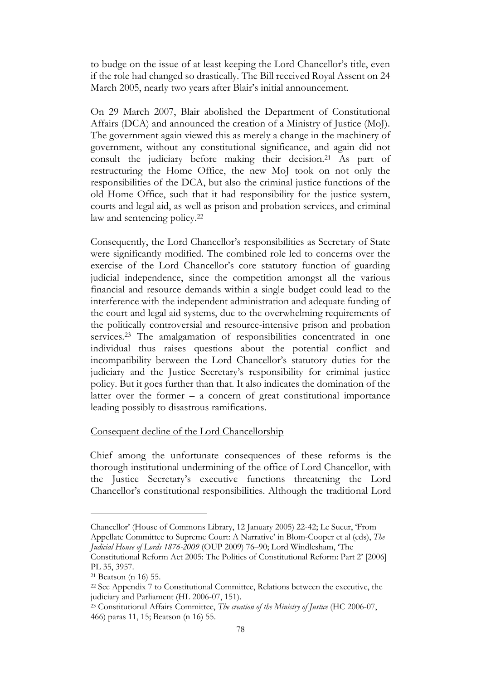to budge on the issue of at least keeping the Lord Chancellor's title, even if the role had changed so drastically. The Bill received Royal Assent on 24 March 2005, nearly two years after Blair's initial announcement.

On 29 March 2007, Blair abolished the Department of Constitutional Affairs (DCA) and announced the creation of a Ministry of Justice (MoJ). The government again viewed this as merely a change in the machinery of government, without any constitutional significance, and again did not consult the judiciary before making their decision.<sup>21</sup> As part of restructuring the Home Office, the new MoJ took on not only the responsibilities of the DCA, but also the criminal justice functions of the old Home Office, such that it had responsibility for the justice system, courts and legal aid, as well as prison and probation services, and criminal law and sentencing policy.<sup>22</sup>

Consequently, the Lord Chancellor's responsibilities as Secretary of State were significantly modified. The combined role led to concerns over the exercise of the Lord Chancellor's core statutory function of guarding judicial independence, since the competition amongst all the various financial and resource demands within a single budget could lead to the interference with the independent administration and adequate funding of the court and legal aid systems, due to the overwhelming requirements of the politically controversial and resource-intensive prison and probation services.<sup>23</sup> The amalgamation of responsibilities concentrated in one individual thus raises questions about the potential conflict and incompatibility between the Lord Chancellor's statutory duties for the judiciary and the Justice Secretary's responsibility for criminal justice policy. But it goes further than that. It also indicates the domination of the latter over the former  $-$  a concern of great constitutional importance leading possibly to disastrous ramifications.

#### Consequent decline of the Lord Chancellorship

Chief among the unfortunate consequences of these reforms is the thorough institutional undermining of the office of Lord Chancellor, with the Justice Secretary's executive functions threatening the Lord Chancellor's constitutional responsibilities. Although the traditional Lord

Chancellor' (House of Commons Library, 12 January 2005) 22-42; Le Sueur, 'From Appellate Committee to Supreme Court: A Narrative' in Blom-Cooper et al (eds), *The* 

*Judicial House of Lords 1876-2009* (OUP 2009) 76–90; Lord Windlesham, 'The

Constitutional Reform Act 2005: The Politics of Constitutional Reform: Part 2' [2006] PL 35, 3957.

<sup>21</sup> Beatson (n 16) 55.

<sup>22</sup> See Appendix 7 to Constitutional Committee, Relations between the executive, the judiciary and Parliament (HL 2006-07, 151).

<sup>23</sup> Constitutional Affairs Committee, *The creation of the Ministry of Justice* (HC 2006-07, 466) paras 11, 15; Beatson (n 16) 55.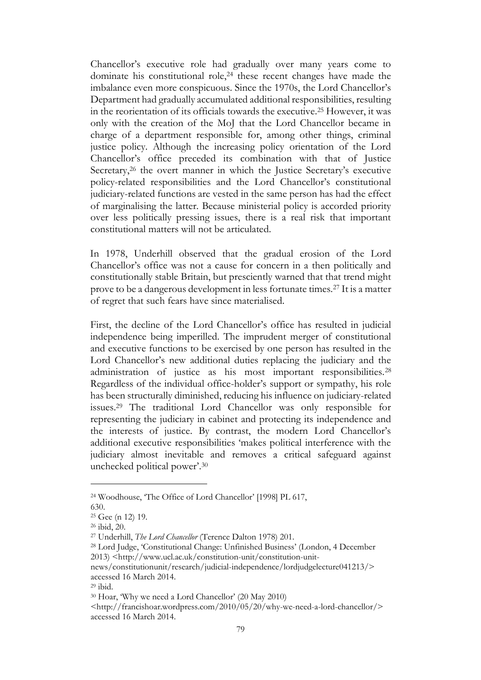Chancellor's executive role had gradually over many years come to dominate his constitutional role,<sup>24</sup> these recent changes have made the imbalance even more conspicuous. Since the 1970s, the Lord Chancellor's Department had gradually accumulated additional responsibilities, resulting in the reorientation of its officials towards the executive.<sup>25</sup> However, it was only with the creation of the MoJ that the Lord Chancellor became in charge of a department responsible for, among other things, criminal justice policy. Although the increasing policy orientation of the Lord Chancellor's office preceded its combination with that of Justice Secretary,<sup>26</sup> the overt manner in which the Justice Secretary's executive policy-related responsibilities and the Lord Chancellor's constitutional judiciary-related functions are vested in the same person has had the effect of marginalising the latter. Because ministerial policy is accorded priority over less politically pressing issues, there is a real risk that important constitutional matters will not be articulated.

In 1978, Underhill observed that the gradual erosion of the Lord Chancellor's office was not a cause for concern in a then politically and constitutionally stable Britain, but presciently warned that that trend might prove to be a dangerous development in less fortunate times.<sup>27</sup> It is a matter of regret that such fears have since materialised.

First, the decline of the Lord Chancellor's office has resulted in judicial independence being imperilled. The imprudent merger of constitutional and executive functions to be exercised by one person has resulted in the Lord Chancellor's new additional duties replacing the judiciary and the administration of justice as his most important responsibilities.<sup>28</sup> Regardless of the individual office-holder's support or sympathy, his role has been structurally diminished, reducing his influence on judiciary-related issues.<sup>29</sup> The traditional Lord Chancellor was only responsible for representing the judiciary in cabinet and protecting its independence and the interests of justice. By contrast, the modern Lord Chancellor's additional executive responsibilities 'makes political interference with the judiciary almost inevitable and removes a critical safeguard against unchecked political power'.<sup>30</sup>

630.

<sup>24</sup> Woodhouse, 'The Office of Lord Chancellor' [1998] PL 617,

<sup>25</sup> Gee (n 12) 19.

<sup>26</sup> ibid, 20.

<sup>27</sup> Underhill, *The Lord Chancellor* (Terence Dalton 1978) 201.

<sup>28</sup> Lord Judge, 'Constitutional Change: Unfinished Business' (London, 4 December 2013) <http://www.ucl.ac.uk/constitution-unit/constitution-unit-

news/constitutionunit/research/judicial-independence/lordjudgelecture041213/> accessed 16 March 2014.

<sup>29</sup> ibid.

<sup>30</sup> Hoar, 'Why we need a Lord Chancellor' (20 May 2010)

<sup>&</sup>lt;http://francishoar.wordpress.com/2010/05/20/why-we-need-a-lord-chancellor/> accessed 16 March 2014.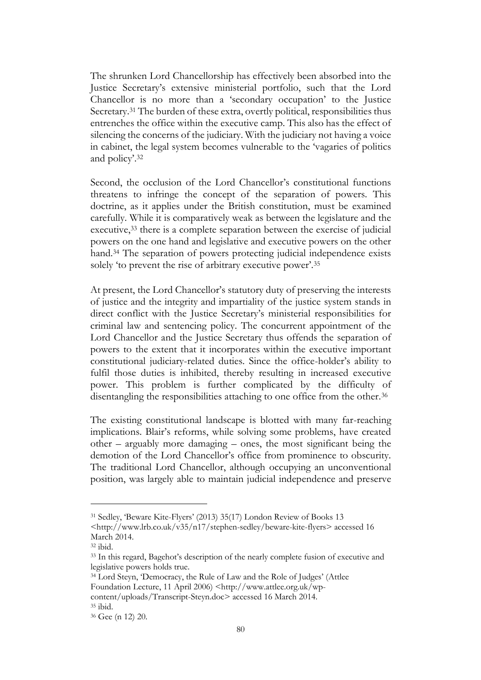The shrunken Lord Chancellorship has effectively been absorbed into the Justice Secretary's extensive ministerial portfolio, such that the Lord Chancellor is no more than a 'secondary occupation' to the Justice Secretary.<sup>31</sup> The burden of these extra, overtly political, responsibilities thus entrenches the office within the executive camp. This also has the effect of silencing the concerns of the judiciary. With the judiciary not having a voice in cabinet, the legal system becomes vulnerable to the 'vagaries of politics and policy'.<sup>32</sup>

Second, the occlusion of the Lord Chancellor's constitutional functions threatens to infringe the concept of the separation of powers. This doctrine, as it applies under the British constitution, must be examined carefully. While it is comparatively weak as between the legislature and the executive,<sup>33</sup> there is a complete separation between the exercise of judicial powers on the one hand and legislative and executive powers on the other hand.<sup>34</sup> The separation of powers protecting judicial independence exists solely 'to prevent the rise of arbitrary executive power'.<sup>35</sup>

At present, the Lord Chancellor's statutory duty of preserving the interests of justice and the integrity and impartiality of the justice system stands in direct conflict with the Justice Secretary's ministerial responsibilities for criminal law and sentencing policy. The concurrent appointment of the Lord Chancellor and the Justice Secretary thus offends the separation of powers to the extent that it incorporates within the executive important constitutional judiciary-related duties. Since the office-holder's ability to fulfil those duties is inhibited, thereby resulting in increased executive power. This problem is further complicated by the difficulty of disentangling the responsibilities attaching to one office from the other.<sup>36</sup>

The existing constitutional landscape is blotted with many far-reaching implications. Blair's reforms, while solving some problems, have created other – arguably more damaging – ones, the most significant being the demotion of the Lord Chancellor's office from prominence to obscurity. The traditional Lord Chancellor, although occupying an unconventional position, was largely able to maintain judicial independence and preserve

<sup>31</sup> Sedley, 'Beware Kite-Flyers' (2013) 35(17) London Review of Books 13

<sup>&</sup>lt;http://www.lrb.co.uk/v35/n17/stephen-sedley/beware-kite-flyers> accessed 16 March 2014.

<sup>32</sup> ibid.

<sup>33</sup> In this regard, Bagehot's description of the nearly complete fusion of executive and legislative powers holds true.

<sup>34</sup> Lord Steyn, 'Democracy, the Rule of Law and the Role of Judges' (Attlee Foundation Lecture, 11 April 2006) <http://www.attlee.org.uk/wpcontent/uploads/Transcript-Steyn.doc> accessed 16 March 2014.

<sup>35</sup> ibid.

<sup>36</sup> Gee (n 12) 20.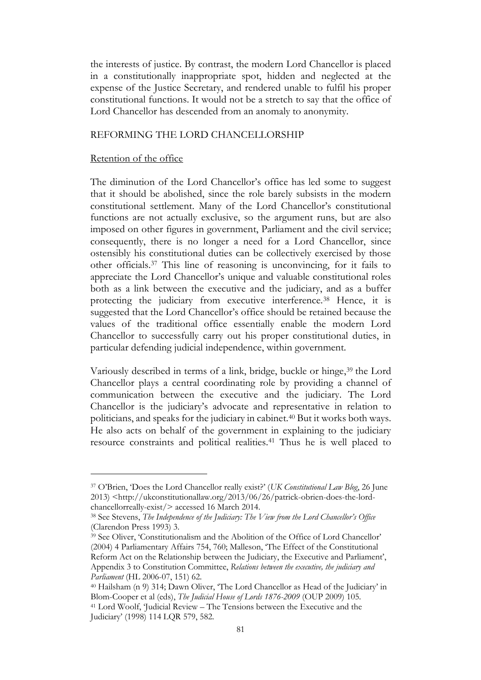the interests of justice. By contrast, the modern Lord Chancellor is placed in a constitutionally inappropriate spot, hidden and neglected at the expense of the Justice Secretary, and rendered unable to fulfil his proper constitutional functions. It would not be a stretch to say that the office of Lord Chancellor has descended from an anomaly to anonymity.

### REFORMING THE LORD CHANCELLORSHIP

#### Retention of the office

The diminution of the Lord Chancellor's office has led some to suggest that it should be abolished, since the role barely subsists in the modern constitutional settlement. Many of the Lord Chancellor's constitutional functions are not actually exclusive, so the argument runs, but are also imposed on other figures in government, Parliament and the civil service; consequently, there is no longer a need for a Lord Chancellor, since ostensibly his constitutional duties can be collectively exercised by those other officials.<sup>37</sup> This line of reasoning is unconvincing, for it fails to appreciate the Lord Chancellor's unique and valuable constitutional roles both as a link between the executive and the judiciary, and as a buffer protecting the judiciary from executive interference.<sup>38</sup> Hence, it is suggested that the Lord Chancellor's office should be retained because the values of the traditional office essentially enable the modern Lord Chancellor to successfully carry out his proper constitutional duties, in particular defending judicial independence, within government.

Variously described in terms of a link, bridge, buckle or hinge, <sup>39</sup> the Lord Chancellor plays a central coordinating role by providing a channel of communication between the executive and the judiciary. The Lord Chancellor is the judiciary's advocate and representative in relation to politicians, and speaks for the judiciary in cabinet.<sup>40</sup> But it works both ways. He also acts on behalf of the government in explaining to the judiciary resource constraints and political realities.<sup>41</sup> Thus he is well placed to

<sup>37</sup> O'Brien, 'Does the Lord Chancellor really exist?' (*UK Constitutional Law Blog*, 26 June 2013) <http://ukconstitutionallaw.org/2013/06/26/patrick-obrien-does-the-lordchancellorreally-exist/> accessed 16 March 2014.

<sup>38</sup> See Stevens, *The Independence of the Judiciary: The View from the Lord Chancellor's Office* (Clarendon Press 1993) 3.

<sup>39</sup> See Oliver, 'Constitutionalism and the Abolition of the Office of Lord Chancellor' (2004) 4 Parliamentary Affairs 754, 760; Malleson, 'The Effect of the Constitutional Reform Act on the Relationship between the Judiciary, the Executive and Parliament', Appendix 3 to Constitution Committee, *Relations between the executive, the judiciary and Parliament* (HL 2006-07, 151) 62.

<sup>40</sup> Hailsham (n 9) 314; Dawn Oliver, 'The Lord Chancellor as Head of the Judiciary' in Blom-Cooper et al (eds), *The Judicial House of Lords 1876-2009* (OUP 2009) 105.

<sup>41</sup> Lord Woolf, 'Judicial Review – The Tensions between the Executive and the Judiciary' (1998) 114 LQR 579, 582.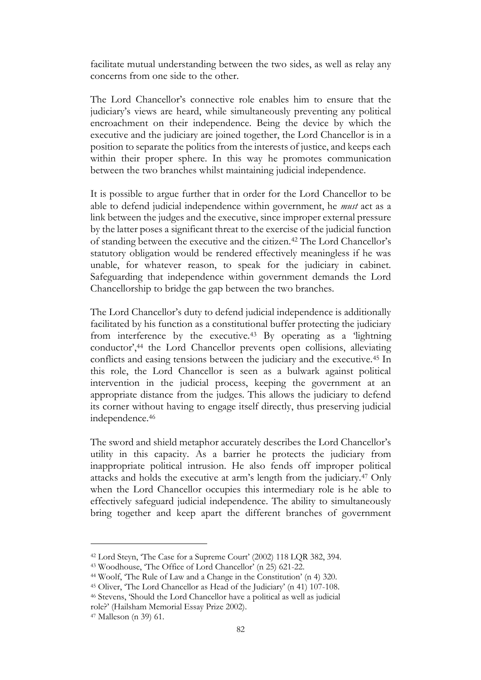facilitate mutual understanding between the two sides, as well as relay any concerns from one side to the other.

The Lord Chancellor's connective role enables him to ensure that the judiciary's views are heard, while simultaneously preventing any political encroachment on their independence. Being the device by which the executive and the judiciary are joined together, the Lord Chancellor is in a position to separate the politics from the interests of justice, and keeps each within their proper sphere. In this way he promotes communication between the two branches whilst maintaining judicial independence.

It is possible to argue further that in order for the Lord Chancellor to be able to defend judicial independence within government, he *must* act as a link between the judges and the executive, since improper external pressure by the latter poses a significant threat to the exercise of the judicial function of standing between the executive and the citizen.<sup>42</sup> The Lord Chancellor's statutory obligation would be rendered effectively meaningless if he was unable, for whatever reason, to speak for the judiciary in cabinet. Safeguarding that independence within government demands the Lord Chancellorship to bridge the gap between the two branches.

The Lord Chancellor's duty to defend judicial independence is additionally facilitated by his function as a constitutional buffer protecting the judiciary from interference by the executive.<sup>43</sup> By operating as a 'lightning conductor',<sup>44</sup> the Lord Chancellor prevents open collisions, alleviating conflicts and easing tensions between the judiciary and the executive.<sup>45</sup> In this role, the Lord Chancellor is seen as a bulwark against political intervention in the judicial process, keeping the government at an appropriate distance from the judges. This allows the judiciary to defend its corner without having to engage itself directly, thus preserving judicial independence.<sup>46</sup>

The sword and shield metaphor accurately describes the Lord Chancellor's utility in this capacity. As a barrier he protects the judiciary from inappropriate political intrusion. He also fends off improper political attacks and holds the executive at arm's length from the judiciary.<sup>47</sup> Only when the Lord Chancellor occupies this intermediary role is he able to effectively safeguard judicial independence. The ability to simultaneously bring together and keep apart the different branches of government

<sup>42</sup> Lord Steyn, 'The Case for a Supreme Court' (2002) 118 LQR 382, 394.

<sup>43</sup> Woodhouse, 'The Office of Lord Chancellor' (n 25) 621-22.

<sup>44</sup> Woolf, 'The Rule of Law and a Change in the Constitution' (n 4) 320.

<sup>45</sup> Oliver, 'The Lord Chancellor as Head of the Judiciary' (n 41) 107-108.

<sup>46</sup> Stevens, 'Should the Lord Chancellor have a political as well as judicial role?' (Hailsham Memorial Essay Prize 2002).

<sup>47</sup> Malleson (n 39) 61.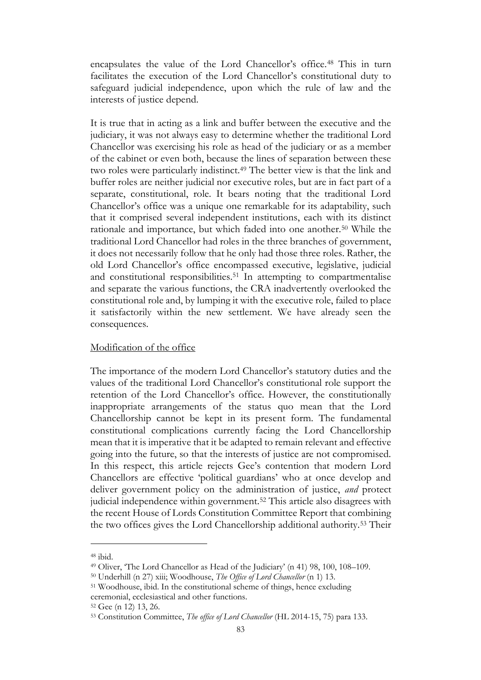encapsulates the value of the Lord Chancellor's office.<sup>48</sup> This in turn facilitates the execution of the Lord Chancellor's constitutional duty to safeguard judicial independence, upon which the rule of law and the interests of justice depend.

It is true that in acting as a link and buffer between the executive and the judiciary, it was not always easy to determine whether the traditional Lord Chancellor was exercising his role as head of the judiciary or as a member of the cabinet or even both, because the lines of separation between these two roles were particularly indistinct.<sup>49</sup> The better view is that the link and buffer roles are neither judicial nor executive roles, but are in fact part of a separate, constitutional, role. It bears noting that the traditional Lord Chancellor's office was a unique one remarkable for its adaptability, such that it comprised several independent institutions, each with its distinct rationale and importance, but which faded into one another.<sup>50</sup> While the traditional Lord Chancellor had roles in the three branches of government, it does not necessarily follow that he only had those three roles. Rather, the old Lord Chancellor's office encompassed executive, legislative, judicial and constitutional responsibilities.<sup>51</sup> In attempting to compartmentalise and separate the various functions, the CRA inadvertently overlooked the constitutional role and, by lumping it with the executive role, failed to place it satisfactorily within the new settlement. We have already seen the consequences.

### Modification of the office

The importance of the modern Lord Chancellor's statutory duties and the values of the traditional Lord Chancellor's constitutional role support the retention of the Lord Chancellor's office. However, the constitutionally inappropriate arrangements of the status quo mean that the Lord Chancellorship cannot be kept in its present form. The fundamental constitutional complications currently facing the Lord Chancellorship mean that it is imperative that it be adapted to remain relevant and effective going into the future, so that the interests of justice are not compromised. In this respect, this article rejects Gee's contention that modern Lord Chancellors are effective 'political guardians' who at once develop and deliver government policy on the administration of justice, *and* protect judicial independence within government.<sup>52</sup> This article also disagrees with the recent House of Lords Constitution Committee Report that combining the two offices gives the Lord Chancellorship additional authority.<sup>53</sup> Their

<sup>48</sup> ibid.

<sup>49</sup> Oliver, 'The Lord Chancellor as Head of the Judiciary' (n 41) 98, 100, 108–109.

<sup>50</sup> Underhill (n 27) xiii; Woodhouse, *The Office of Lord Chancellor* (n 1) 13.

<sup>51</sup> Woodhouse, ibid. In the constitutional scheme of things, hence excluding ceremonial, ecclesiastical and other functions.

<sup>52</sup> Gee (n 12) 13, 26.

<sup>53</sup> Constitution Committee, *The office of Lord Chancellor* (HL 2014-15, 75) para 133.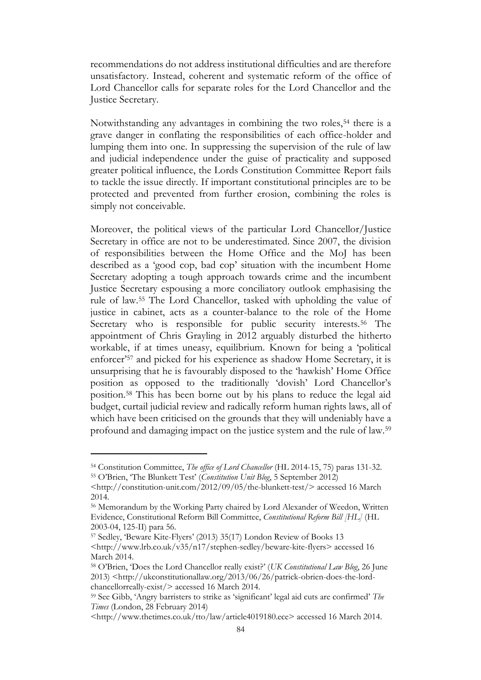recommendations do not address institutional difficulties and are therefore unsatisfactory. Instead, coherent and systematic reform of the office of Lord Chancellor calls for separate roles for the Lord Chancellor and the Justice Secretary.

Notwithstanding any advantages in combining the two roles,<sup>54</sup> there is a grave danger in conflating the responsibilities of each office-holder and lumping them into one. In suppressing the supervision of the rule of law and judicial independence under the guise of practicality and supposed greater political influence, the Lords Constitution Committee Report fails to tackle the issue directly. If important constitutional principles are to be protected and prevented from further erosion, combining the roles is simply not conceivable.

Moreover, the political views of the particular Lord Chancellor/Justice Secretary in office are not to be underestimated. Since 2007, the division of responsibilities between the Home Office and the MoJ has been described as a 'good cop, bad cop' situation with the incumbent Home Secretary adopting a tough approach towards crime and the incumbent Justice Secretary espousing a more conciliatory outlook emphasising the rule of law.<sup>55</sup> The Lord Chancellor, tasked with upholding the value of justice in cabinet, acts as a counter-balance to the role of the Home Secretary who is responsible for public security interests.<sup>56</sup> The appointment of Chris Grayling in 2012 arguably disturbed the hitherto workable, if at times uneasy, equilibrium. Known for being a 'political enforcer'<sup>57</sup> and picked for his experience as shadow Home Secretary, it is unsurprising that he is favourably disposed to the 'hawkish' Home Office position as opposed to the traditionally 'dovish' Lord Chancellor's position.<sup>58</sup> This has been borne out by his plans to reduce the legal aid budget, curtail judicial review and radically reform human rights laws, all of which have been criticised on the grounds that they will undeniably have a profound and damaging impact on the justice system and the rule of law.<sup>59</sup>

<sup>54</sup> Constitution Committee, *The office of Lord Chancellor* (HL 2014-15, 75) paras 131-32.

<sup>55</sup> O'Brien, 'The Blunkett Test' (*Constitution Unit Blog*, 5 September 2012)

<sup>&</sup>lt;http://constitution-unit.com/2012/09/05/the-blunkett-test/> accessed 16 March 2014.

<sup>56</sup> Memorandum by the Working Party chaired by Lord Alexander of Weedon, Written Evidence, Constitutional Reform Bill Committee, *Constitutional Reform Bill [HL]* (HL 2003-04, 125-II) para 56.

<sup>57</sup> Sedley, 'Beware Kite-Flyers' (2013) 35(17) London Review of Books 13

<sup>&</sup>lt;http://www.lrb.co.uk/v35/n17/stephen-sedley/beware-kite-flyers> accessed 16 March 2014.

<sup>58</sup> O'Brien, 'Does the Lord Chancellor really exist?' (*UK Constitutional Law Blog*, 26 June 2013) <http://ukconstitutionallaw.org/2013/06/26/patrick-obrien-does-the-lordchancellorreally-exist/> accessed 16 March 2014.

<sup>59</sup> See Gibb, 'Angry barristers to strike as 'significant' legal aid cuts are confirmed' *The Times* (London, 28 February 2014)

<sup>&</sup>lt;http://www.thetimes.co.uk/tto/law/article4019180.ece> accessed 16 March 2014.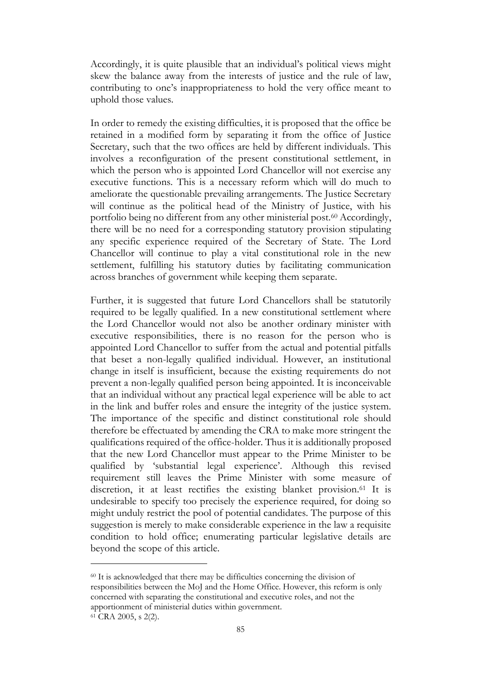Accordingly, it is quite plausible that an individual's political views might skew the balance away from the interests of justice and the rule of law, contributing to one's inappropriateness to hold the very office meant to uphold those values.

In order to remedy the existing difficulties, it is proposed that the office be retained in a modified form by separating it from the office of Justice Secretary, such that the two offices are held by different individuals. This involves a reconfiguration of the present constitutional settlement, in which the person who is appointed Lord Chancellor will not exercise any executive functions. This is a necessary reform which will do much to ameliorate the questionable prevailing arrangements. The Justice Secretary will continue as the political head of the Ministry of Justice, with his portfolio being no different from any other ministerial post.<sup>60</sup> Accordingly, there will be no need for a corresponding statutory provision stipulating any specific experience required of the Secretary of State. The Lord Chancellor will continue to play a vital constitutional role in the new settlement, fulfilling his statutory duties by facilitating communication across branches of government while keeping them separate.

Further, it is suggested that future Lord Chancellors shall be statutorily required to be legally qualified. In a new constitutional settlement where the Lord Chancellor would not also be another ordinary minister with executive responsibilities, there is no reason for the person who is appointed Lord Chancellor to suffer from the actual and potential pitfalls that beset a non-legally qualified individual. However, an institutional change in itself is insufficient, because the existing requirements do not prevent a non-legally qualified person being appointed. It is inconceivable that an individual without any practical legal experience will be able to act in the link and buffer roles and ensure the integrity of the justice system. The importance of the specific and distinct constitutional role should therefore be effectuated by amending the CRA to make more stringent the qualifications required of the office-holder. Thus it is additionally proposed that the new Lord Chancellor must appear to the Prime Minister to be qualified by 'substantial legal experience'. Although this revised requirement still leaves the Prime Minister with some measure of discretion, it at least rectifies the existing blanket provision.<sup>61</sup> It is undesirable to specify too precisely the experience required, for doing so might unduly restrict the pool of potential candidates. The purpose of this suggestion is merely to make considerable experience in the law a requisite condition to hold office; enumerating particular legislative details are beyond the scope of this article.

<sup>60</sup> It is acknowledged that there may be difficulties concerning the division of responsibilities between the MoJ and the Home Office. However, this reform is only concerned with separating the constitutional and executive roles, and not the apportionment of ministerial duties within government.

<sup>61</sup> CRA 2005, s 2(2).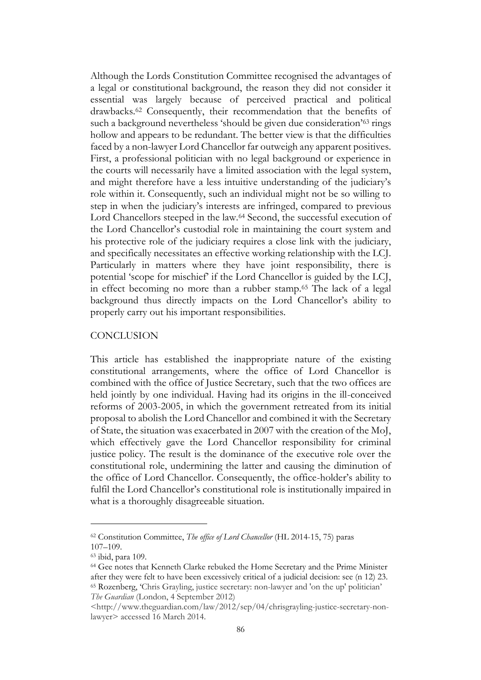Although the Lords Constitution Committee recognised the advantages of a legal or constitutional background, the reason they did not consider it essential was largely because of perceived practical and political drawbacks.<sup>62</sup> Consequently, their recommendation that the benefits of such a background nevertheless 'should be given due consideration'<sup>63</sup> rings hollow and appears to be redundant. The better view is that the difficulties faced by a non-lawyer Lord Chancellor far outweigh any apparent positives. First, a professional politician with no legal background or experience in the courts will necessarily have a limited association with the legal system, and might therefore have a less intuitive understanding of the judiciary's role within it. Consequently, such an individual might not be so willing to step in when the judiciary's interests are infringed, compared to previous Lord Chancellors steeped in the law.<sup>64</sup> Second, the successful execution of the Lord Chancellor's custodial role in maintaining the court system and his protective role of the judiciary requires a close link with the judiciary, and specifically necessitates an effective working relationship with the LCJ. Particularly in matters where they have joint responsibility, there is potential 'scope for mischief' if the Lord Chancellor is guided by the LCJ, in effect becoming no more than a rubber stamp.<sup>65</sup> The lack of a legal background thus directly impacts on the Lord Chancellor's ability to properly carry out his important responsibilities.

#### **CONCLUSION**

This article has established the inappropriate nature of the existing constitutional arrangements, where the office of Lord Chancellor is combined with the office of Justice Secretary, such that the two offices are held jointly by one individual. Having had its origins in the ill-conceived reforms of 2003-2005, in which the government retreated from its initial proposal to abolish the Lord Chancellor and combined it with the Secretary of State, the situation was exacerbated in 2007 with the creation of the MoJ, which effectively gave the Lord Chancellor responsibility for criminal justice policy. The result is the dominance of the executive role over the constitutional role, undermining the latter and causing the diminution of the office of Lord Chancellor. Consequently, the office-holder's ability to fulfil the Lord Chancellor's constitutional role is institutionally impaired in what is a thoroughly disagreeable situation.

<sup>62</sup> Constitution Committee, *The office of Lord Chancellor* (HL 2014-15, 75) paras 107–109.

<sup>63</sup> ibid, para 109.

<sup>64</sup> Gee notes that Kenneth Clarke rebuked the Home Secretary and the Prime Minister after they were felt to have been excessively critical of a judicial decision: see (n 12) 23. <sup>65</sup> Rozenberg, 'Chris Grayling, justice secretary: non-lawyer and 'on the up' politician' *The Guardian* (London, 4 September 2012)

<sup>&</sup>lt;http://www.theguardian.com/law/2012/sep/04/chrisgrayling-justice-secretary-nonlawyer> accessed 16 March 2014.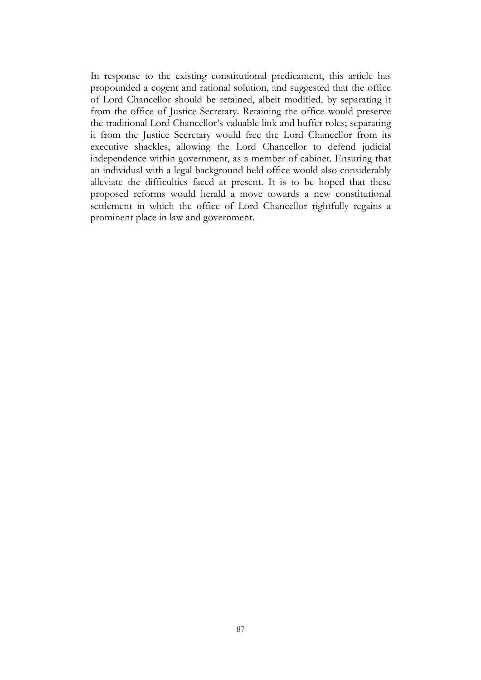In response to the existing constitutional predicament, this article has propounded a cogent and rational solution, and suggested that the office of Lord Chancellor should be retained, albeit modified, by separating it from the office of Justice Secretary. Retaining the office would preserve the traditional Lord Chancellor's valuable link and buffer roles; separating it from the Justice Secretary would free the Lord Chancellor from its executive shackles, allowing the Lord Chancellor to defend judicial independence within government, as a member of cabinet. Ensuring that an individual with a legal background held office would also considerably alleviate the difficulties faced at present. It is to be hoped that these proposed reforms would herald a move towards a new constitutional settlement in which the office of Lord Chancellor rightfully regains a prominent place in law and government.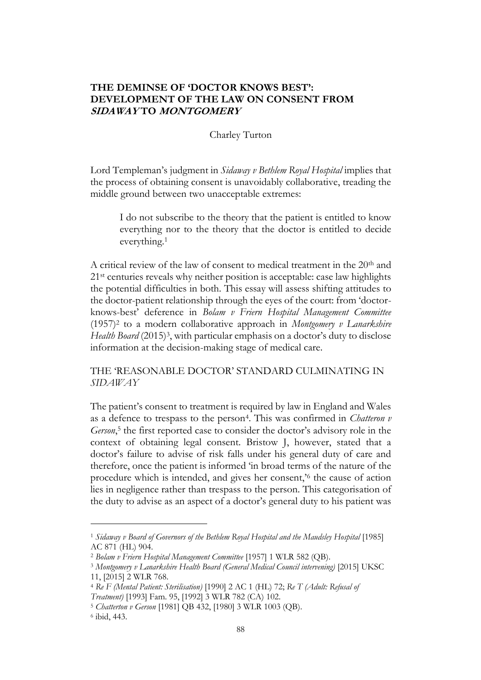# **THE DEMINSE OF 'DOCTOR KNOWS BEST': DEVELOPMENT OF THE LAW ON CONSENT FROM SIDAWAY TO MONTGOMERY**

#### Charley Turton

Lord Templeman's judgment in *Sidaway v Bethlem Royal Hospital* implies that the process of obtaining consent is unavoidably collaborative, treading the middle ground between two unacceptable extremes:

I do not subscribe to the theory that the patient is entitled to know everything nor to the theory that the doctor is entitled to decide everything.<sup>1</sup>

A critical review of the law of consent to medical treatment in the 20th and 21<sup>st</sup> centuries reveals why neither position is acceptable: case law highlights the potential difficulties in both. This essay will assess shifting attitudes to the doctor-patient relationship through the eyes of the court: from 'doctorknows-best' deference in *Bolam v Friern Hospital Management Committee* (1957)<sup>2</sup> to a modern collaborative approach in *Montgomery v Lanarkshire*  Health Board (2015)<sup>3</sup>, with particular emphasis on a doctor's duty to disclose information at the decision-making stage of medical care.

THE 'REASONABLE DOCTOR' STANDARD CULMINATING IN *SIDAWAY*

The patient's consent to treatment is required by law in England and Wales as a defence to trespass to the person<sup>4</sup> . This was confirmed in *Chatteron v*  Gerson,<sup>5</sup> the first reported case to consider the doctor's advisory role in the context of obtaining legal consent. Bristow J, however, stated that a doctor's failure to advise of risk falls under his general duty of care and therefore, once the patient is informed 'in broad terms of the nature of the procedure which is intended, and gives her consent,'<sup>6</sup> the cause of action lies in negligence rather than trespass to the person. This categorisation of the duty to advise as an aspect of a doctor's general duty to his patient was

<sup>1</sup> *Sidaway v Board of Governors of the Bethlem Royal Hospital and the Maudsley Hospital* [1985] AC 871 (HL) 904.

<sup>2</sup> *Bolam v Friern Hospital Management Committee* [1957] 1 WLR 582 (QB).

<sup>3</sup> *Montgomery v Lanarkshire Health Board (General Medical Council intervening)* [2015] UKSC 11, [2015] 2 WLR 768.

<sup>4</sup> *Re F (Mental Patient: Sterilisation)* [1990] 2 AC 1 (HL) 72; *Re T (Adult: Refusal of* 

*Treatment)* [1993] Fam. 95, [1992] 3 WLR 782 (CA) 102.

<sup>5</sup> *Chatterton v Gerson* [1981] QB 432, [1980] 3 WLR 1003 (QB).

<sup>6</sup> ibid, 443.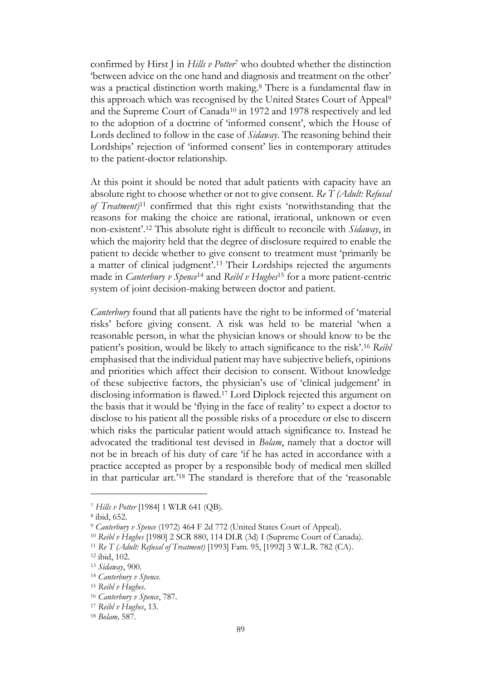confirmed by Hirst J in *Hills v Potter*<sup>7</sup> who doubted whether the distinction 'between advice on the one hand and diagnosis and treatment on the other' was a practical distinction worth making. <sup>8</sup> There is a fundamental flaw in this approach which was recognised by the United States Court of Appeal<sup>9</sup> and the Supreme Court of Canada<sup>10</sup> in 1972 and 1978 respectively and led to the adoption of a doctrine of 'informed consent', which the House of Lords declined to follow in the case of *Sidaway*. The reasoning behind their Lordships' rejection of 'informed consent' lies in contemporary attitudes to the patient-doctor relationship.

At this point it should be noted that adult patients with capacity have an absolute right to choose whether or not to give consent. *Re T (Adult: Refusal of Treatment)*<sup>11</sup> confirmed that this right exists 'notwithstanding that the reasons for making the choice are rational, irrational, unknown or even non-existent'. <sup>12</sup> This absolute right is difficult to reconcile with *Sidaway*, in which the majority held that the degree of disclosure required to enable the patient to decide whether to give consent to treatment must 'primarily be a matter of clinical judgment'. <sup>13</sup> Their Lordships rejected the arguments made in *Canterbury v Spence*<sup>14</sup> and *Reibl v Hughes*<sup>15</sup> for a more patient-centric system of joint decision-making between doctor and patient.

*Canterbury* found that all patients have the right to be informed of 'material risks' before giving consent. A risk was held to be material 'when a reasonable person, in what the physician knows or should know to be the patient's position, would be likely to attach significance to the risk'. <sup>16</sup> *Reibl* emphasised that the individual patient may have subjective beliefs, opinions and priorities which affect their decision to consent. Without knowledge of these subjective factors, the physician's use of 'clinical judgement' in disclosing information is flawed.<sup>17</sup> Lord Diplock rejected this argument on the basis that it would be 'flying in the face of reality' to expect a doctor to disclose to his patient all the possible risks of a procedure or else to discern which risks the particular patient would attach significance to. Instead he advocated the traditional test devised in *Bolam*, namely that a doctor will not be in breach of his duty of care 'if he has acted in accordance with a practice accepted as proper by a responsible body of medical men skilled in that particular art.'<sup>18</sup> The standard is therefore that of the 'reasonable

<sup>7</sup> *Hills v Potter* [1984] 1 WLR 641 (QB).

<sup>8</sup> ibid, 652.

<sup>9</sup> *Canterbury v Spence* (1972) 464 F 2d 772 (United States Court of Appeal).

<sup>10</sup> *Reibl v Hughes* [1980] 2 SCR 880, 114 DLR (3d) I (Supreme Court of Canada).

<sup>11</sup> *Re T (Adult: Refusal of Treatment)* [1993] Fam. 95, [1992] 3 W.L.R. 782 (CA).

<sup>12</sup> ibid, 102.

<sup>13</sup> *Sidaway*, 900.

<sup>14</sup> *Canterbury v Spence*.

<sup>15</sup> *Reibl v Hughes*.

<sup>16</sup> *Canterbury v Spence*, 787.

<sup>17</sup> *Reibl v Hughes*, 13.

<sup>18</sup> *Bolam,* 587.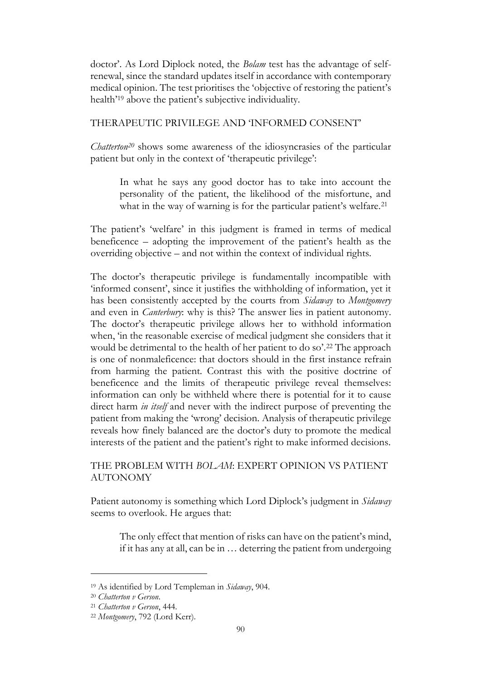doctor'. As Lord Diplock noted, the *Bolam* test has the advantage of selfrenewal, since the standard updates itself in accordance with contemporary medical opinion. The test prioritises the 'objective of restoring the patient's health'<sup>19</sup> above the patient's subjective individuality.

### THERAPEUTIC PRIVILEGE AND 'INFORMED CONSENT'

*Chatterton<sup>20</sup>* shows some awareness of the idiosyncrasies of the particular patient but only in the context of 'therapeutic privilege':

In what he says any good doctor has to take into account the personality of the patient, the likelihood of the misfortune, and what in the way of warning is for the particular patient's welfare.<sup>21</sup>

The patient's 'welfare' in this judgment is framed in terms of medical beneficence – adopting the improvement of the patient's health as the overriding objective – and not within the context of individual rights.

The doctor's therapeutic privilege is fundamentally incompatible with 'informed consent', since it justifies the withholding of information, yet it has been consistently accepted by the courts from *Sidaway* to *Montgomery* and even in *Canterbury*: why is this? The answer lies in patient autonomy. The doctor's therapeutic privilege allows her to withhold information when, 'in the reasonable exercise of medical judgment she considers that it would be detrimental to the health of her patient to do so'.<sup>22</sup> The approach is one of nonmaleficence: that doctors should in the first instance refrain from harming the patient. Contrast this with the positive doctrine of beneficence and the limits of therapeutic privilege reveal themselves: information can only be withheld where there is potential for it to cause direct harm *in itself* and never with the indirect purpose of preventing the patient from making the 'wrong' decision. Analysis of therapeutic privilege reveals how finely balanced are the doctor's duty to promote the medical interests of the patient and the patient's right to make informed decisions.

# THE PROBLEM WITH *BOLAM*: EXPERT OPINION VS PATIENT AUTONOMY

Patient autonomy is something which Lord Diplock's judgment in *Sidaway* seems to overlook. He argues that:

The only effect that mention of risks can have on the patient's mind, if it has any at all, can be in … deterring the patient from undergoing

<sup>19</sup> As identified by Lord Templeman in *Sidaway*, 904.

<sup>20</sup> *Chatterton v Gerson*.

<sup>21</sup> *Chatterton v Gerson*, 444.

<sup>22</sup> *Montgomery*, 792 (Lord Kerr).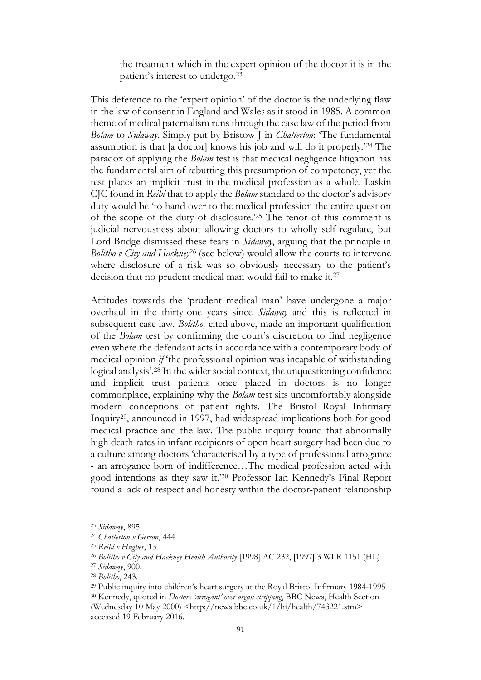the treatment which in the expert opinion of the doctor it is in the patient's interest to undergo.<sup>23</sup>

This deference to the 'expert opinion' of the doctor is the underlying flaw in the law of consent in England and Wales as it stood in 1985. A common theme of medical paternalism runs through the case law of the period from *Bolam* to *Sidaway*. Simply put by Bristow J in *Chatterton*: 'The fundamental assumption is that [a doctor] knows his job and will do it properly.'<sup>24</sup> The paradox of applying the *Bolam* test is that medical negligence litigation has the fundamental aim of rebutting this presumption of competency, yet the test places an implicit trust in the medical profession as a whole. Laskin CJC found in *Reibl* that to apply the *Bolam* standard to the doctor's advisory duty would be 'to hand over to the medical profession the entire question of the scope of the duty of disclosure.'<sup>25</sup> The tenor of this comment is judicial nervousness about allowing doctors to wholly self-regulate, but Lord Bridge dismissed these fears in *Sidaway*, arguing that the principle in *Bolitho v City and Hackney*<sup>26</sup> (see below) would allow the courts to intervene where disclosure of a risk was so obviously necessary to the patient's decision that no prudent medical man would fail to make it.<sup>27</sup>

Attitudes towards the 'prudent medical man' have undergone a major overhaul in the thirty-one years since *Sidaway* and this is reflected in subsequent case law. *Bolitho,* cited above, made an important qualification of the *Bolam* test by confirming the court's discretion to find negligence even where the defendant acts in accordance with a contemporary body of medical opinion *if* 'the professional opinion was incapable of withstanding logical analysis'. <sup>28</sup> In the wider social context, the unquestioning confidence and implicit trust patients once placed in doctors is no longer commonplace, explaining why the *Bolam* test sits uncomfortably alongside modern conceptions of patient rights. The Bristol Royal Infirmary Inquiry29, announced in 1997, had widespread implications both for good medical practice and the law. The public inquiry found that abnormally high death rates in infant recipients of open heart surgery had been due to a culture among doctors 'characterised by a type of professional arrogance - an arrogance born of indifference…The medical profession acted with good intentions as they saw it.'<sup>30</sup> Professor Ian Kennedy's Final Report found a lack of respect and honesty within the doctor-patient relationship

<sup>23</sup> *Sidaway*, 895.

<sup>24</sup> *Chatterton v Gerson*, 444.

<sup>25</sup> *Reibl v Hughes*, 13.

<sup>26</sup> *Bolitho v City and Hackney Health Authority* [1998] AC 232, [1997] 3 WLR 1151 (HL).

<sup>27</sup> *Sidaway*, 900.

<sup>28</sup> *Bolitho*, 243.

<sup>29</sup> Public inquiry into children's heart surgery at the Royal Bristol Infirmary 1984-1995 <sup>30</sup> Kennedy, quoted in *Doctors 'arrogant' over organ stripping*, BBC News, Health Section (Wednesday 10 May 2000) <http://news.bbc.co.uk/1/hi/health/743221.stm> accessed 19 February 2016.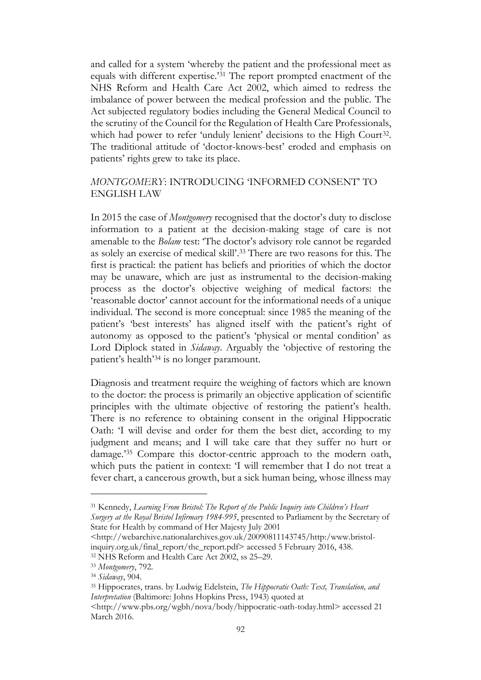and called for a system 'whereby the patient and the professional meet as equals with different expertise.'<sup>31</sup> The report prompted enactment of the NHS Reform and Health Care Act 2002, which aimed to redress the imbalance of power between the medical profession and the public. The Act subjected regulatory bodies including the General Medical Council to the scrutiny of the Council for the Regulation of Health Care Professionals, which had power to refer 'unduly lenient' decisions to the High Court<sup>32</sup>. The traditional attitude of 'doctor-knows-best' eroded and emphasis on patients' rights grew to take its place.

# *MONTGOMERY*: INTRODUCING 'INFORMED CONSENT' TO ENGLISH LAW

In 2015 the case of *Montgomery* recognised that the doctor's duty to disclose information to a patient at the decision-making stage of care is not amenable to the *Bolam* test: 'The doctor's advisory role cannot be regarded as solely an exercise of medical skill'. <sup>33</sup> There are two reasons for this. The first is practical: the patient has beliefs and priorities of which the doctor may be unaware, which are just as instrumental to the decision-making process as the doctor's objective weighing of medical factors: the 'reasonable doctor' cannot account for the informational needs of a unique individual. The second is more conceptual: since 1985 the meaning of the patient's 'best interests' has aligned itself with the patient's right of autonomy as opposed to the patient's 'physical or mental condition' as Lord Diplock stated in *Sidaway*. Arguably the 'objective of restoring the patient's health'<sup>34</sup> is no longer paramount.

Diagnosis and treatment require the weighing of factors which are known to the doctor: the process is primarily an objective application of scientific principles with the ultimate objective of restoring the patient's health. There is no reference to obtaining consent in the original Hippocratic Oath: 'I will devise and order for them the best diet, according to my judgment and means; and I will take care that they suffer no hurt or damage.'<sup>35</sup> Compare this doctor-centric approach to the modern oath, which puts the patient in context: 'I will remember that I do not treat a fever chart, a cancerous growth, but a sick human being, whose illness may

<sup>31</sup> Kennedy, *Learning From Bristol: The Report of the Public Inquiry into Children's Heart Surgery at the Royal Bristol Infirmary 1984-995*, presented to Parliament by the Secretary of State for Health by command of Her Majesty July 2001

<sup>&</sup>lt;http://webarchive.nationalarchives.gov.uk/20090811143745/http:/www.bristolinquiry.org.uk/final\_report/the\_report.pdf> accessed 5 February 2016, 438.

<sup>32</sup> NHS Reform and Health Care Act 2002, ss 25–29.

<sup>33</sup> *Montgomery*, 792.

<sup>34</sup> *Sidaway*, 904.

<sup>35</sup> Hippocrates, trans. by Ludwig Edelstein, *The Hippocratic Oath: Text, Translation, and Interpretation* (Baltimore: Johns Hopkins Press, 1943) quoted at

<sup>&</sup>lt;http://www.pbs.org/wgbh/nova/body/hippocratic-oath-today.html> accessed 21 March 2016.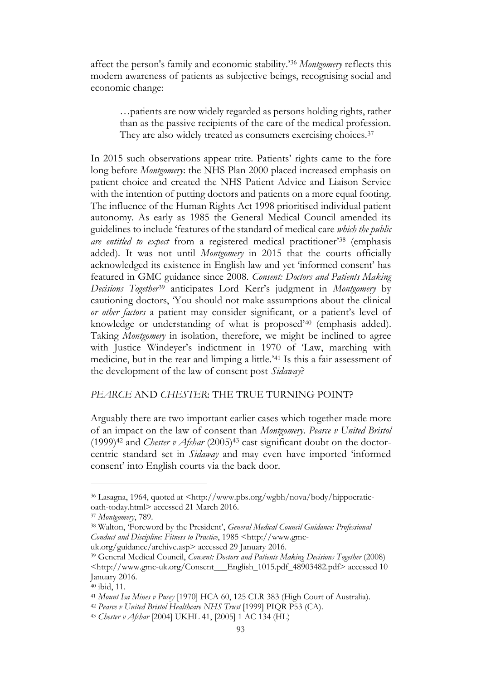affect the person's family and economic stability.'<sup>36</sup> *Montgomery* reflects this modern awareness of patients as subjective beings, recognising social and economic change:

…patients are now widely regarded as persons holding rights, rather than as the passive recipients of the care of the medical profession. They are also widely treated as consumers exercising choices.<sup>37</sup>

In 2015 such observations appear trite. Patients' rights came to the fore long before *Montgomery*: the NHS Plan 2000 placed increased emphasis on patient choice and created the NHS Patient Advice and Liaison Service with the intention of putting doctors and patients on a more equal footing. The influence of the Human Rights Act 1998 prioritised individual patient autonomy. As early as 1985 the General Medical Council amended its guidelines to include 'features of the standard of medical care *which the public are entitled to expect* from a registered medical practitioner'<sup>38</sup> (emphasis added). It was not until *Montgomery* in 2015 that the courts officially acknowledged its existence in English law and yet 'informed consent' has featured in GMC guidance since 2008. *Consent: Doctors and Patients Making Decisions Together*<sup>39</sup> anticipates Lord Kerr's judgment in *Montgomery* by cautioning doctors, 'You should not make assumptions about the clinical *or other factors* a patient may consider significant, or a patient's level of knowledge or understanding of what is proposed'<sup>40</sup> (emphasis added). Taking *Montgomery* in isolation, therefore, we might be inclined to agree with Justice Windeyer's indictment in 1970 of 'Law, marching with medicine, but in the rear and limping a little.'<sup>41</sup> Is this a fair assessment of the development of the law of consent post-*Sidaway*?

### *PEARCE* AND *CHESTER*: THE TRUE TURNING POINT?

Arguably there are two important earlier cases which together made more of an impact on the law of consent than *Montgomery*. *Pearce v United Bristol* (1999)<sup>42</sup> and *Chester v Afshar* (2005)<sup>43</sup> cast significant doubt on the doctorcentric standard set in *Sidaway* and may even have imported 'informed consent' into English courts via the back door.

<sup>36</sup> Lasagna, 1964, quoted at <http://www.pbs.org/wgbh/nova/body/hippocraticoath-today.html> accessed 21 March 2016.

<sup>37</sup> *Montgomery*, 789.

<sup>38</sup> Walton, 'Foreword by the President', *General Medical Council Guidance: Professional Conduct and Discipline: Fitness to Practice*, 1985 <http://www.gmc-

uk.org/guidance/archive.asp> accessed 29 January 2016.

<sup>39</sup> General Medical Council, *Consent: Doctors and Patients Making Decisions Together* (2008) <http://www.gmc-uk.org/Consent\_\_\_English\_1015.pdf\_48903482.pdf> accessed 10 January 2016.

<sup>40</sup> ibid, 11.

<sup>41</sup> *Mount Isa Mines v Pusey* [1970] HCA 60, 125 CLR 383 (High Court of Australia).

<sup>42</sup> *Pearce v United Bristol Healthcare NHS Trust* [1999] PIQR P53 (CA).

<sup>43</sup> *Chester v Afshar* [2004] UKHL 41, [2005] 1 AC 134 (HL)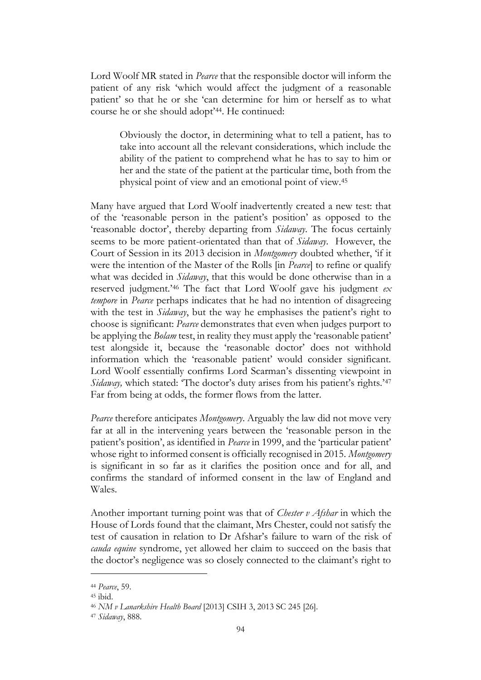Lord Woolf MR stated in *Pearce* that the responsible doctor will inform the patient of any risk 'which would affect the judgment of a reasonable patient' so that he or she 'can determine for him or herself as to what course he or she should adopt'44. He continued:

Obviously the doctor, in determining what to tell a patient, has to take into account all the relevant considerations, which include the ability of the patient to comprehend what he has to say to him or her and the state of the patient at the particular time, both from the physical point of view and an emotional point of view.<sup>45</sup>

Many have argued that Lord Woolf inadvertently created a new test: that of the 'reasonable person in the patient's position' as opposed to the 'reasonable doctor', thereby departing from *Sidaway*. The focus certainly seems to be more patient-orientated than that of *Sidaway*. However, the Court of Session in its 2013 decision in *Montgomery* doubted whether, 'if it were the intention of the Master of the Rolls [in *Pearce*] to refine or qualify what was decided in *Sidaway*, that this would be done otherwise than in a reserved judgment.'<sup>46</sup> The fact that Lord Woolf gave his judgment *ex tempore* in *Pearce* perhaps indicates that he had no intention of disagreeing with the test in *Sidaway*, but the way he emphasises the patient's right to choose is significant: *Pearce* demonstrates that even when judges purport to be applying the *Bolam* test, in reality they must apply the 'reasonable patient' test alongside it, because the 'reasonable doctor' does not withhold information which the 'reasonable patient' would consider significant. Lord Woolf essentially confirms Lord Scarman's dissenting viewpoint in *Sidaway*, which stated: 'The doctor's duty arises from his patient's rights.'<sup>47</sup> Far from being at odds, the former flows from the latter.

*Pearce* therefore anticipates *Montgomery*. Arguably the law did not move very far at all in the intervening years between the 'reasonable person in the patient's position', as identified in *Pearce* in 1999, and the 'particular patient' whose right to informed consent is officially recognised in 2015. *Montgomery* is significant in so far as it clarifies the position once and for all, and confirms the standard of informed consent in the law of England and Wales.

Another important turning point was that of *Chester v Afshar* in which the House of Lords found that the claimant, Mrs Chester, could not satisfy the test of causation in relation to Dr Afshar's failure to warn of the risk of *cauda equine* syndrome, yet allowed her claim to succeed on the basis that the doctor's negligence was so closely connected to the claimant's right to

<sup>44</sup> *Pearce*, 59.

<sup>45</sup> ibid.

<sup>46</sup> *NM v Lanarkshire Health Board* [2013] CSIH 3, 2013 SC 245 [26].

<sup>47</sup> *Sidaway*, 888.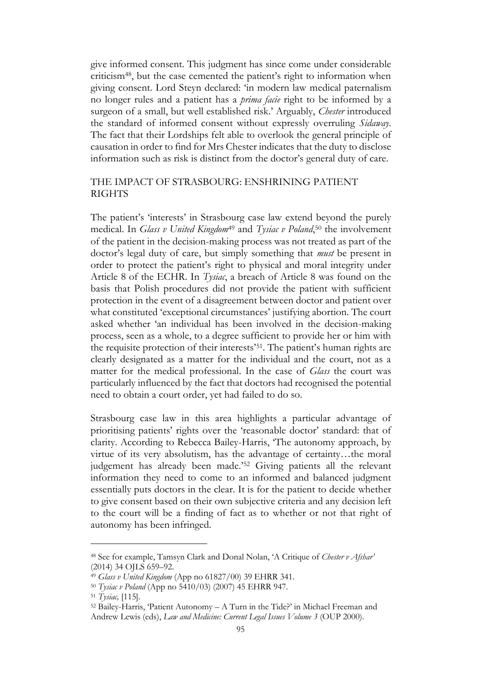give informed consent. This judgment has since come under considerable criticism48, but the case cemented the patient's right to information when giving consent. Lord Steyn declared: 'in modern law medical paternalism no longer rules and a patient has a *prima facie* right to be informed by a surgeon of a small, but well established risk.' Arguably, *Chester* introduced the standard of informed consent without expressly overruling *Sidaway*. The fact that their Lordships felt able to overlook the general principle of causation in order to find for Mrs Chester indicates that the duty to disclose information such as risk is distinct from the doctor's general duty of care.

# THE IMPACT OF STRASBOURG: ENSHRINING PATIENT RIGHTS

The patient's 'interests' in Strasbourg case law extend beyond the purely medical. In *Glass v United Kingdom*<sup>49</sup> and *Tysiac v Poland*, <sup>50</sup> the involvement of the patient in the decision-making process was not treated as part of the doctor's legal duty of care, but simply something that *must* be present in order to protect the patient's right to physical and moral integrity under Article 8 of the ECHR. In *Tysiac*, a breach of Article 8 was found on the basis that Polish procedures did not provide the patient with sufficient protection in the event of a disagreement between doctor and patient over what constituted 'exceptional circumstances' justifying abortion. The court asked whether 'an individual has been involved in the decision-making process, seen as a whole, to a degree sufficient to provide her or him with the requisite protection of their interests'51. The patient's human rights are clearly designated as a matter for the individual and the court, not as a matter for the medical professional. In the case of *Glass* the court was particularly influenced by the fact that doctors had recognised the potential need to obtain a court order, yet had failed to do so.

Strasbourg case law in this area highlights a particular advantage of prioritising patients' rights over the 'reasonable doctor' standard: that of clarity. According to Rebecca Bailey-Harris, 'The autonomy approach, by virtue of its very absolutism, has the advantage of certainty…the moral judgement has already been made.'<sup>52</sup> Giving patients all the relevant information they need to come to an informed and balanced judgment essentially puts doctors in the clear. It is for the patient to decide whether to give consent based on their own subjective criteria and any decision left to the court will be a finding of fact as to whether or not that right of autonomy has been infringed.

<sup>48</sup> See for example, Tamsyn Clark and Donal Nolan, 'A Critique of *Chester v Afshar'* (2014) 34 OJLS 659–92.

<sup>49</sup> *Glass v United Kingdom* (App no 61827/00) 39 EHRR 341.

<sup>50</sup> *Tysiac v Poland* (App no 5410/03) (2007) 45 EHRR 947.

<sup>51</sup> *Tysiac,* [115].

<sup>52</sup> Bailey-Harris, 'Patient Autonomy – A Turn in the Tide?' in Michael Freeman and Andrew Lewis (eds), *Law and Medicine: Current Legal Issues Volume 3* (OUP 2000).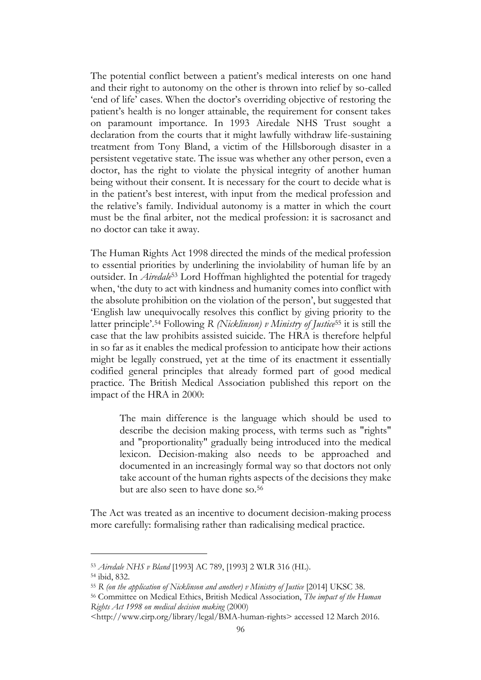The potential conflict between a patient's medical interests on one hand and their right to autonomy on the other is thrown into relief by so-called 'end of life' cases. When the doctor's overriding objective of restoring the patient's health is no longer attainable, the requirement for consent takes on paramount importance. In 1993 Airedale NHS Trust sought a declaration from the courts that it might lawfully withdraw life-sustaining treatment from Tony Bland, a victim of the Hillsborough disaster in a persistent vegetative state. The issue was whether any other person, even a doctor, has the right to violate the physical integrity of another human being without their consent. It is necessary for the court to decide what is in the patient's best interest, with input from the medical profession and the relative's family. Individual autonomy is a matter in which the court must be the final arbiter, not the medical profession: it is sacrosanct and no doctor can take it away.

The Human Rights Act 1998 directed the minds of the medical profession to essential priorities by underlining the inviolability of human life by an outsider. In *Airedale*<sup>53</sup> Lord Hoffman highlighted the potential for tragedy when, 'the duty to act with kindness and humanity comes into conflict with the absolute prohibition on the violation of the person', but suggested that 'English law unequivocally resolves this conflict by giving priority to the latter principle'. <sup>54</sup> Following *R (Nicklinson) v Ministry of Justice*<sup>55</sup> it is still the case that the law prohibits assisted suicide. The HRA is therefore helpful in so far as it enables the medical profession to anticipate how their actions might be legally construed, yet at the time of its enactment it essentially codified general principles that already formed part of good medical practice. The British Medical Association published this report on the impact of the HRA in 2000:

The main difference is the language which should be used to describe the decision making process, with terms such as "rights" and "proportionality" gradually being introduced into the medical lexicon. Decision-making also needs to be approached and documented in an increasingly formal way so that doctors not only take account of the human rights aspects of the decisions they make but are also seen to have done so.<sup>56</sup>

The Act was treated as an incentive to document decision-making process more carefully: formalising rather than radicalising medical practice.

<sup>53</sup> *Airedale NHS v Bland* [1993] AC 789, [1993] 2 WLR 316 (HL).

<sup>54</sup> ibid, 832.

<sup>55</sup> *R (on the application of Nicklinson and another) v Ministry of Justice* [2014] UKSC 38.

<sup>56</sup> Committee on Medical Ethics, British Medical Association, *The impact of the Human Rights Act 1998 on medical decision making* (2000)

<sup>&</sup>lt;http://www.cirp.org/library/legal/BMA-human-rights> accessed 12 March 2016.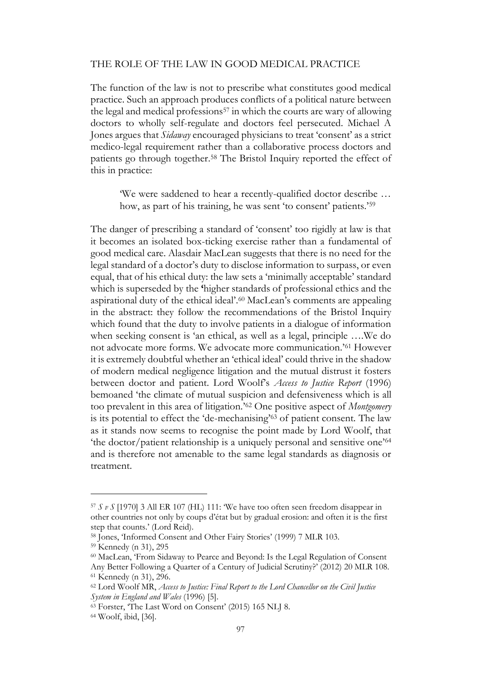#### THE ROLE OF THE LAW IN GOOD MEDICAL PRACTICE

The function of the law is not to prescribe what constitutes good medical practice. Such an approach produces conflicts of a political nature between the legal and medical professions<sup>57</sup> in which the courts are wary of allowing doctors to wholly self-regulate and doctors feel persecuted. Michael A Jones argues that *Sidaway* encouraged physicians to treat 'consent' as a strict medico-legal requirement rather than a collaborative process doctors and patients go through together. <sup>58</sup> The Bristol Inquiry reported the effect of this in practice:

'We were saddened to hear a recently-qualified doctor describe … how, as part of his training, he was sent 'to consent' patients.'<sup>59</sup>

The danger of prescribing a standard of 'consent' too rigidly at law is that it becomes an isolated box-ticking exercise rather than a fundamental of good medical care. Alasdair MacLean suggests that there is no need for the legal standard of a doctor's duty to disclose information to surpass, or even equal, that of his ethical duty: the law sets a 'minimally acceptable' standard which is superseded by the **'**higher standards of professional ethics and the aspirational duty of the ethical ideal'. <sup>60</sup> MacLean's comments are appealing in the abstract: they follow the recommendations of the Bristol Inquiry which found that the duty to involve patients in a dialogue of information when seeking consent is 'an ethical, as well as a legal, principle ….We do not advocate more forms. We advocate more communication.'<sup>61</sup> However it is extremely doubtful whether an 'ethical ideal' could thrive in the shadow of modern medical negligence litigation and the mutual distrust it fosters between doctor and patient. Lord Woolf's *Access to Justice Report* (1996) bemoaned 'the climate of mutual suspicion and defensiveness which is all too prevalent in this area of litigation.'<sup>62</sup> One positive aspect of *Montgomery* is its potential to effect the 'de-mechanising'<sup>63</sup> of patient consent. The law as it stands now seems to recognise the point made by Lord Woolf, that 'the doctor/patient relationship is a uniquely personal and sensitive one'<sup>64</sup> and is therefore not amenable to the same legal standards as diagnosis or treatment.

 $57 S v S$  [1970] 3 All ER 107 (HL) 111: We have too often seen freedom disappear in other countries not only by coups d'état but by gradual erosion: and often it is the first step that counts.' (Lord Reid).

<sup>58</sup> Jones, 'Informed Consent and Other Fairy Stories' (1999) 7 MLR 103.

<sup>59</sup> Kennedy (n 31), 295

<sup>60</sup> MacLean, 'From Sidaway to Pearce and Beyond: Is the Legal Regulation of Consent Any Better Following a Quarter of a Century of Judicial Scrutiny?' (2012) 20 MLR 108. <sup>61</sup> Kennedy (n 31), 296.

<sup>62</sup> Lord Woolf MR, *Access to Justice: Final Report to the Lord Chancellor on the Civil Justice System in England and Wales* (1996) [5].

<sup>63</sup> Forster, 'The Last Word on Consent' (2015) 165 NLJ 8.

<sup>64</sup> Woolf, ibid, [36].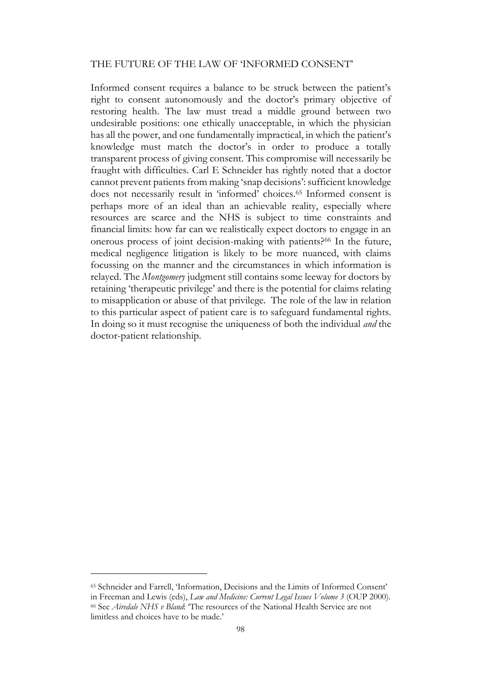#### THE FUTURE OF THE LAW OF 'INFORMED CONSENT'

Informed consent requires a balance to be struck between the patient's right to consent autonomously and the doctor's primary objective of restoring health. The law must tread a middle ground between two undesirable positions: one ethically unacceptable, in which the physician has all the power, and one fundamentally impractical, in which the patient's knowledge must match the doctor's in order to produce a totally transparent process of giving consent. This compromise will necessarily be fraught with difficulties. Carl E Schneider has rightly noted that a doctor cannot prevent patients from making 'snap decisions': sufficient knowledge does not necessarily result in 'informed' choices.<sup>65</sup> Informed consent is perhaps more of an ideal than an achievable reality, especially where resources are scarce and the NHS is subject to time constraints and financial limits: how far can we realistically expect doctors to engage in an onerous process of joint decision-making with patients?<sup>66</sup> In the future, medical negligence litigation is likely to be more nuanced, with claims focussing on the manner and the circumstances in which information is relayed. The *Montgomery* judgment still contains some leeway for doctors by retaining 'therapeutic privilege' and there is the potential for claims relating to misapplication or abuse of that privilege. The role of the law in relation to this particular aspect of patient care is to safeguard fundamental rights. In doing so it must recognise the uniqueness of both the individual *and* the doctor-patient relationship.

<sup>65</sup> Schneider and Farrell, 'Information, Decisions and the Limits of Informed Consent' in Freeman and Lewis (eds), *Law and Medicine: Current Legal Issues Volume 3* (OUP 2000). <sup>66</sup> See *Airedale NHS v Bland*: 'The resources of the National Health Service are not limitless and choices have to be made.'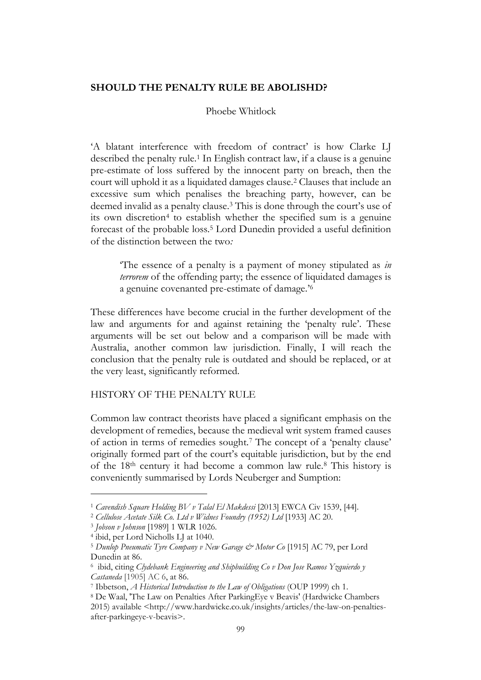### **SHOULD THE PENALTY RULE BE ABOLISHD?**

Phoebe Whitlock

'A blatant interference with freedom of contract' is how Clarke LJ described the penalty rule.<sup>1</sup> In English contract law, if a clause is a genuine pre-estimate of loss suffered by the innocent party on breach, then the court will uphold it as a liquidated damages clause.<sup>2</sup> Clauses that include an excessive sum which penalises the breaching party, however, can be deemed invalid as a penalty clause.<sup>3</sup> This is done through the court's use of its own discretion<sup>4</sup> to establish whether the specified sum is a genuine forecast of the probable loss.<sup>5</sup> Lord Dunedin provided a useful definition of the distinction between the two*:*

'The essence of a penalty is a payment of money stipulated as *in terrorem* of the offending party; the essence of liquidated damages is a genuine covenanted pre-estimate of damage.' 6

These differences have become crucial in the further development of the law and arguments for and against retaining the 'penalty rule'. These arguments will be set out below and a comparison will be made with Australia, another common law jurisdiction. Finally, I will reach the conclusion that the penalty rule is outdated and should be replaced, or at the very least, significantly reformed.

HISTORY OF THE PENALTY RULE

Common law contract theorists have placed a significant emphasis on the development of remedies, because the medieval writ system framed causes of action in terms of remedies sought.<sup>7</sup> The concept of a 'penalty clause' originally formed part of the court's equitable jurisdiction, but by the end of the 18th century it had become a common law rule.<sup>8</sup> This history is conveniently summarised by Lords Neuberger and Sumption:

<sup>1</sup> *Cavendish Square Holding BV v Talal El Makdessi* [2013] EWCA Civ 1539, [44].

<sup>2</sup> *Cellulose Acetate Silk Co. Ltd v Widnes Foundry (1952) Ltd* [1933] AC 20.

<sup>3</sup> *Jobson v Johnson* [1989] 1 WLR 1026.

<sup>4</sup> ibid, per Lord Nicholls LJ at 1040.

<sup>5</sup> *Dunlop Pneumatic Tyre Company v New Garage & Motor Co* [1915] AC 79, per Lord Dunedin at 86.

<sup>6</sup> ibid, citing *Clydebank Engineering and Shipbuilding Co v Don Jose Ramos Yzquierdo y Castaneda* [1905] AC 6, at 86.

<sup>7</sup> Ibbetson, *A Historical Introduction to the Law of Obligations* (OUP 1999) ch 1.

<sup>8</sup> De Waal, 'The Law on Penalties After ParkingEye v Beavis' (Hardwicke Chambers 2015) available <http://www.hardwicke.co.uk/insights/articles/the-law-on-penaltiesafter-parkingeye-v-beavis>.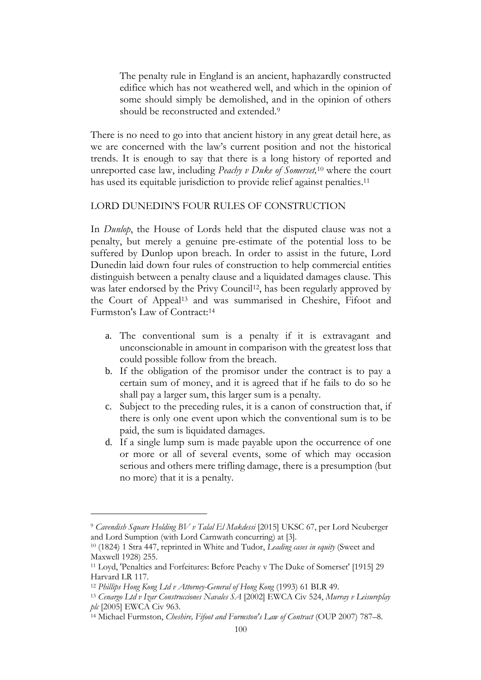The penalty rule in England is an ancient, haphazardly constructed edifice which has not weathered well, and which in the opinion of some should simply be demolished, and in the opinion of others should be reconstructed and extended.<sup>9</sup>

There is no need to go into that ancient history in any great detail here, as we are concerned with the law's current position and not the historical trends. It is enough to say that there is a long history of reported and unreported case law, including *Peachy v Duke of Somerset,*<sup>10</sup> where the court has used its equitable jurisdiction to provide relief against penalties. 11

### LORD DUNEDIN'S FOUR RULES OF CONSTRUCTION

In *Dunlop*, the House of Lords held that the disputed clause was not a penalty, but merely a genuine pre-estimate of the potential loss to be suffered by Dunlop upon breach. In order to assist in the future, Lord Dunedin laid down four rules of construction to help commercial entities distinguish between a penalty clause and a liquidated damages clause. This was later endorsed by the Privy Council<sup>12</sup>, has been regularly approved by the Court of Appeal<sup>13</sup> and was summarised in Cheshire, Fifoot and Furmston's Law of Contract: 14

- a. The conventional sum is a penalty if it is extravagant and unconscionable in amount in comparison with the greatest loss that could possible follow from the breach.
- b. If the obligation of the promisor under the contract is to pay a certain sum of money, and it is agreed that if he fails to do so he shall pay a larger sum, this larger sum is a penalty.
- c. Subject to the preceding rules, it is a canon of construction that, if there is only one event upon which the conventional sum is to be paid, the sum is liquidated damages.
- d. If a single lump sum is made payable upon the occurrence of one or more or all of several events, some of which may occasion serious and others mere trifling damage, there is a presumption (but no more) that it is a penalty.

<sup>9</sup> *Cavendish Square Holding BV v Talal El Makdessi* [\[2015\] UKSC 67,](http://www.bailii.org/uk/cases/UKSC/2015/67.html) per Lord Neuberger and Lord Sumption (with Lord Carnwath concurring) at [3].

<sup>10</sup> (1824) 1 Stra 447, reprinted in White and Tudor, *Leading cases in equity* (Sweet and Maxwell 1928) 255.

<sup>11</sup> Loyd, 'Penalties and Forfeitures: Before Peachy v The Duke of Somerset' [1915] 29 Harvard LR 117.

<sup>12</sup> *Phillips Hong Kong Ltd v Attorney-General of Hong Kong* (1993) 61 BLR 49.

<sup>13</sup> *Cenargo Ltd v Izar Construcciones Navales SA* [2002] EWCA Civ 524, *Murray v Leisureplay plc* [2005] EWCA Civ 963.

<sup>14</sup> Michael Furmston, *Cheshire, Fifoot and Furmston's Law of Contract* (OUP 2007) 787–8.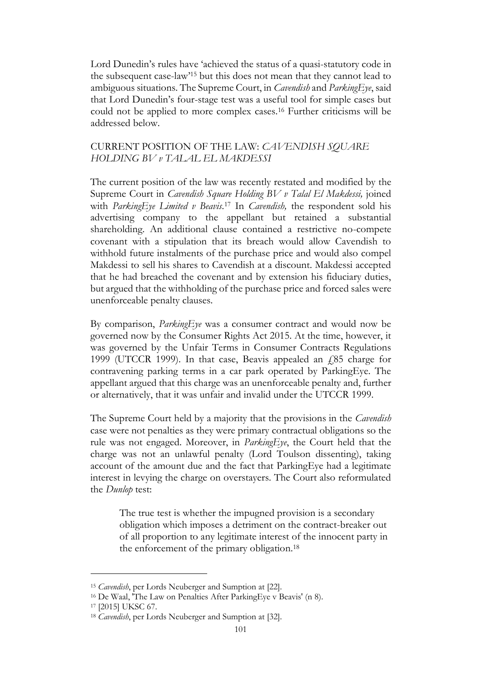Lord Dunedin's rules have 'achieved the status of a quasi-statutory code in the subsequent case-law'<sup>15</sup> but this does not mean that they cannot lead to ambiguous situations. The Supreme Court, in *Cavendish* and *ParkingEye*, said that Lord Dunedin's four-stage test was a useful tool for simple cases but could not be applied to more complex cases.<sup>16</sup> Further criticisms will be addressed below.

## CURRENT POSITION OF THE LAW: *CAVENDISH SQUARE HOLDING BV v TALAL EL MAKDESSI*

The current position of the law was recently restated and modified by the Supreme Court in *Cavendish Square Holding BV v Talal El Makdessi,* joined with *ParkingEye Limited v Beavis*. <sup>17</sup> In *Cavendish,* the respondent sold his advertising company to the appellant but retained a substantial shareholding. An additional clause contained a restrictive no-compete covenant with a stipulation that its breach would allow Cavendish to withhold future instalments of the purchase price and would also compel Makdessi to sell his shares to Cavendish at a discount. Makdessi accepted that he had breached the covenant and by extension his fiduciary duties, but argued that the withholding of the purchase price and forced sales were unenforceable penalty clauses.

By comparison, *ParkingEye* was a consumer contract and would now be governed now by the Consumer Rights Act 2015. At the time, however, it was governed by the Unfair Terms in Consumer Contracts Regulations 1999 (UTCCR 1999). In that case, Beavis appealed an  $f$ ,85 charge for contravening parking terms in a car park operated by ParkingEye. The appellant argued that this charge was an unenforceable penalty and, further or alternatively, that it was unfair and invalid under the UTCCR 1999.

The Supreme Court held by a majority that the provisions in the *Cavendish* case were not penalties as they were primary contractual obligations so the rule was not engaged. Moreover, in *ParkingEye*, the Court held that the charge was not an unlawful penalty (Lord Toulson dissenting), taking account of the amount due and the fact that ParkingEye had a legitimate interest in levying the charge on overstayers. The Court also reformulated the *Dunlop* test:

The true test is whether the impugned provision is a secondary obligation which imposes a detriment on the contract-breaker out of all proportion to any legitimate interest of the innocent party in the enforcement of the primary obligation.<sup>18</sup>

<sup>15</sup> *Cavendish*, per Lords Neuberger and Sumption at [22].

<sup>16</sup> De Waal, 'The Law on Penalties After ParkingEye v Beavis' (n 8).

<sup>17</sup> [\[2015\] UKSC 67.](http://www.bailii.org/uk/cases/UKSC/2015/67.html)

<sup>18</sup> *Cavendish*, per Lords Neuberger and Sumption at [32].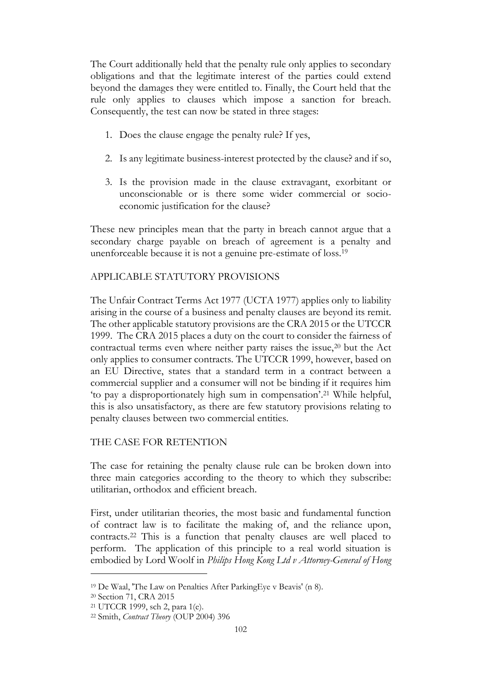The Court additionally held that the penalty rule only applies to secondary obligations and that the legitimate interest of the parties could extend beyond the damages they were entitled to. Finally, the Court held that the rule only applies to clauses which impose a sanction for breach. Consequently, the test can now be stated in three stages:

- 1. Does the clause engage the penalty rule? If yes,
- 2. Is any legitimate business-interest protected by the clause? and if so,
- 3. Is the provision made in the clause extravagant, exorbitant or unconscionable or is there some wider commercial or socioeconomic justification for the clause?

These new principles mean that the party in breach cannot argue that a secondary charge payable on breach of agreement is a penalty and unenforceable because it is not a genuine pre-estimate of loss. 19

# APPLICABLE STATUTORY PROVISIONS

The Unfair Contract Terms Act 1977 (UCTA 1977) applies only to liability arising in the course of a business and penalty clauses are beyond its remit. The other applicable statutory provisions are the CRA 2015 or the UTCCR 1999. The CRA 2015 places a duty on the court to consider the fairness of contractual terms even where neither party raises the issue, $20$  but the Act only applies to consumer contracts. The UTCCR 1999, however, based on an EU Directive, states that a standard term in a contract between a commercial supplier and a consumer will not be binding if it requires him 'to pay a disproportionately high sum in compensation'. <sup>21</sup> While helpful, this is also unsatisfactory, as there are few statutory provisions relating to penalty clauses between two commercial entities.

# THE CASE FOR RETENTION

The case for retaining the penalty clause rule can be broken down into three main categories according to the theory to which they subscribe: utilitarian, orthodox and efficient breach.

First, under utilitarian theories, the most basic and fundamental function of contract law is to facilitate the making of, and the reliance upon, contracts.<sup>22</sup> This is a function that penalty clauses are well placed to perform. The application of this principle to a real world situation is embodied by Lord Woolf in *Philips Hong Kong Ltd v Attorney-General of Hong* 

<sup>19</sup> De Waal, 'The Law on Penalties After ParkingEye v Beavis' (n 8).

<sup>20</sup> Section 71, CRA 2015

<sup>21</sup> UTCCR 1999, sch 2, para 1(e).

<sup>22</sup> Smith, *Contract Theory* (OUP 2004) 396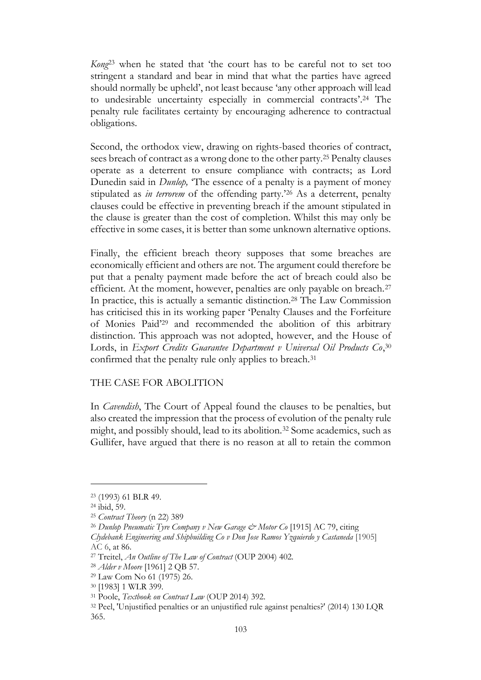*Kong*<sup>23</sup> when he stated that 'the court has to be careful not to set too stringent a standard and bear in mind that what the parties have agreed should normally be upheld', not least because 'any other approach will lead to undesirable uncertainty especially in commercial contracts'. <sup>24</sup> The penalty rule facilitates certainty by encouraging adherence to contractual obligations.

Second, the orthodox view, drawing on rights-based theories of contract, sees breach of contract as a wrong done to the other party.<sup>25</sup> Penalty clauses operate as a deterrent to ensure compliance with contracts; as Lord Dunedin said in *Dunlop,* 'The essence of a penalty is a payment of money stipulated as *in terrorem* of the offending party.'<sup>26</sup> As a deterrent, penalty clauses could be effective in preventing breach if the amount stipulated in the clause is greater than the cost of completion. Whilst this may only be effective in some cases, it is better than some unknown alternative options.

Finally, the efficient breach theory supposes that some breaches are economically efficient and others are not. The argument could therefore be put that a penalty payment made before the act of breach could also be efficient. At the moment, however, penalties are only payable on breach.<sup>27</sup> In practice, this is actually a semantic distinction.<sup>28</sup> The Law Commission has criticised this in its working paper 'Penalty Clauses and the Forfeiture of Monies Paid' <sup>29</sup> and recommended the abolition of this arbitrary distinction. This approach was not adopted, however, and the House of Lords, in *Export Credits Guarantee Department v Universal Oil Products Co*, 30 confirmed that the penalty rule only applies to breach.<sup>31</sup>

#### THE CASE FOR ABOLITION

In *Cavendish*, The Court of Appeal found the clauses to be penalties, but also created the impression that the process of evolution of the penalty rule might, and possibly should, lead to its abolition.<sup>32</sup> Some academics, such as Gullifer, have argued that there is no reason at all to retain the common

<sup>23</sup> (1993) 61 BLR 49.

<sup>24</sup> ibid, 59.

<sup>25</sup> *Contract Theory* (n 22) 389

<sup>26</sup> *Dunlop Pneumatic Tyre Company v New Garage & Motor Co* [1915] AC 79, citing

*Clydebank Engineering and Shipbuilding Co v Don Jose Ramos Yzquierdo y Castaneda* [1905] AC 6, at 86.

<sup>27</sup> Treitel, *An Outline of The Law of Contract* (OUP 2004) 402.

<sup>28</sup> *Alder v Moore* [1961] 2 QB 57.

<sup>29</sup> Law Com No 61 (1975) 26.

<sup>30</sup> [1983] 1 WLR 399.

<sup>31</sup> Poole, *Textbook on Contract Law* (OUP 2014) 392.

<sup>32</sup> Peel, 'Unjustified penalties or an unjustified rule against penalties?' (2014) 130 LQR 365.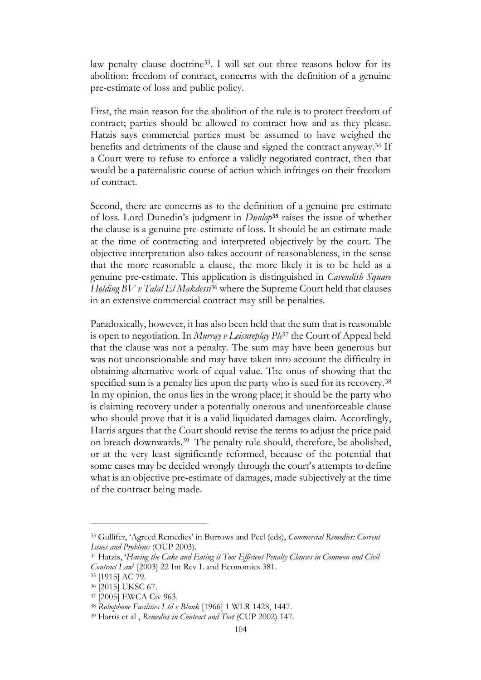law penalty clause doctrine33. I will set out three reasons below for its abolition: freedom of contract, concerns with the definition of a genuine pre-estimate of loss and public policy.

First, the main reason for the abolition of the rule is to protect freedom of contract; parties should be allowed to contract how and as they please. Hatzis says commercial parties must be assumed to have weighed the benefits and detriments of the clause and signed the contract anyway.<sup>34</sup> If a Court were to refuse to enforce a validly negotiated contract, then that would be a paternalistic course of action which infringes on their freedom of contract.

Second, there are concerns as to the definition of a genuine pre-estimate of loss. Lord Dunedin's judgment in *Dunlop***<sup>35</sup>** raises the issue of whether the clause is a genuine pre-estimate of loss. It should be an estimate made at the time of contracting and interpreted objectively by the court. The objective interpretation also takes account of reasonableness, in the sense that the more reasonable a clause, the more likely it is to be held as a genuine pre-estimate. This application is distinguished in *Cavendish Square Holding BV v Talal El Makdessi*<sup>36</sup> where the Supreme Court held that clauses in an extensive commercial contract may still be penalties.

Paradoxically, however, it has also been held that the sum that is reasonable is open to negotiation. In *Murray v Leisureplay Plc*<sup>37</sup> the Court of Appeal held that the clause was not a penalty. The sum may have been generous but was not unconscionable and may have taken into account the difficulty in obtaining alternative work of equal value. The onus of showing that the specified sum is a penalty lies upon the party who is sued for its recovery.<sup>38</sup> In my opinion, the onus lies in the wrong place; it should be the party who is claiming recovery under a potentially onerous and unenforceable clause who should prove that it is a valid liquidated damages claim. Accordingly, Harris argues that the Court should revise the terms to adjust the price paid on breach downwards.<sup>39</sup> The penalty rule should, therefore, be abolished, or at the very least significantly reformed, because of the potential that some cases may be decided wrongly through the court's attempts to define what is an objective pre-estimate of damages, made subjectively at the time of the contract being made.

<sup>33</sup> Gullifer, 'Agreed Remedies' in Burrows and Peel (eds), *Commercial Remedies: Current Issues and Problems* (OUP 2003).

<sup>34</sup> Hatzis, '*Having the Cake and Eating it Too: Efficient Penalty Clauses in Common and Civil Contract Law*' [2003] 22 Int Rev L and Economics 381.

<sup>35</sup> [1915] AC 79.

<sup>36</sup> [\[2015\] UKSC 67.](http://www.bailii.org/uk/cases/UKSC/2015/67.html)

<sup>37</sup> [2005] EWCA Civ 963.

<sup>38</sup> *Robophone Facilities Ltd v Blank* [1966] 1 WLR 1428, 1447.

<sup>39</sup> Harris et al , *Remedies in Contract and Tort* (CUP 2002) 147.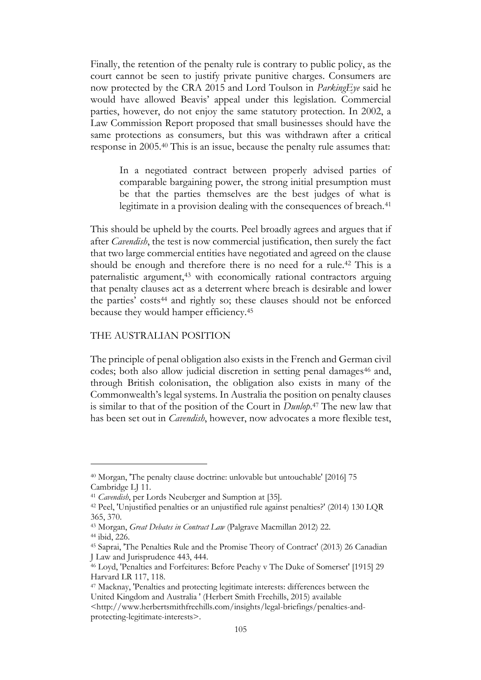Finally, the retention of the penalty rule is contrary to public policy, as the court cannot be seen to justify private punitive charges. Consumers are now protected by the CRA 2015 and Lord Toulson in *ParkingEye* said he would have allowed Beavis' appeal under this legislation. Commercial parties, however, do not enjoy the same statutory protection. In 2002, a Law Commission Report proposed that small businesses should have the same protections as consumers, but this was withdrawn after a critical response in 2005.<sup>40</sup> This is an issue, because the penalty rule assumes that:

In a negotiated contract between properly advised parties of comparable bargaining power, the strong initial presumption must be that the parties themselves are the best judges of what is legitimate in a provision dealing with the consequences of breach.<sup>41</sup>

This should be upheld by the courts. Peel broadly agrees and argues that if after *Cavendish*, the test is now commercial justification, then surely the fact that two large commercial entities have negotiated and agreed on the clause should be enough and therefore there is no need for a rule.<sup>42</sup> This is a paternalistic argument,<sup>43</sup> with economically rational contractors arguing that penalty clauses act as a deterrent where breach is desirable and lower the parties' costs<sup>44</sup> and rightly so; these clauses should not be enforced because they would hamper efficiency.<sup>45</sup>

### THE AUSTRALIAN POSITION

The principle of penal obligation also exists in the French and German civil codes; both also allow judicial discretion in setting penal damages<sup>46</sup> and, through British colonisation, the obligation also exists in many of the Commonwealth's legal systems. In Australia the position on penalty clauses is similar to that of the position of the Court in *Dunlop*. <sup>47</sup> The new law that has been set out in *Cavendish*, however, now advocates a more flexible test,

<sup>40</sup> Morgan, 'The penalty clause doctrine: unlovable but untouchable' [2016] 75 Cambridge LJ 11.

<sup>41</sup> *Cavendish*, per Lords Neuberger and Sumption at [35].

<sup>42</sup> Peel, 'Unjustified penalties or an unjustified rule against penalties?' (2014) 130 LQR 365, 370.

<sup>43</sup> Morgan, *Great Debates in Contract Law* (Palgrave Macmillan 2012) 22. <sup>44</sup> ibid, 226.

<sup>45</sup> Saprai, 'The Penalties Rule and the Promise Theory of Contract' (2013) 26 Canadian J Law and Jurisprudence 443, 444.

<sup>46</sup> Loyd, 'Penalties and Forfeitures: Before Peachy v The Duke of Somerset' [1915] 29 Harvard LR 117, 118.

<sup>47</sup> Macknay, 'Penalties and protecting legitimate interests: differences between the United Kingdom and Australia ' (Herbert Smith Freehills, 2015) available

<sup>&</sup>lt;http://www.herbertsmithfreehills.com/insights/legal-briefings/penalties-andprotecting-legitimate-interests>.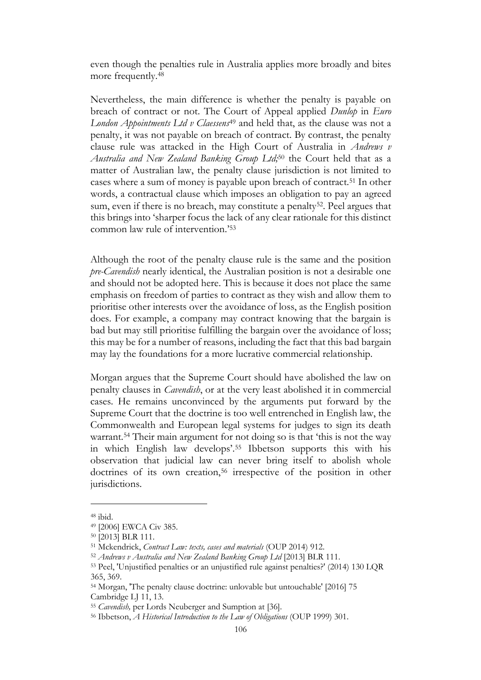even though the penalties rule in Australia applies more broadly and bites more frequently. 48

Nevertheless, the main difference is whether the penalty is payable on breach of contract or not. The Court of Appeal applied *Dunlop* in *Euro London Appointments Ltd v Claessens*<sup>49</sup> and held that, as the clause was not a penalty, it was not payable on breach of contract. By contrast, the penalty clause rule was attacked in the High Court of Australia in *Andrews v Australia and New Zealand Banking Group Ltd;*<sup>50</sup> the Court held that as a matter of Australian law, the penalty clause jurisdiction is not limited to cases where a sum of money is payable upon breach of contract.<sup>51</sup> In other words, a contractual clause which imposes an obligation to pay an agreed sum, even if there is no breach, may constitute a penalty<sup>52</sup>. Peel argues that this brings into 'sharper focus the lack of any clear rationale for this distinct common law rule of intervention.' 53

Although the root of the penalty clause rule is the same and the position *pre-Cavendish* nearly identical, the Australian position is not a desirable one and should not be adopted here. This is because it does not place the same emphasis on freedom of parties to contract as they wish and allow them to prioritise other interests over the avoidance of loss, as the English position does. For example, a company may contract knowing that the bargain is bad but may still prioritise fulfilling the bargain over the avoidance of loss; this may be for a number of reasons, including the fact that this bad bargain may lay the foundations for a more lucrative commercial relationship.

Morgan argues that the Supreme Court should have abolished the law on penalty clauses in *Cavendish*, or at the very least abolished it in commercial cases. He remains unconvinced by the arguments put forward by the Supreme Court that the doctrine is too well entrenched in English law, the Commonwealth and European legal systems for judges to sign its death warrant.<sup>54</sup> Their main argument for not doing so is that 'this is not the way in which English law develops'. <sup>55</sup> Ibbetson supports this with his observation that judicial law can never bring itself to abolish whole doctrines of its own creation,<sup>56</sup> irrespective of the position in other jurisdictions.

<sup>48</sup> ibid.

<sup>49</sup> [2006] EWCA Civ 385.

<sup>50</sup> [2013] BLR 111.

<sup>51</sup> Mckendrick, *Contract Law: texts, cases and materials* (OUP 2014) 912.

<sup>52</sup> *Andrews v Australia and New Zealand Banking Group Ltd* [2013] BLR 111.

<sup>53</sup> Peel, 'Unjustified penalties or an unjustified rule against penalties?' (2014) 130 LQR 365, 369.

<sup>54</sup> Morgan, 'The penalty clause doctrine: unlovable but untouchable' [2016] 75 Cambridge LJ 11, 13.

<sup>55</sup> *Cavendish,* per Lords Neuberger and Sumption at [36].

<sup>56</sup> Ibbetson, *A Historical Introduction to the Law of Obligations* (OUP 1999) 301.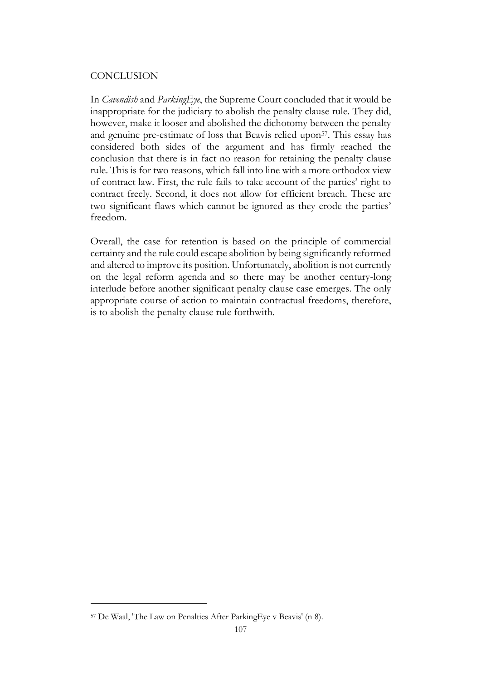## **CONCLUSION**

In *Cavendish* and *ParkingEye*, the Supreme Court concluded that it would be inappropriate for the judiciary to abolish the penalty clause rule. They did, however, make it looser and abolished the dichotomy between the penalty and genuine pre-estimate of loss that Beavis relied upon<sup>57</sup>. This essay has considered both sides of the argument and has firmly reached the conclusion that there is in fact no reason for retaining the penalty clause rule. This is for two reasons, which fall into line with a more orthodox view of contract law. First, the rule fails to take account of the parties' right to contract freely. Second, it does not allow for efficient breach. These are two significant flaws which cannot be ignored as they erode the parties' freedom.

Overall, the case for retention is based on the principle of commercial certainty and the rule could escape abolition by being significantly reformed and altered to improve its position. Unfortunately, abolition is not currently on the legal reform agenda and so there may be another century-long interlude before another significant penalty clause case emerges. The only appropriate course of action to maintain contractual freedoms, therefore, is to abolish the penalty clause rule forthwith.

<sup>57</sup> De Waal, 'The Law on Penalties After ParkingEye v Beavis' (n 8).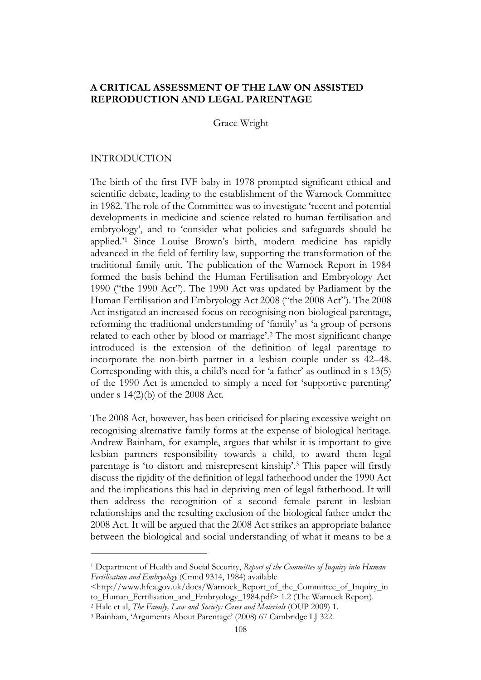# **A CRITICAL ASSESSMENT OF THE LAW ON ASSISTED REPRODUCTION AND LEGAL PARENTAGE**

Grace Wright

#### INTRODUCTION

The birth of the first IVF baby in 1978 prompted significant ethical and scientific debate, leading to the establishment of the Warnock Committee in 1982. The role of the Committee was to investigate 'recent and potential developments in medicine and science related to human fertilisation and embryology', and to 'consider what policies and safeguards should be applied.' <sup>1</sup> Since Louise Brown's birth, modern medicine has rapidly advanced in the field of fertility law, supporting the transformation of the traditional family unit. The publication of the Warnock Report in 1984 formed the basis behind the Human Fertilisation and Embryology Act 1990 ("the 1990 Act"). The 1990 Act was updated by Parliament by the Human Fertilisation and Embryology Act 2008 ("the 2008 Act"). The 2008 Act instigated an increased focus on recognising non-biological parentage, reforming the traditional understanding of 'family' as 'a group of persons related to each other by blood or marriage'. <sup>2</sup> The most significant change introduced is the extension of the definition of legal parentage to incorporate the non-birth partner in a lesbian couple under ss 42–48. Corresponding with this, a child's need for 'a father' as outlined in s 13(5) of the 1990 Act is amended to simply a need for 'supportive parenting' under s 14(2)(b) of the 2008 Act.

The 2008 Act, however, has been criticised for placing excessive weight on recognising alternative family forms at the expense of biological heritage. Andrew Bainham, for example, argues that whilst it is important to give lesbian partners responsibility towards a child, to award them legal parentage is 'to distort and misrepresent kinship'. <sup>3</sup> This paper will firstly discuss the rigidity of the definition of legal fatherhood under the 1990 Act and the implications this had in depriving men of legal fatherhood. It will then address the recognition of a second female parent in lesbian relationships and the resulting exclusion of the biological father under the 2008 Act. It will be argued that the 2008 Act strikes an appropriate balance between the biological and social understanding of what it means to be a

<sup>1</sup> Department of Health and Social Security, *Report of the Committee of Inquiry into Human Fertilisation and Embryology* (Cmnd 9314, 1984) available

<sup>&</sup>lt;http://www.hfea.gov.uk/docs/Warnock\_Report\_of\_the\_Committee\_of\_Inquiry\_in to\_Human\_Fertilisation\_and\_Embryology\_1984.pdf> 1.2 (The Warnock Report).

<sup>2</sup> Hale et al, *The Family, Law and Society: Cases and Materials* (OUP 2009) 1.

<sup>3</sup> Bainham, 'Arguments About Parentage' (2008) 67 Cambridge LJ 322.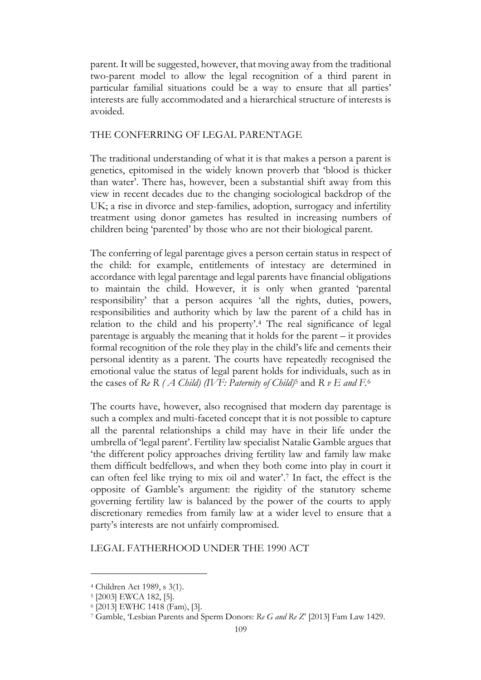parent. It will be suggested, however, that moving away from the traditional two-parent model to allow the legal recognition of a third parent in particular familial situations could be a way to ensure that all parties' interests are fully accommodated and a hierarchical structure of interests is avoided.

# THE CONFERRING OF LEGAL PARENTAGE

The traditional understanding of what it is that makes a person a parent is genetics, epitomised in the widely known proverb that 'blood is thicker than water'. There has, however, been a substantial shift away from this view in recent decades due to the changing sociological backdrop of the UK; a rise in divorce and step-families, adoption, surrogacy and infertility treatment using donor gametes has resulted in increasing numbers of children being 'parented' by those who are not their biological parent.

The conferring of legal parentage gives a person certain status in respect of the child: for example, entitlements of intestacy are determined in accordance with legal parentage and legal parents have financial obligations to maintain the child. However, it is only when granted 'parental responsibility' that a person acquires 'all the rights, duties, powers, responsibilities and authority which by law the parent of a child has in relation to the child and his property'. <sup>4</sup> The real significance of legal parentage is arguably the meaning that it holds for the parent – it provides formal recognition of the role they play in the child's life and cements their personal identity as a parent. The courts have repeatedly recognised the emotional value the status of legal parent holds for individuals, such as in the cases of *Re R ( A Child) (IVF: Paternity of Child)*<sup>5</sup> and *R v E and F.*<sup>6</sup>

The courts have, however, also recognised that modern day parentage is such a complex and multi-faceted concept that it is not possible to capture all the parental relationships a child may have in their life under the umbrella of 'legal parent'. Fertility law specialist Natalie Gamble argues that 'the different policy approaches driving fertility law and family law make them difficult bedfellows, and when they both come into play in court it can often feel like trying to mix oil and water'. <sup>7</sup> In fact, the effect is the opposite of Gamble's argument: the rigidity of the statutory scheme governing fertility law is balanced by the power of the courts to apply discretionary remedies from family law at a wider level to ensure that a party's interests are not unfairly compromised.

## LEGAL FATHERHOOD UNDER THE 1990 ACT

<sup>4</sup> Children Act 1989, s 3(1).

<sup>5</sup> [2003] EWCA 182, [5].

<sup>6</sup> [2013] EWHC 1418 (Fam), [3].

<sup>7</sup> Gamble, 'Lesbian Parents and Sperm Donors: *Re G and Re Z*' [2013] Fam Law 1429.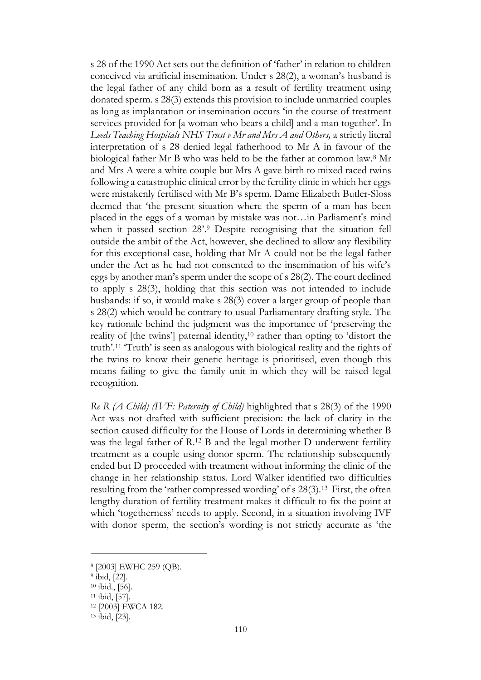s 28 of the 1990 Act sets out the definition of 'father' in relation to children conceived via artificial insemination. Under s 28(2), a woman's husband is the legal father of any child born as a result of fertility treatment using donated sperm. s 28(3) extends this provision to include unmarried couples as long as implantation or insemination occurs 'in the course of treatment services provided for [a woman who bears a child] and a man together'. In *Leeds Teaching Hospitals NHS Trust v Mr and Mrs A and Others,* a strictly literal interpretation of s 28 denied legal fatherhood to Mr A in favour of the biological father Mr B who was held to be the father at common law.<sup>8</sup> Mr and Mrs A were a white couple but Mrs A gave birth to mixed raced twins following a catastrophic clinical error by the fertility clinic in which her eggs were mistakenly fertilised with Mr B's sperm. Dame Elizabeth Butler-Sloss deemed that 'the present situation where the sperm of a man has been placed in the eggs of a woman by mistake was not…in Parliament's mind when it passed section 28'. <sup>9</sup> Despite recognising that the situation fell outside the ambit of the Act, however, she declined to allow any flexibility for this exceptional case, holding that Mr A could not be the legal father under the Act as he had not consented to the insemination of his wife's eggs by another man's sperm under the scope of s 28(2). The court declined to apply s 28(3), holding that this section was not intended to include husbands: if so, it would make s 28(3) cover a larger group of people than s 28(2) which would be contrary to usual Parliamentary drafting style. The key rationale behind the judgment was the importance of 'preserving the reality of [the twins'] paternal identity,<sup>10</sup> rather than opting to 'distort the truth'. <sup>11</sup> 'Truth' is seen as analogous with biological reality and the rights of the twins to know their genetic heritage is prioritised, even though this means failing to give the family unit in which they will be raised legal recognition.

*Re R (A Child) (IVF: Paternity of Child)* highlighted that s 28(3) of the 1990 Act was not drafted with sufficient precision: the lack of clarity in the section caused difficulty for the House of Lords in determining whether B was the legal father of R.<sup>12</sup> B and the legal mother D underwent fertility treatment as a couple using donor sperm. The relationship subsequently ended but D proceeded with treatment without informing the clinic of the change in her relationship status. Lord Walker identified two difficulties resulting from the 'rather compressed wording' of s 28(3).<sup>13</sup> First, the often lengthy duration of fertility treatment makes it difficult to fix the point at which 'togetherness' needs to apply. Second, in a situation involving IVF with donor sperm, the section's wording is not strictly accurate as 'the

<sup>8</sup> [2003] EWHC 259 (QB).

<sup>9</sup> ibid, [22].

<sup>10</sup> ibid*.*, [56].

<sup>11</sup> ibid, [57].

<sup>12</sup> [2003] EWCA 182.

<sup>13</sup> ibid, [23].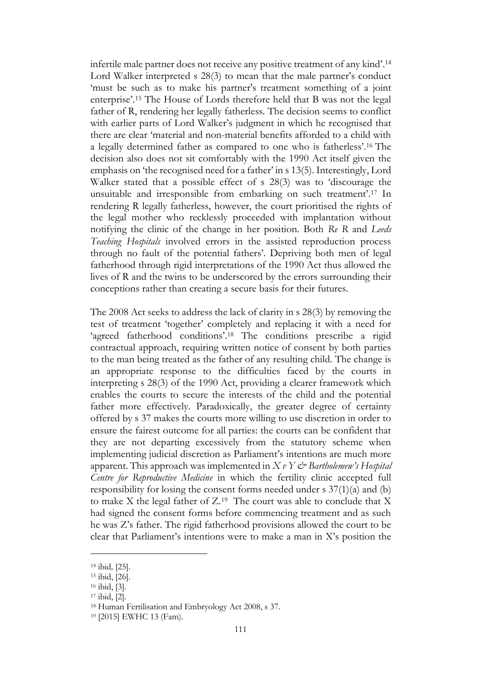infertile male partner does not receive any positive treatment of any kind'. 14 Lord Walker interpreted s 28(3) to mean that the male partner's conduct 'must be such as to make his partner's treatment something of a joint enterprise'. <sup>15</sup> The House of Lords therefore held that B was not the legal father of R, rendering her legally fatherless. The decision seems to conflict with earlier parts of Lord Walker's judgment in which he recognised that there are clear 'material and non-material benefits afforded to a child with a legally determined father as compared to one who is fatherless'. <sup>16</sup> The decision also does not sit comfortably with the 1990 Act itself given the emphasis on 'the recognised need for a father' in s 13(5). Interestingly, Lord Walker stated that a possible effect of s 28(3) was to 'discourage the unsuitable and irresponsible from embarking on such treatment'. <sup>17</sup> In rendering R legally fatherless, however, the court prioritised the rights of the legal mother who recklessly proceeded with implantation without notifying the clinic of the change in her position. Both *Re R* and *Leeds Teaching Hospitals* involved errors in the assisted reproduction process through no fault of the potential fathers'. Depriving both men of legal fatherhood through rigid interpretations of the 1990 Act thus allowed the lives of R and the twins to be underscored by the errors surrounding their conceptions rather than creating a secure basis for their futures.

The 2008 Act seeks to address the lack of clarity in s 28(3) by removing the test of treatment 'together' completely and replacing it with a need for 'agreed fatherhood conditions'.<sup>18</sup> The conditions prescribe a rigid contractual approach, requiring written notice of consent by both parties to the man being treated as the father of any resulting child. The change is an appropriate response to the difficulties faced by the courts in interpreting s 28(3) of the 1990 Act, providing a clearer framework which enables the courts to secure the interests of the child and the potential father more effectively. Paradoxically, the greater degree of certainty offered by s 37 makes the courts more willing to use discretion in order to ensure the fairest outcome for all parties: the courts can be confident that they are not departing excessively from the statutory scheme when implementing judicial discretion as Parliament's intentions are much more apparent. This approach was implemented in *X v Y & Bartholemew's Hospital Centre for Reproductive Medicine* in which the fertility clinic accepted full responsibility for losing the consent forms needed under s 37(1)(a) and (b) to make  $X$  the legal father of  $Z^{19}$  The court was able to conclude that  $X$ had signed the consent forms before commencing treatment and as such he was Z's father. The rigid fatherhood provisions allowed the court to be clear that Parliament's intentions were to make a man in X's position the

<sup>14</sup> ibid*,* [25].

<sup>15</sup> ibid, [26].

<sup>16</sup> ibid, [3].

<sup>17</sup> ibid, [2].

<sup>18</sup> Human Fertilisation and Embryology Act 2008, s 37.

<sup>19</sup> [2015] EWHC 13 (Fam).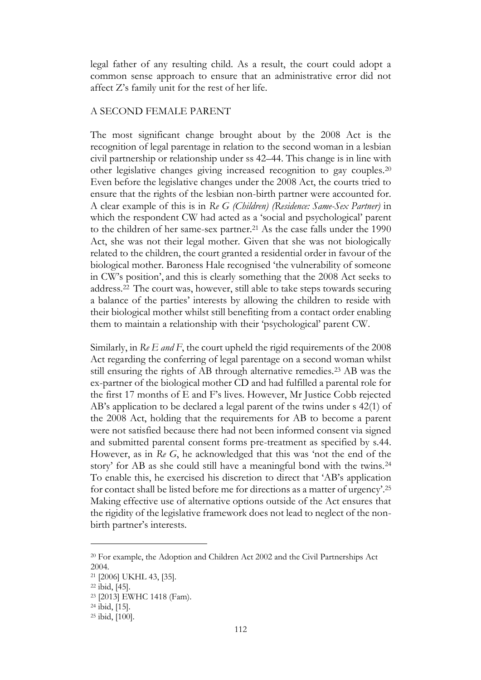legal father of any resulting child. As a result, the court could adopt a common sense approach to ensure that an administrative error did not affect Z's family unit for the rest of her life.

#### A SECOND FEMALE PARENT

The most significant change brought about by the 2008 Act is the recognition of legal parentage in relation to the second woman in a lesbian civil partnership or relationship under ss 42–44. This change is in line with other legislative changes giving increased recognition to gay couples.<sup>20</sup> Even before the legislative changes under the 2008 Act, the courts tried to ensure that the rights of the lesbian non-birth partner were accounted for. A clear example of this is in *Re G (Children) (Residence: Same-Sex Partner)* in which the respondent CW had acted as a 'social and psychological' parent to the children of her same-sex partner.<sup>21</sup> As the case falls under the 1990 Act, she was not their legal mother. Given that she was not biologically related to the children, the court granted a residential order in favour of the biological mother. Baroness Hale recognised 'the vulnerability of someone in CW's position', and this is clearly something that the 2008 Act seeks to address.<sup>22</sup> The court was, however, still able to take steps towards securing a balance of the parties' interests by allowing the children to reside with their biological mother whilst still benefiting from a contact order enabling them to maintain a relationship with their 'psychological' parent CW.

Similarly, in *Re E and F*, the court upheld the rigid requirements of the 2008 Act regarding the conferring of legal parentage on a second woman whilst still ensuring the rights of AB through alternative remedies.<sup>23</sup> AB was the ex-partner of the biological mother CD and had fulfilled a parental role for the first 17 months of E and F's lives. However, Mr Justice Cobb rejected AB's application to be declared a legal parent of the twins under s 42(1) of the 2008 Act, holding that the requirements for AB to become a parent were not satisfied because there had not been informed consent via signed and submitted parental consent forms pre-treatment as specified by s.44. However, as in *Re G*, he acknowledged that this was 'not the end of the story' for AB as she could still have a meaningful bond with the twins.<sup>24</sup> To enable this, he exercised his discretion to direct that 'AB's application for contact shall be listed before me for directions as a matter of urgency'. 25 Making effective use of alternative options outside of the Act ensures that the rigidity of the legislative framework does not lead to neglect of the nonbirth partner's interests.

<sup>20</sup> For example, the Adoption and Children Act 2002 and the Civil Partnerships Act 2004.

<sup>21</sup> [2006] UKHL 43, [35].

<sup>22</sup> ibid, [45].

<sup>23</sup> [2013] EWHC 1418 (Fam).

<sup>24</sup> ibid, [15].

<sup>25</sup> ibid, [100].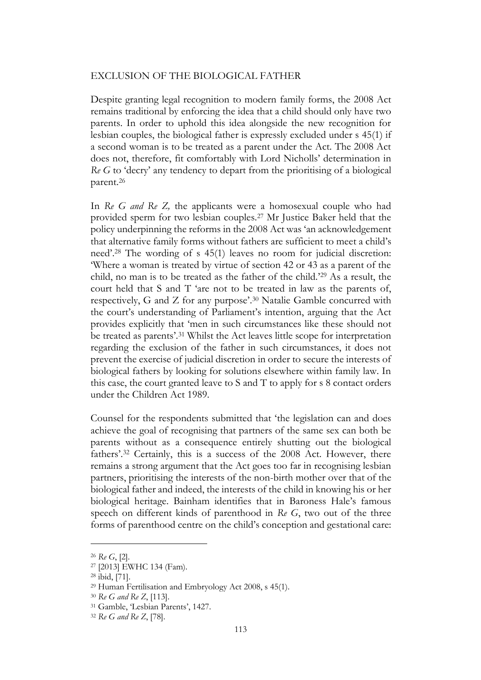## EXCLUSION OF THE BIOLOGICAL FATHER

Despite granting legal recognition to modern family forms, the 2008 Act remains traditional by enforcing the idea that a child should only have two parents. In order to uphold this idea alongside the new recognition for lesbian couples, the biological father is expressly excluded under s 45(1) if a second woman is to be treated as a parent under the Act. The 2008 Act does not, therefore, fit comfortably with Lord Nicholls' determination in *Re G* to 'decry' any tendency to depart from the prioritising of a biological parent.<sup>26</sup>

In *Re G and Re Z,* the applicants were a homosexual couple who had provided sperm for two lesbian couples.<sup>27</sup> Mr Justice Baker held that the policy underpinning the reforms in the 2008 Act was 'an acknowledgement that alternative family forms without fathers are sufficient to meet a child's need'. <sup>28</sup> The wording of s 45(1) leaves no room for judicial discretion: 'Where a woman is treated by virtue of section 42 or 43 as a parent of the child, no man is to be treated as the father of the child.'<sup>29</sup> As a result, the court held that S and T 'are not to be treated in law as the parents of, respectively, G and Z for any purpose'. <sup>30</sup> Natalie Gamble concurred with the court's understanding of Parliament's intention, arguing that the Act provides explicitly that 'men in such circumstances like these should not be treated as parents'. <sup>31</sup> Whilst the Act leaves little scope for interpretation regarding the exclusion of the father in such circumstances, it does not prevent the exercise of judicial discretion in order to secure the interests of biological fathers by looking for solutions elsewhere within family law. In this case, the court granted leave to S and T to apply for s 8 contact orders under the Children Act 1989.

Counsel for the respondents submitted that 'the legislation can and does achieve the goal of recognising that partners of the same sex can both be parents without as a consequence entirely shutting out the biological fathers'. <sup>32</sup> Certainly, this is a success of the 2008 Act. However, there remains a strong argument that the Act goes too far in recognising lesbian partners, prioritising the interests of the non-birth mother over that of the biological father and indeed, the interests of the child in knowing his or her biological heritage. Bainham identifies that in Baroness Hale's famous speech on different kinds of parenthood in *Re G*, two out of the three forms of parenthood centre on the child's conception and gestational care:

<sup>26</sup> *Re G*, [2].

<sup>27</sup> [2013] EWHC 134 (Fam).

<sup>28</sup> ibid, [71].

<sup>29</sup> Human Fertilisation and Embryology Act 2008, s 45(1).

<sup>30</sup> *Re G and Re Z*, [113].

<sup>31</sup> Gamble, 'Lesbian Parents', 1427.

<sup>32</sup> *Re G and Re Z*, [78].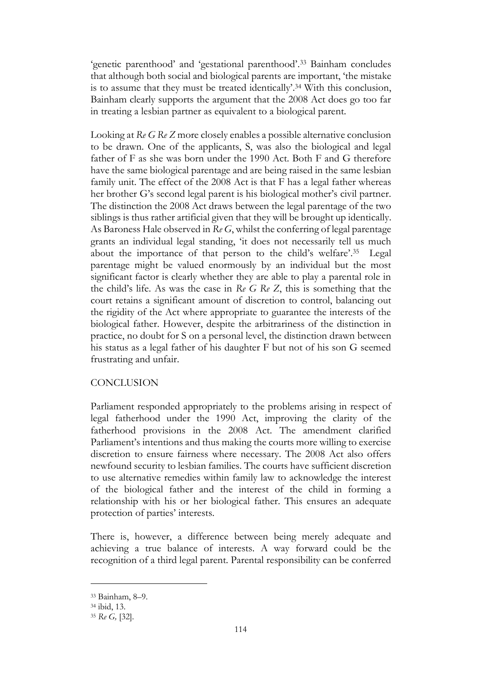'genetic parenthood' and 'gestational parenthood'. <sup>33</sup> Bainham concludes that although both social and biological parents are important, 'the mistake is to assume that they must be treated identically'. <sup>34</sup> With this conclusion, Bainham clearly supports the argument that the 2008 Act does go too far in treating a lesbian partner as equivalent to a biological parent.

Looking at *Re G Re Z* more closely enables a possible alternative conclusion to be drawn. One of the applicants, S, was also the biological and legal father of F as she was born under the 1990 Act. Both F and G therefore have the same biological parentage and are being raised in the same lesbian family unit. The effect of the 2008 Act is that F has a legal father whereas her brother G's second legal parent is his biological mother's civil partner. The distinction the 2008 Act draws between the legal parentage of the two siblings is thus rather artificial given that they will be brought up identically. As Baroness Hale observed in *Re G*, whilst the conferring of legal parentage grants an individual legal standing, 'it does not necessarily tell us much about the importance of that person to the child's welfare'. 35 Legal parentage might be valued enormously by an individual but the most significant factor is clearly whether they are able to play a parental role in the child's life. As was the case in *Re G Re Z*, this is something that the court retains a significant amount of discretion to control, balancing out the rigidity of the Act where appropriate to guarantee the interests of the biological father. However, despite the arbitrariness of the distinction in practice, no doubt for S on a personal level, the distinction drawn between his status as a legal father of his daughter F but not of his son G seemed frustrating and unfair.

## **CONCLUSION**

Parliament responded appropriately to the problems arising in respect of legal fatherhood under the 1990 Act, improving the clarity of the fatherhood provisions in the 2008 Act. The amendment clarified Parliament's intentions and thus making the courts more willing to exercise discretion to ensure fairness where necessary. The 2008 Act also offers newfound security to lesbian families. The courts have sufficient discretion to use alternative remedies within family law to acknowledge the interest of the biological father and the interest of the child in forming a relationship with his or her biological father. This ensures an adequate protection of parties' interests.

There is, however, a difference between being merely adequate and achieving a true balance of interests. A way forward could be the recognition of a third legal parent. Parental responsibility can be conferred

<sup>33</sup> Bainham, 8–9.

<sup>34</sup> ibid, 13.

<sup>35</sup> *Re G,* [32].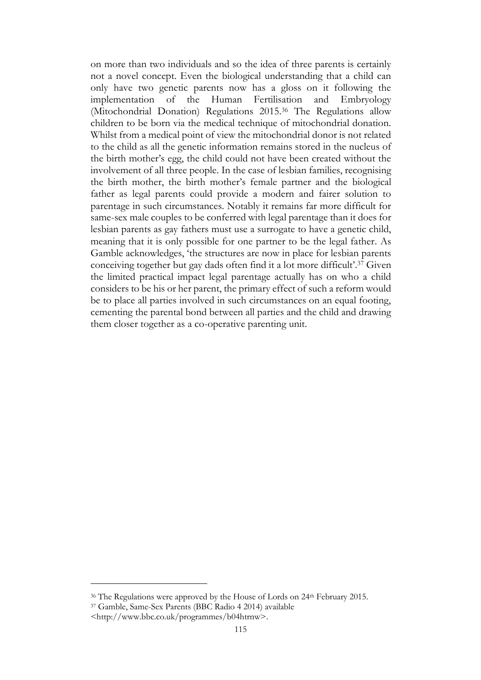on more than two individuals and so the idea of three parents is certainly not a novel concept. Even the biological understanding that a child can only have two genetic parents now has a gloss on it following the implementation of the Human Fertilisation and Embryology (Mitochondrial Donation) Regulations 2015.<sup>36</sup> The Regulations allow children to be born via the medical technique of mitochondrial donation. Whilst from a medical point of view the mitochondrial donor is not related to the child as all the genetic information remains stored in the nucleus of the birth mother's egg, the child could not have been created without the involvement of all three people. In the case of lesbian families, recognising the birth mother, the birth mother's female partner and the biological father as legal parents could provide a modern and fairer solution to parentage in such circumstances. Notably it remains far more difficult for same-sex male couples to be conferred with legal parentage than it does for lesbian parents as gay fathers must use a surrogate to have a genetic child, meaning that it is only possible for one partner to be the legal father. As Gamble acknowledges, 'the structures are now in place for lesbian parents conceiving together but gay dads often find it a lot more difficult'. <sup>37</sup> Given the limited practical impact legal parentage actually has on who a child considers to be his or her parent, the primary effect of such a reform would be to place all parties involved in such circumstances on an equal footing, cementing the parental bond between all parties and the child and drawing them closer together as a co-operative parenting unit.

<sup>&</sup>lt;sup>36</sup> The Regulations were approved by the House of Lords on 24<sup>th</sup> February 2015.

<sup>37</sup> Gamble, Same-Sex Parents (BBC Radio 4 2014) available

<sup>&</sup>lt;http://www.bbc.co.uk/programmes/b04htrnw>.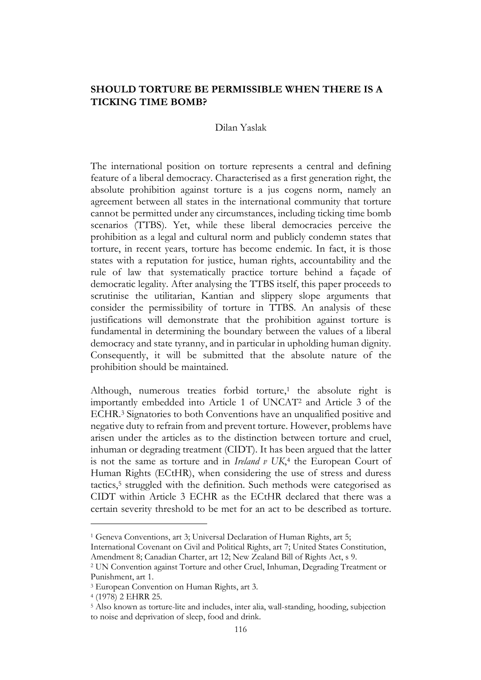# **SHOULD TORTURE BE PERMISSIBLE WHEN THERE IS A TICKING TIME BOMB?**

#### Dilan Yaslak

The international position on torture represents a central and defining feature of a liberal democracy. Characterised as a first generation right, the absolute prohibition against torture is a jus cogens norm, namely an agreement between all states in the international community that torture cannot be permitted under any circumstances, including ticking time bomb scenarios (TTBS). Yet, while these liberal democracies perceive the prohibition as a legal and cultural norm and publicly condemn states that torture, in recent years, torture has become endemic. In fact, it is those states with a reputation for justice, human rights, accountability and the rule of law that systematically practice torture behind a façade of democratic legality. After analysing the TTBS itself, this paper proceeds to scrutinise the utilitarian, Kantian and slippery slope arguments that consider the permissibility of torture in TTBS. An analysis of these justifications will demonstrate that the prohibition against torture is fundamental in determining the boundary between the values of a liberal democracy and state tyranny, and in particular in upholding human dignity. Consequently, it will be submitted that the absolute nature of the prohibition should be maintained.

Although, numerous treaties forbid torture,<sup>1</sup> the absolute right is importantly embedded into Article 1 of UNCAT<sup>2</sup> and Article 3 of the ECHR. <sup>3</sup> Signatories to both Conventions have an unqualified positive and negative duty to refrain from and prevent torture. However, problems have arisen under the articles as to the distinction between torture and cruel, inhuman or degrading treatment (CIDT). It has been argued that the latter is not the same as torture and in *Ireland v UK*, 4 the European Court of Human Rights (ECtHR), when considering the use of stress and duress tactics,<sup>5</sup> struggled with the definition. Such methods were categorised as CIDT within Article 3 ECHR as the ECtHR declared that there was a certain severity threshold to be met for an act to be described as torture.

<sup>1</sup> Geneva Conventions, art 3; Universal Declaration of Human Rights, art 5;

International Covenant on Civil and Political Rights, art 7; United States Constitution, Amendment 8; Canadian Charter, art 12; New Zealand Bill of Rights Act, s 9.

<sup>2</sup> UN Convention against Torture and other Cruel, Inhuman, Degrading Treatment or Punishment, art 1.

<sup>3</sup> European Convention on Human Rights, art 3.

<sup>4</sup> (1978) 2 EHRR 25.

<sup>5</sup> Also known as torture-lite and includes, inter alia, wall-standing, hooding, subjection to noise and deprivation of sleep, food and drink.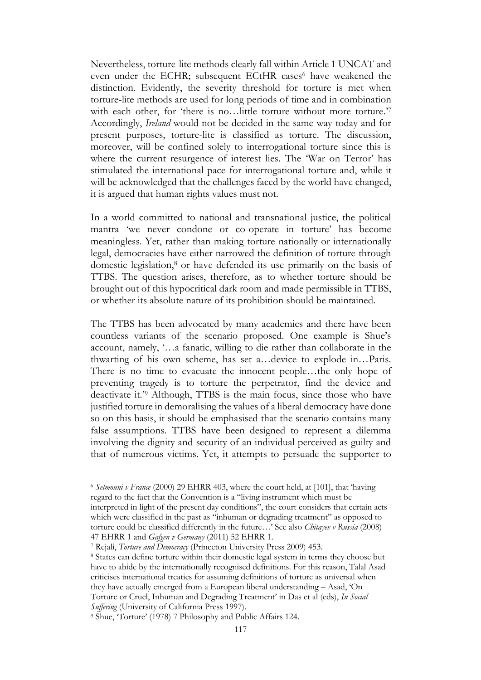Nevertheless, torture-lite methods clearly fall within Article 1 UNCAT and even under the ECHR; subsequent ECtHR cases<sup>6</sup> have weakened the distinction. Evidently, the severity threshold for torture is met when torture-lite methods are used for long periods of time and in combination with each other, for 'there is no...little torture without more torture.'7 Accordingly, *Ireland* would not be decided in the same way today and for present purposes, torture-lite is classified as torture. The discussion, moreover, will be confined solely to interrogational torture since this is where the current resurgence of interest lies. The 'War on Terror' has stimulated the international pace for interrogational torture and, while it will be acknowledged that the challenges faced by the world have changed, it is argued that human rights values must not.

In a world committed to national and transnational justice, the political mantra 'we never condone or co-operate in torture' has become meaningless. Yet, rather than making torture nationally or internationally legal, democracies have either narrowed the definition of torture through domestic legislation, <sup>8</sup> or have defended its use primarily on the basis of TTBS. The question arises, therefore, as to whether torture should be brought out of this hypocritical dark room and made permissible in TTBS, or whether its absolute nature of its prohibition should be maintained.

The TTBS has been advocated by many academics and there have been countless variants of the scenario proposed. One example is Shue's account, namely, '…a fanatic, willing to die rather than collaborate in the thwarting of his own scheme, has set a…device to explode in…Paris. There is no time to evacuate the innocent people…the only hope of preventing tragedy is to torture the perpetrator, find the device and deactivate it.' <sup>9</sup> Although, TTBS is the main focus, since those who have justified torture in demoralising the values of a liberal democracy have done so on this basis, it should be emphasised that the scenario contains many false assumptions. TTBS have been designed to represent a dilemma involving the dignity and security of an individual perceived as guilty and that of numerous victims. Yet, it attempts to persuade the supporter to

<sup>6</sup> *Selmouni v France* (2000) 29 EHRR 403, where the court held, at [101], that 'having regard to the fact that the Convention is a "living instrument which must be interpreted in light of the present day conditions", the court considers that certain acts which were classified in the past as "inhuman or degrading treatment" as opposed to torture could be classified differently in the future…' See also *Chitayev v Russia* (2008) 47 EHRR 1 and *Gafgen v Germany* (2011) 52 EHRR 1.

<sup>7</sup> Rejali, *Torture and Democracy* (Princeton University Press 2009) 453.

<sup>8</sup> States can define torture within their domestic legal system in terms they choose but have to abide by the internationally recognised definitions. For this reason, Talal Asad criticises international treaties for assuming definitions of torture as universal when they have actually emerged from a European liberal understanding – Asad, 'On Torture or Cruel, Inhuman and Degrading Treatment' in Das et al (eds), *In Social Suffering* (University of California Press 1997).

<sup>&</sup>lt;sup>9</sup> Shue, 'Torture' (1978) 7 Philosophy and Public Affairs 124.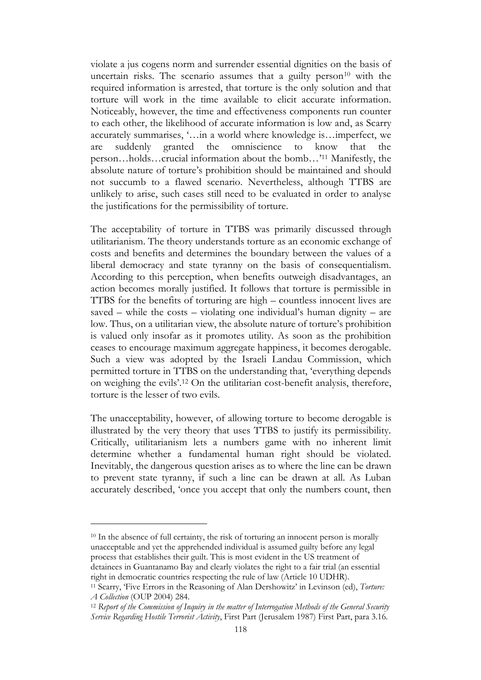violate a jus cogens norm and surrender essential dignities on the basis of uncertain risks. The scenario assumes that a guilty person<sup>10</sup> with the required information is arrested, that torture is the only solution and that torture will work in the time available to elicit accurate information. Noticeably, however, the time and effectiveness components run counter to each other, the likelihood of accurate information is low and, as Scarry accurately summarises, '…in a world where knowledge is…imperfect, we are suddenly granted the omniscience to know that the person…holds…crucial information about the bomb…' <sup>11</sup> Manifestly, the absolute nature of torture's prohibition should be maintained and should not succumb to a flawed scenario. Nevertheless, although TTBS are unlikely to arise, such cases still need to be evaluated in order to analyse the justifications for the permissibility of torture.

The acceptability of torture in TTBS was primarily discussed through utilitarianism. The theory understands torture as an economic exchange of costs and benefits and determines the boundary between the values of a liberal democracy and state tyranny on the basis of consequentialism. According to this perception, when benefits outweigh disadvantages, an action becomes morally justified. It follows that torture is permissible in TTBS for the benefits of torturing are high – countless innocent lives are saved – while the costs – violating one individual's human dignity – are low. Thus, on a utilitarian view, the absolute nature of torture's prohibition is valued only insofar as it promotes utility. As soon as the prohibition ceases to encourage maximum aggregate happiness, it becomes derogable. Such a view was adopted by the Israeli Landau Commission, which permitted torture in TTBS on the understanding that, 'everything depends on weighing the evils'.<sup>12</sup> On the utilitarian cost-benefit analysis, therefore, torture is the lesser of two evils.

The unacceptability, however, of allowing torture to become derogable is illustrated by the very theory that uses TTBS to justify its permissibility. Critically, utilitarianism lets a numbers game with no inherent limit determine whether a fundamental human right should be violated. Inevitably, the dangerous question arises as to where the line can be drawn to prevent state tyranny, if such a line can be drawn at all. As Luban accurately described, 'once you accept that only the numbers count, then

<sup>&</sup>lt;sup>10</sup> In the absence of full certainty, the risk of torturing an innocent person is morally unacceptable and yet the apprehended individual is assumed guilty before any legal process that establishes their guilt. This is most evident in the US treatment of detainees in Guantanamo Bay and clearly violates the right to a fair trial (an essential right in democratic countries respecting the rule of law (Article 10 UDHR).

<sup>11</sup> Scarry, 'Five Errors in the Reasoning of Alan Dershowitz' in Levinson (ed), *Torture: A Collection* (OUP 2004) 284.

<sup>12</sup> *Report of the Commission of Inquiry in the matter of Interrogation Methods of the General Security Service Regarding Hostile Terrorist Activity*, First Part (Jerusalem 1987) First Part, para 3.16.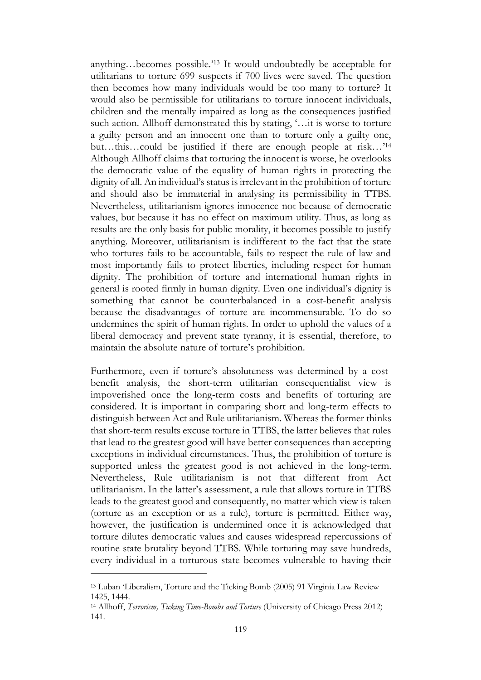anything…becomes possible.' <sup>13</sup> It would undoubtedly be acceptable for utilitarians to torture 699 suspects if 700 lives were saved. The question then becomes how many individuals would be too many to torture? It would also be permissible for utilitarians to torture innocent individuals, children and the mentally impaired as long as the consequences justified such action. Allhoff demonstrated this by stating, '…it is worse to torture a guilty person and an innocent one than to torture only a guilty one, but…this…could be justified if there are enough people at risk…' 14 Although Allhoff claims that torturing the innocent is worse, he overlooks the democratic value of the equality of human rights in protecting the dignity of all. An individual's status is irrelevant in the prohibition of torture and should also be immaterial in analysing its permissibility in TTBS. Nevertheless, utilitarianism ignores innocence not because of democratic values, but because it has no effect on maximum utility. Thus, as long as results are the only basis for public morality, it becomes possible to justify anything. Moreover, utilitarianism is indifferent to the fact that the state who tortures fails to be accountable, fails to respect the rule of law and most importantly fails to protect liberties, including respect for human dignity. The prohibition of torture and international human rights in general is rooted firmly in human dignity. Even one individual's dignity is something that cannot be counterbalanced in a cost-benefit analysis because the disadvantages of torture are incommensurable. To do so undermines the spirit of human rights. In order to uphold the values of a liberal democracy and prevent state tyranny, it is essential, therefore, to maintain the absolute nature of torture's prohibition.

Furthermore, even if torture's absoluteness was determined by a costbenefit analysis, the short-term utilitarian consequentialist view is impoverished once the long-term costs and benefits of torturing are considered. It is important in comparing short and long-term effects to distinguish between Act and Rule utilitarianism. Whereas the former thinks that short-term results excuse torture in TTBS, the latter believes that rules that lead to the greatest good will have better consequences than accepting exceptions in individual circumstances. Thus, the prohibition of torture is supported unless the greatest good is not achieved in the long-term. Nevertheless, Rule utilitarianism is not that different from Act utilitarianism. In the latter's assessment, a rule that allows torture in TTBS leads to the greatest good and consequently, no matter which view is taken (torture as an exception or as a rule), torture is permitted. Either way, however, the justification is undermined once it is acknowledged that torture dilutes democratic values and causes widespread repercussions of routine state brutality beyond TTBS. While torturing may save hundreds, every individual in a torturous state becomes vulnerable to having their

<sup>13</sup> Luban 'Liberalism, Torture and the Ticking Bomb (2005) 91 Virginia Law Review 1425, 1444.

<sup>14</sup> Allhoff, *Terrorism, Ticking Time-Bombs and Torture* (University of Chicago Press 2012) 141.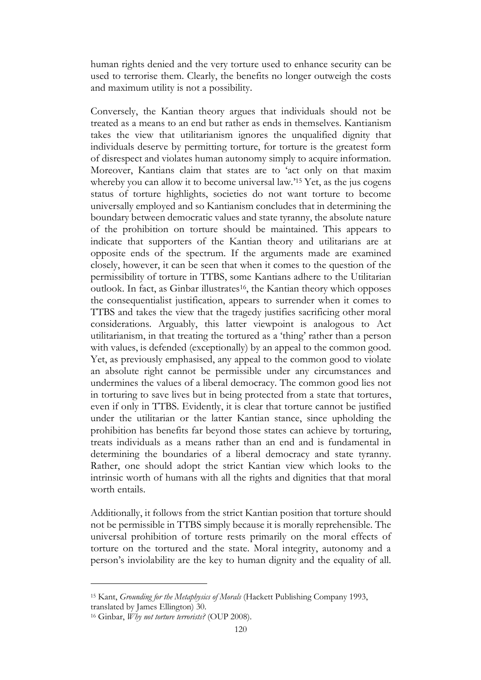human rights denied and the very torture used to enhance security can be used to terrorise them. Clearly, the benefits no longer outweigh the costs and maximum utility is not a possibility.

Conversely, the Kantian theory argues that individuals should not be treated as a means to an end but rather as ends in themselves. Kantianism takes the view that utilitarianism ignores the unqualified dignity that individuals deserve by permitting torture, for torture is the greatest form of disrespect and violates human autonomy simply to acquire information. Moreover, Kantians claim that states are to 'act only on that maxim whereby you can allow it to become universal law.'<sup>15</sup> Yet, as the jus cogens status of torture highlights, societies do not want torture to become universally employed and so Kantianism concludes that in determining the boundary between democratic values and state tyranny, the absolute nature of the prohibition on torture should be maintained. This appears to indicate that supporters of the Kantian theory and utilitarians are at opposite ends of the spectrum. If the arguments made are examined closely, however, it can be seen that when it comes to the question of the permissibility of torture in TTBS, some Kantians adhere to the Utilitarian outlook. In fact, as Ginbar illustrates<sup>16</sup>, the Kantian theory which opposes the consequentialist justification, appears to surrender when it comes to TTBS and takes the view that the tragedy justifies sacrificing other moral considerations. Arguably, this latter viewpoint is analogous to Act utilitarianism, in that treating the tortured as a 'thing' rather than a person with values, is defended (exceptionally) by an appeal to the common good. Yet, as previously emphasised, any appeal to the common good to violate an absolute right cannot be permissible under any circumstances and undermines the values of a liberal democracy. The common good lies not in torturing to save lives but in being protected from a state that tortures, even if only in TTBS. Evidently, it is clear that torture cannot be justified under the utilitarian or the latter Kantian stance, since upholding the prohibition has benefits far beyond those states can achieve by torturing, treats individuals as a means rather than an end and is fundamental in determining the boundaries of a liberal democracy and state tyranny. Rather, one should adopt the strict Kantian view which looks to the intrinsic worth of humans with all the rights and dignities that that moral worth entails.

Additionally, it follows from the strict Kantian position that torture should not be permissible in TTBS simply because it is morally reprehensible. The universal prohibition of torture rests primarily on the moral effects of torture on the tortured and the state. Moral integrity, autonomy and a person's inviolability are the key to human dignity and the equality of all.

<sup>15</sup> Kant, *Grounding for the Metaphysics of Morals* (Hackett Publishing Company 1993, translated by James Ellington) 30.

<sup>16</sup> Ginbar, *Why not torture terrorists?* (OUP 2008).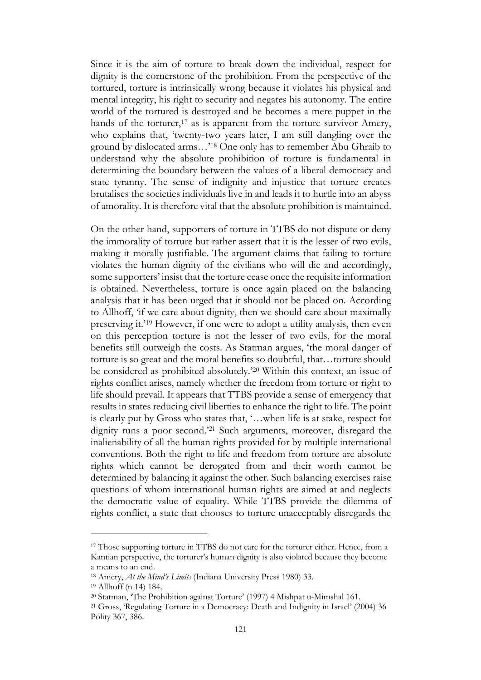Since it is the aim of torture to break down the individual, respect for dignity is the cornerstone of the prohibition. From the perspective of the tortured, torture is intrinsically wrong because it violates his physical and mental integrity, his right to security and negates his autonomy. The entire world of the tortured is destroyed and he becomes a mere puppet in the hands of the torturer, $17$  as is apparent from the torture survivor Amery, who explains that, 'twenty-two years later, I am still dangling over the ground by dislocated arms…' <sup>18</sup> One only has to remember Abu Ghraib to understand why the absolute prohibition of torture is fundamental in determining the boundary between the values of a liberal democracy and state tyranny. The sense of indignity and injustice that torture creates brutalises the societies individuals live in and leads it to hurtle into an abyss of amorality. It is therefore vital that the absolute prohibition is maintained.

On the other hand, supporters of torture in TTBS do not dispute or deny the immorality of torture but rather assert that it is the lesser of two evils, making it morally justifiable. The argument claims that failing to torture violates the human dignity of the civilians who will die and accordingly, some supporters' insist that the torture cease once the requisite information is obtained. Nevertheless, torture is once again placed on the balancing analysis that it has been urged that it should not be placed on. According to Allhoff, 'if we care about dignity, then we should care about maximally preserving it.' <sup>19</sup> However, if one were to adopt a utility analysis, then even on this perception torture is not the lesser of two evils, for the moral benefits still outweigh the costs. As Statman argues, 'the moral danger of torture is so great and the moral benefits so doubtful, that…torture should be considered as prohibited absolutely.' <sup>20</sup> Within this context, an issue of rights conflict arises, namely whether the freedom from torture or right to life should prevail. It appears that TTBS provide a sense of emergency that results in states reducing civil liberties to enhance the right to life. The point is clearly put by Gross who states that, '…when life is at stake, respect for dignity runs a poor second.' <sup>21</sup> Such arguments, moreover, disregard the inalienability of all the human rights provided for by multiple international conventions. Both the right to life and freedom from torture are absolute rights which cannot be derogated from and their worth cannot be determined by balancing it against the other. Such balancing exercises raise questions of whom international human rights are aimed at and neglects the democratic value of equality. While TTBS provide the dilemma of rights conflict, a state that chooses to torture unacceptably disregards the

<sup>&</sup>lt;sup>17</sup> Those supporting torture in TTBS do not care for the torturer either. Hence, from a Kantian perspective, the torturer's human dignity is also violated because they become a means to an end.

<sup>18</sup> Amery, *At the Mind's Limits* (Indiana University Press 1980) 33.

<sup>19</sup> Allhoff (n 14) 184.

<sup>20</sup> Statman, 'The Prohibition against Torture' (1997) 4 Mishpat u-Mimshal 161.

<sup>21</sup> Gross, 'Regulating Torture in a Democracy: Death and Indignity in Israel' (2004) 36 Polity 367, 386.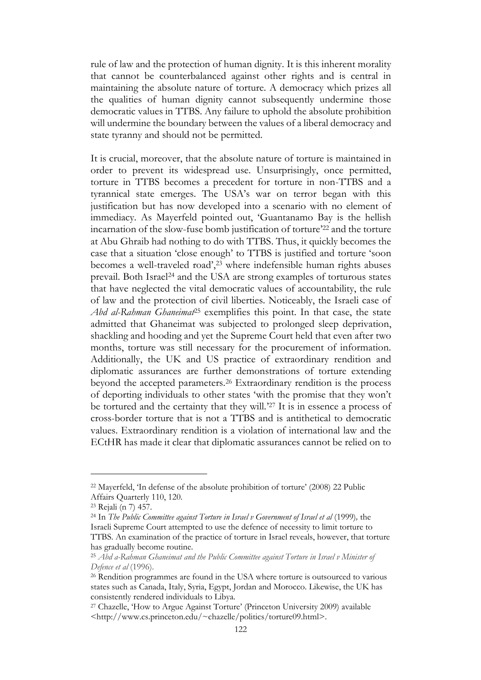rule of law and the protection of human dignity. It is this inherent morality that cannot be counterbalanced against other rights and is central in maintaining the absolute nature of torture. A democracy which prizes all the qualities of human dignity cannot subsequently undermine those democratic values in TTBS. Any failure to uphold the absolute prohibition will undermine the boundary between the values of a liberal democracy and state tyranny and should not be permitted.

It is crucial, moreover, that the absolute nature of torture is maintained in order to prevent its widespread use. Unsurprisingly, once permitted, torture in TTBS becomes a precedent for torture in non-TTBS and a tyrannical state emerges. The USA's war on terror began with this justification but has now developed into a scenario with no element of immediacy. As Mayerfeld pointed out, 'Guantanamo Bay is the hellish incarnation of the slow-fuse bomb justification of torture' <sup>22</sup> and the torture at Abu Ghraib had nothing to do with TTBS. Thus, it quickly becomes the case that a situation 'close enough' to TTBS is justified and torture 'soon becomes a well-traveled road', <sup>23</sup> where indefensible human rights abuses prevail. Both Israel<sup>24</sup> and the USA are strong examples of torturous states that have neglected the vital democratic values of accountability, the rule of law and the protection of civil liberties. Noticeably, the Israeli case of *Abd al-Rahman Ghaneimat*<sup>25</sup> exemplifies this point. In that case, the state admitted that Ghaneimat was subjected to prolonged sleep deprivation, shackling and hooding and yet the Supreme Court held that even after two months, torture was still necessary for the procurement of information. Additionally, the UK and US practice of extraordinary rendition and diplomatic assurances are further demonstrations of torture extending beyond the accepted parameters. <sup>26</sup> Extraordinary rendition is the process of deporting individuals to other states 'with the promise that they won't be tortured and the certainty that they will.' <sup>27</sup> It is in essence a process of cross-border torture that is not a TTBS and is antithetical to democratic values. Extraordinary rendition is a violation of international law and the ECtHR has made it clear that diplomatic assurances cannot be relied on to

<sup>22</sup> Mayerfeld, 'In defense of the absolute prohibition of torture' (2008) 22 Public Affairs Quarterly 110, 120.

<sup>23</sup> Rejali (n 7) 457.

<sup>24</sup> In *The Public Committee against Torture in Israel v Government of Israel et al* (1999)*,* the Israeli Supreme Court attempted to use the defence of necessity to limit torture to TTBS. An examination of the practice of torture in Israel reveals, however, that torture has gradually become routine.

<sup>25</sup> *Abd a-Rahman Ghaneimat and the Public Committee against Torture in Israel v Minister of Defence et al* (1996).

<sup>26</sup> Rendition programmes are found in the USA where torture is outsourced to various states such as Canada, Italy, Syria, Egypt, Jordan and Morocco. Likewise, the UK has consistently rendered individuals to Libya.

<sup>27</sup> [Chazelle,](http://www.cs.princeton.edu/~chazelle/politics/torture09.html) 'How to Argue Against Torture' (Princeton University 2009) available <http://www.cs.princeton.edu/~chazelle/politics/torture09.html>.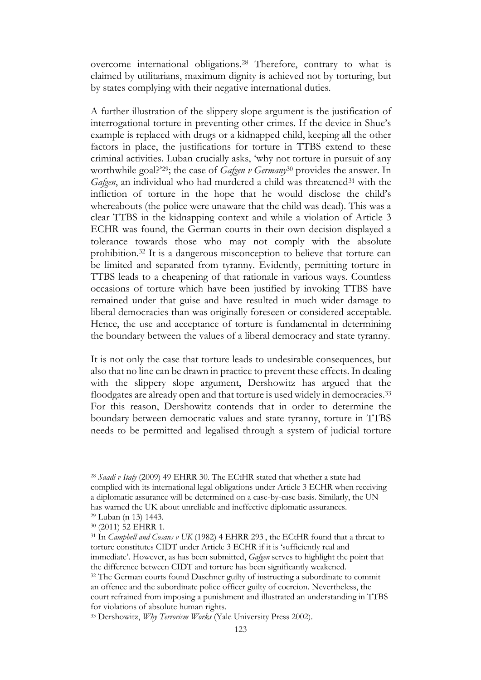overcome international obligations. <sup>28</sup> Therefore, contrary to what is claimed by utilitarians, maximum dignity is achieved not by torturing, but by states complying with their negative international duties.

A further illustration of the slippery slope argument is the justification of interrogational torture in preventing other crimes. If the device in Shue's example is replaced with drugs or a kidnapped child, keeping all the other factors in place, the justifications for torture in TTBS extend to these criminal activities. Luban crucially asks, 'why not torture in pursuit of any worthwhile goal?'29; the case of *Gafgen v Germany*<sup>30</sup> provides the answer. In Gafgen, an individual who had murdered a child was threatened<sup>31</sup> with the infliction of torture in the hope that he would disclose the child's whereabouts (the police were unaware that the child was dead). This was a clear TTBS in the kidnapping context and while a violation of Article 3 ECHR was found, the German courts in their own decision displayed a tolerance towards those who may not comply with the absolute prohibition. <sup>32</sup> It is a dangerous misconception to believe that torture can be limited and separated from tyranny. Evidently, permitting torture in TTBS leads to a cheapening of that rationale in various ways. Countless occasions of torture which have been justified by invoking TTBS have remained under that guise and have resulted in much wider damage to liberal democracies than was originally foreseen or considered acceptable. Hence, the use and acceptance of torture is fundamental in determining the boundary between the values of a liberal democracy and state tyranny.

It is not only the case that torture leads to undesirable consequences, but also that no line can be drawn in practice to prevent these effects. In dealing with the slippery slope argument, Dershowitz has argued that the floodgates are already open and that torture is used widely in democracies.<sup>33</sup> For this reason, Dershowitz contends that in order to determine the boundary between democratic values and state tyranny, torture in TTBS needs to be permitted and legalised through a system of judicial torture

<sup>28</sup> *Saadi v Italy* (2009) 49 EHRR 30. The ECtHR stated that whether a state had complied with its international legal obligations under Article 3 ECHR when receiving a diplomatic assurance will be determined on a case-by-case basis. Similarly, the UN has warned the UK about unreliable and ineffective diplomatic assurances.

<sup>29</sup> Luban (n 13) 1443. <sup>30</sup> (2011) 52 EHRR 1.

<sup>31</sup> In *Campbell and Cosans v UK* (1982) 4 EHRR 293 , the ECtHR found that a threat to torture constitutes CIDT under Article 3 ECHR if it is 'sufficiently real and immediate'. However, as has been submitted, *Gafgen* serves to highlight the point that the difference between CIDT and torture has been significantly weakened.

<sup>&</sup>lt;sup>32</sup> The German courts found Daschner guilty of instructing a subordinate to commit an offence and the subordinate police officer guilty of coercion. Nevertheless, the court refrained from imposing a punishment and illustrated an understanding in TTBS for violations of absolute human rights.

<sup>33</sup> Dershowitz, *Why Terrorism Works* (Yale University Press 2002).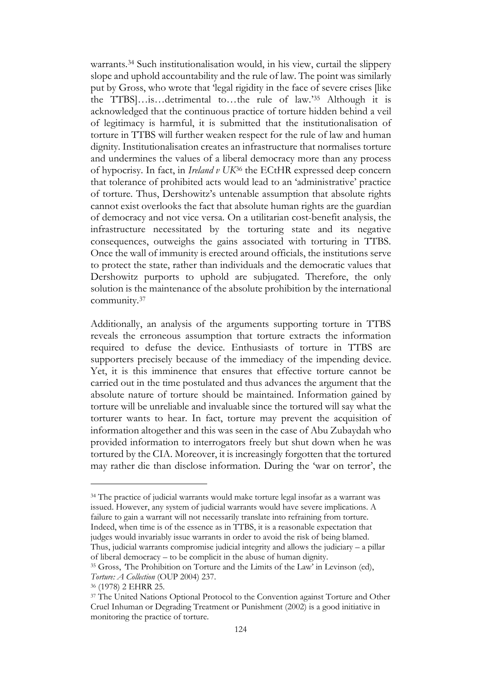warrants. <sup>34</sup> Such institutionalisation would, in his view, curtail the slippery slope and uphold accountability and the rule of law. The point was similarly put by Gross, who wrote that 'legal rigidity in the face of severe crises [like the TTBS]…is…detrimental to…the rule of law.' <sup>35</sup> Although it is acknowledged that the continuous practice of torture hidden behind a veil of legitimacy is harmful, it is submitted that the institutionalisation of torture in TTBS will further weaken respect for the rule of law and human dignity. Institutionalisation creates an infrastructure that normalises torture and undermines the values of a liberal democracy more than any process of hypocrisy. In fact, in *Ireland v UK*<sup>36</sup> the ECtHR expressed deep concern that tolerance of prohibited acts would lead to an 'administrative' practice of torture. Thus, Dershowitz's untenable assumption that absolute rights cannot exist overlooks the fact that absolute human rights are the guardian of democracy and not vice versa. On a utilitarian cost-benefit analysis, the infrastructure necessitated by the torturing state and its negative consequences, outweighs the gains associated with torturing in TTBS. Once the wall of immunity is erected around officials, the institutions serve to protect the state, rather than individuals and the democratic values that Dershowitz purports to uphold are subjugated. Therefore, the only solution is the maintenance of the absolute prohibition by the international community. 37

Additionally, an analysis of the arguments supporting torture in TTBS reveals the erroneous assumption that torture extracts the information required to defuse the device. Enthusiasts of torture in TTBS are supporters precisely because of the immediacy of the impending device. Yet, it is this imminence that ensures that effective torture cannot be carried out in the time postulated and thus advances the argument that the absolute nature of torture should be maintained. Information gained by torture will be unreliable and invaluable since the tortured will say what the torturer wants to hear. In fact, torture may prevent the acquisition of information altogether and this was seen in the case of Abu Zubaydah who provided information to interrogators freely but shut down when he was tortured by the CIA. Moreover, it is increasingly forgotten that the tortured may rather die than disclose information. During the 'war on terror', the

<sup>34</sup> The practice of judicial warrants would make torture legal insofar as a warrant was issued. However, any system of judicial warrants would have severe implications. A failure to gain a warrant will not necessarily translate into refraining from torture. Indeed, when time is of the essence as in TTBS, it is a reasonable expectation that judges would invariably issue warrants in order to avoid the risk of being blamed. Thus, judicial warrants compromise judicial integrity and allows the judiciary – a pillar of liberal democracy – to be complicit in the abuse of human dignity.

<sup>35</sup> Gross, *'*The Prohibition on Torture and the Limits of the Law' in Levinson (ed), *Torture: A Collection* (OUP 2004) 237.

<sup>36</sup> (1978) 2 EHRR 25.

<sup>&</sup>lt;sup>37</sup> The United Nations Optional Protocol to the Convention against Torture and Other Cruel Inhuman or Degrading Treatment or Punishment (2002) is a good initiative in monitoring the practice of torture.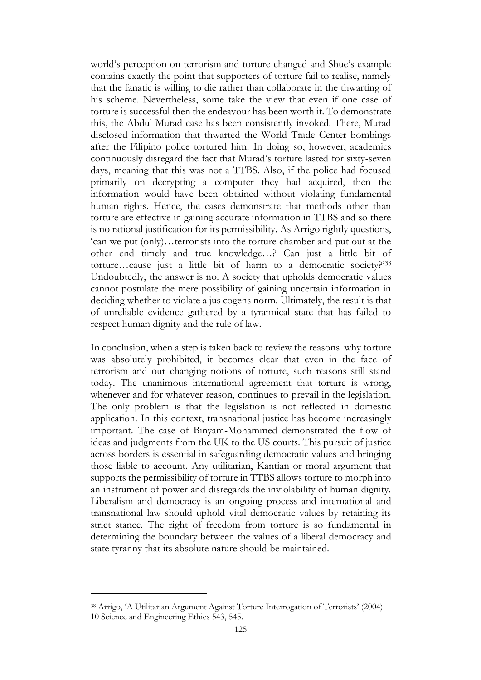world's perception on terrorism and torture changed and Shue's example contains exactly the point that supporters of torture fail to realise, namely that the fanatic is willing to die rather than collaborate in the thwarting of his scheme. Nevertheless, some take the view that even if one case of torture is successful then the endeavour has been worth it. To demonstrate this, the Abdul Murad case has been consistently invoked. There, Murad disclosed information that thwarted the World Trade Center bombings after the Filipino police tortured him. In doing so, however, academics continuously disregard the fact that Murad's torture lasted for sixty-seven days, meaning that this was not a TTBS. Also, if the police had focused primarily on decrypting a computer they had acquired, then the information would have been obtained without violating fundamental human rights. Hence, the cases demonstrate that methods other than torture are effective in gaining accurate information in TTBS and so there is no rational justification for its permissibility. As Arrigo rightly questions, 'can we put (only)…terrorists into the torture chamber and put out at the other end timely and true knowledge…? Can just a little bit of torture…cause just a little bit of harm to a democratic society?' 38 Undoubtedly, the answer is no. A society that upholds democratic values cannot postulate the mere possibility of gaining uncertain information in deciding whether to violate a jus cogens norm. Ultimately, the result is that of unreliable evidence gathered by a tyrannical state that has failed to respect human dignity and the rule of law.

In conclusion, when a step is taken back to review the reasons why torture was absolutely prohibited, it becomes clear that even in the face of terrorism and our changing notions of torture, such reasons still stand today. The unanimous international agreement that torture is wrong, whenever and for whatever reason, continues to prevail in the legislation. The only problem is that the legislation is not reflected in domestic application. In this context, transnational justice has become increasingly important. The case of Binyam-Mohammed demonstrated the flow of ideas and judgments from the UK to the US courts. This pursuit of justice across borders is essential in safeguarding democratic values and bringing those liable to account. Any utilitarian, Kantian or moral argument that supports the permissibility of torture in TTBS allows torture to morph into an instrument of power and disregards the inviolability of human dignity. Liberalism and democracy is an ongoing process and international and transnational law should uphold vital democratic values by retaining its strict stance. The right of freedom from torture is so fundamental in determining the boundary between the values of a liberal democracy and state tyranny that its absolute nature should be maintained.

<sup>38</sup> Arrigo, 'A Utilitarian Argument Against Torture Interrogation of Terrorists' (2004) 10 Science and Engineering Ethics 543, 545.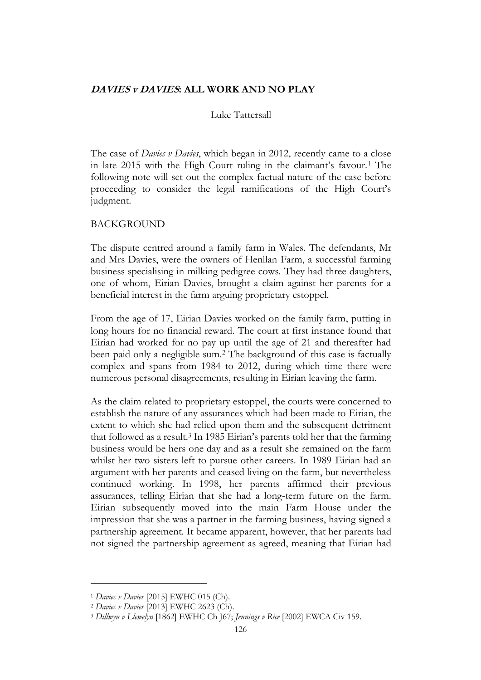## **DAVIES v DAVIES: ALL WORK AND NO PLAY**

#### Luke Tattersall

The case of *Davies v Davies*, which began in 2012, recently came to a close in late 2015 with the High Court ruling in the claimant's favour.<sup>1</sup> The following note will set out the complex factual nature of the case before proceeding to consider the legal ramifications of the High Court's judgment.

#### BACKGROUND

The dispute centred around a family farm in Wales. The defendants, Mr and Mrs Davies, were the owners of Henllan Farm, a successful farming business specialising in milking pedigree cows. They had three daughters, one of whom, Eirian Davies, brought a claim against her parents for a beneficial interest in the farm arguing proprietary estoppel.

From the age of 17, Eirian Davies worked on the family farm, putting in long hours for no financial reward. The court at first instance found that Eirian had worked for no pay up until the age of 21 and thereafter had been paid only a negligible sum.<sup>2</sup> The background of this case is factually complex and spans from 1984 to 2012, during which time there were numerous personal disagreements, resulting in Eirian leaving the farm.

As the claim related to proprietary estoppel, the courts were concerned to establish the nature of any assurances which had been made to Eirian, the extent to which she had relied upon them and the subsequent detriment that followed as a result.<sup>3</sup> In 1985 Eirian's parents told her that the farming business would be hers one day and as a result she remained on the farm whilst her two sisters left to pursue other careers. In 1989 Eirian had an argument with her parents and ceased living on the farm, but nevertheless continued working. In 1998, her parents affirmed their previous assurances, telling Eirian that she had a long-term future on the farm. Eirian subsequently moved into the main Farm House under the impression that she was a partner in the farming business, having signed a partnership agreement. It became apparent, however, that her parents had not signed the partnership agreement as agreed, meaning that Eirian had

<sup>1</sup> *Davies v Davies* [2015] EWHC 015 (Ch).

<sup>2</sup> *Davies v Davies* [2013] EWHC 2623 (Ch).

<sup>3</sup> *Dillwyn v Llewelyn* [1862] EWHC Ch J67; *Jennings v Rice* [2002] EWCA Civ 159.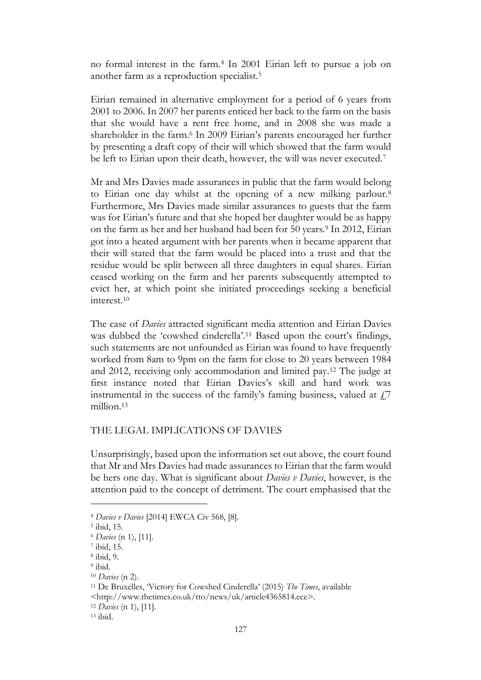no formal interest in the farm.<sup>4</sup> In 2001 Eirian left to pursue a job on another farm as a reproduction specialist.<sup>5</sup>

Eirian remained in alternative employment for a period of 6 years from 2001 to 2006. In 2007 her parents enticed her back to the farm on the basis that she would have a rent free home, and in 2008 she was made a shareholder in the farm.<sup>6</sup> In 2009 Eirian's parents encouraged her further by presenting a draft copy of their will which showed that the farm would be left to Eirian upon their death, however, the will was never executed.<sup>7</sup>

Mr and Mrs Davies made assurances in public that the farm would belong to Eirian one day whilst at the opening of a new milking parlour.<sup>8</sup> Furthermore, Mrs Davies made similar assurances to guests that the farm was for Eirian's future and that she hoped her daughter would be as happy on the farm as her and her husband had been for 50 years.<sup>9</sup> In 2012, Eirian got into a heated argument with her parents when it became apparent that their will stated that the farm would be placed into a trust and that the residue would be split between all three daughters in equal shares. Eirian ceased working on the farm and her parents subsequently attempted to evict her, at which point she initiated proceedings seeking a beneficial interest.<sup>10</sup>

The case of *Davies* attracted significant media attention and Eirian Davies was dubbed the 'cowshed cinderella'.<sup>11</sup> Based upon the court's findings, such statements are not unfounded as Eirian was found to have frequently worked from 8am to 9pm on the farm for close to 20 years between 1984 and 2012, receiving only accommodation and limited pay.<sup>12</sup> The judge at first instance noted that Eirian Davies's skill and hard work was instrumental in the success of the family's faming business, valued at  $\ddot{\tau}$ . million.<sup>13</sup>

## THE LEGAL IMPLICATIONS OF DAVIES

Unsurprisingly, based upon the information set out above, the court found that Mr and Mrs Davies had made assurances to Eirian that the farm would be hers one day. What is significant about *Davies v Davies*, however, is the attention paid to the concept of detriment. The court emphasised that the

9 ibid.

[<http://www.thetimes.co.uk/tto/news/uk/article4365814.ece>](http://www.thetimes.co.uk/tto/news/uk/article4365814.ece).

<sup>4</sup> *Davies v Davies* [2014] EWCA Civ 568, [8].

<sup>5</sup> ibid, 15.

<sup>6</sup> *Davies* (n 1), [11].

<sup>7</sup> ibid, 15.

<sup>8</sup> ibid, 9.

<sup>10</sup> *Davies* (n 2).

<sup>11</sup> De Bruxelles, 'Victory for Cowshed Cinderella' (2015) *The Times*, available

<sup>12</sup> *Davies* (n 1), [11].

 $13$  ibid.